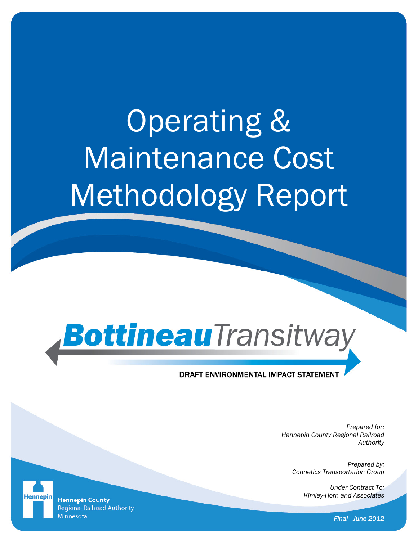# Operating & Maintenance Cost Methodology Report

# BottineauTransitway

#### **DRAFT ENVIRONMENTAL IMPACT STATEMENT**

*Prepared for: Hennepin County Regional Railroad Authority* 

> *Prepared by: Connetics Transportation Group*

> > *Under Contract To: Kimley-Horn and Associates*

**Hennepin County Regional Railroad Authority** Minnesota

*Final - June 2012*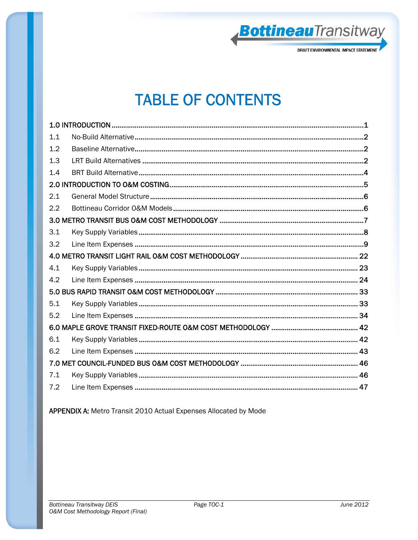

### **TABLE OF CONTENTS**

| 1.1 |  |
|-----|--|
| 1.2 |  |
| 1.3 |  |
| 1.4 |  |
|     |  |
| 2.1 |  |
| 2.2 |  |
|     |  |
| 3.1 |  |
| 3.2 |  |
|     |  |
| 4.1 |  |
| 4.2 |  |
|     |  |
| 5.1 |  |
| 5.2 |  |
|     |  |
| 6.1 |  |
| 6.2 |  |
|     |  |
| 7.1 |  |
| 7.2 |  |

APPENDIX A: Metro Transit 2010 Actual Expenses Allocated by Mode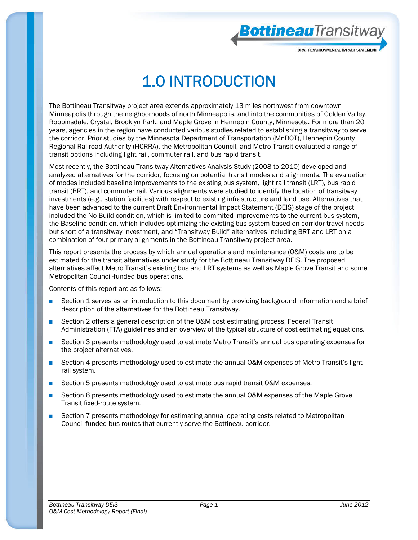BottineauTransitwa

## 1.0 INTRODUCTION

The Bottineau Transitway project area extends approximately 13 miles northwest from downtown Minneapolis through the neighborhoods of north Minneapolis, and into the communities of Golden Valley, Robbinsdale, Crystal, Brooklyn Park, and Maple Grove in Hennepin County, Minnesota. For more than 20 years, agencies in the region have conducted various studies related to establishing a transitway to serve the corridor. Prior studies by the Minnesota Department of Transportation (MnDOT), Hennepin County Regional Railroad Authority (HCRRA), the Metropolitan Council, and Metro Transit evaluated a range of transit options including light rail, commuter rail, and bus rapid transit.

Most recently, the Bottineau Transitway Alternatives Analysis Study (2008 to 2010) developed and analyzed alternatives for the corridor, focusing on potential transit modes and alignments. The evaluation of modes included baseline improvements to the existing bus system, light rail transit (LRT), bus rapid transit (BRT), and commuter rail. Various alignments were studied to identify the location of transitway investments (e.g., station facilities) with respect to existing infrastructure and land use. Alternatives that have been advanced to the current Draft Environmental Impact Statement (DEIS) stage of the project included the No-Build condition, which is limited to commited improvements to the current bus system, the Baseline condition, which includes optimizing the existing bus system based on corridor travel needs but short of a transitway investment, and "Transitway Build" alternatives including BRT and LRT on a combination of four primary alignments in the Bottineau Transitway project area.

This report presents the process by which annual operations and maintenance (O&M) costs are to be estimated for the transit alternatives under study for the Bottineau Transitway DEIS. The proposed alternatives affect Metro Transit's existing bus and LRT systems as well as Maple Grove Transit and some Metropolitan Council-funded bus operations.

Contents of this report are as follows:

- Section 1 serves as an introduction to this document by providing background information and a brief description of the alternatives for the Bottineau Transitway.
- Section 2 offers a general description of the O&M cost estimating process, Federal Transit Administration (FTA) guidelines and an overview of the typical structure of cost estimating equations.
- Section 3 presents methodology used to estimate Metro Transit's annual bus operating expenses for the project alternatives.
- Section 4 presents methodology used to estimate the annual O&M expenses of Metro Transit's light rail system.
- Section 5 presents methodology used to estimate bus rapid transit O&M expenses.
- Section 6 presents methodology used to estimate the annual O&M expenses of the Maple Grove Transit fixed-route system.
- Section 7 presents methodology for estimating annual operating costs related to Metropolitan Council-funded bus routes that currently serve the Bottineau corridor.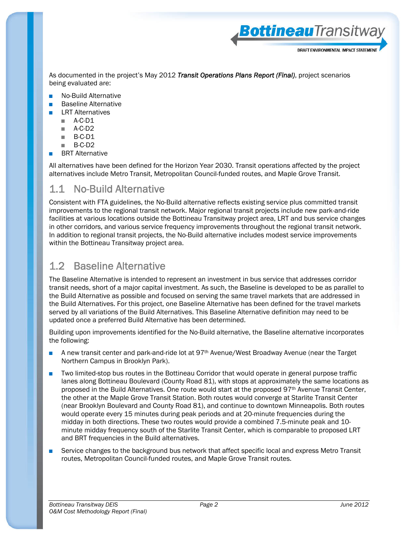DRAFT FNVIRONMFNTAL IMPACT STATFMFN

BottineauTransitwa

As documented in the project's May 2012 *Transit Operations Plans Report (Final)*, project scenarios being evaluated are:

- No-Build Alternative
- **Baseline Alternative**
- **LRT Alternatives** 
	- A-C-D1
	- A-C-D2
	- $B-C-D1$
	- B-C-D2
- **BRT Alternative**

All alternatives have been defined for the Horizon Year 2030. Transit operations affected by the project alternatives include Metro Transit, Metropolitan Council-funded routes, and Maple Grove Transit.

#### 1.1 No-Build Alternative

Consistent with FTA guidelines, the No-Build alternative reflects existing service plus committed transit improvements to the regional transit network. Major regional transit projects include new park-and-ride facilities at various locations outside the Bottineau Transitway project area, LRT and bus service changes in other corridors, and various service frequency improvements throughout the regional transit network. In addition to regional transit projects, the No-Build alternative includes modest service improvements within the Bottineau Transitway project area.

#### 1.2 Baseline Alternative

The Baseline Alternative is intended to represent an investment in bus service that addresses corridor transit needs, short of a major capital investment. As such, the Baseline is developed to be as parallel to the Build Alternative as possible and focused on serving the same travel markets that are addressed in the Build Alternatives. For this project, one Baseline Alternative has been defined for the travel markets served by all variations of the Build Alternatives. This Baseline Alternative definition may need to be updated once a preferred Build Alternative has been determined.

Building upon improvements identified for the No-Build alternative, the Baseline alternative incorporates the following:

- A new transit center and park-and-ride lot at 97<sup>th</sup> Avenue/West Broadway Avenue (near the Target Northern Campus in Brooklyn Park).
- Two limited-stop bus routes in the Bottineau Corridor that would operate in general purpose traffic lanes along Bottineau Boulevard (County Road 81), with stops at approximately the same locations as proposed in the Build Alternatives. One route would start at the proposed 97<sup>th</sup> Avenue Transit Center, the other at the Maple Grove Transit Station. Both routes would converge at Starlite Transit Center (near Brooklyn Boulevard and County Road 81), and continue to downtown Minneapolis. Both routes would operate every 15 minutes during peak periods and at 20-minute frequencies during the midday in both directions. These two routes would provide a combined 7.5-minute peak and 10 minute midday frequency south of the Starlite Transit Center, which is comparable to proposed LRT and BRT frequencies in the Build alternatives.
- Service changes to the background bus network that affect specific local and express Metro Transit routes, Metropolitan Council-funded routes, and Maple Grove Transit routes.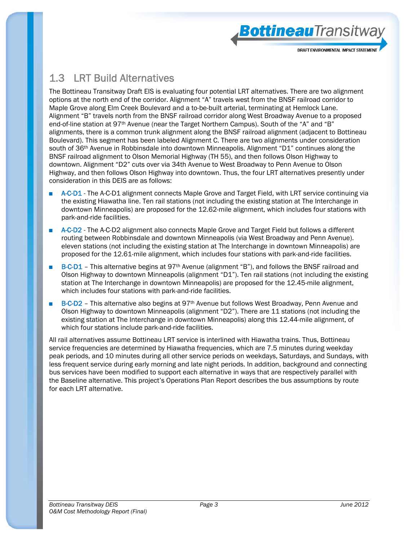BottineauTransitwa

#### 1.3 LRT Build Alternatives

The Bottineau Transitway Draft EIS is evaluating four potential LRT alternatives. There are two alignment options at the north end of the corridor. Alignment "A" travels west from the BNSF railroad corridor to Maple Grove along Elm Creek Boulevard and a to-be-built arterial, terminating at Hemlock Lane. Alignment "B" travels north from the BNSF railroad corridor along West Broadway Avenue to a proposed end-of-line station at 97th Avenue (near the Target Northern Campus). South of the "A" and "B" alignments, there is a common trunk alignment along the BNSF railroad alignment (adjacent to Bottineau Boulevard). This segment has been labeled Alignment C. There are two alignments under consideration south of 36th Avenue in Robbinsdale into downtown Minneapolis. Alignment "D1" continues along the BNSF railroad alignment to Olson Memorial Highway (TH 55), and then follows Olson Highway to downtown. Alignment "D2" cuts over via 34th Avenue to West Broadway to Penn Avenue to Olson Highway, and then follows Olson Highway into downtown. Thus, the four LRT alternatives presently under consideration in this DEIS are as follows:

- A-C-D1 The A-C-D1 alignment connects Maple Grove and Target Field, with LRT service continuing via the existing Hiawatha line. Ten rail stations (not including the existing station at The Interchange in downtown Minneapolis) are proposed for the 12.62-mile alignment, which includes four stations with park-and-ride facilities.
- A-C-D2 The A-C-D2 alignment also connects Maple Grove and Target Field but follows a different routing between Robbinsdale and downtown Minneapolis (via West Broadway and Penn Avenue). eleven stations (not including the existing station at The Interchange in downtown Minneapolis) are proposed for the 12.61-mile alignment, which includes four stations with park-and-ride facilities.
- B-C-D1 This alternative begins at 97<sup>th</sup> Avenue (alignment "B"), and follows the BNSF railroad and Olson Highway to downtown Minneapolis (alignment "D1"). Ten rail stations (not including the existing station at The Interchange in downtown Minneapolis) are proposed for the 12.45-mile alignment, which includes four stations with park-and-ride facilities.
- B-C-D2 This alternative also begins at 97<sup>th</sup> Avenue but follows West Broadway, Penn Avenue and Olson Highway to downtown Minneapolis (alignment "D2"). There are 11 stations (not including the existing station at The Interchange in downtown Minneapolis) along this 12.44-mile alignment, of which four stations include park-and-ride facilities.

All rail alternatives assume Bottineau LRT service is interlined with Hiawatha trains. Thus, Bottineau service frequencies are determined by Hiawatha frequencies, which are 7.5 minutes during weekday peak periods, and 10 minutes during all other service periods on weekdays, Saturdays, and Sundays, with less frequent service during early morning and late night periods. In addition, background and connecting bus services have been modified to support each alternative in ways that are respectively parallel with the Baseline alternative. This project's Operations Plan Report describes the bus assumptions by route for each LRT alternative.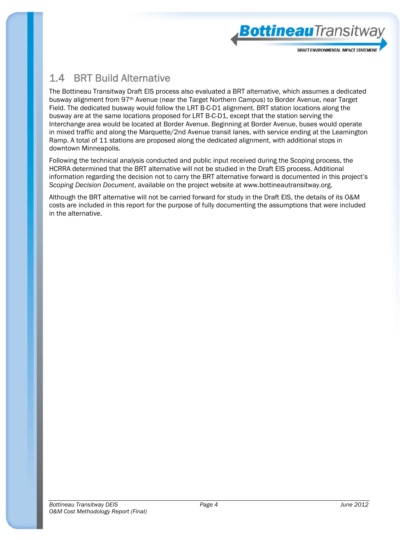

#### 1.4 BRT Build Alternative

The Bottineau Transitway Draft EIS process also evaluated a BRT alternative, which assumes a dedicated busway alignment from 97th Avenue (near the Target Northern Campus) to Border Avenue, near Target Field. The dedicated busway would follow the LRT B-C-D1 alignment. BRT station locations along the busway are at the same locations proposed for LRT B-C-D1, except that the station serving the Interchange area would be located at Border Avenue. Beginning at Border Avenue, buses would operate in mixed traffic and along the Marquette/2nd Avenue transit lanes, with service ending at the Leamington Ramp. A total of 11 stations are proposed along the dedicated alignment, with additional stops in downtown Minneapolis.

Following the technical analysis conducted and public input received during the Scoping process, the HCRRA determined that the BRT alternative will not be studied in the Draft EIS process. Additional information regarding the decision not to carry the BRT alternative forward is documented in this project's *Scoping Decision Document*, available on the project website at www.bottineautransitway.org.

Although the BRT alternative will not be carried forward for study in the Draft EIS, the details of its O&M costs are included in this report for the purpose of fully documenting the assumptions that were included in the alternative.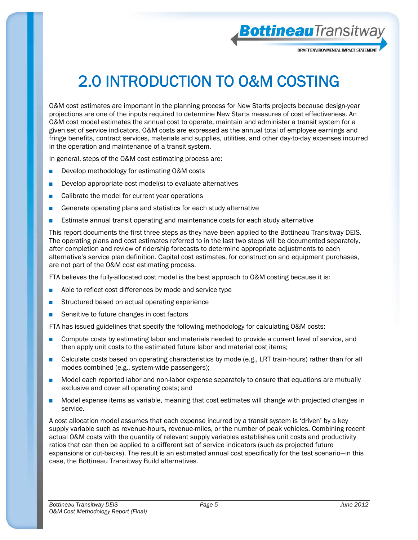

# 2.0 INTRODUCTION TO O&M COSTING

O&M cost estimates are important in the planning process for New Starts projects because design-year projections are one of the inputs required to determine New Starts measures of cost effectiveness. An O&M cost model estimates the annual cost to operate, maintain and administer a transit system for a given set of service indicators. O&M costs are expressed as the annual total of employee earnings and fringe benefits, contract services, materials and supplies, utilities, and other day-to-day expenses incurred in the operation and maintenance of a transit system.

In general, steps of the O&M cost estimating process are:

- Develop methodology for estimating O&M costs
- Develop appropriate cost model(s) to evaluate alternatives
- Calibrate the model for current year operations
- Generate operating plans and statistics for each study alternative
- Estimate annual transit operating and maintenance costs for each study alternative

This report documents the first three steps as they have been applied to the Bottineau Transitway DEIS. The operating plans and cost estimates referred to in the last two steps will be documented separately, after completion and review of ridership forecasts to determine appropriate adjustments to each alternative's service plan definition. Capital cost estimates, for construction and equipment purchases, are not part of the O&M cost estimating process.

FTA believes the fully-allocated cost model is the best approach to O&M costing because it is:

- Able to reflect cost differences by mode and service type
- Structured based on actual operating experience
- Sensitive to future changes in cost factors

FTA has issued guidelines that specify the following methodology for calculating O&M costs:

- Compute costs by estimating labor and materials needed to provide a current level of service, and then apply unit costs to the estimated future labor and material cost items;
- Calculate costs based on operating characteristics by mode (e.g., LRT train-hours) rather than for all modes combined (e.g., system-wide passengers);
- Model each reported labor and non-labor expense separately to ensure that equations are mutually exclusive and cover all operating costs; and
- Model expense items as variable, meaning that cost estimates will change with projected changes in service.

A cost allocation model assumes that each expense incurred by a transit system is 'driven' by a key supply variable such as revenue-hours, revenue-miles, or the number of peak vehicles. Combining recent actual O&M costs with the quantity of relevant supply variables establishes unit costs and productivity ratios that can then be applied to a different set of service indicators (such as projected future expansions or cut-backs). The result is an estimated annual cost specifically for the test scenario—in this case, the Bottineau Transitway Build alternatives.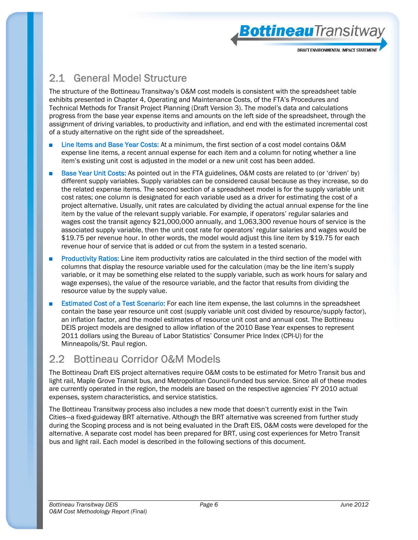**Bottineau**Transitwa

### 2.1 General Model Structure

The structure of the Bottineau Transitway's O&M cost models is consistent with the spreadsheet table exhibits presented in Chapter 4, Operating and Maintenance Costs, of the FTA's Procedures and Technical Methods for Transit Project Planning (Draft Version 3). The model's data and calculations progress from the base year expense items and amounts on the left side of the spreadsheet, through the assignment of driving variables, to productivity and inflation, and end with the estimated incremental cost of a study alternative on the right side of the spreadsheet.

- Line Items and Base Year Costs: At a minimum, the first section of a cost model contains O&M expense line items, a recent annual expense for each item and a column for noting whether a line item's existing unit cost is adjusted in the model or a new unit cost has been added.
- Base Year Unit Costs: As pointed out in the FTA guidelines, O&M costs are related to (or 'driven' by) different supply variables. Supply variables can be considered causal because as they increase, so do the related expense items. The second section of a spreadsheet model is for the supply variable unit cost rates; one column is designated for each variable used as a driver for estimating the cost of a project alternative. Usually, unit rates are calculated by dividing the actual annual expense for the line item by the value of the relevant supply variable. For example, if operators' regular salaries and wages cost the transit agency \$21,000,000 annually, and 1,063,300 revenue hours of service is the associated supply variable, then the unit cost rate for operators' regular salaries and wages would be \$19.75 per revenue hour. In other words, the model would adjust this line item by \$19.75 for each revenue hour of service that is added or cut from the system in a tested scenario.
- Productivity Ratios: Line item productivity ratios are calculated in the third section of the model with columns that display the resource variable used for the calculation (may be the line item's supply variable, or it may be something else related to the supply variable, such as work hours for salary and wage expenses), the value of the resource variable, and the factor that results from dividing the resource value by the supply value.
- Estimated Cost of a Test Scenario: For each line item expense, the last columns in the spreadsheet contain the base year resource unit cost (supply variable unit cost divided by resource/supply factor), an inflation factor, and the model estimates of resource unit cost and annual cost. The Bottineau DEIS project models are designed to allow inflation of the 2010 Base Year expenses to represent 2011 dollars using the Bureau of Labor Statistics' Consumer Price Index (CPI-U) for the Minneapolis/St. Paul region.

#### 2.2 Bottineau Corridor O&M Models

The Bottineau Draft EIS project alternatives require O&M costs to be estimated for Metro Transit bus and light rail, Maple Grove Transit bus, and Metropolitan Council-funded bus service. Since all of these modes are currently operated in the region, the models are based on the respective agencies' FY 2010 actual expenses, system characteristics, and service statistics.

The Bottineau Transitway process also includes a new mode that doesn't currently exist in the Twin Cities—a fixed-guideway BRT alternative. Although the BRT alternative was screened from further study during the Scoping process and is not being evaluated in the Draft EIS, O&M costs were developed for the alternative. A separate cost model has been prepared for BRT, using cost experiences for Metro Transit bus and light rail. Each model is described in the following sections of this document.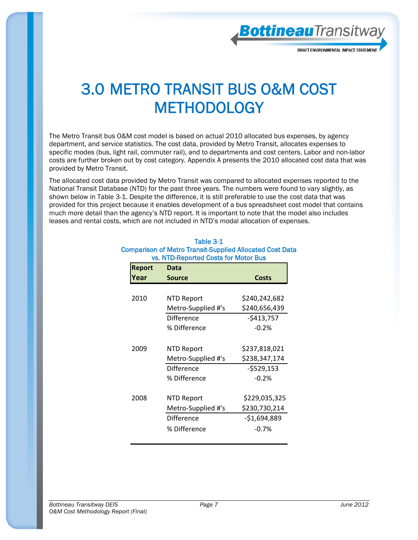

### 3.0 METRO TRANSIT BUS O&M COST **METHODOLOGY**

The Metro Transit bus O&M cost model is based on actual 2010 allocated bus expenses, by agency department, and service statistics. The cost data, provided by Metro Transit, allocates expenses to specific modes (bus, light rail, commuter rail), and to departments and cost centers. Labor and non-labor costs are further broken out by cost category. Appendix A presents the 2010 allocated cost data that was provided by Metro Transit.

The allocated cost data provided by Metro Transit was compared to allocated expenses reported to the National Transit Database (NTD) for the past three years. The numbers were found to vary slightly, as shown below in Table 3-1. Despite the difference, it is still preferable to use the cost data that was provided for this project because it enables development of a bus spreadsheet cost model that contains much more detail than the agency's NTD report. It is important to note that the model also includes leases and rental costs, which are not included in NTD's modal allocation of expenses.

| <b>Report</b> | Data               |               |
|---------------|--------------------|---------------|
| rear)         | Source             | <b>Costs</b>  |
|               |                    |               |
| 2010          | <b>NTD Report</b>  | \$240,242,682 |
|               | Metro-Supplied #'s | \$240,656,439 |
|               | Difference         | $-5413,757$   |
|               | % Difference       | $-0.2%$       |
|               |                    |               |
| 2009          | NTD Report         | \$237,818,021 |
|               | Metro-Supplied #'s | \$238,347,174 |
|               | <b>Difference</b>  | $-$529,153$   |
|               | % Difference       | $-0.2%$       |
|               |                    |               |
| 2008          | NTD Report         | \$229,035,325 |
|               | Metro-Supplied #'s | \$230,730,214 |
|               | Difference         | -\$1,694,889  |
|               | % Difference       | $-0.7%$       |
|               |                    |               |

#### Table 3-1 Comparison of Metro Transit-Supplied Allocated Cost Data vs. NTD-Reported Costs for Motor Bus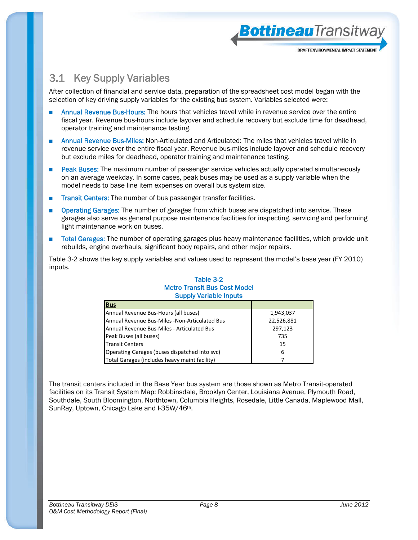

BottineauTransitway

### 3.1 Key Supply Variables

After collection of financial and service data, preparation of the spreadsheet cost model began with the selection of key driving supply variables for the existing bus system. Variables selected were:

- Annual Revenue Bus-Hours: The hours that vehicles travel while in revenue service over the entire fiscal year. Revenue bus-hours include layover and schedule recovery but exclude time for deadhead, operator training and maintenance testing.
- Annual Revenue Bus-Miles: Non-Articulated and Articulated: The miles that vehicles travel while in revenue service over the entire fiscal year. Revenue bus-miles include layover and schedule recovery but exclude miles for deadhead, operator training and maintenance testing.
- Peak Buses: The maximum number of passenger service vehicles actually operated simultaneously on an average weekday. In some cases, peak buses may be used as a supply variable when the model needs to base line item expenses on overall bus system size.
- Transit Centers: The number of bus passenger transfer facilities.
- Operating Garages: The number of garages from which buses are dispatched into service. These garages also serve as general purpose maintenance facilities for inspecting, servicing and performing light maintenance work on buses.
- Total Garages: The number of operating garages plus heavy maintenance facilities, which provide unit rebuilds, engine overhauls, significant body repairs, and other major repairs.

Table 3-2 shows the key supply variables and values used to represent the model's base year (FY 2010) inputs.

#### Table 3-2 Metro Transit Bus Cost Model Supply Variable Inputs

| <u>Bus</u>                                    |            |
|-----------------------------------------------|------------|
| Annual Revenue Bus-Hours (all buses)          | 1,943,037  |
| Annual Revenue Bus-Miles -Non-Articulated Bus | 22,526,881 |
| Annual Revenue Bus-Miles - Articulated Bus    | 297,123    |
| Peak Buses (all buses)                        | 735        |
| <b>Transit Centers</b>                        | 15         |
| Operating Garages (buses dispatched into svc) | 6          |
| Total Garages (includes heavy maint facility) |            |

The transit centers included in the Base Year bus system are those shown as Metro Transit-operated facilities on its Transit System Map: Robbinsdale, Brooklyn Center, Louisiana Avenue, Plymouth Road, Southdale, South Bloomington, Northtown, Columbia Heights, Rosedale, Little Canada, Maplewood Mall, SunRay, Uptown, Chicago Lake and I-35W/46th.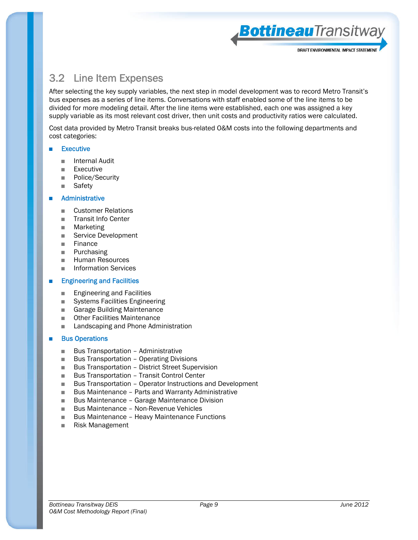**Bottineau**Transitway

#### 3.2 Line Item Expenses

After selecting the key supply variables, the next step in model development was to record Metro Transit's bus expenses as a series of line items. Conversations with staff enabled some of the line items to be divided for more modeling detail. After the line items were established, each one was assigned a key supply variable as its most relevant cost driver, then unit costs and productivity ratios were calculated.

Cost data provided by Metro Transit breaks bus-related O&M costs into the following departments and cost categories:

#### **Executive**

- Internal Audit
- Executive
- Police/Security
- Safety

#### **Administrative**

- Customer Relations
- Transit Info Center
- Marketing
- Service Development
- Finance
- Purchasing
- Human Resources
- Information Services

#### **Engineering and Facilities**

- Engineering and Facilities
- Systems Facilities Engineering
- Garage Building Maintenance
- Other Facilities Maintenance
- Landscaping and Phone Administration

#### **Bus Operations**

- Bus Transportation Administrative
- Bus Transportation Operating Divisions
- Bus Transportation District Street Supervision
- Bus Transportation Transit Control Center
- Bus Transportation Operator Instructions and Development
- Bus Maintenance Parts and Warranty Administrative
- Bus Maintenance Garage Maintenance Division
- Bus Maintenance Non-Revenue Vehicles
- Bus Maintenance Heavy Maintenance Functions
- Risk Management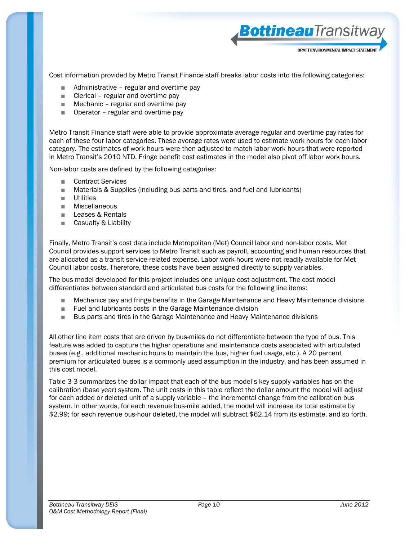Cost information provided by Metro Transit Finance staff breaks labor costs into the following categories:

BottineauTransitwa

DRAFT ENVIRONMENTAL IMPACT STATEMEN

- Administrative regular and overtime pay
- Clerical regular and overtime pay
- $\blacksquare$  Mechanic regular and overtime pay
- Operator regular and overtime pay

Metro Transit Finance staff were able to provide approximate average regular and overtime pay rates for each of these four labor categories. These average rates were used to estimate work hours for each labor category. The estimates of work hours were then adjusted to match labor work hours that were reported in Metro Transit's 2010 NTD. Fringe benefit cost estimates in the model also pivot off labor work hours.

Non-labor costs are defined by the following categories:

- Contract Services
- Materials & Supplies (including bus parts and tires, and fuel and lubricants)
- Utilities
- Miscellaneous
- Leases & Rentals
- Casualty & Liability

Finally, Metro Transit's cost data include Metropolitan (Met) Council labor and non-labor costs. Met Council provides support services to Metro Transit such as payroll, accounting and human resources that are allocated as a transit service-related expense. Labor work hours were not readily available for Met Council labor costs. Therefore, these costs have been assigned directly to supply variables.

The bus model developed for this project includes one unique cost adjustment. The cost model differentiates between standard and articulated bus costs for the following line items:

- Mechanics pay and fringe benefits in the Garage Maintenance and Heavy Maintenance divisions
- Fuel and lubricants costs in the Garage Maintenance division
- Bus parts and tires in the Garage Maintenance and Heavy Maintenance divisions

All other line item costs that are driven by bus-miles do not differentiate between the type of bus. This feature was added to capture the higher operations and maintenance costs associated with articulated buses (e.g., additional mechanic hours to maintain the bus, higher fuel usage, etc.). A 20 percent premium for articulated buses is a commonly used assumption in the industry, and has been assumed in this cost model.

Table 3-3 summarizes the dollar impact that each of the bus model's key supply variables has on the calibration (base year) system. The unit costs in this table reflect the dollar amount the model will adjust for each added or deleted unit of a supply variable – the incremental change from the calibration bus system. In other words, for each revenue bus-mile added, the model will increase its total estimate by \$2.99; for each revenue bus-hour deleted, the model will subtract \$62.14 from its estimate, and so forth.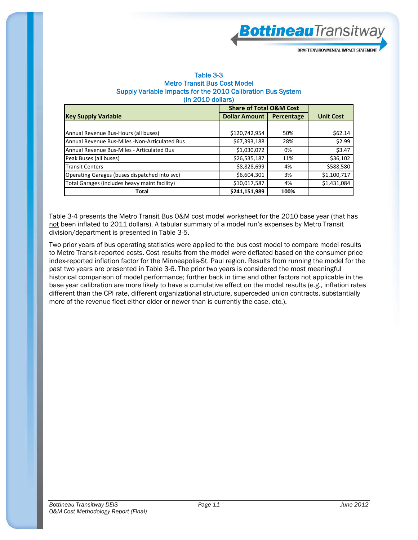BottineauTransitway

DRAFT ENVIRONMENTAL IMPACT STATEMEN

#### Table 3-3 Metro Transit Bus Cost Model Supply Variable Impacts for the 2010 Calibration Bus System (in 2010 dollars)

|                                               | <b>Share of Total O&amp;M Cost</b> |            |                  |
|-----------------------------------------------|------------------------------------|------------|------------------|
| <b>Key Supply Variable</b>                    | <b>Dollar Amount  </b>             | Percentage | <b>Unit Cost</b> |
|                                               |                                    |            |                  |
| Annual Revenue Bus-Hours (all buses)          | \$120,742,954                      | 50%        | \$62.14          |
| Annual Revenue Bus-Miles -Non-Articulated Bus | \$67,393,188                       | 28%        | \$2.99           |
| Annual Revenue Bus-Miles - Articulated Bus    | \$1,030,072                        | 0%         | \$3.47           |
| Peak Buses (all buses)                        | \$26,535,187                       | 11%        | \$36,102         |
| <b>Transit Centers</b>                        | \$8,828,699                        | 4%         | \$588,580        |
| Operating Garages (buses dispatched into svc) | \$6,604,301                        | 3%         | \$1,100,717      |
| Total Garages (includes heavy maint facility) | \$10,017,587                       | 4%         | \$1,431,084      |
| <b>Total</b>                                  | \$241,151,989                      | 100%       |                  |

Table 3-4 presents the Metro Transit Bus O&M cost model worksheet for the 2010 base year (that has not been inflated to 2011 dollars). A tabular summary of a model run's expenses by Metro Transit division/department is presented in Table 3-5.

Two prior years of bus operating statistics were applied to the bus cost model to compare model results to Metro Transit-reported costs. Cost results from the model were deflated based on the consumer price index-reported inflation factor for the Minneapolis-St. Paul region. Results from running the model for the past two years are presented in Table 3-6. The prior two years is considered the most meaningful historical comparison of model performance; further back in time and other factors not applicable in the base year calibration are more likely to have a cumulative effect on the model results (e.g., inflation rates different than the CPI rate, different organizational structure, superceded union contracts, substantially more of the revenue fleet either older or newer than is currently the case, etc.).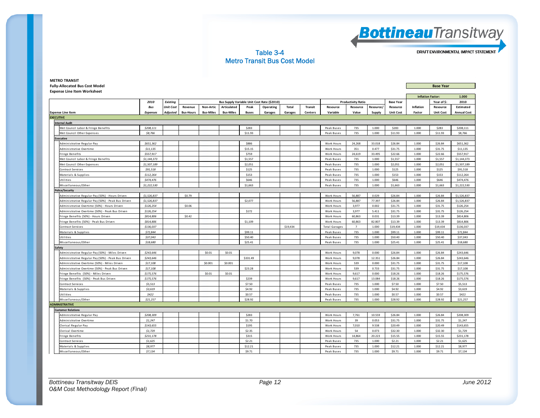**Bottineau**Transitway

Table 3-4 Metro Transit Bus Cost Model DRAFT ENVIRONMENTAL IMPACT STATEMENT

#### **METRO TRANSIT Fully‐Allocated Bus Cost Model Base Year Expense Line Item Worksheet 1.000**2010 | Existing | The Contract County Variable Unit Cost Rate (\$2010) | Productivity Ratio | Base Year | Year of \$: 2010 *Bus Unit Cost* **Revenue Non‐Artic Articulated**d | Peak | Operating | Total | Transit | Resource | Resource | Resource | Resource | Inflation | Resource | Estimated **Expense Line Item** *Expenses Adjusted* **Bus‐Hours Bus‐Miles Bus‐Miles Buses Garages Garages Centers Variable Value Supply Unit Cost Factor Unit Cost Annual Cost EXECUTIVEInternal Audit**Met Council La bor & Fringe Bene fi ts *\$208,111* \$283 Peak Buses 735 1.000 \$283 1.000 \$283 \$208,111 Met Council Othe <sup>r</sup> Expenses *\$8,766* \$11.93 Peak Buses 735 1.000 \$11.93 1.000 \$11.93 \$8,766 **Executive**Administrative Regular Pav Regular Pay *\$651,362* \$886 Work Hours 24,268 33.018 \$26.84 1.000 \$26.84 \$651,362 Adminis trative Overtime 01.135 **| 1.000 \$31.75 | 1.000 \$31.75 | 1.000 \$31.75 | 1.1**35 | 1.135 | 1.135 | 351.75 | 351.75 | 351.75 | 351.75 \$11,135 **| 31,135** Fringe Bene fi ts *\$557,917* \$759 Work Hours 24,619 33.495 \$22.66 1.000 \$22.66 \$557,917 Met Council La bor & Fringe Bene fi ts *\$1,144,373* \$1,557 Peak Buses 735 1.000 \$1,557 1.000 \$1,557 \$1,144,373 Met Council Othe <sup>r</sup> Expenses *\$1,507,189* \$2,051 Peak Buses 735 1.000 \$2,051 1.000 \$2,051 \$1,507,189 Contra ct Servi ces *\$91,518* \$125 Peak Buses 735 1.000 \$125 1.000 \$125 \$91,518 Ma terial s & Supplies *\$112,264* \$153 Peak Buses 735 1.000 \$153 1.000 \$153 \$112,264 Utili ties\$ 1.000 **\$474,476 | | | | | \$646 | | | | | | | | |** Peak Buses | 735 | 1.000 | \$646 | \$646 | \$474,476 | | | | | | Mi <sup>s</sup> cella neous /Other *\$1,222,530* \$1,663 Peak Buses 735 1.000 \$1,663 1.000 \$1,663 \$1,222,530 **Police/Security** Administrative Regular Pay (50%) - Hours Driven e Regular Pay (50%) ‐ Hours Driven **\$1,526,837 Work Hours | SQ.526,837 | SQ.526,837 | SQ.526,837 | SQ.526,837 | SQ.526,837 | SQ.526,837 | SQ.526,837 | SQ.526,837 | SQ.526,837 | SQ.526,837 | SQ.526,837 | SQ.526,837 | SQ.5** Administrative Regular Pay (50%) ‐ Peak Bus Driven | \$1,526,837 | | | | | | | | \$2,077 | | | | | | | Work Hours | 56,887 | 77.397 | \$26.84 | 1.000 | \$26.84 | \$1,526,837 inis trative Overtime (50%) - Hours Dr Overtime (50%) ‐ Hours Driven *\$126,254* \$0.06 Work Hours 3,977 0.002 \$31.75 1.000 \$31.75 \$126,254 minis trative Overtime (50%) - Peak Rus Driven e Overtime (50%) ‐ Peak Bus Driven *| \$126,254* │ │ │ │ │ │ │ ≸172 │ │ │ │ │ │ │ │ │ │ │ │ │ │ │ │ ∫ 531.75 │ \$31.75 │ \$126,254 Fringe Bene fi ts (50%) ‐ Hours Driven *\$814,806* \$0.42 Work Hours 60,863 0.031 \$13.39 1.000 \$13.39 \$814,806 Fringe Bene fi ts (50%) ‐ Peak Bus Driven *\$814,806* \$1,109 Work Hours 60,863 82.807 \$13.39 1.000 \$13.39 \$814,806 Contra ct Servi ces *\$136,037* \$19,434 Total Ga rages <sup>7</sup> 1.000 \$19,434 1.000 \$19,434 \$136,037 Ma terial s & Supplies *\$72,844* \$99.11 Peak Buses 735 1.000 \$99.11 1.000 \$99.11 \$72,844 Utili ties\$ 29,043 | \$37,043 | | | | | \$50.40 | | | \$50.40 | | | Peak Buses | 735 | 1.000 | \$50.40 | \$50.40 | \$50,043 | Miscellaneous/Other | *\$18,680* | | | | | | | Peak Buses | 735 | 1.000 | \$25.41 | \$18,680 | \$18,680 | **Safety** Admini s tra tive Regular Pay (50%) ‐ Miles Driven *\$243,646* \$0.01 \$0.01 Work Hours 9,078 0.000 \$26.84 1.000 \$26.84 \$243,646 Administrative Regular Pay (50%) ‐ Peak Bus Driven *\$243,646* New Section 1 New Section 19.000 \$26.84 \$243,646 New S26.84 \$243,646 New S26.84 \$243,646 New S26.84 \$26.84 \$243,646 New S26.84 \$243,646 New S26.84 \$243,646 New Administrative Overtime (50%) - Miles Driven **\$17,108 \$17,108 \$17,108** \$17,108 \$17,108 \$17,108 \$17,108 \$17,108 \$17,108 \$17,108 \$17,108 \$17,108 \$17,108 \$17,108 \$17,108 \$17,108 \$17,108 \$17,108 \$17,108 \$17,108 \$17,108 \$17,108 Admini s tra tive Overtime (50%) ‐ Peak Bus Driven *\$17,108* \$23.28 Work Hours 539 0.733 \$31.75 1.000 \$31.75 \$17,108 Fringe Bene fi ts (50%) ‐ Miles Driven *\$175,576* \$0.01 \$0.01 Work Hours 9,617 0.000 \$18.26 1.000 \$18.26 \$175,576 Fringe Bene fi ts (50%) ‐ Peak Bus Driven *\$175,576* \$239 Work Hours 9,617 13.084 \$18.26 1.000 \$18.26 \$175,576 Contra ct Servi ces *\$5,513* \$7.50 Peak Buses 735 1.000 \$7.50 1.000 \$7.50 \$5,513 Ma terial s & Supplies *\$3,619* \$4.92 Peak Buses 735 1.000 \$4.92 1.000 \$4.92 \$3,619 Utili ties *\$422* \$0.57 Peak Buses 735 1.000 \$0.57 1.000 \$0.57 \$422 Miscellaneous/Other | *\$21,257* | | | | \$28.92 | | | Peak Buses | 735 | 1.000 | \$28.92 | 1.000 | \$28.92 | \$21,257 **ADMINISTRATIVE Customer Relations**Administrative Regular Pav Regular Pay *\$208,309* \$283 Work Hours 7,761 10.559 \$26.84 1.000 \$26.84 \$208,309 Iminis trative Overtime 01.131.75 **| \$1,247 | | | | | | \$1.70 | | | | Work Hours | 39 | 0.053 | \$31.75 | \$31.75 | \$31.75 | \$1,247 | | |** Clerical Regular Pay Regular Pay *\$143,655* \$195 Work Hours 7,010 9.538 \$20.49 1.000 \$20.49 \$143,655 Clerical Ove rtime *\$1,729* \$2.35 Work Hours 54 0.073 \$32.30 1.000 \$32.30 \$1,729 Fringe Bene fi ts *\$231,178* \$315 Work Hours 14,864 20.223 \$15.55 1.000 \$15.55 \$231,178 Contra ct Servi ces5 1.000 \$1,625 | | | | | \$2.21 | | | Peak Buses | 735 | 1.000 | \$2.21 | \$1,625 | \$1,625 | | \$1,625 | | \$1,625 Ma terial s & Supplies *\$8,977* \$12.21 Peak Buses 735 1.000 \$12.21 1.000 \$12.21 \$8,977 Mi <sup>s</sup> cella neous /Other *\$7,134* \$9.71 Peak Buses 735 1.000 \$9.71 1.000 \$9.71 \$7,134 **Inflation Factor:**

*Bottineau Transitway DEIS Page 12 June 2012 O&M Cost Methodology Report (Final)*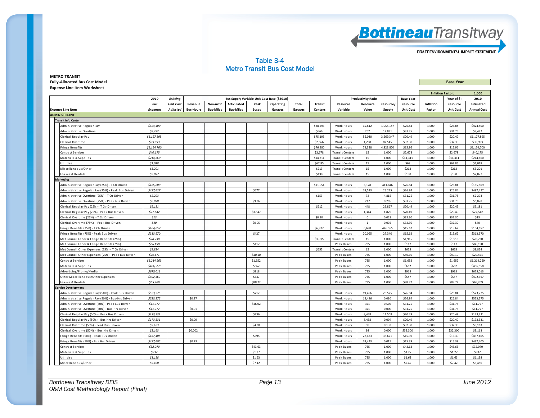

#### Table 3-4 Metro Transit Bus Cost Model

**METRO TRANSIT Fully‐Allocated Bus Cost Model Base Year Expense Line Item Worksheet**

|                                                    |                 |                  |                  |                  |                                             |              |           |         |                |                        |                           | <b>Inflation Factor:</b> |                  | 1.000            |                  |                    |
|----------------------------------------------------|-----------------|------------------|------------------|------------------|---------------------------------------------|--------------|-----------|---------|----------------|------------------------|---------------------------|--------------------------|------------------|------------------|------------------|--------------------|
|                                                    | 2010            | <b>Existing</b>  |                  |                  | Bus Supply Variable Unit Cost Rate (\$2010) |              |           |         |                |                        | <b>Productivity Ratio</b> |                          | <b>Base Year</b> |                  | Year of \$:      | 2010               |
|                                                    | <b>Bus</b>      | <b>Unit Cost</b> | Revenue          | <b>Non-Artic</b> | <b>Articulated</b>                          | Peak         | Operating | Total   | <b>Transit</b> | Resource               | Resource                  | Resource/                | Resource         | <b>Inflation</b> | Resource         | Estimated          |
| <b>Expense Line Item</b>                           | <b>Expenses</b> | Adjusted         | <b>Bus-Hours</b> | <b>Bus-Miles</b> | <b>Bus-Miles</b>                            | <b>Buses</b> | Garages   | Garages | <b>Centers</b> | Variable               | Value                     | <b>Supply</b>            | <b>Unit Cost</b> | Factor           | <b>Unit Cost</b> | <b>Annual Cost</b> |
| <b>ADMINISTRATIVE</b>                              |                 |                  |                  |                  |                                             |              |           |         |                |                        |                           |                          |                  |                  |                  |                    |
| <b>Transit Info Center</b>                         |                 |                  |                  |                  |                                             |              |           |         |                |                        |                           |                          |                  |                  |                  |                    |
| Administrative Regular Pay                         | \$424,400       |                  |                  |                  |                                             |              |           |         | \$28,293       | Work Hours             | 15,812                    | 1,054.147                | \$26.84          | 1.000            | \$26.84          | \$424,400          |
| Administrative Overtime                            | \$8,492         |                  |                  |                  |                                             |              |           |         | \$566          | Work Hours             | 267                       | 17.831                   | \$31.75          | 1.000            | \$31.75          | \$8,492            |
| Clerical Regular Pay                               | \$1,127,895     |                  |                  |                  |                                             |              |           |         | \$75,193       | Work Hours             | 55,040                    | 3,669.347                | \$20.49          | 1.000            | \$20.49          | \$1,127,895        |
| Clerical Overtime                                  | \$39,993        |                  |                  |                  |                                             |              |           |         | \$2,666        | Work Hours             | 1,238                     | 82.545                   | \$32.30          | 1.000            | \$32.30          | \$39,993           |
| Fringe Benefits                                    | \$1,154,700     |                  |                  |                  |                                             |              |           |         | \$76,980       | Work Hours             | 72,358                    | 4,823.870                | \$15.96          | 1.000            | \$15.96          | \$1,154,700        |
| Contract Services                                  | \$40,175        |                  |                  |                  |                                             |              |           |         | \$2,678        | <b>Transit Centers</b> | 15                        | 1.000                    | \$2,678          | 1.000            | \$2,678          | \$40,175           |
| Materials & Supplies                               | \$214,660       |                  |                  |                  |                                             |              |           |         | \$14.311       | <b>Transit Centers</b> | 15                        | 1.000                    | \$14,311         | 1.000            | \$14,311         | \$214,660          |
| Utilities                                          | \$1,018         |                  |                  |                  |                                             |              |           |         | \$67.85        | <b>Transit Centers</b> | 15                        | 1.000                    | <b>S68</b>       | 1.000            | \$67.85          | \$1,018            |
| Miscellaneous/Other                                | \$3,201         |                  |                  |                  |                                             |              |           |         | \$213          | <b>Transit Centers</b> | 15                        | 1.000                    | \$213            | 1.000            | \$213            | \$3,201            |
| eases & Rentals                                    | \$2,077         |                  |                  |                  |                                             |              |           |         | \$138          | <b>Transit Centers</b> | 15                        | 1.000                    | \$138            | 1.000            | \$138            | \$2,077            |
| <b>Marketing</b>                                   |                 |                  |                  |                  |                                             |              |           |         |                |                        |                           |                          |                  |                  |                  |                    |
| Administrative Regular Pay (25%) - T Ctr Driven    | \$165,809       |                  |                  |                  |                                             |              |           |         | \$11,054       | Work Hours             | 6,178                     | 411.846                  | \$26.84          | 1.000            | \$26.84          | \$165,809          |
| Administrative Regular Pay (75%) - Peak Bus Driven | \$497,427       |                  |                  |                  |                                             | \$677        |           |         |                | Work Hours             | 18,533                    | 25.215                   | \$26.84          | 1.000            | \$26.84          | \$497,427          |
| Administrative Overtime (25%) - T Ctr Driven       | \$2,293         |                  |                  |                  |                                             |              |           |         | \$153          | Work Hours             | 72                        | 4.815                    | \$31.75          | 1.000            | \$31.75          | \$2,293            |
| Administrative Overtime (25%) - Peak Bus Driven    | \$6,878         |                  |                  |                  |                                             | \$9.36       |           |         |                | Work Hours             | 217                       | 0.295                    | \$31.75          | 1.000            | \$31.75          | \$6,878            |
| Clerical Regular Pay (25%) - T Ctr Driven          | \$9,181         |                  |                  |                  |                                             |              |           |         | \$612          | Work Hours             | 448                       | 29.867                   | \$20.49          | 1.000            | \$20.49          | \$9,181            |
| Clerical Regular Pay (75%) - Peak Bus Driven       | \$27,542        |                  |                  |                  |                                             | \$37.47      |           |         |                | Work Hours             | 1,344                     | 1.829                    | \$20.49          | 1.000            | \$20.49          | \$27,542           |
| Clerical Overtime (25%) - T Ctr Driven             | \$13            |                  |                  |                  |                                             |              |           |         | \$0.90         | Work Hours             | $\mathbf{0}$              | 0.028                    | \$32.30          | 1.000            | \$32.30          | \$13               |
| Clerical Overtime (75%) - Peak Bus Driven          | \$40            |                  |                  |                  |                                             | \$0.05       |           |         |                | Work Hours             | <sup>1</sup>              | 0.002                    | \$32.30          | 1.000            | \$32.30          | \$40               |
| Fringe Benefits (25%) - T Ctr Driven               | \$104,657       |                  |                  |                  |                                             |              |           |         | \$6,977        | Work Hours             | 6,698                     | 446.555                  | \$15.62          | 1.000            | \$15.62          | \$104,657          |
| Fringe Benefits (75%) - Peak Bus Driven            | \$313,970       |                  |                  |                  |                                             | \$427        |           |         |                | Work Hours             | 20,095                    | 27.340                   | \$15.62          | 1.000            | \$15.62          | \$313,970          |
| Met Council Labor & Fringe Benefits (25%)          | \$28,730        |                  |                  |                  |                                             |              |           |         | \$1,915        | <b>Transit Centers</b> | 15                        | 1.000                    | \$1,915          | 1.000            | \$1,915          | \$28,730           |
| Met Council Labor & Fringe Benefits (75%)          | \$86,190        |                  |                  |                  |                                             | \$117        |           |         |                | Peak Buses             | 735                       | 1.000                    | \$117            | 1.000            | \$117            | \$86,190           |
| Met Council Other Expenses (25%) - T Ctr Driven    | \$9,824         |                  |                  |                  |                                             |              |           |         | \$655          | <b>Transit Centers</b> | 15                        | 1.000                    | \$655            | 1.000            | \$655            | \$9,824            |
| Met Council Other Expenses (75%) - Peak Bus Driven | \$29,471        |                  |                  |                  |                                             | \$40.10      |           |         |                | Peak Buses             | 735                       | 1.000                    | \$40.10          | 1.000            | \$40.10          | \$29,471           |
| Contract Services                                  | \$1,214,269     |                  |                  |                  |                                             | \$1,652      |           |         |                | Peak Buses             | 735                       | 1.000                    | \$1,652          | 1.000            | \$1,652          | \$1,214,269        |
| Materials & Supplies                               | \$486,558       |                  |                  |                  |                                             | \$662        |           |         |                | Peak Buses             | 735                       | 1.000                    | \$662            | 1.000            | \$662            | \$486,558          |
| Advertising/Promo/Media                            | \$675,013       |                  |                  |                  |                                             | \$918        |           |         |                | Peak Buses             | 735                       | 1.000                    | \$918            | 1.000            | \$918            | \$675,013          |
| Other Miscellaneous/Other Expenses                 | \$402.367       |                  |                  |                  |                                             | \$547        |           |         |                | Peak Buses             | 735                       | 1.000                    | \$547            | 1.000            | \$547            | \$402,367          |
| Leases & Rentals                                   | \$65,209        |                  |                  |                  |                                             | \$88.72      |           |         |                | Peak Buses             | 735                       | 1.000                    | \$88.72          | 1.000            | \$88.72          | \$65,209           |
| Service Development                                |                 |                  |                  |                  |                                             |              |           |         |                |                        |                           |                          |                  |                  |                  |                    |
| Administrative Regular Pay (50%) - Peak Bus Driven | \$523,275       |                  |                  |                  |                                             | \$712        |           |         |                | Work Hours             | 19,496                    | 26.525                   | \$26.84          | 1.000            | \$26.84          | \$523,275          |
| Administrative Regular Pay (50%) - Bus-Hrs Driven  | \$523,275       |                  | \$0.27           |                  |                                             |              |           |         |                | Work Hours             | 19,496                    | 0.010                    | \$26.84          | 1.000            | \$26.84          | \$523,275          |
| Administrative Overtime (50%) - Peak Bus Driven    | \$11,777        |                  |                  |                  |                                             | \$16.02      |           |         |                | Work Hours             | 371                       | 0.505                    | \$31.75          | 1.000            | \$31.75          | \$11,777           |
| Administrative Overtime (50%) - Bus-Hrs Driven     | \$11,777        |                  | \$0.01           |                  |                                             |              |           |         |                | Work Hours             | 371                       | 0.000                    | \$31.75          | 1.000            | \$31.75          | \$11,777           |
| Clerical Regular Pay (50%) - Peak Bus Driven       | \$173,331       |                  |                  |                  |                                             | \$236        |           |         |                | <b>Work Hours</b>      | 8.458                     | 11.508                   | \$20.49          | 1.000            | \$20.49          | \$173,331          |
| Clerical Regular Pay (50%) - Bus Hrs Driven        | \$173,331       |                  | \$0.09           |                  |                                             |              |           |         |                | Work Hours             | 8,458                     | 0.004                    | \$20.49          | 1.000            | \$20.49          | \$173,331          |
| Clerical Overtime (50%) - Peak Bus Driven          | \$3,163         |                  |                  |                  |                                             | \$4.30       |           |         |                | Work Hours             | 98                        | 0.133                    | \$32.30          | 1.000            | \$32.30          | \$3,163            |
| Clerical Overtime (50%) - Bus Hrs Driven           | \$3,163         |                  | \$0.002          |                  |                                             |              |           |         |                | Work Hours             | 98                        | 0.000                    | \$32.300         | 1.000            | \$32.300         | \$3,163            |
| Fringe Benefits (50%) - Peak Bus Driven            | \$437,405       |                  |                  |                  |                                             | \$595        |           |         |                | Work Hours             | 28,423                    | 38.671                   | \$15.39          | 1.000            | \$15.39          | \$437,405          |
| Fringe Benefits (50%) - Bus Hrs Driven             | \$437,405       |                  | \$0.23           |                  |                                             |              |           |         |                | Work Hours             | 28,423                    | 0.015                    | \$15.39          | 1.000            | \$15.39          | \$437,405          |
| Contract Services                                  | \$32,070        |                  |                  |                  |                                             | \$43.63      |           |         |                | Peak Buses             | 735                       | 1.000                    | \$43.63          | 1.000            | \$43.63          | \$32,070           |
| Materials & Supplies                               | \$937           |                  |                  |                  |                                             | \$1.27       |           |         |                | Peak Buses             | 735                       | 1.000                    | \$1.27           | 1.000            | \$1.27           | \$937              |
| Utilities                                          | \$1,198         |                  |                  |                  |                                             | \$1.63       |           |         |                | Peak Buses             | 735                       | 1.000                    | \$1.63           | 1.000            | \$1.63           | \$1,198            |
| Miscellaneous/Other                                | \$5,450         |                  |                  |                  |                                             | \$7.42       |           |         |                | Peak Buses             | 735                       | 1.000                    | \$7.42           | 1.000            | \$7.42           | \$5.450            |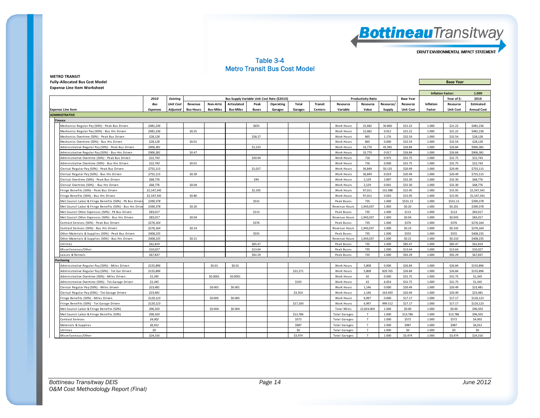

#### Table 3-4 Metro Transit Bus Cost Model

| <b>METRO TRANSIT</b>                  |                  |
|---------------------------------------|------------------|
| <b>Fully-Allocated Bus Cost Model</b> | <b>Base Year</b> |
| <b>Expense Line Item Worksheet</b>    |                  |

|                                                          |                 |                  |                                                                                              |                  |                  |              |           |          |                |                      |                |           | <b>Inflation Factor:</b> |             | 1.000            |                    |
|----------------------------------------------------------|-----------------|------------------|----------------------------------------------------------------------------------------------|------------------|------------------|--------------|-----------|----------|----------------|----------------------|----------------|-----------|--------------------------|-------------|------------------|--------------------|
|                                                          | 2010            | <b>Existing</b>  | Bus Supply Variable Unit Cost Rate (\$2010)<br><b>Productivity Ratio</b><br><b>Base Year</b> |                  |                  |              |           |          |                |                      |                |           |                          | Year of \$: | 2010             |                    |
|                                                          | Bus             | <b>Unit Cost</b> | Revenue                                                                                      | <b>Non-Artic</b> | Articulated      | Peak         | Operating | Total    | <b>Transit</b> | Resource             | Resource       | Resource/ | Resource                 | Inflation   | Resource         | Estimated          |
| <b>Expense Line Item</b>                                 | <b>Expenses</b> | Adjusted         | <b>Bus-Hours</b>                                                                             | <b>Bus-Miles</b> | <b>Bus-Miles</b> | <b>Buses</b> | Garages   | Garages  | Centers        | Variable             | Value          | Supply    | <b>Unit Cost</b>         | Factor      | <b>Unit Cost</b> | <b>Annual Cost</b> |
| <b>ADMINISTRATIVE</b>                                    |                 |                  |                                                                                              |                  |                  |              |           |          |                |                      |                |           |                          |             |                  |                    |
| <b>Finance</b>                                           |                 |                  |                                                                                              |                  |                  |              |           |          |                |                      |                |           |                          |             |                  |                    |
| Mechanics Regular Pay (50%) - Peak Bus Driven            | \$481,236       |                  |                                                                                              |                  |                  | \$655        |           |          |                | Work Hours           | 22,682         | 30.860    | \$21.22                  | 1.000       | \$21.22          | \$481,236          |
| Mechanics Regular Pay (50%) - Bus Hrs Driven             | \$481,236       |                  | \$0.25                                                                                       |                  |                  |              |           |          |                | Work Hours           | 22,682         | 0.012     | \$21.22                  | 1.000       | \$21.22          | \$481,236          |
| Mechanics Overtime (50%) - Peak Bus Driven               | \$28,128        |                  |                                                                                              |                  |                  | \$38.27      |           |          |                | Work Hours           | 865            | 1.176     | \$32.54                  | 1.000       | \$32.54          | \$28,128           |
| Mechanics Overtime (50%) - Bus Hrs Driven                | \$28,128        |                  | \$0.01                                                                                       |                  |                  |              |           |          |                | Work Hours           | 865            | 0.000     | \$32.54                  | 1.000       | \$32.54          | \$28.128           |
| Administrative Regular Pay (50%) - Peak Bus Driven       | \$906,381       |                  |                                                                                              |                  |                  | \$1,233      |           |          |                | Work Hours           | 33,770         | 45.945    | \$26.84                  | 1.000       | \$26.84          | \$906,381          |
| Administrative Regular Pay (50%) - Bus-Hrs Driven        | \$906.381       |                  | \$0.47                                                                                       |                  |                  |              |           |          |                | Work Hours           | 33.770         | 0.017     | \$26.84                  | 1.000       | \$26.84          | \$906,381          |
| Administrative Overtime (50%) - Peak Bus Driven          | \$22,743        |                  |                                                                                              |                  |                  | \$30.94      |           |          |                | Work Hours           | 716            | 0.975     | \$31.75                  | 1.000       | \$31.75          | \$22,743           |
| Administrative Overtime (50%) - Bus-Hrs Driven           | \$22,743        |                  | \$0.01                                                                                       |                  |                  |              |           |          |                | Work Hours           | 716            | 0.000     | \$31.75                  | 1.000       | \$31.75          | \$22,743           |
| Clerical Regular Pay (50%) - Peak Bus Driven             | \$755,115       |                  |                                                                                              |                  |                  | \$1,027      |           |          |                | Work Hours           | 36.849         | 50.135    | \$20.49                  | 1.000       | \$20.49          | \$755,115          |
| Clerical Regular Pay (50%) - Bus Hrs Driven              | \$755,115       |                  | \$0.39                                                                                       |                  |                  |              |           |          |                | <b>Work Hours</b>    | 36,849         | 0.019     | \$20.49                  | 1.000       | \$20.49          | \$755,115          |
| Clerical Overtime (50%) - Peak Bus Driven                | \$68,776        |                  |                                                                                              |                  |                  | \$94         |           |          |                | Work Hours           | 2,129          | 2.897     | \$32.30                  | 1.000       | \$32.30          | \$68,776           |
| Clerical Overtime (50%) - Bus Hrs Driven                 | \$68,776        |                  | \$0.04                                                                                       |                  |                  |              |           |          |                | Work Hours           | 2,129          | 0.001     | \$32.30                  | 1.000       | \$32.30          | \$68,776           |
| Fringe Benefits (50%) - Peak Bus Driven                  | \$1,547,341     |                  |                                                                                              |                  |                  | \$2,105      |           |          |                | Work Hours           | 97,011         | 131.988   | \$15.95                  | 1.000       | \$15.95          | \$1,547,341        |
| Fringe Benefits (50%) - Bus Hrs Driven                   | \$1,547,341     |                  | \$0.80                                                                                       |                  |                  |              |           |          |                | Work Hours           | 97,011         | 0.050     | \$15.95                  | 1.000       | \$15.95          | \$1,547,341        |
| Met Council Labor & Fringe Benefits (50%) - Pk Bus Drive | \$390,378       |                  |                                                                                              |                  |                  | \$531        |           |          |                | Peak Buses           | 735            | 1.000     | \$531.13                 | 1.000       | \$531.13         | \$390,378          |
| Met Council Labor & Fringe Benefits (50%) - Bus Hrs Driv | \$390,378       |                  | \$0.20                                                                                       |                  |                  |              |           |          |                | Revenue Hours        | 1,943,037      | 1.000     | \$0.20                   | 1.000       | \$0.201          | \$390,378          |
| Met Council Other Expenses (50%) - Pk Bus Driven         | \$83,017        |                  |                                                                                              |                  |                  | \$113        |           |          |                | Peak Buses           | 735            | 1.000     | \$113                    | 1.000       | \$113            | \$83,017           |
| Met Council Other Expenses (50%) - Bus Hrs Driven        | \$83,017        |                  | \$0.04                                                                                       |                  |                  |              |           |          |                | Revenue Hours        | 1,943,037      | 1.000     | \$0.04                   | 1.000       | \$0.043          | \$83,017           |
| Contract Services (50%) - Peak Bus Driven                | \$276.164       |                  |                                                                                              |                  |                  | \$376        |           |          |                | Peak Buses           | 735            | 1.000     | \$376                    | 1.000       | \$376            | \$276.164          |
| Contract Services (50%) - Bus Hrs Driven                 | \$276,164       |                  | \$0.14                                                                                       |                  |                  |              |           |          |                | Revenue Hours        | 1,943,037      | 1.000     | \$0.14                   | 1.000       | \$0.142          | \$276,164          |
| Other Materials & Supplies (50%) - Peak Bus Driven       | \$408,235       |                  |                                                                                              |                  |                  | \$555        |           |          |                | Peak Buses           | 735            | 1.000     | \$555                    | 1.000       | \$555            | \$408,235          |
| Other Materials & Supplies (50%) - Bus Hrs Driven        | \$408,235       |                  | \$0.21                                                                                       |                  |                  |              |           |          |                | Revenue Hours        | 1,943,037      | 1.000     | \$0.21                   | 1.000       | \$0.210          | \$408,235          |
| Utilities                                                | \$62,819        |                  |                                                                                              |                  |                  | \$85.47      |           |          |                | Peak Buses           | 735            | 1.000     | \$85.47                  | 1.000       | \$85.47          | \$62,819           |
| Miscellaneous/Other                                      | \$10,027        |                  |                                                                                              |                  |                  | \$13.64      |           |          |                | Peak Buses           | 735            | 1.000     | \$13.64                  | 1.000       | \$13.64          | \$10,027           |
| Leases & Rentals                                         | \$67,837        |                  |                                                                                              |                  |                  | \$92.29      |           |          |                | Peak Buses           | 735            | 1.000     | \$92.29                  | 1.000       | \$92.29          | \$67,837           |
| rchasing                                                 |                 |                  |                                                                                              |                  |                  |              |           |          |                |                      |                |           |                          |             |                  |                    |
| Administrative Regular Pay (50%) - Miles Driven          | \$155,896       |                  |                                                                                              | \$0.01           | \$0.01           |              |           |          |                | Work Hours           | 5,808          | 0.000     | \$26.84                  | 1.000       | \$26.84          | \$155,896          |
| Administrative Regular Pay (50%) - Tot Gar Driven        | \$155,896       |                  |                                                                                              |                  |                  |              |           | \$22,271 |                | Work Hours           | 5,808          | 829.765   | \$26.84                  | 1.000       | \$26.84          | \$155,896          |
| Administrative Overtime (50%) - Miles Driven             | \$1,345         |                  |                                                                                              | \$0.0001         | \$0.0001         |              |           |          |                | Work Hours           | 42             | 0.000     | \$31.75                  | 1.000       | \$31.75          | \$1,345            |
| Administrative Overtime (50%) - Tot Garage Driven        | \$1,345         |                  |                                                                                              |                  |                  |              |           | \$192    |                | Work Hours           | 42             | 6.054     | \$31.75                  | 1.000       | \$31.75          | \$1,345            |
| Clerical Regular Pay (50%) - Miles Driven                | \$23,481        |                  |                                                                                              | \$0.001          | \$0.001          |              |           |          |                | Work Hours           | 1,146          | 0.000     | \$20.49                  | 1.000       | \$20.49          | \$23,481           |
| Clerical Regular Pay (50%) - Tot Garage Driven           | \$23,481        |                  |                                                                                              |                  |                  |              |           | \$3,354  |                | Work Hours           | 1,146          | 163.693   | \$20.49                  | 1.000       | \$20.49          | \$23,481           |
| Fringe Benefits (50%) - Miles Driven                     | \$120,123       |                  |                                                                                              | \$0,005          | \$0,005          |              |           |          |                | <b>Work Hours</b>    | 6,997          | 0.000     | \$17.17                  | 1.000       | \$17.17          | \$120,123          |
| Fringe Benefits (50%) - Tot Garage Driven                | \$120,123       |                  |                                                                                              |                  |                  |              |           | \$17,160 |                | Work Hours           | 6.997          | 999.512   | \$17.17                  | 1.000       | \$17.17          | \$120,123          |
| Met Council Labor & Fringe Benefits (50%)                | \$96,503        |                  |                                                                                              | \$0,004          | \$0,004          |              |           |          |                | <b>Total Miles</b>   | 22.824.004     | 1.000     | \$0.00                   | 1.000       | \$0.00           | \$96.503           |
| Met Council Labor & Fringe Benefits (50%)                | \$96,503        |                  |                                                                                              |                  |                  |              |           | \$13,786 |                | <b>Total Garages</b> | $\overline{7}$ | 1.000     | \$13,786                 | 1.000       | \$13,786         | \$96,503           |
| Contract Services                                        | \$4,002         |                  |                                                                                              |                  |                  |              |           | \$572    |                | <b>Total Garages</b> | $7^{\circ}$    | 1.000     | \$572                    | 1.000       | \$572            | \$4,002            |
| Materials & Supplies                                     | S6.912          |                  |                                                                                              |                  |                  |              |           | \$987    |                | <b>Total Garages</b> | $\overline{7}$ | 1.000     | <b>S987</b>              | 1.000       | <b>S987</b>      | \$6,912            |
| Utilities                                                | SO.             |                  |                                                                                              |                  |                  |              |           | SO       |                | <b>Total Garages</b> | $\overline{7}$ | 1.000     | \$0                      | 1.000       | \$0              | 50                 |
| Miscellaneous/Other                                      | \$24,316        |                  |                                                                                              |                  |                  |              |           | \$3,474  |                | Total Garages        | $\overline{7}$ | 1.000     | \$3,474                  | 1.000       | \$3,474          | \$24.316           |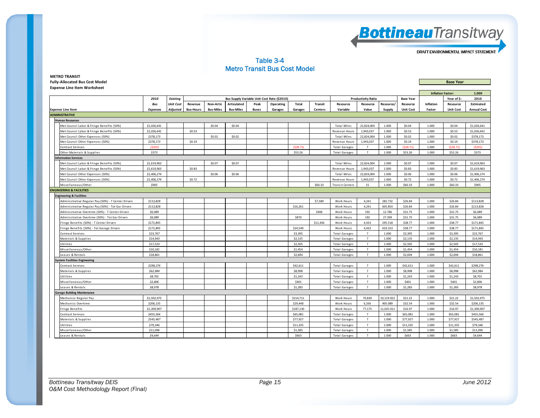

#### Table 3-4 Metro Transit Bus Cost Model

| <b>METRO TRANSIT</b>                  |                  |
|---------------------------------------|------------------|
| <b>Fully-Allocated Bus Cost Model</b> | <b>Base Year</b> |
| <b>Expense Line Item Worksheet</b>    |                  |

|                                                    |                 |                  |                  |                  |                  |              |                                             |              |                |                        | <b>Inflation Factor:</b>  |            | 1.000            |           |                  |                    |
|----------------------------------------------------|-----------------|------------------|------------------|------------------|------------------|--------------|---------------------------------------------|--------------|----------------|------------------------|---------------------------|------------|------------------|-----------|------------------|--------------------|
|                                                    | 2010            | <b>Existing</b>  |                  |                  |                  |              | Bus Supply Variable Unit Cost Rate (\$2010) |              |                |                        | <b>Productivity Ratio</b> |            | <b>Base Year</b> |           | Year of \$:      | 2010               |
|                                                    | Bus             | <b>Unit Cost</b> | Revenue          | Non-Artic        | Articulated      | Peak         | Operating                                   | <b>Total</b> | <b>Transit</b> | Resource               | Resource                  | Resource/  | Resource         | Inflation | Resource         | <b>Estimated</b>   |
| <b>Expense Line Item</b>                           | <b>Expenses</b> | <b>Adjusted</b>  | <b>Bus-Hours</b> | <b>Bus-Miles</b> | <b>Bus-Miles</b> | <b>Buses</b> | Garages                                     | Garages      | Centers        | Variable               | Value                     | Supply     | <b>Unit Cost</b> | Factor    | <b>Unit Cost</b> | <b>Annual Cost</b> |
| <b>ADMINISTRATIVE</b>                              |                 |                  |                  |                  |                  |              |                                             |              |                |                        |                           |            |                  |           |                  |                    |
| <b>Human Resources</b>                             |                 |                  |                  |                  |                  |              |                                             |              |                |                        |                           |            |                  |           |                  |                    |
| Met Council Labor & Fringe Benefits (50%)          | \$1,026,641     |                  |                  | \$0.04           | \$0.04           |              |                                             |              |                | <b>Total Miles</b>     | 22,824,004                | 1.000      | \$0.04           | 1.000     | \$0.04           | \$1,026,641        |
| Met Council Labor & Fringe Benefits (50%)          | \$1,026,641     |                  | \$0.53           |                  |                  |              |                                             |              |                | Revenue Hours          | 1,943,037                 | 1.000      | \$0.53           | 1.000     | \$0.53           | \$1,026,641        |
| Met Council Other Expenses (50%)                   | \$378,173       |                  |                  | \$0.02\$         | \$0.02           |              |                                             |              |                | <b>Total Miles</b>     | 22,824,004                | 1.000      | \$0.02           | 1.000     | \$0.02           | \$378,173          |
| Met Council Other Expenses (50%)                   | \$378,173       |                  | \$0.19           |                  |                  |              |                                             |              |                | Revenue Hours          | 1,943,037                 | 1.000      | \$0.19           | 1.000     | \$0.19           | \$378,173          |
| Contract Services                                  | (5201)          |                  |                  |                  |                  |              |                                             | (528.71)     |                | <b>Total Garages</b>   | $7^{\circ}$               | 1.000      | (528.71)         | 1.000     | (528.71)         | (5201)             |
| Other Materials & Supplies                         | \$373           |                  |                  |                  |                  |              |                                             | \$53.26      |                | Total Garages          | $7^{\circ}$               | 1.000      | \$53.26          | 1.000     | \$53.26          | \$373              |
| <b>Information Services</b>                        |                 |                  |                  |                  |                  |              |                                             |              |                |                        |                           |            |                  |           |                  |                    |
| Met Council Labor & Fringe Benefits (50%)          | \$1,619,963     |                  |                  | \$0.07           | \$0.07           |              |                                             |              |                | <b>Total Miles</b>     | 22,824,004                | 1.000      | \$0.07           | 1.000     | \$0.07           | \$1,619,963        |
| Met Council Labor & Fringe Benefits (50%)          | \$1,619,963     |                  | \$0.83           |                  |                  |              |                                             |              |                | Revenue Hours          | 1,943,037                 | 1.000      | \$0.83           | 1.000     | \$0.83           | \$1,619,963        |
| Met Council Other Expenses (50%)                   | \$1,406,274     |                  |                  | \$0.06           | \$0.06           |              |                                             |              |                | <b>Total Miles</b>     | 22,824,004                | 1.000      | \$0.06           | 1.000     | \$0.06           | \$1,406,274        |
| Met Council Other Expenses (50%)                   | \$1,406,274     |                  | \$0.72           |                  |                  |              |                                             |              |                | Revenue Hours          | 1,943,037                 | 1.000      | \$0.72           | 1.000     | \$0.72           | \$1,406,274        |
| Miscellaneous/Other                                | \$905           |                  |                  |                  |                  |              |                                             |              | \$60.33        | <b>Transit Centers</b> | 15                        | 1.000      | \$60.33          | 1.000     | \$60.33          | \$905              |
| <b>ENGINEERING &amp; FACILITIES</b>                |                 |                  |                  |                  |                  |              |                                             |              |                |                        |                           |            |                  |           |                  |                    |
| <b>Engineering &amp; Facilities</b>                |                 |                  |                  |                  |                  |              |                                             |              |                |                        |                           |            |                  |           |                  |                    |
| Administrative Regular Pay (50%) - T Center Driven | \$113,828       |                  |                  |                  |                  |              |                                             |              | \$7,589        | Work Hours             | 4,241                     | 282.732    | \$26.84          | 1.000     | \$26.84          | \$113,828          |
| Administrative Regular Pay (50%) - Tot Gar Driven  | \$113,828       |                  |                  |                  |                  |              |                                             | \$16,261     |                | Work Hours             | 4,241                     | 605.854    | \$26.84          | 1.000     | \$26.84          | \$113,828          |
| Administrative Overtime (50%) - T Center Driven    | \$6,089         |                  |                  |                  |                  |              |                                             |              | \$406          | Work Hours             | 192                       | 12.786     | \$31.75          | 1.000     | \$31.75          | \$6,089            |
| Administrative Overtime (50%) - Tot Gar Driven     | \$6,089         |                  |                  |                  |                  |              |                                             | \$870        |                | Work Hours             | 192                       | 27.399     | \$31.75          | 1.000     | \$31.75          | \$6,089            |
| Fringe Benefits (50%) - T Center Driven            | \$171,845       |                  |                  |                  |                  |              |                                             |              | \$11,456       | Work Hours             | 4,433                     | 295.518    | \$38.77          | 1.000     | \$38.77          | \$171,845          |
| Fringe Benefits (50%) - Tot Garage Driven          | \$171,845       |                  |                  |                  |                  |              |                                             | \$24,549     |                | Work Hours             | 4,433                     | 633.253    | \$38.77          | 1.000     | \$38.77          | \$171,845          |
| Contract Services                                  | \$23,767        |                  |                  |                  |                  |              |                                             | \$3,395      |                | <b>Total Garages</b>   | $\overline{7}$            | 1.000      | \$3,395          | 1.000     | \$3,395          | \$23,767           |
| Materials & Supplies                               | \$14,943        |                  |                  |                  |                  |              |                                             | \$2,135      |                | <b>Total Garages</b>   | $7\overline{ }$           | 1.000      | \$2,135          | 1.000     | \$2,135          | \$14,943           |
| Utilities                                          | \$17,533        |                  |                  |                  |                  |              |                                             | \$2,505      |                | <b>Total Garages</b>   | $7^{\circ}$               | 1.000      | \$2,505          | 1.000     | \$2,505          | \$17,533           |
| Miscellaneous/Other                                | \$10,181        |                  |                  |                  |                  |              |                                             | \$1,454      |                | <b>Total Garages</b>   | $7^{\circ}$               | 1.000      | \$1,454          | 1.000     | \$1,454          | \$10,181           |
| Leases & Rentals                                   | \$18,861        |                  |                  |                  |                  |              |                                             | \$2,694      |                | <b>Total Garages</b>   | $7^{\circ}$               | 1.000      | \$2,694          | 1.000     | \$2,694          | \$18,861           |
| <b>System Facilities Engineering</b>               |                 |                  |                  |                  |                  |              |                                             |              |                |                        |                           |            |                  |           |                  |                    |
| Contract Services                                  | \$298,276       |                  |                  |                  |                  |              |                                             | \$42,611     |                | Total Garages          | $7^{\circ}$               | 1.000      | \$42,611         | 1.000     | \$42,611         | \$298,276          |
| Materials & Supplies                               | \$62,984        |                  |                  |                  |                  |              |                                             | \$8,998      |                | Total Garages          | $\overline{7}$            | 1.000      | \$8,998          | 1.000     | \$8,998          | \$62,984           |
| Utilities                                          | \$8,701         |                  |                  |                  |                  |              |                                             | \$1,243      |                | <b>Total Garages</b>   | $\overline{7}$            | 1.000      | \$1,243          | 1.000     | \$1,243          | \$8,701            |
| Miscellaneous/Other                                | \$2,806         |                  |                  |                  |                  |              |                                             | \$401        |                | <b>Total Garages</b>   | $\overline{7}$            | 1.000      | \$401            | 1.000     | \$401            | \$2,806            |
| Leases & Rentals                                   | \$8,978         |                  |                  |                  |                  |              |                                             | \$1,283      |                | <b>Total Garages</b>   | $7^{\circ}$               | 1.000      | \$1,283          | 1.000     | \$1,283          | \$8,978            |
| <b>Garage Building Maintenance</b>                 |                 |                  |                  |                  |                  |              |                                             |              |                |                        |                           |            |                  |           |                  |                    |
| Mechanics Regular Pay                              | \$1,502,975     |                  |                  |                  |                  |              |                                             | \$214,711    |                | <b>Work Hours</b>      | 70,839                    | 10,119.922 | \$21.22          | 1.000     | \$21.22          | \$1,502,975        |
| Mechanics Overtime                                 | \$206,135       |                  |                  |                  |                  |              |                                             | \$29,448     |                | Work Hours             | 6.336                     | 905.089    | \$32.54          | 1.000     | \$32.54          | \$206,135          |
| <b>Fringe Benefits</b>                             | \$1,309,907     |                  |                  |                  |                  |              |                                             | \$187,130    |                | <b>Work Hours</b>      | 77,175                    | 11.025.011 | \$16.97          | 1.000     | \$16.97          | \$1,309,907        |
| Contract Services                                  | \$455,566       |                  |                  |                  |                  |              |                                             | \$65,081     |                | <b>Total Garages</b>   | $7^{\circ}$               | 1.000      | \$65,081         | 1.000     | \$65,081         | \$455,566          |
| Materials & Supplies                               | \$545,487       |                  |                  |                  |                  |              |                                             | \$77.927     |                | <b>Total Garages</b>   | $\overline{7}$            | 1.000      | \$77,927         | 1.000     | \$77,927         | \$545,487          |
| Utilities                                          | \$79,346        |                  |                  |                  |                  |              |                                             | \$11,335     |                | <b>Total Garages</b>   | $\overline{7}$            | 1.000      | \$11,335         | 1.000     | \$11,335         | \$79,346           |
| Miscellaneous/Other                                | \$11,096        |                  |                  |                  |                  |              |                                             | \$1,585      |                | <b>Total Garages</b>   | $7^{\circ}$               | 1.000      | \$1,585          | 1.000     | \$1,585          | \$11,096           |
| Leases & Rentals                                   | \$4,644         |                  |                  |                  |                  |              |                                             | \$663        |                | Total Garages          | $\overline{7}$            | 1.000      | \$663            | 1.000     | \$663            | \$4,644            |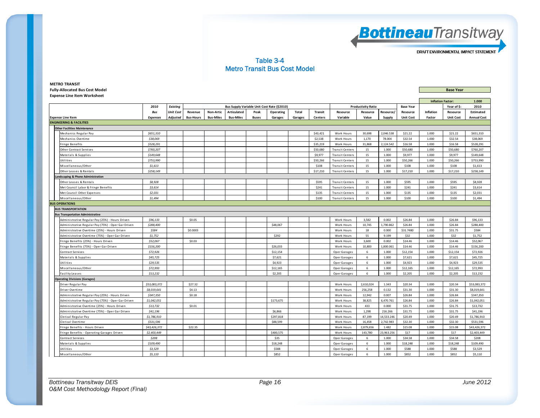

#### Table 3-4 Metro Transit Bus Cost Model

| <b>Fully-Allocated Bus Cost Model</b>              |                 |                  |                  |                  |                  |              |                                             |         |          |                        |                           |            |                  |           | <b>Base Year</b>         |                    |
|----------------------------------------------------|-----------------|------------------|------------------|------------------|------------------|--------------|---------------------------------------------|---------|----------|------------------------|---------------------------|------------|------------------|-----------|--------------------------|--------------------|
| <b>Expense Line Item Worksheet</b>                 |                 |                  |                  |                  |                  |              |                                             |         |          |                        |                           |            |                  |           |                          |                    |
|                                                    |                 |                  |                  |                  |                  |              |                                             |         |          |                        |                           |            |                  |           | <b>Inflation Factor:</b> | 1.000              |
|                                                    | 2010            | <b>Existing</b>  |                  |                  |                  |              | Bus Supply Variable Unit Cost Rate (\$2010) |         |          |                        | <b>Productivity Ratio</b> |            | <b>Base Year</b> |           | Year of \$:              | 2010               |
|                                                    | Bus             | <b>Unit Cost</b> | Revenue          | <b>Non-Artic</b> | Articulated      | Peak         | Operating                                   | Total   | Transit  | Resource               | Resource                  | Resource/  | Resource         | Inflation | Resource                 | Estimated          |
| <b>Expense Line Item</b>                           | <b>Expenses</b> | Adjusted         | <b>Bus-Hours</b> | <b>Bus-Miles</b> | <b>Bus-Miles</b> | <b>Buses</b> | Garages                                     | Garages | Centers  | Variable               | Value                     | Supply     | <b>Unit Cost</b> | Factor    | <b>Unit Cost</b>         | <b>Annual Cost</b> |
| <b>ENGINEERING &amp; FACILITIES</b>                |                 |                  |                  |                  |                  |              |                                             |         |          |                        |                           |            |                  |           |                          |                    |
| <b>Other Facilities Maintenance</b>                |                 |                  |                  |                  |                  |              |                                             |         |          |                        |                           |            |                  |           |                          |                    |
| Mechanics Regular Pay                              | \$651,310       |                  |                  |                  |                  |              |                                             |         | \$43,421 | Work Hours             | 30.698                    | 2,046.538  | \$21.22          | 1.000     | \$21.22                  | \$651,310          |
| Mechanics Overtime                                 | \$38,069        |                  |                  |                  |                  |              |                                             |         | \$2,538  | Work Hours             | 1,170                     | 78.004     | \$32.54          | 1.000     | \$32.54                  | \$38,069           |
| Fringe Benefits                                    | \$528,291       |                  |                  |                  |                  |              |                                             |         | \$35,219 | Work Hours             | 31,868                    | 2,124.542  | \$16.58          | 1.000     | \$16.58                  | \$528,291          |
| Other Contract Services                            | \$760,207       |                  |                  |                  |                  |              |                                             |         | \$50,680 | <b>Transit Centers</b> | 15                        | 1.000      | \$50,680         | 1.000     | \$50,680                 | \$760,207          |
| Materials & Supplies                               | \$149,648       |                  |                  |                  |                  |              |                                             |         | \$9,977  | <b>Transit Centers</b> | 15                        | 1.000      | \$9,977          | 1.000     | \$9,977                  | \$149,648          |
| <b>Jtilities</b>                                   | \$753,990       |                  |                  |                  |                  |              |                                             |         | \$50,266 | <b>Transit Centers</b> | 15                        | 1.000      | \$50,266         | 1.000     | \$50,266                 | \$753,990          |
| Miscellaneous/Other                                | \$1,613         |                  |                  |                  |                  |              |                                             |         | \$108    | <b>Transit Centers</b> | 15                        | 1.000      | \$108            | 1.000     | \$108                    | \$1,613            |
| Other Leases & Rentals                             | \$258,149       |                  |                  |                  |                  |              |                                             |         | \$17,210 | <b>Transit Centers</b> | 15                        | 1.000      | \$17,210         | 1.000     | \$17,210                 | \$258,149          |
| andscaping & Phone Administration                  |                 |                  |                  |                  |                  |              |                                             |         |          |                        |                           |            |                  |           |                          |                    |
| Other Leases & Rentals                             | \$8,928         |                  |                  |                  |                  |              |                                             |         | \$595    | <b>Transit Centers</b> | 15                        | 1.000      | \$595            | 1.000     | \$595                    | \$8,928            |
| Met Council Labor & Fringe Benefits                | \$3,614         |                  |                  |                  |                  |              |                                             |         | \$241    | <b>Transit Centers</b> | 15                        | 1.000      | \$241            | 1.000     | \$241                    | \$3,614            |
| Met Council Other Expenses                         | \$2,031         |                  |                  |                  |                  |              |                                             |         | \$135    | <b>Transit Centers</b> | 15                        | 1.000      | \$135            | 1.000     | \$135                    | \$2,031            |
| Miscellaneous/Other                                | \$1,494         |                  |                  |                  |                  |              |                                             |         | \$100    | <b>Transit Centers</b> | 15                        | 1.000      | \$100            | 1.000     | \$100                    | \$1,494            |
| <b>BUS OPERATIONS</b>                              |                 |                  |                  |                  |                  |              |                                             |         |          |                        |                           |            |                  |           |                          |                    |
| <b>BUS TRANSPORTATION</b>                          |                 |                  |                  |                  |                  |              |                                             |         |          |                        |                           |            |                  |           |                          |                    |
| <b>Bus Transportation Administrative</b>           |                 |                  |                  |                  |                  |              |                                             |         |          |                        |                           |            |                  |           |                          |                    |
| Administrative Regular Pay (25%) - Hours Driven    | \$96,133        |                  | \$0.05           |                  |                  |              |                                             |         |          | Work Hours             | 3,582                     | 0.002      | \$26.84          | 1.000     | \$26.84                  | \$96,133           |
| Administrative Regular Pay (75%) - Oper Gar Driven | \$288,400       |                  |                  |                  |                  |              | \$48,067                                    |         |          | Work Hours             | 10,745                    | 1,790.862  | \$26.84          | 1.000     | \$26.84                  | \$288,400          |
| Administrative Overtime (25%) - Hours Driven       | \$584           |                  | \$0.0003         |                  |                  |              |                                             |         |          | Work Hours             | 18                        | 0.000      | \$31.7480        | 1.000     | \$31.75                  | \$584              |
| Administrative Overtime (75%) - Oper Gar Driven    | \$1,752         |                  |                  |                  |                  |              | \$292                                       |         |          | Work Hours             | 55                        | 9.199      | \$32             | 1.000     | \$32                     | \$1,752            |
| Fringe Benefits (25%) - Hours Driven               | \$52,067        |                  | \$0.03           |                  |                  |              |                                             |         |          | Work Hours             | 3,600                     | 0.002      | \$14.46          | 1.000     | \$14.46                  | \$52,067           |
| Fringe Benefits (75%) - Oper Gar Driven            | \$156,200       |                  |                  |                  |                  |              | \$26,033                                    |         |          | Work Hours             | 10,800                    | L,800.061  | \$14.46          | 1.000     | \$14.46                  | \$156,200          |
| Contract Services                                  | \$72,926        |                  |                  |                  |                  |              | \$12,154                                    |         |          | Oper Garages           | 6                         | 1.000      | \$12,154         | 1.000     | \$12,154                 | \$72,926           |
| Materials & Supplies                               | \$45,725        |                  |                  |                  |                  |              | \$7,621                                     |         |          | Oper Garages           | $\,$ 6 $\,$               | 1.000      | \$7,621          | 1.000     | \$7,621                  | \$45,725           |
| Utilities                                          | \$29,535        |                  |                  |                  |                  |              | \$4,923                                     |         |          | Oper Garages           | $\,$ 6 $\,$               | 1.000      | \$4,923          | 1.000     | \$4,923                  | \$29,535           |
| Miscellaneous/Other                                | \$72,993        |                  |                  |                  |                  |              | \$12,165                                    |         |          | Oper Garages           | $\,$ 6 $\,$               | 1.000      | \$12,165         | 1.000     | \$12,165                 | \$72,993           |
| <b>Facility Leases</b>                             | \$13.232        |                  |                  |                  |                  |              | \$2,205                                     |         |          | Oper Garages           | $6\overline{6}$           | 1.000      | \$2,205          | 1.000     | \$2,205                  | \$13,232           |
| <b>Operating Divisions (Garages)</b>               |                 |                  |                  |                  |                  |              |                                             |         |          |                        |                           |            |                  |           |                          |                    |
| Driver Regular Pay                                 | \$53,083,372    |                  | \$27.32          |                  |                  |              |                                             |         |          | Work Hours             | 2,610,024                 | 1.343      | \$20.34          | 1.000     | \$20.34                  | \$53,083,372       |
| Driver Overtime                                    | \$8,019,641     |                  | \$4.13           |                  |                  |              |                                             |         |          | Work Hours             | 256,258                   | 0.132      | \$31.30          | 1.000     | \$31.30                  | \$8,019,641        |
| Administrative Regular Pay (25%) - Hours Driven    | \$347,350       |                  | \$0.18           |                  |                  |              |                                             |         |          | Work Hours             | 12,942                    | 0.007      | \$26.84          | 1.000     | \$26.84                  | \$347.350          |
| Administrative Regular Pay (75%) - Oper Gar Driven | \$1,042,051     |                  |                  |                  |                  |              | \$173,675                                   |         |          | Work Hours             | 38,825                    | 6,470.761  | \$26.84          | 1.000     | \$26.84                  | \$1,042,051        |
| Administrative Overtime (25%) - Hours Driven       | \$13,732        |                  | \$0.01           |                  |                  |              |                                             |         |          | Work Hours             | 433                       | 0.000      | \$31.75          | 1.000     | \$31.75                  | \$13,732           |
| Administrative Overtime (75%) - Oper Gar Driven    | \$41,196        |                  |                  |                  |                  |              | \$6,866                                     |         |          | Work Hours             | 1,298                     | 216.266    | \$31.75          | 1.000     | \$31.75                  | \$41,196           |
| Clerical Regular Pay                               | \$1,786,910     |                  |                  |                  |                  |              | \$297,818                                   |         |          | Work Hours             | 87,199                    | 14,533.246 | \$20.49          | 1.000     | \$20.49                  | \$1,786,910        |
| Clerical Overtime                                  | \$531,596       |                  |                  |                  |                  |              | \$88,599                                    |         |          | Work Hours             | 16,458                    | 2,742.983  | \$32.30          | 1.000     | \$32.30                  | \$531,596          |
| Fringe Benefits - Hours Driven                     | \$43,426,372    |                  | \$22.35          |                  |                  |              |                                             |         |          | Work Hours             | 2,879,656                 | 1.482      | \$15.08          | 1.000     | \$15.08                  | \$43,426,372       |
| Fringe Benefits - Operating Garages Driven         | \$2,403,449     |                  |                  |                  |                  |              | \$400,575                                   |         |          | Work Hours             | 143,780                   | 23,963.256 | \$17             | 1.000     | \$17                     | \$2,403,449        |
| Contract Services                                  | \$208           |                  |                  |                  |                  |              | \$35                                        |         |          | Oper Garages           | 6                         | 1.000      | \$34.58          | 1.000     | \$34.58                  | \$208              |
| Materials & Supplies                               | \$109,490       |                  |                  |                  |                  |              | \$18,248                                    |         |          | Oper Garages           | 6                         | 1.000      | \$18,248         | 1.000     | \$18,248                 | \$109,490          |
| Utilities                                          | \$3,529         |                  |                  |                  |                  |              | \$588                                       |         |          | Oper Garages           | $6\overline{6}$           | 1.000      | \$588            | 1.000     | \$588                    | \$3.529            |
| Miscellaneous/Other                                | \$5,110         |                  |                  |                  |                  |              | \$852                                       |         |          | Oper Garages           | $6\overline{6}$           | 1.000      | \$852            | 1.000     | \$852                    | \$5,110            |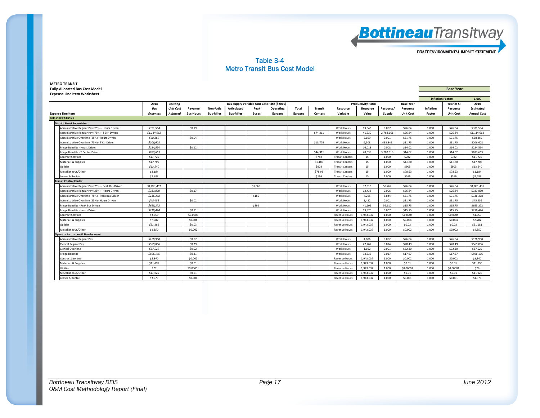

#### Table 3-4 Metro Transit Bus Cost Model

| <b>Expense Line Item Worksheet</b>            |                                                    |                 |                  |                  |                  |                  |                                             |           |              |                |                        |                           |           |                  |                          |                  |                    |
|-----------------------------------------------|----------------------------------------------------|-----------------|------------------|------------------|------------------|------------------|---------------------------------------------|-----------|--------------|----------------|------------------------|---------------------------|-----------|------------------|--------------------------|------------------|--------------------|
|                                               |                                                    |                 |                  |                  |                  |                  |                                             |           |              |                |                        |                           |           |                  | <b>Inflation Factor:</b> |                  | 1.000              |
|                                               |                                                    | 2010            | <b>Existing</b>  |                  |                  |                  | Bus Supply Variable Unit Cost Rate (\$2010) |           |              |                |                        | <b>Productivity Ratio</b> |           | <b>Base Year</b> |                          | Year of \$:      | 2010               |
|                                               |                                                    | Bus             | <b>Unit Cost</b> | Revenue          | Non-Artic        | Articulated      | Peak                                        | Operating | <b>Total</b> | <b>Transit</b> | Resource               | Resource                  | Resource/ | Resource         | Inflation                | Resource         | <b>Estimated</b>   |
| <b>Expense Line Item</b>                      |                                                    | <b>Expenses</b> | Adjusted         | <b>Bus-Hours</b> | <b>Bus-Miles</b> | <b>Bus-Miles</b> | <b>Buses</b>                                | Garages   | Garages      | <b>Centers</b> | Variable               | Value                     | Supply    | <b>Unit Cost</b> | Factor                   | <b>Unit Cost</b> | <b>Annual Cost</b> |
| <b>BUS OPERATIONS</b>                         |                                                    |                 |                  |                  |                  |                  |                                             |           |              |                |                        |                           |           |                  |                          |                  |                    |
| <b>District Street Supervision</b>            |                                                    |                 |                  |                  |                  |                  |                                             |           |              |                |                        |                           |           |                  |                          |                  |                    |
|                                               | Administrative Regular Pay (25%) - Hours Driven    | \$371,554       |                  | \$0.19           |                  |                  |                                             |           |              |                | Work Hours             | 13,843                    | 0.007     | \$26.84          | 1.000                    | \$26.84          | \$371,554          |
|                                               | Administrative Regular Pay (75%) - T Ctr Driven    | \$1,114,662     |                  |                  |                  |                  |                                             |           |              | \$74,311       | <b>Work Hours</b>      | 41.530                    | 2.768.661 | \$26.84          | 1.000                    | \$26.84          | \$1,114,662        |
|                                               | Administrative Overtime (25%) - Hours Driven       | \$68,869        |                  | \$0.04           |                  |                  |                                             |           |              |                | <b>Work Hours</b>      | 2.169                     | 0.001     | \$31.75          | 1.000                    | \$31.75          | \$68,869           |
|                                               | Administrative Overtime (75%) - T Ctr Driven       | \$206,608       |                  |                  |                  |                  |                                             |           |              | \$13,774       | Work Hours             | 6,508                     | 433,849   | \$31.75          | 1.000                    | \$31.75          | \$206,608          |
| Fringe Benefits - Hours Driven                |                                                    | \$224,554       |                  | \$0.12           |                  |                  |                                             |           |              |                | Work Hours             | 16,013                    | 0.008     | \$14.02          | 1.000                    | \$14.02          | \$224,554          |
|                                               | Fringe Benefits - T Center Driven                  | \$673,663       |                  |                  |                  |                  |                                             |           |              | \$44,911       | Work Hours             | 48,038                    | 3,202.510 | \$14.02          | 1.000                    | \$14.02          | \$673,663          |
| <b>Contract Services</b>                      |                                                    | \$11,725        |                  |                  |                  |                  |                                             |           |              | \$782          | <b>Transit Centers</b> | 15                        | 1.000     | \$782            | 1.000                    | \$782            | \$11,725           |
| Materials & Supplies                          |                                                    | \$17,706        |                  |                  |                  |                  |                                             |           |              | \$1,180        | <b>Transit Centers</b> | 15                        | 1.000     | \$1,180          | 1.000                    | \$1.180          | \$17,706           |
| Utilities                                     |                                                    | \$13,540        |                  |                  |                  |                  |                                             |           |              | \$903          | <b>Transit Centers</b> | 15                        | 1.000     | \$903            | 1.000                    | \$903            | \$13,540           |
| Miscellaneous/Other                           |                                                    | \$1,184         |                  |                  |                  |                  |                                             |           |              | \$78.93        | <b>Transit Centers</b> | 15                        | 1.000     | \$78.93          | 1.000                    | \$78.93          | \$1,184            |
| Leases & Rentals                              |                                                    | \$2,483         |                  |                  |                  |                  |                                             |           |              | \$166          | <b>Transit Centers</b> | 15                        | 1.000     | \$166            | 1.000                    | \$166            | \$2,483            |
| <b>Transit Control Center</b>                 |                                                    |                 |                  |                  |                  |                  |                                             |           |              |                |                        |                           |           |                  |                          |                  |                    |
|                                               | Administrative Regular Pay (75%) - Peak Bus Driven | \$1,001,491     |                  |                  |                  |                  | \$1,363                                     |           |              |                | Work Hours             | 37,313                    | 50.767    | \$26.84          | 1.000                    | \$26.84          | \$1,001,491        |
|                                               | Administrative Regular Pay (25%) - Hours Driven    | \$333,830       |                  | \$0.17           |                  |                  |                                             |           |              |                | <b>Work Hours</b>      | 12,438                    | 0.006     | \$26.84          | 1.000                    | \$26.84          | \$333,830          |
|                                               | Administrative Overtime (75%) - Peak Bus Driven    | \$136,368       |                  |                  |                  |                  | \$186                                       |           |              |                | <b>Work Hours</b>      | 4.295                     | 5.844     | \$31.75          | 1.000                    | \$31.75          | \$136,368          |
|                                               | Administrative Overtime (25%) - Hours Driven       | \$45,456        |                  | \$0.02           |                  |                  |                                             |           |              |                | <b>Work Hours</b>      | 1.432                     | 0.001     | \$31.75          | 1.000                    | \$31.75          | \$45,456           |
|                                               | Fringe Benefits - Peak Bus Driven                  | \$655,272       |                  |                  |                  |                  | \$892                                       |           |              |                | Work Hours             | 41,609                    | 56.610    | \$15.75          | 1.000                    | \$15.75          | \$655,272          |
| Fringe Benefits - Hours Driven                |                                                    | \$218,424       |                  | \$0.11           |                  |                  |                                             |           |              |                | Work Hours             | 13,870                    | 0.007     | \$15.75          | 1.000                    | \$15.75          | \$218,424          |
| <b>Contract Services</b>                      |                                                    | \$1,050         |                  | \$0.0005         |                  |                  |                                             |           |              |                | <b>Revenue Hours</b>   | 1,943,037                 | 1.000     | \$0.0005         | 1.000                    | \$0.0005         | \$1,050            |
| Materials & Supplies                          |                                                    | \$7,782         |                  | \$0.004          |                  |                  |                                             |           |              |                | <b>Revenue Hours</b>   | 1,943,037                 | 1.000     | \$0.004          | 1.000                    | \$0,004          | \$7,782            |
| Utilities                                     |                                                    | \$51,181        |                  | \$0.03           |                  |                  |                                             |           |              |                | <b>Revenue Hours</b>   | 1,943,037                 | 1.000     | \$0.03           | 1.000                    | \$0.03           | \$51,181           |
| Miscellaneous/Other                           |                                                    | \$4,850         |                  | \$0,002          |                  |                  |                                             |           |              |                | <b>Revenue Hours</b>   | 1,943,037                 | 1.000     | \$0.002          | 1.000                    | \$0,002          | \$4,850            |
| <b>Operator Instruction &amp; Development</b> |                                                    |                 |                  |                  |                  |                  |                                             |           |              |                |                        |                           |           |                  |                          |                  |                    |
| Administrative Regular Pay                    |                                                    | \$128,988       |                  | \$0.07           |                  |                  |                                             |           |              |                | Work Hours             | 4,806                     | 0.002     | \$26.84          | 1.000                    | \$26.84          | \$128,988          |
| Clerical Regular Pay                          |                                                    | \$569,006       |                  | \$0.29           |                  |                  |                                             |           |              |                | Work Hours             | 27,767                    | 0.014     | \$20.49          | 1.000                    | \$20.49          | \$569,006          |
| <b>Clerical Overtime</b>                      |                                                    | \$37.529        |                  | \$0.02           |                  |                  |                                             |           |              |                | <b>Work Hours</b>      | 1.162                     | 0.001     | \$32.30          | 1.000                    | \$32.30          | \$37.529           |
| <b>Fringe Benefits</b>                        |                                                    | \$596.166       |                  | \$0.31           |                  |                  |                                             |           |              |                | <b>Work Hours</b>      | 33.735                    | 0.017     | \$17.67          | 1.000                    | \$17.67          | \$596.166          |
| <b>Contract Services</b>                      |                                                    | \$3,840         |                  | \$0,002          |                  |                  |                                             |           |              |                | <b>Revenue Hours</b>   | 1.943.037                 | 1.000     | \$0,002          | 1.000                    | \$0,002          | \$3,840            |
| Materials & Supplies                          |                                                    | \$11,890        |                  | \$0.01           |                  |                  |                                             |           |              |                | <b>Revenue Hours</b>   | 1,943,037                 | 1.000     | \$0.01           | 1.000                    | \$0.01           | \$11,890           |
| <b>Utilities</b>                              |                                                    | \$26            |                  | \$0,00001        |                  |                  |                                             |           |              |                | <b>Revenue Hours</b>   | 1,943,037                 | 1.000     | \$0.00001        | 1.000                    | \$0,00001        | \$26               |
| Miscellaneous/Other                           |                                                    | \$11,920        |                  | \$0.01           |                  |                  |                                             |           |              |                | <b>Revenue Hours</b>   | 1,943,037                 | 1.000     | \$0.01           | 1.000                    | \$0.01           | \$11,920           |
| Leases & Rentals                              |                                                    | \$1,373         |                  | \$0.001          |                  |                  |                                             |           |              |                | <b>Revenue Hours</b>   | 1,943,037                 | 1.000     | \$0,001          | 1.000                    | \$0.001          | \$1,373            |

**METRO TRANSIT Fully‐Allocated Bus Cost Model Base Year**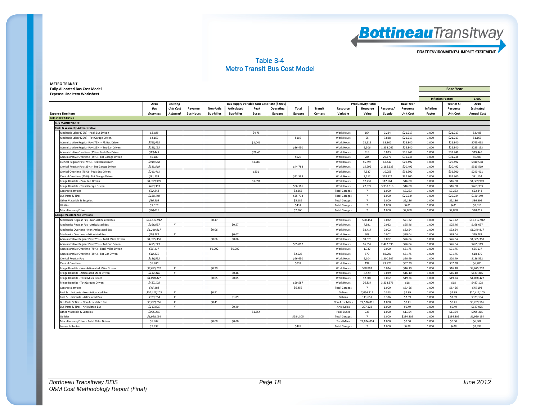

#### Table 3-4 Metro Transit Bus Cost Model

| <b>Fully-Allocated Bus Cost Model</b>                 |                 |                  |                  |                  |                  |                                             |           |           |                |                      |                           |           | <b>Base Year</b> |                  |                          |                    |
|-------------------------------------------------------|-----------------|------------------|------------------|------------------|------------------|---------------------------------------------|-----------|-----------|----------------|----------------------|---------------------------|-----------|------------------|------------------|--------------------------|--------------------|
| <b>Expense Line Item Worksheet</b>                    |                 |                  |                  |                  |                  |                                             |           |           |                |                      |                           |           |                  |                  |                          |                    |
|                                                       |                 |                  |                  |                  |                  |                                             |           |           |                |                      |                           |           |                  |                  | <b>Inflation Factor:</b> | 1.000              |
|                                                       | 2010            | Existing         |                  |                  |                  | Bus Supply Variable Unit Cost Rate (\$2010) |           |           |                |                      | <b>Productivity Ratio</b> |           | <b>Base Year</b> |                  | Year of \$:              | 2010               |
|                                                       | <b>Bus</b>      | <b>Unit Cost</b> | Revenue          | <b>Non-Artic</b> | Articulated      | Peak                                        | Operating | Total     | <b>Transit</b> | Resource             | Resource                  | Resource/ | Resource         | <b>Inflation</b> | Resource                 | <b>Estimated</b>   |
| <b>Expense Line Item</b>                              | <b>Expenses</b> | Adjusted         | <b>Bus-Hours</b> | <b>Bus-Miles</b> | <b>Bus-Miles</b> | <b>Buses</b>                                | Garages   | Garages   | <b>Centers</b> | Variable             | Value                     | Supply    | <b>Unit Cost</b> | Factor           | <b>Unit Cost</b>         | <b>Annual Cost</b> |
| <b>BUS OPERATIONS</b>                                 |                 |                  |                  |                  |                  |                                             |           |           |                |                      |                           |           |                  |                  |                          |                    |
| <b>BUS MAINTENANCE</b>                                |                 |                  |                  |                  |                  |                                             |           |           |                |                      |                           |           |                  |                  |                          |                    |
| Parts & Warranty Administrative                       |                 |                  |                  |                  |                  |                                             |           |           |                |                      |                           |           |                  |                  |                          |                    |
| Mechanic Labor (75%) - Peak Bus Driven                | \$3,488         |                  |                  |                  |                  | \$4.75                                      |           |           |                | <b>Work Hours</b>    | 164                       | 0.224     | \$21,217         | 1.000            | \$21,217                 | \$3,488            |
| Mechanic Labor (25%) - Tot Garage Driven              | \$1,163         |                  |                  |                  |                  |                                             |           | \$166     |                | <b>Work Hours</b>    | 55                        | 7.828     | \$21.217         | 1.000            | \$21.217                 | \$1,163            |
| Administrative Regular Pay (75%) - Pk Bus Driven      | \$765,458       |                  |                  |                  |                  | \$1,041                                     |           |           |                | Work Hours           | 28,519                    | 38,802    | \$26.840         | 1.000            | \$26.840                 | \$765,458          |
| Administrative Regular Pay (25%) - Tot Gar Driven     | \$255,153       |                  |                  |                  |                  |                                             |           | \$36,450  |                | Work Hours           | 9,506                     | 1,358.062 | \$26.840         | 1.000            | \$26.840                 | \$255,153          |
| Administrative Overtime (75%) - Peak Bus Driven       | \$19,449        |                  |                  |                  |                  | \$26.46                                     |           |           |                | Work Hours           | 613                       | 0.833     | \$31.748         | 1.000            | \$31.748                 | \$19,449           |
| Administrative Overtime (25%) - Tot Garage Driven     | \$6,483         |                  |                  |                  |                  |                                             |           | \$926     |                | Work Hours           | 204                       | 29.171    | \$31.748         | 1.000            | \$31.748                 | \$6,483            |
| Clerical Regular Pay (75%) - Peak Bus Driven          | \$940,558       |                  |                  |                  |                  | \$1,280                                     |           |           |                | <b>Work Hours</b>    | 45.898                    | 62.447    | \$20.492         | 1.000            | \$20.492                 | \$940,558          |
| Clerical Regular Pay (25%) - Tot Garage Driven        | \$313,519       |                  |                  |                  |                  |                                             |           | \$44,788  |                | Work Hours           | 15.299                    | 2.185.633 | \$20,492         | 1.000            | \$20.492                 | \$313,519          |
| Clerical Overtime (75%) - Peak Bus Driven             | \$243,461       |                  |                  |                  |                  | \$331                                       |           |           |                | Work Hours           | 7,537                     | 10.255    | \$32,300         | 1.000            | \$32,300                 | \$243,461          |
| Clerical Overtime (25%) - Tot Garage Driven           | \$81,154        |                  |                  |                  |                  |                                             |           | \$11,593  |                | Work Hours           | 2,512                     | 358.924   | \$32.300         | 1.000            | \$32.300                 | \$81,154           |
| ringe Benefits - Peak Bus Driven                      | \$1,389,909     |                  |                  |                  |                  | \$1,891                                     |           |           |                | Work Hours           | 82,732                    | 112.561   | \$16.80          | 1.000            | \$16.80                  | \$1,389,909        |
| Fringe Benefits - Total Garage Driven                 | \$463,303       |                  |                  |                  |                  |                                             |           | \$66,186  |                | Work Hours           | 27,577                    | 3,939.618 | \$16.80          | 1.000            | \$16.80                  | \$463,303          |
| Contract Services                                     | \$22,843        |                  |                  |                  |                  |                                             |           | \$3,263   |                | <b>Total Garages</b> | $\overline{7}$            | 1.000     | \$3,263          | 1.000            | \$3,263                  | \$22,843           |
| <b>Bus Parts &amp; Tires</b>                          | \$180,140       |                  |                  |                  |                  |                                             |           | \$25,734  |                | <b>Total Garages</b> | $\overline{7}$            | 1.000     | \$25,734         | 1.000            | \$25,734                 | \$180,140          |
| Other Materials & Supplies                            | \$36,305        |                  |                  |                  |                  |                                             |           | \$5.186   |                | <b>Total Garages</b> | $\overline{7}$            | 1.000     | \$5,186          | 1.000            | \$5,186                  | \$36,305           |
| Jtilities                                             | \$3,019         |                  |                  |                  |                  |                                             |           | \$431     |                | <b>Total Garages</b> | 7                         | 1.000     | \$431            | 1.000            | \$431                    | \$3,019            |
| Miscellaneous/Other                                   | \$20,017        |                  |                  |                  |                  |                                             |           | \$2,860   |                | <b>Total Garages</b> | $\overline{7}$            | 1.000     | \$2,860          | 1.000            | \$2,860                  | \$20,017           |
| <b>Garage Maintenance Divisions</b>                   |                 |                  |                  |                  |                  |                                             |           |           |                |                      |                           |           |                  |                  |                          |                    |
| Mechanics Regular Pay - Non-Articulated Bus           | \$10,617,942    |                  |                  | \$0.47           |                  |                                             |           |           |                | Work Hours           | 500,454                   | 0.022     | \$21.22          | 1.000            | \$21.22                  | \$10,617,942       |
| Mechanics Regular Pay - Articulated Bus               | \$168,057       | $\boldsymbol{x}$ |                  |                  | \$0.57           |                                             |           |           |                | Work Hours           | 7,921                     | 0.022     | \$25.46          | 1.000            | \$25.46                  | \$168,057          |
| Mechanics Overtime - Non-Articulated Bus              | \$1,249,817     |                  |                  | \$0.06           |                  |                                             |           |           |                | <b>Work Hours</b>    | 38.414                    | 0.002     | \$32.54          | 1.000            | \$32.54                  | \$1,249,817        |
| Mechanics Overtime - Articulated Bus                  | \$19,782        | $\boldsymbol{X}$ |                  |                  | \$0.07           |                                             |           |           |                | Work Hours           | 608                       | 0.002     | \$39.04          | 1.000            | \$39.04                  | \$19,782           |
| Administrative Regular Pay (75%) - Total Miles Driven | \$1,365,358     |                  |                  | \$0.06           | \$0.06           |                                             |           |           |                | Work Hours           | 50,870                    | 0.002     | \$26.84          | 1.000            | \$26.84                  | \$1,365,358        |
| Administrative Regular Pay (25%) - Tot Gar Driven     | \$455,119       |                  |                  |                  |                  |                                             |           | \$65,017  |                | Work Hours           | 16,957                    | 2,422.395 | \$26.84          | 1.000            | \$26.84                  | \$455,119          |
| Administrative Overtime (75%) - Total Miles Driven    | \$55.137        |                  |                  | \$0,002          | \$0,002          |                                             |           |           |                | Work Hours           | 1.737                     | 0.000     | \$31.75          | 1.000            | \$31.75                  | \$55,137           |
| Administrative Overtime (25%) - Tot Gar Driven        | \$18,379        |                  |                  |                  |                  |                                             |           | \$2,626   |                | <b>Work Hours</b>    | 579                       | 82.701    | \$31.75          | 1.000            | \$31.75                  | \$18,379           |
| Clerical Regular Pay                                  | \$186,552       |                  |                  |                  |                  |                                             |           | \$26,650  |                | <b>Work Hours</b>    | 9,104                     | 1.300.507 | \$20.49          | 1.000            | \$20.49                  | \$186,552          |
| Clerical Overtime                                     | \$6,280         |                  |                  |                  |                  |                                             |           | \$897     |                | Work Hours           | 194                       | 27,773    | \$32.30          | 1.000            | \$32.30                  | \$6,280            |
| ringe Benefits - Non-Articulated Miles Driven         | \$8,675,707     | $\boldsymbol{X}$ |                  | \$0.39           |                  |                                             |           |           |                | Work Hours           | 538,867                   | 0.024     | \$16.10          | 1.000            | \$16.10                  | \$8,675,707        |
| ringe Benefits - Articulated Miles Driven             | \$137,316       | $\boldsymbol{X}$ |                  |                  | \$0.46           |                                             |           |           |                | Work Hours           | 8,529                     | 0.029     | \$16.10          | 1.000            | \$16.10                  | \$137,316          |
| ringe Benefits - Total Miles Driver                   | \$1,038,427     |                  |                  | \$0.05           | \$0.05           |                                             |           |           |                | <b>Work Hours</b>    | 52.607                    | 0.002     | \$19.74          | 1.000            | \$19.74                  | \$1.038.427        |
| ringe Benefits - Tot Garages Driven                   | \$487,108       |                  |                  |                  |                  |                                             |           | \$69,587  |                | <b>Work Hours</b>    | 26.834                    | 3.833.376 | \$18             | 1.000            | \$18                     | \$487,108          |
| <b>Contract Services</b>                              | \$45,193        |                  |                  |                  |                  |                                             |           | \$6,456   |                | <b>Total Garages</b> | 7                         | 1.000     | \$6,456          | 1.000            | \$6.456                  | \$45,193           |
| Fuel & Lubricants - Non-Articulated Bus               | \$20.417.105    | $\boldsymbol{x}$ |                  | \$0.91           |                  |                                             |           |           |                | Gallons              | 7.054.212                 | 0.313     | \$2.89           | 1.000            | \$2.89                   | \$20,417,105       |
| Fuel & Lubricants - Articulated Bus                   | \$323,154       | $\boldsymbol{x}$ |                  |                  | \$1.09           |                                             |           |           |                | Gallons              | 111,651                   | 0.376     | \$2.89           | 1.000            | \$2.89                   | \$323,154          |
| Bus Parts & Tires - Non-Articulated Bus               | \$9,289,166     | $\boldsymbol{x}$ |                  | \$0.41           |                  |                                             |           |           |                | Non-Artic Miles      | 22,526,881                | 1.000     | \$0.41           | 1.000            | \$0.41                   | \$9,289,166        |
| <b>Bus Parts &amp; Tires - Articulated Bus</b>        | \$147.025       | $\boldsymbol{x}$ |                  |                  | \$0.49           |                                             |           |           |                | <b>Artic Miles</b>   | 297,123                   | 1.000     | \$0.49           | 1.000            | \$0.49                   | \$147.025          |
| Other Materials & Supplies                            | \$995,365       |                  |                  |                  |                  | \$1,354                                     |           |           |                | <b>Peak Buses</b>    | 735                       | 1.000     | \$1,354          | 1.000            | \$1,354                  | \$995,365          |
| Utilities                                             | \$1,990,134     |                  |                  |                  |                  |                                             |           | \$284.305 |                | <b>Total Garages</b> | 7                         | 1.000     | \$284,305        | 1.000            | \$284,305                | \$1,990,134        |
| Miscellaneous/Other - Total Miles Driven              | \$6,304         |                  |                  | \$0.00           | \$0.00           |                                             |           |           |                | <b>Total Miles</b>   | 22,824,004                | 1.000     | \$0.00           | 1.000            | \$0.00                   | \$6,304            |
| Leases & Rentals                                      | \$2,993         |                  |                  |                  |                  |                                             |           | \$428     |                | <b>Total Garages</b> | $\overline{7}$            | 1.000     | \$428            | 1.000            | \$428                    | \$2,993            |

#### **METRO TRANSIT**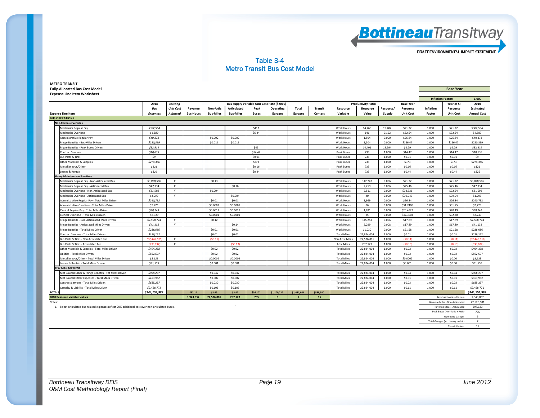

#### Table 3-4 Metro Transit Bus Cost Model

| <b>Fully-Allocated Bus Cost Model</b>                                                              |                 |                  |                  |                  |                    |              |                                             |                |                |                    | <b>Base Year</b>          |                          |                  |                  |                                   |                    |
|----------------------------------------------------------------------------------------------------|-----------------|------------------|------------------|------------------|--------------------|--------------|---------------------------------------------|----------------|----------------|--------------------|---------------------------|--------------------------|------------------|------------------|-----------------------------------|--------------------|
| <b>Expense Line Item Worksheet</b>                                                                 |                 |                  |                  |                  |                    |              |                                             |                |                |                    |                           |                          |                  |                  |                                   |                    |
|                                                                                                    |                 |                  |                  |                  |                    |              |                                             |                |                |                    |                           | <b>Inflation Factor:</b> | 1.000            |                  |                                   |                    |
|                                                                                                    | 2010            | <b>Existing</b>  |                  |                  |                    |              | Bus Supply Variable Unit Cost Rate (\$2010) |                |                |                    | <b>Productivity Ratio</b> |                          | <b>Base Year</b> |                  | Year of \$:                       | 2010               |
|                                                                                                    | Bus             | <b>Unit Cost</b> | Revenue          | <b>Non-Artic</b> | <b>Articulated</b> | Peak         | <b>Operating</b>                            | Total          | Transit        | Resource           | Resource                  | Resource/                | Resource         | <b>Inflation</b> | Resource                          | Estimated          |
| <b>Expense Line Item</b>                                                                           | <b>Expenses</b> | <b>Adjusted</b>  | <b>Bus-Hours</b> | <b>Bus-Miles</b> | <b>Bus-Miles</b>   | <b>Buses</b> | Garages                                     | Garages        | <b>Centers</b> | Variable           | Value                     | Supply                   | <b>Unit Cost</b> | Factor           | <b>Unit Cost</b>                  | <b>Annual Cost</b> |
| <b>BUS OPERATIONS</b>                                                                              |                 |                  |                  |                  |                    |              |                                             |                |                |                    |                           |                          |                  |                  |                                   |                    |
| <b>Non-Revenue Vehicles</b>                                                                        |                 |                  |                  |                  |                    |              |                                             |                |                |                    |                           |                          |                  |                  |                                   |                    |
| <b>Mechanics Regular Pay</b>                                                                       | \$302,554       |                  |                  |                  |                    | \$412        |                                             |                |                | Work Hours         | 14,260                    | 19,402                   | \$21.22          | 1.000            | \$21.22                           | \$302,554          |
| <b>Mechanics Overtime</b>                                                                          | \$4,589         |                  |                  |                  |                    | \$6.24       |                                             |                |                | <b>Work Hours</b>  | 141                       | 0.192                    | \$32.54          | 1.000            | \$32.54                           | \$4,589            |
| Administrative Regular Pay                                                                         | \$40,373        |                  |                  | \$0,002          | \$0,002            |              |                                             |                |                | Work Hours         | 1,504                     | 0.000                    | \$26.84          | 1.000            | \$26.84                           | \$40,373           |
| Fringe Benefits - Bus-Miles Driven                                                                 | \$250,399       |                  |                  | \$0.011          | \$0.011            |              |                                             |                |                | Work Hours         | 1,504                     | 0.000                    | \$166.47         | 1.000            | \$166.47                          | \$250,399          |
| Frigne Benefits - Peak Buses Driven                                                                | \$32,914        |                  |                  |                  |                    | \$45         |                                             |                |                | Work Hours         | 14,401                    | 19.594                   | \$2.29           | 1.000            | \$2.29                            | \$32,914           |
| <b>Contract Services</b>                                                                           | \$10,635        |                  |                  |                  |                    | \$14.47      |                                             |                |                | Peak Buses         | 735                       | 1.000                    | \$14.47          | 1.000            | \$14.47                           | \$10,635           |
| <b>Bus Parts &amp; Tires</b>                                                                       | \$9             |                  |                  |                  |                    | \$0.01       |                                             |                |                | Peak Buses         | 735                       | 1.000                    | \$0.01           | 1.000            | \$0.01                            | \$9                |
| Other Materials & Supplies                                                                         | \$274,386       |                  |                  |                  |                    | \$373        |                                             |                |                | Peak Buses         | 735                       | 1.000                    | \$373            | 1.000            | \$373                             | \$274,386          |
| Miscellaneous/Other                                                                                | \$121           |                  |                  |                  |                    | \$0.16       |                                             |                |                | Peak Buses         | 735                       | 1.000                    | \$0.16           | 1.000            | \$0.16                            | \$121              |
| Leases & Rentals                                                                                   | \$326           |                  |                  |                  |                    | \$0.44       |                                             |                |                | Peak Buses         | 735                       | 1.000                    | \$0.44           | 1.000            | \$0.44                            | \$326              |
| <b>Heavy Maintenance Functions</b>                                                                 |                 |                  |                  |                  |                    |              |                                             |                |                |                    |                           |                          |                  |                  |                                   |                    |
| Mechanics Regular Pay - Non-Articulated Bus                                                        | \$3,028,506     | $\boldsymbol{x}$ |                  | \$0.13           |                    |              |                                             |                |                | Work Hours         | 142,742                   | 0.006                    | \$21.22          | 1.000            | \$21.22                           | \$3,028,506        |
| Mechanics Regular Pay - Articulated Bus                                                            | \$47,934        | $\boldsymbol{x}$ |                  |                  | \$0.16             |              |                                             |                |                | Work Hours         | 2,259                     | 0.006                    | \$25.46          | 1.000            | \$25.46                           | \$47,934           |
| Mechanics Overtime - Non-Articulated Bus                                                           | \$81.692        | $\boldsymbol{x}$ |                  | \$0,004          |                    |              |                                             |                |                | Work Hours         | 2,511                     | 0.000                    | \$32,536         | 1.000            | \$32.54                           | \$81.692           |
| Mechanics Overtime - Articulated Bus                                                               | \$1,293         | $\boldsymbol{x}$ |                  |                  | \$0,004            |              |                                             |                |                | <b>Work Hours</b>  | 40                        | 0.000                    | \$39,043         | 1.000            | \$39.04                           | \$1,293            |
| Administrative Regular Pay - Total Miles Driven                                                    | \$240,732       |                  |                  | \$0.01           | \$0.01             |              |                                             |                |                | Work Hours         | 8,969                     | 0.000                    | \$26.84          | 1.000            | \$26.84                           | \$240,732          |
| Administrative Overtime - Total Miles Driven                                                       | \$2,725         |                  |                  | \$0,0001         | \$0.0001           |              |                                             |                |                | Work Hours         | 86                        | 0.000                    | \$31.7480        | 1.000            | \$31.75                           | \$2,725            |
| Clerical Regular Pay - Total Miles Driven                                                          | \$38,743        |                  |                  | \$0.0017         | \$0.0017           |              |                                             |                |                | Work Hours         | 1,891                     | 0.000                    | \$20,4922        | 1.000            | \$20.49                           | \$38,743           |
| Clerical Overtime - Total Miles Driven                                                             | \$2,740         |                  |                  | \$0,0001         | \$0.0001           |              |                                             |                |                | <b>Work Hours</b>  | 85                        | 0.000                    | \$32.3004        | 1.000            | \$32.30                           | \$2,740            |
| Fringe Benefits - Non-Articulated Miles Driven                                                     | \$2,598,774     | $\boldsymbol{x}$ |                  | \$0.12           |                    |              |                                             |                |                | Work Hours         | 145,253                   | 0.006                    | \$17.89          | 1.000            | \$17.89                           | \$2,598,774        |
| Fringe Benefits - Articulated Miles Driven                                                         | \$41,132        | $\boldsymbol{x}$ |                  |                  | \$0.14             |              |                                             |                |                | Work Hours         | 2,299                     | 0.008                    | \$17.89          | 1.000            | \$17.89                           | \$41,132           |
| Fringe Benefits - Total Miles Driven                                                               | \$238,086       |                  |                  | \$0.01           | \$0.01             |              |                                             |                |                | Work Hours         | 11,030                    | 0.000                    | \$21.58          | 1.000            | \$21.58                           | \$238,086          |
| Contract Services - Total Miles Driven                                                             | \$176,122       |                  |                  | \$0.01           | \$0.01             |              |                                             |                |                | <b>Total Miles</b> | 22,824,004                | 1.000                    | \$0.01           | 1.000            | \$0.01                            | \$176,122          |
| Bus Parts & Tires - Non-Articulated Bus                                                            | (52, 440, 818)  | $\boldsymbol{x}$ |                  | (50.11)          |                    |              |                                             |                |                | Non-Artic Miles    | 22,526,881                | 1.000                    | (50.11)          | 1.000            | (50.11)                           | (52, 440, 818)     |
| Bus Parts & Tires - Articulated Bus                                                                | (538.632)       | $\boldsymbol{x}$ |                  |                  | (50.13)            |              |                                             |                |                | <b>Artic Miles</b> | 297,123                   | 1.000                    | (S0.13)          | 1.000            | (50.13)                           | (538.632)          |
| Other Materials & Supplies - Total Miles Driven                                                    | \$494,358       |                  |                  | \$0.02           | \$0.02             |              |                                             |                |                | <b>Total Miles</b> | 22,824,004                | 1.000                    | \$0.02           | 1.000            | \$0.02                            | \$494,358          |
| Utilities - Total Miles Driven                                                                     | \$562,697       |                  |                  | \$0.02           | \$0.02             |              |                                             |                |                | <b>Total Miles</b> | 22,824,004                | 1.000                    | \$0.02           | 1.000            | \$0.02                            | \$562,697          |
| Miscellaneous/Other - Total Miles Driven                                                           | \$3,623         |                  |                  | \$0.0002         | \$0.0002           |              |                                             |                |                | <b>Total Miles</b> | 22,824,004                | 1.000                    | \$0.0002         | 1.000            | \$0.00                            | \$3,623            |
| Leases & Rentals - Total Miles Driven                                                              | \$31,559        |                  |                  | \$0.001          | \$0.001            |              |                                             |                |                | <b>Total Miles</b> | 22,824,004                | 1.000                    | \$0.001          | 1.000            | \$0.00                            | \$31,559           |
| <b>RISK MANAGEMENT</b>                                                                             |                 |                  |                  |                  |                    |              |                                             |                |                |                    |                           |                          |                  |                  |                                   |                    |
| Met Council Labor & Fringe Benefits - Tot Miles Driven                                             | \$968,207       |                  |                  | \$0.042          | \$0.042            |              |                                             |                |                | <b>Total Miles</b> | 22,824,004                | 1.000                    | \$0.04           | 1.000            | \$0.04                            | \$968,207          |
| Met Council Other Expenses - Total Miles Driven                                                    | \$163,962       |                  |                  | \$0.007          | \$0.007            |              |                                             |                |                | <b>Total Miles</b> | 22,824,004                | 1.000                    | \$0.01           | 1.000            | \$0.01                            | \$163,962          |
| Contract Services - Total Miles Driven                                                             | \$685,257       |                  |                  | \$0.030          | \$0.030            |              |                                             |                |                | <b>Total Miles</b> | 22,824,004                | 1.000                    | \$0.03           | 1.000            | \$0.03                            | \$685,257          |
| Casualty & Liability - Total Miles Driven                                                          | \$2,428,771     |                  |                  | \$0.106          | \$0.106            |              |                                             |                |                | <b>Total Miles</b> | 22,824,004                | 1.000                    | \$0.11           | 1.000            | \$0.11                            | \$2,428,771        |
| <b>TOTALS</b>                                                                                      | \$241,151,989   |                  | \$62.14          | \$2.99           | \$3.47             | \$36,102     | \$1,100,717                                 | \$1,431,084    | \$588,580      |                    |                           |                          |                  |                  |                                   | \$241,151,989      |
| <b>2010 Resource Variable Values</b>                                                               |                 |                  | 1,943,037        | 22,526,881       | 297,123            | 735          | 6                                           | $\overline{7}$ | 15             |                    |                           |                          |                  |                  | Revenue Hours (all buses          | 1,943,037          |
| Notes:                                                                                             |                 |                  |                  |                  |                    |              |                                             |                |                |                    |                           |                          |                  |                  | Revenue Miles - Non-Articulated   | 22,526,881         |
| 1. Select articulated bus-related expenses reflect 20% additional cost over non-articulated buses. |                 |                  |                  |                  |                    |              |                                             |                |                |                    |                           |                          |                  |                  | Revenue Miles - Articulated       | 297,123            |
|                                                                                                    |                 |                  |                  |                  |                    |              |                                             |                |                |                    |                           |                          |                  |                  | Peak Buses (Non-Artic + Artic     | 735                |
|                                                                                                    |                 |                  |                  |                  |                    |              |                                             |                |                |                    |                           |                          |                  |                  | <b>Operating Garages</b>          | 6                  |
|                                                                                                    |                 |                  |                  |                  |                    |              |                                             |                |                |                    |                           |                          |                  |                  | Total Garages (incl. heavy maint. | $\overline{7}$     |
|                                                                                                    |                 |                  |                  |                  |                    |              |                                             |                |                |                    |                           |                          |                  |                  | <b>Transit Centers</b>            | 15                 |

*Bottineau Transitway DEIS Page 19 June 2012 O&M Cost Methodology Report (Final)*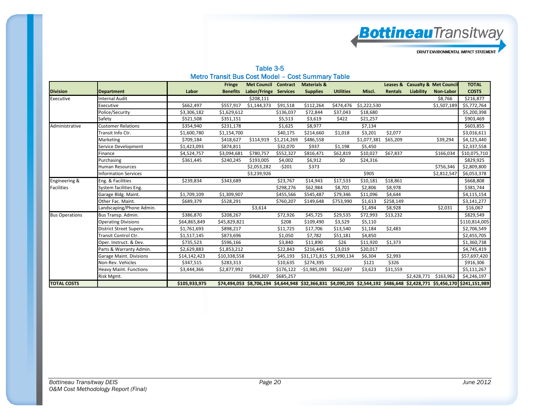**Bottineau**Transitway

DRAFT ENVIRONMENTAL IMPACT STATEMENT

| Table 3-5                                         |  |
|---------------------------------------------------|--|
| Metro Transit Bus Cost Model - Cost Summary Table |  |

|                       |                                |               | <b>Fringe</b>   | <b>Met Council</b>    | Contract    | <b>Materials &amp;</b>   |                  |             | Leases &       |             | <b>Casualty &amp; Met Council</b> | <b>TOTAL</b>                                                                                                              |
|-----------------------|--------------------------------|---------------|-----------------|-----------------------|-------------|--------------------------|------------------|-------------|----------------|-------------|-----------------------------------|---------------------------------------------------------------------------------------------------------------------------|
| <b>Division</b>       | <b>Department</b>              | Labor         | <b>Benefits</b> | Labor/Fringe Services |             | <b>Supplies</b>          | <b>Utilities</b> | Miscl.      | <b>Rentals</b> | Liability   | Non-Labor                         | <b>COSTS</b>                                                                                                              |
| Executive             | Internal Audit                 |               |                 | \$208,111             |             |                          |                  |             |                |             | \$8,766                           | \$216,877                                                                                                                 |
|                       | Executive                      | \$662,497     | \$557,917       | \$1,144,373           | \$91,518    | \$112,264                | \$474,476        | \$1,222,530 |                |             | \$1,507,189                       | \$5,772,764                                                                                                               |
|                       | Police/Security                | \$3,306,182   | \$1,629,612     |                       | \$136,037   | \$72,844                 | \$37,043         | \$18,680    |                |             |                                   | \$5,200,398                                                                                                               |
|                       | Safety                         | \$521,508     | \$351,151       |                       | \$5,513     | \$3,619                  | \$422            | \$21,257    |                |             |                                   | \$903,469                                                                                                                 |
| Administrative        | <b>Customer Relations</b>      | \$354,940     | \$231,178       |                       | \$1,625     | \$8,977                  |                  | \$7,134     |                |             |                                   | \$603,855                                                                                                                 |
|                       | Fransit Info Ctr.              | \$1,600,780   | \$1,154,700     |                       | \$40,175    | \$214,660                | \$1,018          | \$3,201     | \$2,077        |             |                                   | \$3,016,611                                                                                                               |
|                       | Marketing                      | \$709,184     | \$418,627       | \$114,919             | \$1,214,269 | \$486,558                |                  | \$1,077,381 | \$65,209       |             | \$39,294                          | \$4,125,440                                                                                                               |
|                       | Service Development            | \$1,423,093   | \$874,811       |                       | \$32,070    | \$937                    | \$1,198          | \$5,450     |                |             |                                   | \$2,337,558                                                                                                               |
|                       | Finance                        | \$4,524,757   | \$3,094,681     | \$780,757             | \$552,327   | \$816,471                | \$62,819         | \$10,027    | \$67,837       |             | \$166,034                         | \$10,075,710                                                                                                              |
|                       | Purchasing                     | \$361,445     | \$240,245       | \$193,005             | \$4,002     | \$6,912                  | \$0              | \$24,316    |                |             |                                   | \$829,925                                                                                                                 |
|                       | Human Resources                |               |                 | \$2,053,282           | $-5201$     | \$373                    |                  |             |                |             | \$756,346                         | \$2,809,800                                                                                                               |
|                       | <b>Information Services</b>    |               |                 | \$3,239,926           |             |                          |                  | \$905       |                |             | \$2,812,547                       | \$6,053,378                                                                                                               |
| Engineering &         | Eng. & Facilities              | \$239,834     | \$343,689       |                       | \$23,767    | \$14,943                 | \$17,533         | \$10,181    | \$18,861       |             |                                   | \$668,808                                                                                                                 |
| <b>Facilities</b>     | System facilities Eng.         |               |                 |                       | \$298,276   | \$62,984                 | \$8,701          | \$2,806     | \$8,978        |             |                                   | \$381,744                                                                                                                 |
|                       | Garage Bldg. Maint.            | \$1,709,109   | \$1,309,907     |                       | \$455,566   | \$545,487                | \$79,346         | \$11,096    | \$4,644        |             |                                   | \$4,115,154                                                                                                               |
|                       | Other Fac. Maint.              | \$689,379     | \$528,291       |                       | \$760,207   | \$149,648                | \$753,990        | \$1,613     | \$258,149      |             |                                   | \$3,141,277                                                                                                               |
|                       | Landscaping/Phone Admin.       |               |                 | \$3,614               |             |                          |                  | \$1,494     | \$8,928        |             | \$2,031                           | \$16,067                                                                                                                  |
| <b>Bus Operations</b> | Bus Transp. Admin.             | \$386,870     | \$208,267       |                       | \$72,926    | \$45,725                 | \$29,535         | \$72,993    | \$13,232       |             |                                   | \$829,549                                                                                                                 |
|                       | <b>Operating Divisions</b>     | \$64,865,849  | \$45,829,821    |                       | \$208       | \$109,490                | \$3,529          | \$5,110     |                |             |                                   | \$110,814,005                                                                                                             |
|                       | District Street Superv.        | \$1,761,693   | \$898,217       |                       | \$11,725    | \$17,706                 | \$13,540         | \$1,184     | \$2,483        |             |                                   | \$2,706,549                                                                                                               |
|                       | Fransit Control Ctr.           | \$1,517,145   | \$873,696       |                       | \$1,050     | \$7,782                  | \$51,181         | \$4,850     |                |             |                                   | \$2,455,705                                                                                                               |
|                       | Oper. Instruct. & Dev.         | \$735,523     | \$596,166       |                       | \$3,840     | \$11,890                 | \$26             | \$11,920    | \$1,373        |             |                                   | \$1,360,738                                                                                                               |
|                       | Parts & Warranty Admin.        | \$2,629,883   | \$1,853,212     |                       | \$22,843    | \$216,445                | \$3,019          | \$20,017    |                |             |                                   | \$4,745,419                                                                                                               |
|                       | <b>Garage Maint. Divisions</b> | \$14,142,423  | \$10,338,558    |                       | \$45,193    | \$31,171,815 \$1,990,134 |                  | \$6,304     | \$2,993        |             |                                   | \$57,697,420                                                                                                              |
|                       | Non-Rev. Vehicles              | \$347,515     | \$283,313       |                       | \$10,635    | \$274,395                |                  | \$121       | \$326          |             |                                   | \$916,306                                                                                                                 |
|                       | <b>Heavy Maint. Functions</b>  | \$3,444,366   | \$2,877,992     |                       | \$176,122   | $-$1,985,093$            | \$562,697        | \$3,623     | \$31,559       |             |                                   | \$5,111,267                                                                                                               |
|                       | Risk Mgmt.                     |               |                 | \$968,207             | \$685,257   |                          |                  |             |                | \$2,428,771 | \$163,962                         | \$4,246,197                                                                                                               |
| <b>TOTAL COSTS</b>    |                                | \$105,933,975 |                 |                       |             |                          |                  |             |                |             |                                   | \$74,494,053 \$8,706,194 \$4,644,948 \$32,366,831 \$4,090,205 \$2,544,192 \$486,648 \$2,428,771 \$5,456,170 \$241,151,989 |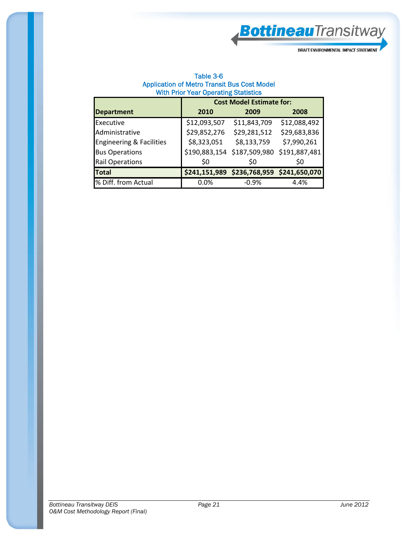**Bottineau**Transitway

DRAFT ENVIRONMENTAL IMPACT STATEMENT

| Table 3-6                                          |
|----------------------------------------------------|
| <b>Application of Metro Transit Bus Cost Model</b> |
| <b>With Prior Year Operating Statistics</b>        |

|                                     | <b>Cost Model Estimate for:</b> |                             |               |  |  |  |  |  |  |  |
|-------------------------------------|---------------------------------|-----------------------------|---------------|--|--|--|--|--|--|--|
| <b>Department</b>                   | 2010                            | 2009                        | 2008          |  |  |  |  |  |  |  |
| Executive                           | \$12,093,507                    | \$11,843,709                | \$12,088,492  |  |  |  |  |  |  |  |
| Administrative                      | \$29,852,276                    | \$29,281,512                | \$29,683,836  |  |  |  |  |  |  |  |
| <b>Engineering &amp; Facilities</b> | \$8,323,051                     | \$8,133,759                 | \$7,990,261   |  |  |  |  |  |  |  |
| <b>Bus Operations</b>               |                                 | \$190,883,154 \$187,509,980 | \$191,887,481 |  |  |  |  |  |  |  |
| <b>Rail Operations</b>              | \$0                             | S0                          | \$0           |  |  |  |  |  |  |  |
| <b>Total</b>                        | \$241,151,989                   | \$236,768,959               | \$241,650,070 |  |  |  |  |  |  |  |
| % Diff. from Actual                 | 0.0%                            | $-0.9%$                     | 4.4%          |  |  |  |  |  |  |  |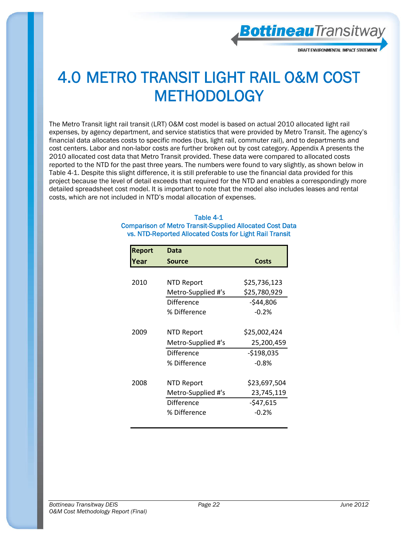**Bottineau**Transitway

### 4.0 METRO TRANSIT LIGHT RAIL O&M COST **METHODOLOGY**

The Metro Transit light rail transit (LRT) O&M cost model is based on actual 2010 allocated light rail expenses, by agency department, and service statistics that were provided by Metro Transit. The agency's financial data allocates costs to specific modes (bus, light rail, commuter rail), and to departments and cost centers. Labor and non-labor costs are further broken out by cost category. Appendix A presents the 2010 allocated cost data that Metro Transit provided. These data were compared to allocated costs reported to the NTD for the past three years. The numbers were found to vary slightly, as shown below in Table 4-1. Despite this slight difference, it is still preferable to use the financial data provided for this project because the level of detail exceeds that required for the NTD and enables a correspondingly more detailed spreadsheet cost model. It is important to note that the model also includes leases and rental costs, which are not included in NTD's modal allocation of expenses.

#### Table 4-1 Comparison of Metro Transit-Supplied Allocated Cost Data vs. NTD-Reported Allocated Costs for Light Rail Transit

| <b>Report</b> | Data               |              |
|---------------|--------------------|--------------|
| rear)         | Source             | <b>Costs</b> |
|               |                    |              |
| 2010          | NTD Report         | \$25,736,123 |
|               | Metro-Supplied #'s | \$25,780,929 |
|               | Difference         | $-544,806$   |
|               | % Difference       | $-0.2%$      |
|               |                    |              |
| 2009          | NTD Report         | \$25,002,424 |
|               | Metro-Supplied #'s | 25,200,459   |
|               | Difference         | $-$198,035$  |
|               | % Difference       | $-0.8%$      |
|               |                    |              |
| 2008          | NTD Report         | \$23,697,504 |
|               | Metro-Supplied #'s | 23,745,119   |
|               | Difference         | -\$47,615    |
|               | % Difference       | $-0.2%$      |
|               |                    |              |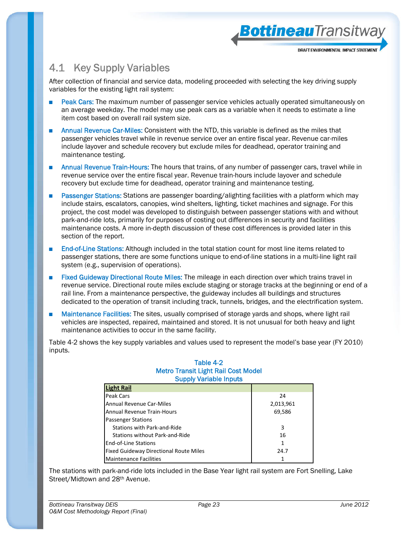### 4.1 Key Supply Variables

After collection of financial and service data, modeling proceeded with selecting the key driving supply variables for the existing light rail system:

BottineauTransitwa

DRAFT ENVIRONMENTAL IMPACT STATEMEN

- Peak Cars: The maximum number of passenger service vehicles actually operated simultaneously on an average weekday. The model may use peak cars as a variable when it needs to estimate a line item cost based on overall rail system size.
- Annual Revenue Car-Miles: Consistent with the NTD, this variable is defined as the miles that passenger vehicles travel while in revenue service over an entire fiscal year. Revenue car-miles include layover and schedule recovery but exclude miles for deadhead, operator training and maintenance testing.
- Annual Revenue Train-Hours: The hours that trains, of any number of passenger cars, travel while in revenue service over the entire fiscal year. Revenue train-hours include layover and schedule recovery but exclude time for deadhead, operator training and maintenance testing.
- Passenger Stations: Stations are passenger boarding/alighting facilities with a platform which may include stairs, escalators, canopies, wind shelters, lighting, ticket machines and signage. For this project, the cost model was developed to distinguish between passenger stations with and without park-and-ride lots, primarily for purposes of costing out differences in security and facilities maintenance costs. A more in-depth discussion of these cost differences is provided later in this section of the report.
- End-of-Line Stations: Although included in the total station count for most line items related to passenger stations, there are some functions unique to end-of-line stations in a multi-line light rail system (e.g., supervision of operations).
- Fixed Guideway Directional Route Miles: The mileage in each direction over which trains travel in revenue service. Directional route miles exclude staging or storage tracks at the beginning or end of a rail line. From a maintenance perspective, the guideway includes all buildings and structures dedicated to the operation of transit including track, tunnels, bridges, and the electrification system.
- Maintenance Facilities: The sites, usually comprised of storage vards and shops, where light rail vehicles are inspected, repaired, maintained and stored. It is not unusual for both heavy and light maintenance activities to occur in the same facility.

Table 4-2 shows the key supply variables and values used to represent the model's base year (FY 2010) inputs.

#### Table 4-2 Metro Transit Light Rail Cost Model Supply Variable Inputs

| <b>Light Rail</b>                             |           |
|-----------------------------------------------|-----------|
| <b>Peak Cars</b>                              | 24        |
| <b>Annual Revenue Car-Miles</b>               | 2,013,961 |
| <b>Annual Revenue Train-Hours</b>             | 69,586    |
| <b>Passenger Stations</b>                     |           |
| Stations with Park-and-Ride                   | 3         |
| Stations without Park-and-Ride                | 16        |
| End-of-Line Stations                          | 1         |
| <b>Fixed Guideway Directional Route Miles</b> | 24.7      |
| <b>Maintenance Facilities</b>                 |           |

The stations with park-and-ride lots included in the Base Year light rail system are Fort Snelling, Lake Street/Midtown and 28<sup>th</sup> Avenue.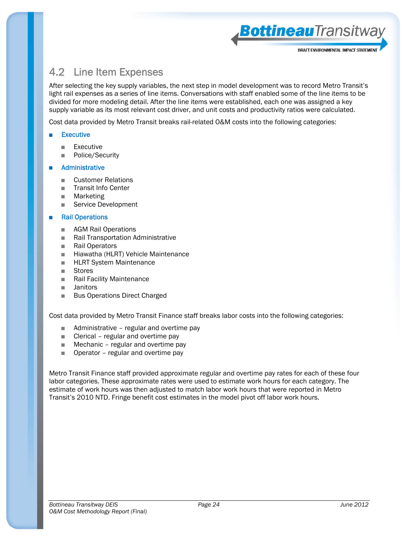

BottineauTransitway

### 4.2 Line Item Expenses

After selecting the key supply variables, the next step in model development was to record Metro Transit's light rail expenses as a series of line items. Conversations with staff enabled some of the line items to be divided for more modeling detail. After the line items were established, each one was assigned a key supply variable as its most relevant cost driver, and unit costs and productivity ratios were calculated.

Cost data provided by Metro Transit breaks rail-related O&M costs into the following categories:

#### **Executive**

- Executive
- Police/Security

#### **Administrative**

- Customer Relations
- Transit Info Center
- Marketing
- Service Development

#### **Rail Operations**

- AGM Rail Operations
- Rail Transportation Administrative
- Rail Operators
- Hiawatha (HLRT) Vehicle Maintenance
- HLRT System Maintenance
- Stores
- Rail Facility Maintenance
- Janitors
- Bus Operations Direct Charged

Cost data provided by Metro Transit Finance staff breaks labor costs into the following categories:

- Administrative regular and overtime pay
- Clerical regular and overtime pay
- Mechanic regular and overtime pay
- Operator regular and overtime pay

Metro Transit Finance staff provided approximate regular and overtime pay rates for each of these four labor categories. These approximate rates were used to estimate work hours for each category. The estimate of work hours was then adjusted to match labor work hours that were reported in Metro Transit's 2010 NTD. Fringe benefit cost estimates in the model pivot off labor work hours.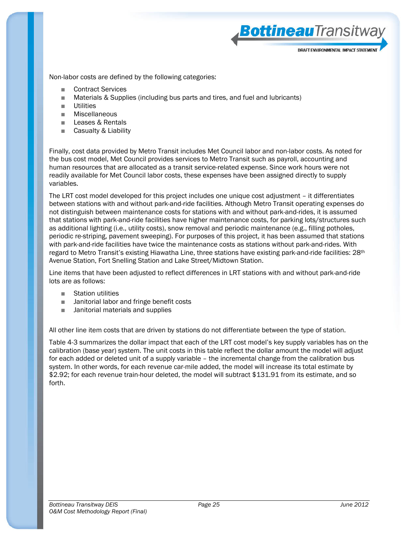BottineauTransitwa

Non-labor costs are defined by the following categories:

- Contract Services
- Materials & Supplies (including bus parts and tires, and fuel and lubricants)
- Utilities
- Miscellaneous
- Leases & Rentals
- Casualty & Liability

Finally, cost data provided by Metro Transit includes Met Council labor and non-labor costs. As noted for the bus cost model, Met Council provides services to Metro Transit such as payroll, accounting and human resources that are allocated as a transit service-related expense. Since work hours were not readily available for Met Council labor costs, these expenses have been assigned directly to supply variables.

The LRT cost model developed for this project includes one unique cost adjustment – it differentiates between stations with and without park-and-ride facilities. Although Metro Transit operating expenses do not distinguish between maintenance costs for stations with and without park-and-rides, it is assumed that stations with park-and-ride facilities have higher maintenance costs, for parking lots/structures such as additional lighting (i.e., utility costs), snow removal and periodic maintenance (e.g., filling potholes, periodic re-striping, pavement sweeping). For purposes of this project, it has been assumed that stations with park-and-ride facilities have twice the maintenance costs as stations without park-and-rides. With regard to Metro Transit's existing Hiawatha Line, three stations have existing park-and-ride facilities: 28<sup>th</sup> Avenue Station, Fort Snelling Station and Lake Street/Midtown Station.

Line items that have been adjusted to reflect differences in LRT stations with and without park-and-ride lots are as follows:

- **Station utilities**
- Janitorial labor and fringe benefit costs
- Janitorial materials and supplies

All other line item costs that are driven by stations do not differentiate between the type of station.

Table 4-3 summarizes the dollar impact that each of the LRT cost model's key supply variables has on the calibration (base year) system. The unit costs in this table reflect the dollar amount the model will adjust for each added or deleted unit of a supply variable – the incremental change from the calibration bus system. In other words, for each revenue car-mile added, the model will increase its total estimate by \$2.92; for each revenue train-hour deleted, the model will subtract \$131.91 from its estimate, and so forth.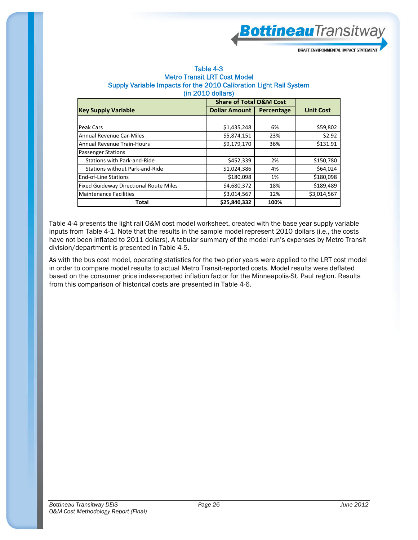**Bottineau**Transitway

| Table 4-3                                                          |
|--------------------------------------------------------------------|
| <b>Metro Transit LRT Cost Model</b>                                |
| Supply Variable Impacts for the 2010 Calibration Light Rail System |
| $(in 2010$ dollars)                                                |

|                                               |                      | <b>Share of Total O&amp;M Cost</b> |                  |  |  |  |  |  |
|-----------------------------------------------|----------------------|------------------------------------|------------------|--|--|--|--|--|
| <b>Key Supply Variable</b>                    | <b>Dollar Amount</b> | Percentage                         | <b>Unit Cost</b> |  |  |  |  |  |
|                                               |                      |                                    |                  |  |  |  |  |  |
| Peak Cars                                     | \$1,435,248          | 6%                                 | \$59,802         |  |  |  |  |  |
| <b>Annual Revenue Car-Miles</b>               | \$5,874,151          | 23%                                | \$2.92           |  |  |  |  |  |
| <b>Annual Revenue Train-Hours</b>             | \$9,179,170          | 36%                                | \$131.91         |  |  |  |  |  |
| <b>Passenger Stations</b>                     |                      |                                    |                  |  |  |  |  |  |
| <b>Stations with Park-and-Ride</b>            | \$452,339            | 2%                                 | \$150,780        |  |  |  |  |  |
| Stations without Park-and-Ride                | \$1,024,386          | 4%                                 | \$64,024         |  |  |  |  |  |
| <b>End-of-Line Stations</b>                   | \$180,098            | 1%                                 | \$180,098        |  |  |  |  |  |
| <b>Fixed Guideway Directional Route Miles</b> | \$4,680,372          | 18%                                | \$189,489        |  |  |  |  |  |
| <b>Maintenance Facilities</b>                 | \$3,014,567          | 12%                                | \$3,014,567      |  |  |  |  |  |
| <b>Total</b>                                  | \$25,840,332         | 100%                               |                  |  |  |  |  |  |

Table 4-4 presents the light rail O&M cost model worksheet, created with the base year supply variable inputs from Table 4-1. Note that the results in the sample model represent 2010 dollars (i.e., the costs have not been inflated to 2011 dollars). A tabular summary of the model run's expenses by Metro Transit division/department is presented in Table 4-5.

As with the bus cost model, operating statistics for the two prior years were applied to the LRT cost model in order to compare model results to actual Metro Transit-reported costs. Model results were deflated based on the consumer price index-reported inflation factor for the Minneapolis-St. Paul region. Results from this comparison of historical costs are presented in Table 4-6.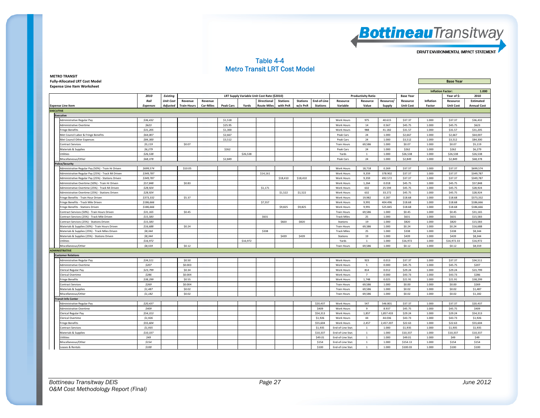

#### Table 4-4 Metro Transit LRT Cost Model

| <b>METRO TRANSIT</b>                  |                  |
|---------------------------------------|------------------|
| <b>Fully-Allocated LRT Cost Model</b> | <b>Base Year</b> |

**Expense Line Item Worksheet**

|                                                    |                 |                  |                    |                  |                  |          |                                             |                 |                 | <b>Inflation Factor:</b> |                    | 1.000                     |               |                  |           |                  |                    |
|----------------------------------------------------|-----------------|------------------|--------------------|------------------|------------------|----------|---------------------------------------------|-----------------|-----------------|--------------------------|--------------------|---------------------------|---------------|------------------|-----------|------------------|--------------------|
|                                                    | 2010            | <b>Existing</b>  |                    |                  |                  |          | LRT Supply Variable Unit Cost Rate (\$2010) |                 |                 |                          |                    | <b>Productivity Ratio</b> |               | <b>Base Year</b> |           | Year of \$:      | 2010               |
|                                                    | Rail            | <b>Unit Cost</b> | Revenue            | Revenue          |                  |          | Directional                                 | <b>Stations</b> | <b>Stations</b> | End-of-Line              | Resource           | Resource                  | Resource,     | Resource         | Inflation | Resource         | Estimated          |
| <b>Expense Line Item</b>                           | <b>Expenses</b> | Adjusted         | <b>Train-Hours</b> | <b>Car-Miles</b> | <b>Peak Cars</b> | Yards    | <b>Route Miles</b>                          | with PnR        | w/o PnR         | <b>Stations</b>          | Variable           | Value                     | <b>Supply</b> | <b>Unit Cost</b> | Factor    | <b>Unit Cost</b> | <b>Annual Cost</b> |
| <b>EXECUTIVE</b>                                   |                 |                  |                    |                  |                  |          |                                             |                 |                 |                          |                    |                           |               |                  |           |                  |                    |
| <b>Executive</b>                                   |                 |                  |                    |                  |                  |          |                                             |                 |                 |                          |                    |                           |               |                  |           |                  |                    |
| Administrative Regular Pay                         | \$36,432        |                  |                    |                  | \$1,518          |          |                                             |                 |                 |                          | <b>Work Hours</b>  | 975                       | 40.615        | \$37.37          | 1.000     | \$37.37          | \$36,432           |
| <b>Administrative Overtime</b>                     | \$623           |                  |                    |                  | \$25.95          |          |                                             |                 |                 |                          | Work Hours         | 14                        | 0.567         | \$45.75          | 1.000     | \$45.75          | \$623              |
| <b>Fringe Benefits</b>                             | \$31,205        |                  |                    |                  | \$1,300          |          |                                             |                 |                 |                          | Work Hours         | 988                       | 41.182        | \$31.57          | 1.000     | \$31.57          | \$31,205           |
| Met Council Labor & Fringe Benefits                | \$64,007        |                  |                    |                  | \$2,667          |          |                                             |                 |                 |                          | Peak Cars          | 24                        | 1.000         | \$2,667          | 1.000     | \$2,667          | \$64,007           |
| Met Council Other Expenses                         | \$84,300        |                  |                    |                  | \$3,512          |          |                                             |                 |                 |                          | Peak Cars          | 24                        | 1.000         | \$3,512          | 1.000     | \$3,512          | \$84,300           |
| <b>Contract Services</b>                           | \$5,119         |                  | \$0.07             |                  |                  |          |                                             |                 |                 |                          | <b>Train Hours</b> | 69,586                    | 1.000         | \$0.07           | 1.000     | \$0.07           | \$5,119            |
| Materials & Supplies                               | \$6,279         |                  |                    |                  | \$262            |          |                                             |                 |                 |                          | Peak Cars          | 24                        | 1.000         | \$262            | 1.000     | \$262            | \$6,279            |
| Utilities                                          | \$26,538        |                  |                    |                  |                  | \$26,538 |                                             |                 |                 |                          | Yards              | $\mathbf{1}$              | 1.000         | \$26,538         | 1.000     | \$26,538         | \$26,538           |
| Miscellaneous/Other                                | \$68,378        |                  |                    |                  | \$2,849          |          |                                             |                 |                 |                          | Peak Cars          | 24                        | 1.000         | \$2,849          | 1.000     | \$2,849          | \$68,378           |
| olice/Security                                     |                 |                  |                    |                  |                  |          |                                             |                 |                 |                          |                    |                           |               |                  |           |                  |                    |
| Administrative Regular Pay (50%) - Train Hr Driven | \$699,574       |                  | \$10.05            |                  |                  |          |                                             |                 |                 |                          | Work Hours         | 18,718                    | 0.269         | \$37.37          | 1.000     | \$37.37          | \$699,574          |
| Administrative Regular Pay (25%) - Track Mi Driven | \$349,787       |                  |                    |                  |                  |          | \$14,161                                    |                 |                 |                          | <b>Work Hours</b>  | 9,359                     | 378.902       | \$37.37          | 1.000     | \$37.37          | \$349,787          |
| Administrative Regular Pay (25%) - Stations Driven | \$349,787       |                  |                    |                  |                  |          |                                             | \$18,410        | \$18,410        |                          | Work Hours         | 9,359                     | 492.572       | \$37.37          | 1.000     | \$37.37          | \$349,787          |
| Administrative Overtime (50%) - Train Hr Driven    | \$57,848        |                  | \$0.83             |                  |                  |          |                                             |                 |                 |                          | Work Hours         | 1,264                     | 0.018         | \$45.75          | 1.000     | \$45.75          | \$57,848           |
| Administrative Overtime (25%) - Track Mi Driven    | \$28,924        |                  |                    |                  |                  |          | \$1,171                                     |                 |                 |                          | Work Hours         | 632                       | 25.594        | \$45.75          | 1.000     | \$45.75          | \$28,924           |
| Administrative Overtime (25%) - Stations Driven    | \$28,924        |                  |                    |                  |                  |          |                                             | \$1,522         | \$1,522         |                          | Work Hours         | 632                       | 33.272        | \$45.75          | 1.000     | \$45.75          | \$28,924           |
| Fringe Benefits - Train Hour Driven                | \$373,332       |                  | \$5.37             |                  |                  |          |                                             |                 |                 |                          | Work Hours         | 19,982                    | 0.287         | \$18.68          | 1.000     | \$18.68          | \$373,332          |
| Fringe Benefits - Track Mile Driven                | \$186,666       |                  |                    |                  |                  |          | \$7,557                                     |                 |                 |                          | Work Hours         | 9.991                     | 404.496       | \$18.68          | 1.000     | \$18.68          | \$186,666          |
| Fringe Benefits - Stations Driven                  | \$186,666       |                  |                    |                  |                  |          |                                             | \$9,825         | \$9,825         |                          | Work Hours         | 9,991                     | 525.845       | \$18.68          | 1.000     | \$18.68          | \$186,666          |
| Contract Services (50%) - Train Hours Driven       | \$31,165        |                  | \$0.45             |                  |                  |          |                                             |                 |                 |                          | <b>Train Hours</b> | 69.586                    | 1.000         | \$0.45           | 1.000     | \$0.45           | \$31,165           |
| Contract Services (25%) - Track Mile Driven        | \$15,583        |                  |                    |                  |                  |          | \$631                                       |                 |                 |                          | <b>Track Miles</b> | 25                        | 1.000         | \$631            | 1.000     | \$631            | \$15,583           |
| Contract Services (25%) - Stations Driven          | \$15,583        |                  |                    |                  |                  |          |                                             | \$820           | \$820           |                          | Stations           | 19                        | 1.000         | \$820            | 1.000     | \$820            | \$15,583           |
| Materials & Supplies (50%) - Train Hours Driven    | \$16,688        |                  | \$0.24             |                  |                  |          |                                             |                 |                 |                          | <b>Train Hours</b> | 69,586                    | 1.000         | \$0.24           | 1.000     | \$0.24           | \$16,688           |
| Materials & Supplies (25%) - Track Miles Driven    | \$8,344         |                  |                    |                  |                  |          | \$338                                       |                 |                 |                          | <b>Track Miles</b> | 25                        | 1.000         | \$338            | 1.000     | \$338            | \$8,344            |
| Materials & Supplies (25%) - Stations Driven       | \$8,344         |                  |                    |                  |                  |          |                                             | \$439           | \$439           |                          | Stations           | 19                        | 1.000         | \$439            | 1.000     | \$439            | \$8,344            |
| Utilities                                          | \$16,972        |                  |                    |                  |                  | \$16,972 |                                             |                 |                 |                          | Yards              | $1\,$                     | 1.000         | \$16,972         | 1.000     | \$16,972.33      | \$16,972           |
| Miscellaneous/Other                                | \$8,559         |                  | \$0.12             |                  |                  |          |                                             |                 |                 |                          | <b>Train Hours</b> | 69,586                    | 1.000         | \$0.12           | 1.000     | \$0.12           | \$8,559            |
| <b>ADMINISTRATIVE</b>                              |                 |                  |                    |                  |                  |          |                                             |                 |                 |                          |                    |                           |               |                  |           |                  |                    |
| <b>Customer Relations</b>                          |                 |                  |                    |                  |                  |          |                                             |                 |                 |                          |                    |                           |               |                  |           |                  |                    |
| Administrative Regular Pay                         | \$34,511        |                  | \$0.50             |                  |                  |          |                                             |                 |                 |                          | Work Hours         | 923                       | 0.013         | \$37.37          | 1.000     | \$37.37          | \$34,511           |
| Administrative Overtime                            | \$207           |                  | \$0.003            |                  |                  |          |                                             |                 |                 |                          | Work Hours         | 5                         | 0.000         | \$45.75          | 1.000     | \$45.75          | \$207              |
| Clerical Regular Pay                               | \$23,799        |                  | \$0.34             |                  |                  |          |                                             |                 |                 |                          | <b>Work Hours</b>  | 814                       | 0.012         | \$29.24          | 1.000     | \$29.24          | \$23,799           |
| Clerical Overtime                                  | \$286           |                  | \$0.004            |                  |                  |          |                                             |                 |                 |                          | Work Hours         | $\overline{7}$            | 0.000         | \$43.73          | 1.000     | \$43.73          | \$286              |
| <b>Fringe Benefits</b>                             | \$38,299        |                  | \$0.55             |                  |                  |          |                                             |                 |                 |                          | <b>Work Hours</b>  | 1.748                     | 0.025         | \$21.91          | 1.000     | \$21.91          | \$38,299           |
| <b>Contract Services</b>                           | \$269           |                  | \$0.004            |                  |                  |          |                                             |                 |                 |                          | <b>Train Hours</b> | 69,586                    | 1.000         | \$0.00           | 1.000     | \$0.00           | \$269              |
| Materials & Supplies                               | \$1,487         |                  | \$0.02             |                  |                  |          |                                             |                 |                 |                          | <b>Train Hours</b> | 69,586                    | 1.000         | \$0.02           | 1.000     | \$0.02           | \$1,487            |
| Miscellaneous/Other                                | \$1,182         |                  | \$0.02             |                  |                  |          |                                             |                 |                 |                          | <b>Train Hours</b> | 69,586                    | 1.000         | \$0.02           | 1.000     | \$0.02           | \$1,182            |
| ransit Info Center                                 |                 |                  |                    |                  |                  |          |                                             |                 |                 |                          |                    |                           |               |                  |           |                  |                    |
| Administrative Regular Pay                         | \$20,437        |                  |                    |                  |                  |          |                                             |                 |                 | \$20,437                 | Work Hours         | 547                       | 546.801       | \$37.37          | 1.000     | \$37.37          | \$20,437           |
| Administrative Overtime                            | \$409           |                  |                    |                  |                  |          |                                             |                 |                 | \$409                    | Work Hours         | 9                         | 8.937         | \$45.75          | 1.000     | \$45.75          | \$409              |
| Clerical Regular Pay                               | \$54,313        |                  |                    |                  |                  |          |                                             |                 |                 | \$54,313                 | Work Hours         | 1,857                     | 1,857.433     | \$29.24          | 1.000     | \$29.24          | \$54,313           |
| Clerical Overtime                                  | \$1,926         |                  |                    |                  |                  |          |                                             |                 |                 | \$1,926                  | Work Hours         | 44                        | 44.036        | \$43.73          | 1.000     | \$43.73          | \$1,926            |
| <b>Fringe Benefits</b>                             | \$55,604        |                  |                    |                  |                  |          |                                             |                 |                 | \$55,604                 | Work Hours         | 2,457                     | 2,457.207     | \$22.63          | 1.000     | \$22.63          | \$55,604           |
| Contract Services                                  | \$1,935         |                  |                    |                  |                  |          |                                             |                 |                 | \$1,935                  | End-of-Line Stat.  | <sup>1</sup>              | 1.000         | \$1.935          | 1.000     | \$1.935          | \$1,935            |
| Materials & Supplies                               | \$10,337        |                  |                    |                  |                  |          |                                             |                 |                 | \$10,337                 | End-of-Line Stat.  | $\mathbf{1}$              | 1.000         | \$10,337         | 1.000     | \$10,337         | \$10,337           |
| <b>Itilities</b>                                   | \$49            |                  |                    |                  |                  |          |                                             |                 |                 | \$49.01                  | End-of-Line Stat.  | $\overline{1}$            | 1.000         | \$49.01          | 1.000     | \$49             | \$49               |
| Miscellaneous/Other                                | \$154           |                  |                    |                  |                  |          |                                             |                 |                 | \$154                    | End-of-Line Stat.  | $\mathbf{1}$              | 1.000         | \$154.13         | 1.000     | \$154            | \$154              |
| Leases & Rentals                                   | \$100           |                  |                    |                  |                  |          |                                             |                 |                 | \$100                    | End-of-Line Stat.  | $\mathbf{1}$              | 1.000         | \$100.03         | 1.000     | \$100            | \$100              |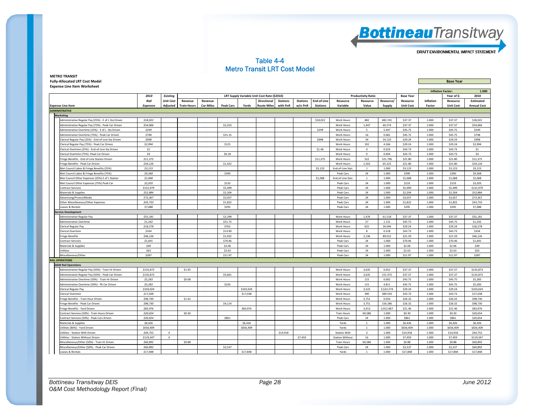

#### Table 4-4 Metro Transit LRT Cost Model

| <b>METRO TRANSIT</b>                  |                  |
|---------------------------------------|------------------|
| <b>Fully-Allocated LRT Cost Model</b> | <b>Base Year</b> |
| <b>Exnense Line Item Worksheet</b>    |                  |

|                                                      |                 |                  |                    |                  |                  |           |                                             |                 |                 |                 |                        |                           |           |                  |                  | <b>Inflation Factor:</b> | 1.000              |
|------------------------------------------------------|-----------------|------------------|--------------------|------------------|------------------|-----------|---------------------------------------------|-----------------|-----------------|-----------------|------------------------|---------------------------|-----------|------------------|------------------|--------------------------|--------------------|
|                                                      | 2010            | <b>Existing</b>  |                    |                  |                  |           | LRT Supply Variable Unit Cost Rate (\$2010) |                 |                 |                 |                        | <b>Productivity Ratio</b> |           | <b>Base Year</b> |                  | Year of \$:              | 2010               |
|                                                      | Rail            | <b>Unit Cost</b> | Revenue            | Revenue          |                  |           | Directional                                 | <b>Stations</b> | <b>Stations</b> | End-of-Line     | Resource               | Resource                  | Resource/ | Resource         | <b>Inflation</b> | Resource                 | Estimated          |
| <b>Expense Line Item</b>                             | <b>Expenses</b> | Adjusted         | <b>Train-Hours</b> | <b>Car-Miles</b> | <b>Peak Cars</b> | Yards     | <b>Route Miles</b>                          | with PnR        | w/o PnR         | <b>Stations</b> | Variable               | Value                     | Supply    | <b>Unit Cost</b> | Factor           | <b>Unit Cost</b>         | <b>Annual Cost</b> |
| <b>ADMINISTRATIVE</b>                                |                 |                  |                    |                  |                  |           |                                             |                 |                 |                 |                        |                           |           |                  |                  |                          |                    |
| <b>Marketing</b>                                     |                 |                  |                    |                  |                  |           |                                             |                 |                 |                 |                        |                           |           |                  |                  |                          |                    |
| Administrative Regular Pay (25%) - E of L Sta Driven | \$18,022        |                  |                    |                  |                  |           |                                             |                 |                 | \$18,022        | <b>Work Hours</b>      | 482                       | 482.191   | \$37.37          | 1.000            | \$37.37                  | \$18,022           |
| Administrative Regular Pay (75%) - Peak Car Driven   | \$54,066        |                  |                    |                  | \$2,253          |           |                                             |                 |                 |                 | Work Hours             | 1,447                     | 60.274    | \$37.37          | 1.000            | \$37.37                  | \$54,066           |
| Administrative Overtime (25%) - E of L Sta Driven    | \$249           |                  |                    |                  |                  |           |                                             |                 |                 | \$249           | Work Hours             | -5                        | 5.447     | \$45.75          | 1.000            | \$45.75                  | \$249              |
| Administrative Overtime (75%) - Peak Car Driven      | \$748           |                  |                    |                  | \$31.15          |           |                                             |                 |                 |                 | Work Hours             | 16                        | 0.681     | \$45.75          | 1.000            | \$45.75                  | \$748              |
| lerical Regular Pay (25%) - End-of-Line Sta Driven   | \$998           |                  |                    |                  |                  |           |                                             |                 |                 | \$998           | <b>Work Hours</b>      | 34                        | 34.125    | \$29.24          | 1.000            | \$29.24                  | \$998              |
| lerical Regular Pay (75%) - Peak Car Driven          | \$2,994         |                  |                    |                  | \$125            |           |                                             |                 |                 |                 | Work Hours             | 102                       | 4.266     | \$29.24          | 1.000            | \$29.24                  | \$2,994            |
| lerical Overtime (25%) - End-of-Line Sta Driven      | 51              |                  |                    |                  |                  |           |                                             |                 |                 | \$1.46          | <b>Work Hours</b>      | $\Omega$                  | 0.033     | \$43.73          | 1.000            | \$43.73                  | \$1                |
| lerical Overtime (75%) -Peak Car Driven              | \$4             |                  |                    |                  | \$0.18           |           |                                             |                 |                 |                 | Work Hours             | $\mathbf{0}$              | 0.004     | \$43.73          | 1.000            | \$43.73                  | \$4                |
| ringe Benefits - End-of-Line Station Driven          | \$11,375        |                  |                    |                  |                  |           |                                             |                 |                 | \$11,375        | Work Hours             | 522                       | 521.796   | \$21.80          | 1.000            | \$21.80                  | \$11,375           |
| Fringe Benefits - Peak Car Driven                    | \$34,126        |                  |                    |                  | \$1,422          |           |                                             |                 |                 |                 | Work Hours             | 1,565                     | 65.225    | \$21.80          | 1.000            | \$21.80                  | \$34,126           |
| Met Council Labor & Fringe Benefits (25%)            | \$3,123         |                  |                    |                  |                  |           |                                             |                 |                 | \$3,123         | End-of-Line Stat       | $\overline{1}$            | 1.000     | \$3,123          | 1.000            | \$3,123                  | \$3,123            |
| Met Council Labor & Fringe Benefits (75%)            | \$9,368         |                  |                    |                  | \$390            |           |                                             |                 |                 |                 | Peak Cars              | 24                        | 1.000     | \$390            | 1.000            | \$390                    | \$9,368            |
| Met Council Other Expenses (25%) E of L Station      | \$1,068         |                  |                    |                  |                  |           |                                             |                 |                 | \$1,068         | End-of-Line Stat.      | $\mathbf{1}$              | 1.000     | \$1,068          | 1.000            | \$1,068                  | \$1,068            |
| Met Council Other Expenses (75%) Peak Car            | \$3,203         |                  |                    |                  | \$133            |           |                                             |                 |                 |                 | Peak Cars              | 24                        | 1.000     | \$133            | 1.000            | \$133                    | \$3,203            |
| Contract Services                                    | \$131,979       |                  |                    |                  | \$5,499          |           |                                             |                 |                 |                 | Peak Cars              | 24                        | 1.000     | \$5,499          | 1.000            | \$5,499                  | \$131,979          |
| Materials & Supplies                                 | \$52,884        |                  |                    |                  | \$2,204          |           |                                             |                 |                 |                 | Peak Cars              | 24                        | 1.000     | \$2,204          | 1.000            | \$2,204                  | \$52,884           |
| Advertising/Promo/Media                              | \$73.367        |                  |                    |                  | \$3,057          |           |                                             |                 |                 |                 | Peak Cars              | 24                        | 1.000     | \$3,057          | 1.000            | \$3,057                  | \$73,367           |
| Other Miscellaneous/Other Expenses                   | \$43,733        |                  |                    |                  | \$1,822          |           |                                             |                 |                 |                 | Peak Cars              | 24                        | 1.000     | \$1,822          | 1.000            | \$1,822                  | \$43,733           |
| eases & Rentals                                      | \$7,088         |                  |                    |                  | \$295            |           |                                             |                 |                 |                 | Peak Cars              | 24                        | 1.000     | \$295            | 1.000            | \$295                    | \$7,088            |
| <b>Prvice Development</b>                            |                 |                  |                    |                  |                  |           |                                             |                 |                 |                 |                        |                           |           |                  |                  |                          |                    |
| Administrative Regular Pay                           | \$55,181        |                  |                    |                  | \$2,299          |           |                                             |                 |                 |                 | Work Hours             | 1,476                     | 61.518    | \$37.37          | 1.000            | \$37.37                  | \$55,181           |
| Administrative Overtime                              | \$1,242         |                  |                    |                  | \$51.75          |           |                                             |                 |                 |                 | <b>Work Hours</b>      | 27                        | 1.131     | \$45.75          | 1.000            | \$45.75                  | \$1,242            |
| Clerical Regular Pay                                 | \$18,278        |                  |                    |                  | \$762            |           |                                             |                 |                 |                 | Work Hours             | 625                       | 26.046    | \$29.24          | 1.000            | \$29.24                  | \$18,278           |
| lerical Overtime                                     | \$334           |                  |                    |                  | \$13.90          |           |                                             |                 |                 |                 | <b>Work Hours</b>      | 8                         | 0.318     | \$43.73          | 1.000            | \$43.73                  | \$334              |
| Fringe Benefits                                      | \$46,126        |                  |                    |                  | \$1,922          |           |                                             |                 |                 |                 | Work Hours             | 2,136                     | 89.012    | \$21.59          | 1.000            | \$21.59                  | \$46,126           |
| <b>Contract Services</b>                             | \$1,691         |                  |                    |                  | \$70.46          |           |                                             |                 |                 |                 | Peak Cars              | 24                        | 1.000     | \$70.46          | 1.000            | \$70.46                  | \$1,691            |
| Materials & Supplies                                 | \$49            |                  |                    |                  | \$2.06           |           |                                             |                 |                 |                 | Peak Cars              | 24                        | 1.000     | \$2.06           | 1.000            | \$2.06                   | \$49               |
| <b>Jtilities</b>                                     | \$63            |                  |                    |                  | \$2.63           |           |                                             |                 |                 |                 | Peak Cars              | 24                        | 1.000     | \$2.63           | 1.000            | \$2.63                   | \$63               |
| Miscellaneous/Other                                  | \$287           |                  |                    |                  | \$11.97          |           |                                             |                 |                 |                 | Peak Cars              | 24                        | 1.000     | \$11.97          | 1.000            | \$11.97                  | \$287              |
| <b>RAIL OPERATIONS</b>                               |                 |                  |                    |                  |                  |           |                                             |                 |                 |                 |                        |                           |           |                  |                  |                          |                    |
| <b>AGM Rail Operations</b>                           |                 |                  |                    |                  |                  |           |                                             |                 |                 |                 |                        |                           |           |                  |                  |                          |                    |
| Administrative Regular Pay (50%) - Train Hr Driven   | \$135,873       |                  | \$1.95             |                  |                  |           |                                             |                 |                 |                 | Work Hours             | 3,635                     | 0.052     | \$37.37          | 1.000            | \$37.37                  | \$135,873          |
| dministrative Regular Pay (50%) - Peak Car Driven    | \$135,873       |                  |                    |                  | \$5,661          |           |                                             |                 |                 |                 | Work Hours             | 3,635                     | 151.475   | \$37.37          | 1.000            | \$37.37                  | \$135,873          |
| dministrative Overtime (50%) - Train Hr Driven       | \$5,283         |                  | \$0.08             |                  |                  |           |                                             |                 |                 |                 | <b>Work Hours</b>      | 115                       | 0.002     | \$45.75          | 1.000            | \$45.75                  | \$5,283            |
| Administrative Overtime (50%) - Pk Car Driven        | \$5,283         |                  |                    |                  | \$220            |           |                                             |                 |                 |                 | Work Hours             | 115                       | 4.811     | \$45.75          | 1.000            | \$45.75                  | \$5,283            |
| lerical Regular Pay                                  | \$103,024       |                  |                    |                  |                  | \$103,024 |                                             |                 |                 |                 | Work Hours             | 3,523                     | 3,523.274 | \$29.24          | 1.000            | \$29.24                  | \$103,024          |
| lerical Overtime                                     | \$17,038        |                  |                    |                  |                  | \$17,038  |                                             |                 |                 |                 | Work Hours             | 390                       | 389.593   | \$43.73          | 1.000            | \$43.73                  | \$17,038           |
| ringe Benefits - Train Hour Driven                   | \$98,730        |                  | \$1.42             |                  |                  |           |                                             |                 |                 |                 | Work Hours             | 3,751                     | 0.054     | \$26.32          | 1.000            | \$26.32                  | \$98,730           |
| Fringe Benefits - Peak Car Driven                    | \$98,730        |                  |                    |                  | \$4,114          |           |                                             |                 |                 |                 | Work Hours             | 3,751                     | 156.286   | \$26.32          | 1.000            | \$26.32                  | \$98,730           |
| Fringe Benefits - Yard Driven                        | \$83.976        |                  |                    |                  |                  | \$83,976  |                                             |                 |                 |                 | <b>Work Hours</b>      | 3.913                     | 3.912.867 | \$21.46          | 1.000            | \$21.46                  | \$83.976           |
| ontract Services (50%) - Train Hours Driven          | \$20,654        |                  | \$0.30             |                  |                  |           |                                             |                 |                 |                 | <b>Train Hours</b>     | 69,586                    | 1.000     | \$0.30           | 1.000            | \$0.30                   | \$20,654           |
| ontract Services (50%) - Peak Cars Driven            | \$20,654        |                  |                    |                  | \$861            |           |                                             |                 |                 |                 | Peak Cars              | 24                        | 1.000     | \$861            | 1.000            | \$861                    | \$20,654           |
| Materials & Supplies                                 | \$6,426         |                  |                    |                  |                  | \$6,426   |                                             |                 |                 |                 | Yards                  | $\overline{1}$            | 1.000     | \$6,426          | 1.000            | \$6,426                  | \$6,426            |
| Jtilities (80%) - Yard Driven                        | \$656,409       |                  |                    |                  |                  | \$656,409 |                                             |                 |                 |                 | Yards                  | $\overline{1}$            | 1.000     | \$656,409        | 1.000            | \$656,409                | \$656,409          |
| Itilities - Station With Driven                      | \$44,755        | $\boldsymbol{X}$ |                    |                  |                  |           |                                             | \$14,918        |                 |                 | <b>Station With</b>    | $\overline{3}$            | 1.000     | \$14,918         | 1.000            | \$14,918                 | \$44,755           |
| Jtilities - Station Without Driven                   | \$119,347       | $\boldsymbol{x}$ |                    |                  |                  |           |                                             |                 | \$7,459         |                 | <b>Station Without</b> | 16                        | 1.000     | \$7,459          | 1.000            | \$7,459                  | \$119,347          |
| Miscellaneous/Other (50%) - Train Hr Driven          | \$60,892        |                  | \$0.88             |                  |                  |           |                                             |                 |                 |                 | <b>Train Hours</b>     | 69,586                    | 1.000     | \$0.88           | 1.000            | \$0.88                   | \$60,892           |
| Aiscellaneous/Other (50%) - Peak Car Driven          | \$60,892        |                  |                    |                  | \$2,537          |           |                                             |                 |                 |                 | Peak Cars              | 24                        | 1.000     | \$2,537          | 1.000            | \$2,537                  | \$60,892           |
| Leases & Rentals                                     | \$17,848        |                  |                    |                  |                  | \$17,848  |                                             |                 |                 |                 | Yards                  | $\overline{1}$            | 1.000     | \$17,848         | 1.000            | \$17,848                 | \$17,848           |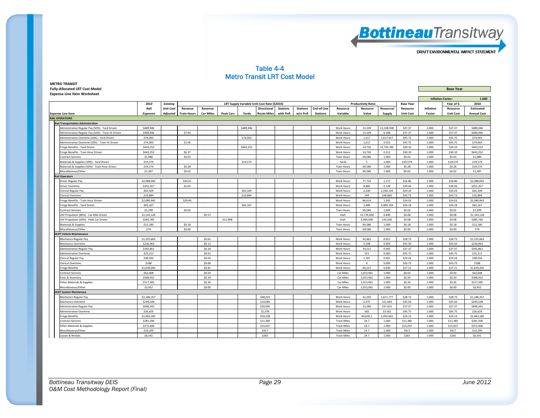

#### Table 4-4 Metro Transit LRT Cost Model

**METRO TRANSIT Fully‐Allocated LRT Cost Model Base Year**

**Expense Line Item Worksheet**

|                                                    |                 |                  |                    |                  |                  |           |                                             |                 |                 |                 |                    |                           |            |                  | <b>Inflation Factor:</b> |                  | 1.000              |
|----------------------------------------------------|-----------------|------------------|--------------------|------------------|------------------|-----------|---------------------------------------------|-----------------|-----------------|-----------------|--------------------|---------------------------|------------|------------------|--------------------------|------------------|--------------------|
|                                                    | 2010            | <b>Existing</b>  |                    |                  |                  |           | LRT Supply Variable Unit Cost Rate (\$2010) |                 |                 |                 |                    | <b>Productivity Ratio</b> |            | <b>Base Year</b> |                          | Year of \$:      | 2010               |
|                                                    | Rail            | <b>Unit Cost</b> | Revenue            | Revenue          |                  |           | Directional                                 | <b>Stations</b> | <b>Stations</b> | End-of-Line     | Resource           | Resource                  | Resource/  | Resource         | Inflation                | Resource         | Estimated          |
| <b>Expense Line Item</b>                           | <b>Expenses</b> | Adjusted         | <b>Train-Hours</b> | <b>Car-Miles</b> | <b>Peak Cars</b> | Yards     | <b>Route Miles</b>                          | with PnR        | w/o PnR         | <b>Stations</b> | Variable           | Value                     | Supply     | <b>Unit Cost</b> | Factor                   | <b>Unit Cost</b> | <b>Annual Cost</b> |
| <b>RAIL OPERATIONS</b>                             |                 |                  |                    |                  |                  |           |                                             |                 |                 |                 |                    |                           |            |                  |                          |                  |                    |
| <b>Rail Transportation Administrative</b>          |                 |                  |                    |                  |                  |           |                                             |                 |                 |                 |                    |                           |            |                  |                          |                  |                    |
| Administrative Regular Pay (50%) - Yard Driven     | \$489,946       |                  |                    |                  |                  | \$489,946 |                                             |                 |                 |                 | Work Hours         | 13,109                    | 13.108.938 | \$37.37          | 1.000                    | \$37.37          | \$489,946          |
| Administrative Regular Pay (50%) - Train Hr Driven | \$489,946       |                  | \$7.04             |                  |                  |           |                                             |                 |                 |                 | Work Hours         | 13,109                    | 0.188      | \$37.37          | 1.000                    | \$37.37          | \$489,946          |
| Administrative Overtime (50%) - Yard Driven        | \$74,003        |                  |                    |                  |                  | \$74,003  |                                             |                 |                 |                 | Work Hours         | 1,617                     | 1,617.457  | \$45.75          | 1.000                    | \$45.75          | \$74,003           |
| Administrative Overtime (50%) - Train Hr Driven    | \$74,003        |                  | \$1.06             |                  |                  |           |                                             |                 |                 |                 | Work Hours         | 1,617                     | 0.023      | \$45.75          | 1.000                    | \$45.75          | \$74,003           |
| Fringe Benefits - Yard Driven                      | \$443,252       |                  |                    |                  |                  | \$443,252 |                                             |                 |                 |                 | Work Hours         | 14,726                    | 14,726.395 | \$30.10          | 1.000                    | \$30.10          | \$443,252          |
| Fringe Benefits - Train Hour Driven                | \$443,252       |                  | \$6.37             |                  |                  |           |                                             |                 |                 |                 | Work Hours         | 14,726                    | 0.212      | \$30.10          | 1.000                    | \$30.10          | \$443,252          |
| Contract Services                                  | \$1,986         |                  | \$0.03             |                  |                  |           |                                             |                 |                 |                 | <b>Train Hours</b> | 69,586                    | 1.000      | \$0.03           | 1.000                    | \$0.03           | \$1,986            |
| Materials & Supplies (50%) - Yard Driven           | \$19,574        |                  |                    |                  |                  | \$19,574  |                                             |                 |                 |                 | Yards              | $\overline{1}$            | 1.000      | \$19,574         | 1.000                    | \$19,574         | \$19,574           |
| Materials & Supplies (50%) - Train Hour Driven     | \$19,574        |                  | \$0.28             |                  |                  |           |                                             |                 |                 |                 | <b>Train Hours</b> | 69,586                    | 1.000      | \$0.28           | 1.000                    | \$0.28           | \$19,574           |
| Miscellaneous/Other                                | \$1,387         |                  | \$0.02             |                  |                  |           |                                             |                 |                 |                 | <b>Train Hours</b> | 69,586                    | 1.000      | \$0.02           | 1.000                    | \$0.02           | \$1,387            |
| ail Operators                                      |                 |                  |                    |                  |                  |           |                                             |                 |                 |                 |                    |                           |            |                  |                          |                  |                    |
| Driver Regular Pay                                 | \$2.088.045     |                  | \$30.01            |                  |                  |           |                                             |                 |                 |                 | Work Hours         | 77,732                    | 1.117      | \$26.86          | 1.000                    | \$26.86          | \$2,088,045        |
| Driver Overtime                                    | \$351,357       |                  | \$5.05             |                  |                  |           |                                             |                 |                 |                 | Work Hours         | 8.882                     | 0.128      | \$39.56          | 1.000                    | \$39.56          | \$351,357          |
| lerical Regular Pay                                | \$65,509        |                  |                    |                  |                  | \$65,509  |                                             |                 |                 |                 | Work Hours         | 2,240                     | 2.240.334  | \$29.24          | 1.000                    | \$29.24          | \$65,509           |
| lerical Overtime                                   | \$10,884        |                  |                    |                  |                  | \$10,884  |                                             |                 |                 |                 | Work Hours         | 249                       | 248,860    | \$43.73          | 1.000                    | \$43.73          | \$10,884           |
| ringe Benefits - Train Hour Driven                 | \$2,080,942     |                  | \$29.90            |                  |                  |           |                                             |                 |                 |                 | Work Hours         | 86.614                    | 1.245      | \$24.03          | 1.000                    | \$24.03          | \$2,080,942        |
| ringe Benefits - Yard Driven                       | \$65,167        |                  |                    |                  |                  | \$65,167  |                                             |                 |                 |                 | Work Hours         | 2,489                     | 2,489.194  | \$26.18          | 1.000                    | \$26.18          | \$65,167           |
| Contract Services                                  | \$1,599         |                  | \$0.02             |                  |                  |           |                                             |                 |                 |                 | <b>Train Hours</b> | 69.586                    | 1.000      | \$0.02           | 1.000                    | \$0.02           | \$1,599            |
| RV Propulsion (80%) - Car Mile Driven              | \$1,143,128     |                  |                    | \$0.57           |                  |           |                                             |                 |                 |                 | Kwh                | 13,776,000                | 6.840      | \$0.08           | 1.000                    | \$0.08           | \$1,143,128        |
| LRV Propulsion (20%) - Peak Car Driven             | \$285,782       |                  |                    |                  | \$11,908         |           |                                             |                 |                 |                 | Kwh                | 3.444.000                 | 143,500    | \$0.08           | 1.000                    | \$0.08           | \$285,782          |
| Materials & Supplies                               | \$12,180        |                  | \$0.18             |                  |                  |           |                                             |                 |                 |                 | <b>Train Hours</b> | 69.586                    | 1.000      | \$0.18           | 1.000                    | \$0.18           | \$12,180           |
| Miscellaneous/Other                                | \$74            |                  | \$0.00             |                  |                  |           |                                             |                 |                 |                 | <b>Train Hours</b> | 69,586                    | 1.000      | \$0.00           | 1.000                    | \$0.00           | \$74               |
| <b>ILRT Vehicle Maintenance</b>                    |                 |                  |                    |                  |                  |           |                                             |                 |                 |                 |                    |                           |            |                  |                          |                  |                    |
| Mechanics Regular Pay                              | \$1,225,663     |                  |                    | \$0.61           |                  |           |                                             |                 |                 |                 | Work Hours         | 42,661                    | 0.021      | \$28.73          | 1.000                    | \$28.73          | \$1,225,663        |
| Mechanics Overtime                                 | \$236,963       |                  |                    | \$0.12           |                  |           |                                             |                 |                 |                 | Work Hours         | 5,208                     | 0.003      | \$45.50          | 1.000                    | \$45.50          | \$236,963          |
| Administrative Regular Pay                         | \$392,861       |                  |                    | \$0.20           |                  |           |                                             |                 |                 |                 | Work Hours         | 10,511                    | 0.005      | \$37.37          | 1.000                    | \$37.37          | \$392,861          |
| Administrative Overtime                            | \$25,212        |                  |                    | \$0.01           |                  |           |                                             |                 |                 |                 | Work Hours         | 551                       | 0.000      | \$45.75          | 1.000                    | \$45.75          | \$25,212           |
| Clerical Regular Pay                               | \$38,034        |                  |                    | \$0.02           |                  |           |                                             |                 |                 |                 | Work Hours         | 1,301                     | 0.001      | \$29.24          | 1.000                    | \$29.24          | \$38,034           |
| Clerical Overtime                                  | \$188           |                  |                    | \$0.00           |                  |           |                                             |                 |                 |                 | Work Hours         | $\overline{a}$            | 0.000      | \$43.73          | 1.000                    | \$43.73          | \$188              |
| <b>Fringe Benefits</b>                             | \$1,639,205     |                  |                    | \$0.81           |                  |           |                                             |                 |                 |                 | Work Hours         | 60,237                    | 0.030      | \$27.21          | 1.000                    | \$27.21          | \$1,639,205        |
| Contract Services                                  | \$62,608        |                  |                    | \$0.03           |                  |           |                                             |                 |                 |                 | Car Miles          | 2,013,961                 | 1.000      | \$0.03           | 1.000                    | \$0.03           | \$62,608           |
| Parts & Inventory                                  | \$588,952       |                  |                    | \$0.29           |                  |           |                                             |                 |                 |                 | Car Miles          | 2,013,961                 | 1.000      | \$0.29           | 1.000                    | \$0.29           | \$588,952          |
| Other Materials & Supplies                         | \$517,385       |                  |                    | \$0.26           |                  |           |                                             |                 |                 |                 | Car Miles          | 2,013,961                 | 1.000      | \$0.26           | 1.000                    | \$0.26           | \$517,385          |
| Miscellaneous/Other                                | \$3,952         |                  |                    | \$0.00           |                  |           |                                             |                 |                 |                 | Car Miles          | 2,013,961                 | 1.000      | \$0.00           | 1.000                    | \$0.00           | \$3,952            |
| <b>ILRT System Maintenace</b>                      |                 |                  |                    |                  |                  |           |                                             |                 |                 |                 |                    |                           |            |                  |                          |                  |                    |
| Mechanics Regular Pay                              | \$1,186,357     |                  |                    |                  |                  |           | \$48,031                                    |                 |                 |                 | Work Hours         | 41,293                    | 1,671.777  | \$28.73          | 1.000                    | \$28.73          | \$1,186,357        |
| <b>Mechanics Overtime</b>                          | \$249,108       |                  |                    |                  |                  |           | \$10,085                                    |                 |                 |                 | Work Hours         | 5,475                     | 221.669    | \$45.50          | 1.000                    | \$45.50          | \$249,108          |
| Administrative Regular Pay                         | \$496,342       |                  |                    |                  |                  |           | \$20,095                                    |                 |                 |                 | Work Hours         | 13,280                    | 537.655    | \$37.37          | 1.000                    | \$37.37          | \$496,342          |
| Administrative Overtime                            | \$26,626        |                  |                    |                  |                  |           | \$1,078                                     |                 |                 |                 | Work Hours         | 582                       | 23.561     | \$45.75          | 1.000                    | \$45.75          | \$26,626           |
| Fringe Benefits                                    | \$1,463,185     |                  |                    |                  |                  |           | \$59,238                                    |                 |                 |                 | Work Hours         | 60,630.1                  | 2,454.661  | \$24.13          | 1.000                    | \$24.13          | \$1,463,185        |
| <b>Contract Services</b>                           | \$281,206       |                  |                    |                  |                  |           | \$11,385                                    |                 |                 |                 | <b>Track Miles</b> | 24.7                      | 1.000      | \$11,385         | 1.000                    | \$11,385         | \$281,206          |
| Other Materials & Supplies                         | \$371,406       |                  |                    |                  |                  |           | \$15,037                                    |                 |                 |                 | <b>Track Miles</b> | 24.7                      | 1.000      | \$15,037         | 1.000                    | \$15,037         | \$371,406          |
| Miscellaneous/Other                                | \$10,299        |                  |                    |                  |                  |           | \$417                                       |                 |                 |                 | <b>Track Miles</b> | 24.7                      | 1.000      | \$417            | 1.000                    | \$417            | \$10,299           |
| Leases & Rentals                                   | \$6,541         |                  |                    |                  |                  |           | \$265                                       |                 |                 |                 | <b>Track Miles</b> | 24.7                      | 1.000      | \$265            | 1.000                    | \$265            | \$6,541            |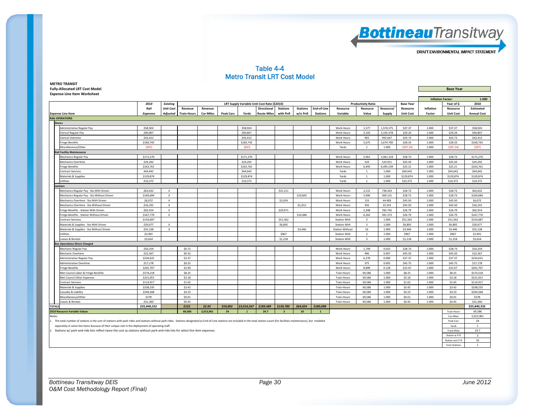

#### Table 4-4 Metro Transit LRT Cost Model

**METRO TRANSIT Fully‐Allocated LRT Cost Model Base Year Expense Line Item Worksheet**

|        |                                                                                                                                                                                                                               |                 |                  |                    |                  |                  |                |                                             |                         |                 |                 |                        |                           |           |                  | <b>Inflation Factor:</b> |                    | 1.000              |
|--------|-------------------------------------------------------------------------------------------------------------------------------------------------------------------------------------------------------------------------------|-----------------|------------------|--------------------|------------------|------------------|----------------|---------------------------------------------|-------------------------|-----------------|-----------------|------------------------|---------------------------|-----------|------------------|--------------------------|--------------------|--------------------|
|        |                                                                                                                                                                                                                               | 2010            | <b>Existing</b>  |                    |                  |                  |                | LRT Supply Variable Unit Cost Rate (\$2010) |                         |                 |                 |                        | <b>Productivity Ratio</b> |           | <b>Base Year</b> |                          | Year of \$:        | 2010               |
|        |                                                                                                                                                                                                                               | Rail            | <b>Unit Cost</b> | Revenue            | Revenue          |                  |                | Directional                                 | <b>Stations</b>         | <b>Stations</b> | End-of-Line     | Resource               | Resource                  | Resource/ | Resource         | Inflation                | Resource           | Estimated          |
|        | <b>Expense Line Item</b>                                                                                                                                                                                                      | <b>Expenses</b> | <b>Adjusted</b>  | <b>Train-Hours</b> | <b>Car-Miles</b> | <b>Peak Cars</b> | Yards          | <b>Route Miles</b>                          | with PnR                | w/o PnR         | <b>Stations</b> | Variable               | Value                     | Supply    | <b>Unit Cost</b> | Factor                   | <b>Unit Cost</b>   | <b>Annual Cost</b> |
|        | <b>RAIL OPERATIONS</b>                                                                                                                                                                                                        |                 |                  |                    |                  |                  |                |                                             |                         |                 |                 |                        |                           |           |                  |                          |                    |                    |
|        | <b>Stores</b>                                                                                                                                                                                                                 |                 |                  |                    |                  |                  |                |                                             |                         |                 |                 |                        |                           |           |                  |                          |                    |                    |
|        | Administrative Regular Pay                                                                                                                                                                                                    | \$58,924        |                  |                    |                  |                  | \$58,924       |                                             |                         |                 |                 | Work Hours             | 1,577                     | 1,576.575 | \$37.37          | 1.000                    | \$37.37            | \$58,924           |
|        | Clerical Regular Pav                                                                                                                                                                                                          | \$90,807        |                  |                    |                  |                  | \$90,807       |                                             |                         |                 |                 | Work Hours             | 3.105                     | 3.105.478 | \$29.24          | 1.000                    | \$29.24            | \$90,807           |
|        | Clerical Overtime                                                                                                                                                                                                             | \$43,412        |                  |                    |                  |                  | \$43,412       |                                             |                         |                 |                 | Work Hours             | 993                       | 992.647   | \$43.73          | 1.000                    | \$43.73            | \$43,412           |
|        | <b>Fringe Benefits</b>                                                                                                                                                                                                        | \$160,742       |                  |                    |                  |                  | \$160,742      |                                             |                         |                 |                 | Work Hours             | 5,675                     | 5,674.700 | \$28.33          | 1.000                    | \$28.33            | \$160,742          |
|        | Miscellaneous/Other                                                                                                                                                                                                           | (597)           |                  |                    |                  |                  | (597)          |                                             |                         |                 |                 | Yards                  | $\overline{1}$            | 1.000     | (597.24)         | 1.000                    | (597.24)           | (597)              |
|        | <b>Rail Facility Maintenance</b>                                                                                                                                                                                              |                 |                  |                    |                  |                  |                |                                             |                         |                 |                 |                        |                           |           |                  |                          |                    |                    |
|        | Mechanics Regular Pay                                                                                                                                                                                                         | \$171,270       |                  |                    |                  |                  | \$171,270      |                                             |                         |                 |                 | Work Hours             | 5,961                     | 5,961.318 | \$28.73          | 1.000                    | \$28.73            | \$171,270          |
|        | <b>Mechanics Overtime</b>                                                                                                                                                                                                     | \$24,292        |                  |                    |                  |                  | \$24,292       |                                             |                         |                 |                 | <b>Work Hours</b>      | 534                       | 533.921   | \$45.50          | 1.000                    | \$45.50            | \$24,292           |
|        | <b>Fringe Benefits</b>                                                                                                                                                                                                        | \$163,761       |                  |                    |                  |                  | \$163.761      |                                             |                         |                 |                 | <b>Work Hours</b>      | 6.495                     | 6.495.239 | \$25.21          | 1.000                    | \$25.21            | \$163,761          |
|        | <b>Contract Services</b>                                                                                                                                                                                                      | \$64,642        |                  |                    |                  |                  | \$64,642       |                                             |                         |                 |                 | Yards                  | $\overline{1}$            | 1.000     | \$64,642         | 1.000                    | \$64,642           | \$64,642           |
|        | Materials & Supplies                                                                                                                                                                                                          | \$129,874       |                  |                    |                  |                  | \$129,874      |                                             |                         |                 |                 | Yards                  | <sup>1</sup>              | 1.000     | \$129,874        | 1.000                    | \$129,874          | \$129,874          |
|        | Utilities                                                                                                                                                                                                                     | \$10,372        |                  |                    |                  |                  | \$10,372       |                                             |                         |                 |                 | Yards                  | <sup>1</sup>              | 1.000     | \$10,372         | 1.000                    | \$10,372           | \$10,372           |
|        | anitors                                                                                                                                                                                                                       |                 |                  |                    |                  |                  |                |                                             |                         |                 |                 |                        |                           |           |                  |                          |                    |                    |
|        | Mechanics Regular Pay - Sta With Driven                                                                                                                                                                                       | \$63.632        | $\boldsymbol{x}$ |                    |                  |                  |                |                                             | \$21,211                |                 |                 | <b>Work Hours</b>      | 2,215                     | 738.263   | \$28.73          | 1.000                    | \$28.73            | \$63,632           |
|        | Mechanics Regular Pay - Sta Without Driven                                                                                                                                                                                    | \$169,684       | $\boldsymbol{x}$ |                    |                  |                  |                |                                             |                         | \$10,605        |                 | <b>Work Hours</b>      | 5,906                     | 369.131   | \$28.73          | 1.000                    | \$28.73            | \$169,684          |
|        | Mechanics Overtime - Sta With Driver                                                                                                                                                                                          | \$6,072         | $\chi$           |                    |                  |                  |                |                                             | \$2,024                 |                 |                 | Work Hours             | 133                       | 44,483    | \$45.50          | 1.000                    | \$45.50            | \$6,072            |
|        | Mechanics Overtime - Sta Without Driven                                                                                                                                                                                       | \$16,191        | $\boldsymbol{x}$ |                    |                  |                  |                |                                             |                         | \$1,012         |                 | Work Hours             | 356                       | 22.241    | \$45.50          | 1.000                    | \$45.50            | \$16,191           |
|        | Fringe Benefits - Station With Driven                                                                                                                                                                                         | \$62,914        | $\boldsymbol{x}$ |                    |                  |                  |                |                                             | \$20,971                |                 |                 | Work Hours             | 2,348                     | 782.745   | \$26.79          | 1.000                    | \$26.79            | \$62,914           |
|        | Fringe Benefits - Station Without Driven                                                                                                                                                                                      | \$167,770       | $\boldsymbol{x}$ |                    |                  |                  |                |                                             |                         | \$10,486        |                 | <b>Work Hours</b>      | 6.262                     | 391.373   | \$26.79          | 1.000                    | \$26.79            | \$167,770          |
|        | <b>Contract Services</b>                                                                                                                                                                                                      | \$154,687       |                  |                    |                  |                  |                |                                             | \$51.562                |                 |                 | <b>Station With</b>    | $\overline{\mathbf{3}}$   | 1.000     | \$51,562         | 1.000                    | \$51.562           | \$154,687          |
|        | Materials & Supplies - Sta With Driven                                                                                                                                                                                        | \$20.677        | $\boldsymbol{x}$ |                    |                  |                  |                |                                             | \$6,892                 |                 |                 | <b>Station With</b>    | $\overline{\mathbf{3}}$   | 1.000     | \$6,892          | 1.000                    | \$6,892            | \$20,677           |
|        | Materials & Supplies - Sta Without Driven                                                                                                                                                                                     | \$55,138        | $\boldsymbol{x}$ |                    |                  |                  |                |                                             |                         | \$3,446         |                 | <b>Station Without</b> | 16                        | 1.000     | \$3,446          | 1.000                    | \$3,446            | \$55,138           |
|        | Utilities                                                                                                                                                                                                                     | \$2,901         |                  |                    |                  |                  |                |                                             | \$967                   |                 |                 | <b>Station With</b>    | $\overline{\mathbf{3}}$   | 1.000     | \$967            | 1.000                    | \$967              | \$2,901            |
|        | eases & Rentals                                                                                                                                                                                                               | \$3,654         |                  |                    |                  |                  |                |                                             | \$1,218                 |                 |                 | <b>Station With</b>    | $\overline{\mathbf{3}}$   | 1.000     | \$1,218          | 1.000                    | \$1,218            | \$3,654            |
|        | us Operations Direct Charged                                                                                                                                                                                                  |                 |                  |                    |                  |                  |                |                                             |                         |                 |                 |                        |                           |           |                  |                          |                    |                    |
|        | Mechanic Regular Pay                                                                                                                                                                                                          | \$50,259        |                  | \$0.72             |                  |                  |                |                                             |                         |                 |                 | Work Hours             | 1.749                     | 0.025     | \$28.73          | 1.000                    | \$28.73            | \$50,259           |
|        | Mechanic Overtime                                                                                                                                                                                                             | \$22,567        |                  | \$0.32             |                  |                  |                |                                             |                         |                 |                 | Work Hours             | 496                       | 0.007     | \$45.50          | 1.000                    | \$45.50            | \$22,567           |
|        | Administrative Regular Pay                                                                                                                                                                                                    | \$234,631       |                  | \$3.37             |                  |                  |                |                                             |                         |                 |                 | Work Hours             | 6,278                     | 0.090     | \$37.37          | 1.000                    | \$37.37            | \$234,631          |
|        | Administrative Overtime                                                                                                                                                                                                       | \$17,178        |                  | \$0.25             |                  |                  |                |                                             |                         |                 |                 | Work Hours             | 375                       | 0.005     | \$45.75          | 1.000                    | \$45.75            | \$17,178           |
|        | <b>Fringe Benefits</b>                                                                                                                                                                                                        | \$201,707       |                  | \$2.90             |                  |                  |                |                                             |                         |                 |                 | <b>Work Hours</b>      | 8,899                     | 0.128     | \$22.67          | 1.000                    | \$22.67            | \$201.707          |
|        | Met Council Labor & Fringe Benefits                                                                                                                                                                                           | \$574,218       |                  | \$8.25             |                  |                  |                |                                             |                         |                 |                 | Train-Hours            | 69.586                    | 1.000     | \$8.25           | 1.000                    | \$8.25             | \$574,218          |
|        | Met Council Other Expenses                                                                                                                                                                                                    | \$221,051       |                  | \$3.18             |                  |                  |                |                                             |                         |                 |                 | Train-Hours            | 69.586                    | 1.000     | \$3.18           | 1.000                    | \$3.18             | \$221,051          |
|        | <b>Contract Services</b>                                                                                                                                                                                                      | \$114,917       |                  | \$1.65             |                  |                  |                |                                             |                         |                 |                 | Train-Hours            | 69,586                    | 1.000     | \$1.65           | 1.000                    | \$1.65             | \$114,917          |
|        | Materials & Supplies                                                                                                                                                                                                          | \$238,235       |                  | \$3.42             |                  |                  |                |                                             |                         |                 |                 | Train-Hours            | 69,586                    | 1.000     | \$3.42           | 1.000                    | \$3.42             | \$238,235          |
|        | Casualty & Liability                                                                                                                                                                                                          | \$294,568       |                  | \$4.23             |                  |                  |                |                                             |                         |                 |                 | Train-Hours            | 69.586                    | 1.000     | \$4.23           | 1.000                    | \$4.23             | \$294,568          |
|        | Miscellaneous/Other                                                                                                                                                                                                           | \$378           |                  | \$0.01             |                  |                  |                |                                             |                         |                 |                 | Train-Hours            | 69.586                    | 1.000     | \$0.01           | 1.000                    | \$0.01             | \$378              |
|        | Leases & Rentals                                                                                                                                                                                                              | \$31,360        |                  | \$0.45             |                  |                  |                |                                             |                         |                 |                 | Train-Hours            | 69.586                    | 1.000     | \$0.45           | 1.000                    | \$0.45             | \$31,360           |
| TOTALS |                                                                                                                                                                                                                               | \$25,840,332    |                  | \$132              | \$2.92           | \$59,802         | \$3,014,567    | \$189,489                                   | \$150,780               | \$64,024        | \$180,098       |                        |                           |           |                  |                          |                    | \$25,840,332       |
|        | <b>2010 Resource Variable Values</b>                                                                                                                                                                                          |                 |                  | 69,586             | 2,013,961        | 24               | $\overline{1}$ | 24.7                                        | $\overline{\mathbf{3}}$ | 16              | $\mathbf{1}$    |                        |                           |           |                  |                          | Train-Hours        | 69,586             |
| Notes: |                                                                                                                                                                                                                               |                 |                  |                    |                  |                  |                |                                             |                         |                 |                 |                        |                           |           |                  |                          | Car-Miles          | 2,013,961          |
|        | 1. The total number of stations is the sum of stations with park-rides and stations without park-rides. Stations designated as End-of-Line stations are included in the total station count (for facilities maintenance), but |                 |                  |                    |                  |                  |                |                                             |                         |                 |                 |                        |                           |           |                  |                          | Peak Cars          | 24                 |
|        | separately in some line items because of their unique role in the deployment of operating staff.                                                                                                                              |                 |                  |                    |                  |                  |                |                                             |                         |                 |                 |                        |                           |           |                  |                          | Yards              | <sup>1</sup>       |
|        | 2. Stations w/ park-and-ride lots reflect twice the cost as stations without park-and-ride lots for select line item expenses.                                                                                                |                 |                  |                    |                  |                  |                |                                             |                         |                 |                 |                        |                           |           |                  |                          | <b>Track Miles</b> | 24.7               |
|        |                                                                                                                                                                                                                               |                 |                  |                    |                  |                  |                |                                             |                         |                 |                 |                        |                           |           |                  |                          | Station w P-R      |                    |

Station w/o P‐R 16Term Stations 1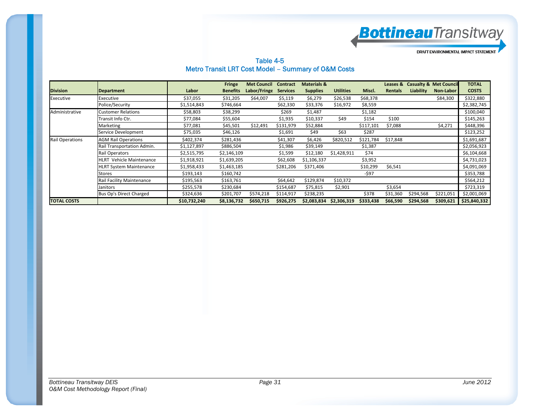**Bottineau**Transitway

Table 4-5 Metro Transit LRT Cost Model – Summary of O&M Costs

|                        |                                 |              | <b>Fringe</b>   | <b>Met Council</b> | <b>Contract</b> | <b>Materials &amp;</b> |                  |           | Leases &       |                  | <b>Casualty &amp; Met Council</b> | <b>TOTAL</b> |
|------------------------|---------------------------------|--------------|-----------------|--------------------|-----------------|------------------------|------------------|-----------|----------------|------------------|-----------------------------------|--------------|
| <b>Division</b>        | <b>Department</b>               | Labor        | <b>Benefits</b> | Labor/Fringe       | <b>Services</b> | <b>Supplies</b>        | <b>Utilities</b> | Miscl.    | <b>Rentals</b> | <b>Liability</b> | Non-Labor                         | <b>COSTS</b> |
| Executive              | Executive                       | \$37,055     | \$31,205        | \$64,007           | \$5,119         | \$6,279                | \$26,538         | \$68,378  |                |                  | \$84,300                          | \$322,880    |
|                        | Police/Security                 | \$1,514,843  | \$746,664       |                    | \$62,330        | \$33,376               | \$16,972         | \$8,559   |                |                  |                                   | \$2,382,745  |
| Administrative         | <b>Customer Relations</b>       | \$58,803     | \$38,299        |                    | \$269           | \$1,487                |                  | \$1,182   |                |                  |                                   | \$100,040    |
|                        | Transit Info Ctr.               | \$77,084     | \$55,604        |                    | \$1,935         | \$10,337               | \$49             | \$154     | \$100          |                  |                                   | \$145,263    |
|                        | Marketing                       | \$77,081     | \$45,501        | \$12,491           | \$131,979       | \$52,884               |                  | \$117,101 | \$7,088        |                  | \$4,271                           | \$448,396    |
|                        | Service Development             | \$75,035     | \$46,126        |                    | \$1,691         | \$49                   | \$63             | \$287     |                |                  |                                   | \$123,252    |
| <b>Rail Operations</b> | <b>AGM Rail Operations</b>      | \$402,374    | \$281,436       |                    | \$41,307        | \$6,426                | \$820,512        | \$121,784 | \$17,848       |                  |                                   | \$1,691,687  |
|                        | Rail Transportation Admin.      | \$1,127,897  | \$886,504       |                    | \$1,986         | \$39,149               |                  | \$1,387   |                |                  |                                   | \$2,056,923  |
|                        | Rail Operators                  | \$2,515,795  | \$2,146,109     |                    | \$1,599         | \$12,180               | \$1,428,911      | \$74      |                |                  |                                   | \$6,104,668  |
|                        | <b>HLRT</b> Vehicle Maintenance | \$1,918,921  | \$1,639,205     |                    | \$62,608        | \$1,106,337            |                  | \$3,952   |                |                  |                                   | \$4,731,023  |
|                        | <b>HLRT System Maintenance</b>  | \$1,958,433  | \$1,463,185     |                    | \$281,206       | \$371,406              |                  | \$10,299  | \$6,541        |                  |                                   | \$4,091,069  |
|                        | Stores                          | \$193,143    | \$160,742       |                    |                 |                        |                  | -\$97     |                |                  |                                   | \$353,788    |
|                        | Rail Facility Maintenance       | \$195,563    | \$163,761       |                    | \$64,642        | \$129,874              | \$10,372         |           |                |                  |                                   | \$564,212    |
|                        | Janitors                        | \$255,578    | \$230,684       |                    | \$154,687       | \$75,815               | \$2,901          |           | \$3,654        |                  |                                   | \$723,319    |
|                        | Bus Op's Direct Charged         | \$324,636    | \$201,707       | \$574,218          | \$114,917       | \$238,235              |                  | \$378     | \$31,360       | \$294,568        | \$221,051                         | \$2,001,069  |
| <b>TOTAL COSTS</b>     |                                 | \$10,732,240 | \$8,136,732     | \$650,715          | \$926,275       | \$2,083,834            | \$2,306,319      | \$333,438 | \$66,590       | \$294,568        | \$309,621                         | \$25,840,332 |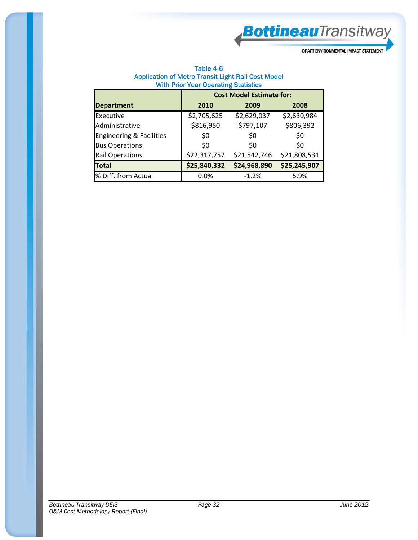**Bottineau**Transitway

DRAFT ENVIRONMENTAL IMPACT STATEMENT

| Table 4-6                                          |
|----------------------------------------------------|
| Application of Metro Transit Light Rail Cost Model |
| <b>With Prior Year Operating Statistics</b>        |

|                                     |              | <b>Cost Model Estimate for:</b> |              |
|-------------------------------------|--------------|---------------------------------|--------------|
| <b>Department</b>                   | 2010         | 2009                            | 2008         |
| Executive                           | \$2,705,625  | \$2,629,037                     | \$2,630,984  |
| Administrative                      | \$816,950    | \$797,107                       | \$806,392    |
| <b>Engineering &amp; Facilities</b> | \$0          | \$0                             | \$0          |
| <b>Bus Operations</b>               | \$0          | S0                              | \$0          |
| <b>Rail Operations</b>              | \$22,317,757 | \$21,542,746                    | \$21,808,531 |
| <b>Total</b>                        | \$25,840,332 | \$24,968,890                    | \$25,245,907 |
| % Diff. from Actual                 | 0.0%         | $-1.2%$                         | 5.9%         |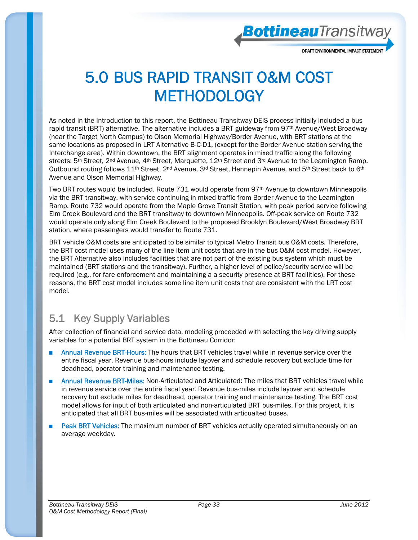**Bottineau**Transitway

### 5.0 BUS RAPID TRANSIT O&M COST **METHODOLOGY**

As noted in the Introduction to this report, the Bottineau Transitway DEIS process initially included a bus rapid transit (BRT) alternative. The alternative includes a BRT guideway from 97<sup>th</sup> Avenue/West Broadway (near the Target North Campus) to Olson Memorial Highway/Border Avenue, with BRT stations at the same locations as proposed in LRT Alternative B-C-D1, (except for the Border Avenue station serving the Interchange area). Within downtown, the BRT alignment operates in mixed traffic along the following streets: 5<sup>th</sup> Street, 2<sup>nd</sup> Avenue, 4<sup>th</sup> Street, Marquette, 12<sup>th</sup> Street and 3<sup>rd</sup> Avenue to the Leamington Ramp. Outbound routing follows 11<sup>th</sup> Street, 2<sup>nd</sup> Avenue, 3<sup>rd</sup> Street, Hennepin Avenue, and 5<sup>th</sup> Street back to 6<sup>th</sup> Avenue and Olson Memorial Highway.

Two BRT routes would be included. Route 731 would operate from 97th Avenue to downtown Minneapolis via the BRT transitway, with service continuing in mixed traffic from Border Avenue to the Leamington Ramp. Route 732 would operate from the Maple Grove Transit Station, with peak period service following Elm Creek Boulevard and the BRT transitway to downtown Minneapolis. Off-peak service on Route 732 would operate only along Elm Creek Boulevard to the proposed Brooklyn Boulevard/West Broadway BRT station, where passengers would transfer to Route 731.

BRT vehicle O&M costs are anticipated to be similar to typical Metro Transit bus O&M costs. Therefore, the BRT cost model uses many of the line item unit costs that are in the bus O&M cost model. However, the BRT Alternative also includes facilities that are not part of the existing bus system which must be maintained (BRT stations and the transitway). Further, a higher level of police/security service will be required (e.g., for fare enforcement and maintaining a a security presence at BRT facilities). For these reasons, the BRT cost model includes some line item unit costs that are consistent with the LRT cost model.

### 5.1 Key Supply Variables

After collection of financial and service data, modeling proceeded with selecting the key driving supply variables for a potential BRT system in the Bottineau Corridor:

- Annual Revenue BRT-Hours: The hours that BRT vehicles travel while in revenue service over the entire fiscal year. Revenue bus-hours include layover and schedule recovery but exclude time for deadhead, operator training and maintenance testing.
- Annual Revenue BRT-Miles: Non-Articulated and Articulated: The miles that BRT vehicles travel while in revenue service over the entire fiscal year. Revenue bus-miles include layover and schedule recovery but exclude miles for deadhead, operator training and maintenance testing. The BRT cost model allows for input of both articulated and non-articulated BRT bus-miles. For this project, it is anticipated that all BRT bus-miles will be associated with articualted buses.
- Peak BRT Vehicles: The maximum number of BRT vehicles actually operated simultaneously on an average weekday.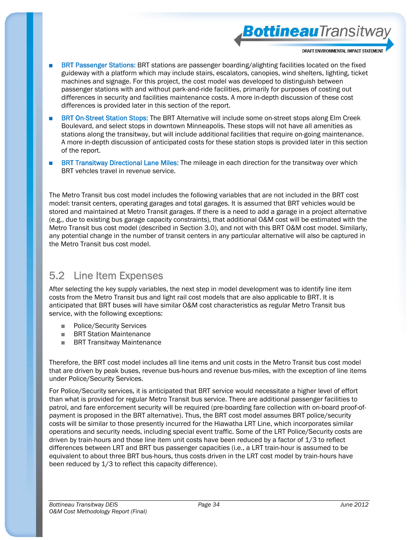**Bottineau**Transitwa

- BRT Passenger Stations: BRT stations are passenger boarding/alighting facilities located on the fixed guideway with a platform which may include stairs, escalators, canopies, wind shelters, lighting, ticket machines and signage. For this project, the cost model was developed to distinguish between passenger stations with and without park-and-ride facilities, primarily for purposes of costing out differences in security and facilities maintenance costs. A more in-depth discussion of these cost differences is provided later in this section of the report.
- BRT On-Street Station Stops: The BRT Alternative will include some on-street stops along Elm Creek Boulevard, and select stops in downtown Minneapolis. These stops will not have all amenities as stations along the transitway, but will include additional facilities that require on-going maintenance. A more in-depth discussion of anticipated costs for these station stops is provided later in this section of the report.
- BRT Transitway Directional Lane Miles: The mileage in each direction for the transitway over which BRT vehcles travel in revenue service.

The Metro Transit bus cost model includes the following variables that are not included in the BRT cost model: transit centers, operating garages and total garages. It is assumed that BRT vehicles would be stored and maintained at Metro Transit garages. If there is a need to add a garage in a project alternative (e.g., due to existing bus garage capacity constraints), that additional O&M cost will be estimated with the Metro Transit bus cost model (described in Section 3.0), and not with this BRT O&M cost model. Similarly, any potential change in the number of transit centers in any particular alternative will also be captured in the Metro Transit bus cost model.

#### 5.2 Line Item Expenses

After selecting the key supply variables, the next step in model development was to identify line item costs from the Metro Transit bus and light rail cost models that are also applicable to BRT. It is anticipated that BRT buses will have similar O&M cost characteristics as regular Metro Transit bus service, with the following exceptions:

- Police/Security Services
- BRT Station Maintenance
- BRT Transitway Maintenance

Therefore, the BRT cost model includes all line items and unit costs in the Metro Transit bus cost model that are driven by peak buses, revenue bus-hours and revenue bus-miles, with the exception of line items under Police/Security Services.

For Police/Security services, it is anticipated that BRT service would necessitate a higher level of effort than what is provided for regular Metro Transit bus service. There are additional passenger facilities to patrol, and fare enforcement security will be required (pre-boarding fare collection with on-board proof-ofpayment is proposed in the BRT alternative). Thus, the BRT cost model assumes BRT police/security costs will be similar to those presently incurred for the Hiawatha LRT Line, which incorporates similar operations and security needs, including special event traffic. Some of the LRT Police/Security costs are driven by train-hours and those line item unit costs have been reduced by a factor of 1/3 to reflect differences between LRT and BRT bus passenger capacities (i.e., a LRT train-hour is assumed to be equivalent to about three BRT bus-hours, thus costs driven in the LRT cost model by train-hours have been reduced by 1/3 to reflect this capacity difference).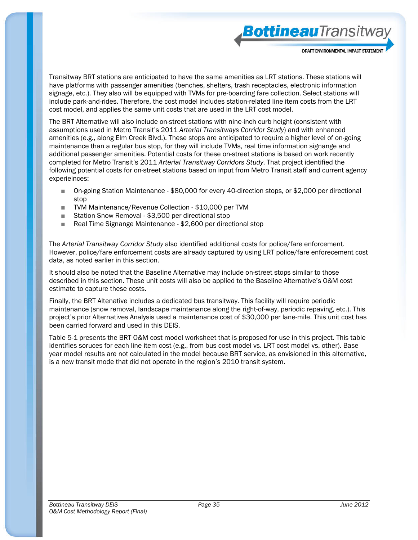**Bottineau**Transitway

Transitway BRT stations are anticipated to have the same amenities as LRT stations. These stations will have platforms with passenger amenities (benches, shelters, trash receptacles, electronic information signage, etc.). They also will be equipped with TVMs for pre-boarding fare collection. Select stations will include park-and-rides. Therefore, the cost model includes station-related line item costs from the LRT cost model, and applies the same unit costs that are used in the LRT cost model.

The BRT Alternative will also include on-street stations with nine-inch curb height (consistent with assumptions used in Metro Transit's 2011 *Arterial Transitways Corridor Study*) and with enhanced amenities (e.g., along Elm Creek Blvd.). These stops are anticipated to require a higher level of on-going maintenance than a regular bus stop, for they will include TVMs, real time information signange and additional passenger amenities. Potential costs for these on-street stations is based on work recently completed for Metro Transit's 2011 *Arterial Transitway Corridors Study*. That project identified the following potential costs for on-street stations based on input from Metro Transit staff and current agency experieinces:

- On-going Station Maintenance \$80,000 for every 40-direction stops, or \$2,000 per directional stop
- TVM Maintenance/Revenue Collection \$10,000 per TVM
- Station Snow Removal \$3,500 per directional stop
- Real Time Signange Maintenance \$2,600 per directional stop

The *Arterial Transitway Corridor Study* also identified additional costs for police/fare enforcement. However, police/fare enforcement costs are already captured by using LRT police/fare enforecement cost data, as noted earlier in this section.

It should also be noted that the Baseline Alternative may include on-street stops similar to those described in this section. These unit costs will also be applied to the Baseline Alternative's O&M cost estimate to capture these costs.

Finally, the BRT Altenative includes a dedicated bus transitway. This facility will require periodic maintenance (snow removal, landscape maintenance along the right-of-way, periodic repaving, etc.). This project's prior Alternatives Analysis used a maintenance cost of \$30,000 per lane-mile. This unit cost has been carried forward and used in this DEIS.

Table 5-1 presents the BRT O&M cost model worksheet that is proposed for use in this project. This table identifies soruces for each line item cost (e.g., from bus cost model vs. LRT cost model vs. other). Base year model results are not calculated in the model because BRT service, as envisioned in this alternative, is a new transit mode that did not operate in the region's 2010 transit system.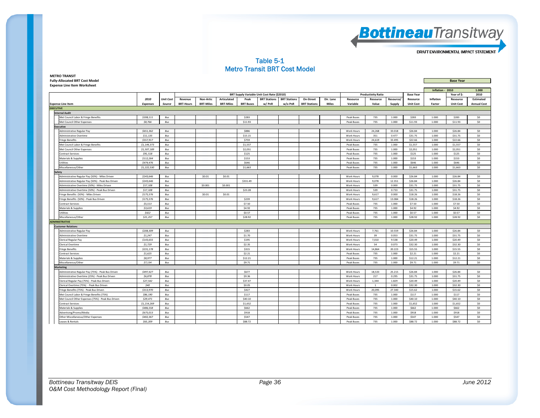

#### Table 5-1 Metro Transit BRT Cost Model

| <b>Fully-Allocated BRT Cost Model</b>              |                 |                  |                  |                  |                  |                  |                                             |                     |                     |              |                   |                           |           |                  |                  | <b>Base Year</b> |                    |
|----------------------------------------------------|-----------------|------------------|------------------|------------------|------------------|------------------|---------------------------------------------|---------------------|---------------------|--------------|-------------------|---------------------------|-----------|------------------|------------------|------------------|--------------------|
| <b>Expense Line Item Worksheet</b>                 |                 |                  |                  |                  |                  |                  |                                             |                     |                     |              |                   |                           |           |                  |                  |                  |                    |
|                                                    |                 |                  |                  |                  |                  |                  |                                             |                     |                     |              |                   |                           |           |                  | Inflation - 2010 |                  | 1.000              |
|                                                    |                 |                  |                  |                  |                  |                  | BRT Supply Variable Unit Cost Rate (\$2010) |                     |                     |              |                   | <b>Productivity Ratio</b> |           | <b>Base Year</b> |                  | Year of \$:      | 2010               |
|                                                    | 2010            | <b>Unit Cost</b> | Revenue          | Non-Artic        | Articulated      | Peak             | <b>BRT Stations</b>                         | <b>BRT Stations</b> | On-Street           | Dir. Lane    | Resource          | Resource                  | Resource/ | Resource         | Inflation        | Resource         | <b>Estimated</b>   |
| <b>Expense Line Item</b>                           | <b>Expenses</b> | Source           | <b>BRT-Hours</b> | <b>BRT-Miles</b> | <b>BRT-Miles</b> | <b>BRT Buses</b> | w/PnR                                       | w/o PnR             | <b>BRT Stations</b> | <b>Miles</b> | Variable          | Value                     | Supply    | <b>Unit Cost</b> | Factor           | <b>Unit Cost</b> | <b>Annual Cost</b> |
| <b>EXECUTIVE</b>                                   |                 |                  |                  |                  |                  |                  |                                             |                     |                     |              |                   |                           |           |                  |                  |                  |                    |
| <b>Internal Audit</b>                              |                 |                  |                  |                  |                  |                  |                                             |                     |                     |              |                   |                           |           |                  |                  |                  |                    |
| Met Council Labor & Fringe Benefits                | \$208,111       | Bus              |                  |                  |                  | \$283            |                                             |                     |                     |              | Peak Buses        | 735                       | 1.000     | \$283            | 1.000            | \$283            | \$0                |
| Met Council Other Expenses                         | \$8,766         | Bus              |                  |                  |                  | \$11.93          |                                             |                     |                     |              | Peak Buses        | 735                       | 1.000     | \$11.93          | 1.000            | \$11.93          | \$0                |
| <b>Executive</b>                                   |                 |                  |                  |                  |                  |                  |                                             |                     |                     |              |                   |                           |           |                  |                  |                  |                    |
| Administrative Regular Pay                         | \$651,362       | Bus              |                  |                  |                  | \$886            |                                             |                     |                     |              | Work Hours        | 24,268                    | 33.018    | \$26.84          | 1.000            | \$26.84          | \$0                |
| <b>Administrative Overtime</b>                     | \$11,135        | Bus              |                  |                  |                  | \$15.15          |                                             |                     |                     |              | Work Hours        | 351                       | 0.477     | \$31.75          | 1.000            | \$31.75          | \$0                |
| <b>Fringe Benefits</b>                             | \$557,917       | Bus              |                  |                  |                  | \$759            |                                             |                     |                     |              | Work Hours        | 24,619                    | 33.495    | \$22.66          | 1,000            | \$22.66          | SO                 |
| Met Council Labor & Fringe Benefits                | \$1,144,373     | Bus              |                  |                  |                  | \$1,557          |                                             |                     |                     |              | Peak Buses        | 735                       | 1.000     | \$1,557          | 1.000            | \$1,557          | SO                 |
| Met Council Other Expenses                         | \$1,507,189     | Bus              |                  |                  |                  | \$2,051          |                                             |                     |                     |              | Peak Buses        | 735                       | 1.000     | \$2,051          | 1.000            | \$2,051          | \$0                |
| Contract Services                                  | \$91,518        | Bus              |                  |                  |                  | \$125            |                                             |                     |                     |              | Peak Buses        | 735                       | 1.000     | \$125            | 1.000            | \$125            | \$0                |
| Materials & Supplies                               | \$112,264       | Bus              |                  |                  |                  | \$153            |                                             |                     |                     |              | Peak Buses        | 735                       | 1.000     | \$153            | 1.000            | \$153            | SO                 |
| Utilities                                          | \$474,476       | Bus              |                  |                  |                  | \$646            |                                             |                     |                     |              | Peak Buses        | 735                       | 1.000     | \$646            | 1.000            | \$646            | \$0                |
| Miscellaneous/Other                                | \$1,222,530     | Bus              |                  |                  |                  | \$1,663          |                                             |                     |                     |              | Peak Buses        | 735                       | 1.000     | \$1,663          | 1.000            | \$1,663          | SO                 |
| Safety                                             |                 |                  |                  |                  |                  |                  |                                             |                     |                     |              |                   |                           |           |                  |                  |                  |                    |
| Administrative Regular Pay (50%) - Miles Driven    | \$243.646       | <b>Bus</b>       |                  | \$0.01           | \$0.01           |                  |                                             |                     |                     |              | Work Hours        | 9.078                     | 0.000     | \$26.84          | 1.000            | \$26.84          | SO                 |
| Administrative Regular Pay (50%) - Peak Bus Driven | \$243,646       | Bus              |                  |                  |                  | \$331.49         |                                             |                     |                     |              | Work Hours        | 9,078                     | 12.351    | \$26.84          | 1.000            | \$26.84          | \$0                |
| Administrative Overtime (50%) - Miles Driven       | \$17,108        | Bus              |                  | \$0.001          | \$0.001          |                  |                                             |                     |                     |              | Work Hours        | 539                       | 0.000     | \$31.75          | 1.000            | \$31.75          | \$0                |
| Administrative Overtime (50%) - Peak Bus Driven    | \$17,108        | Bus              |                  |                  |                  | \$23.28          |                                             |                     |                     |              | Work Hours        | 539                       | 0.733     | \$31.75          | 1.000            | \$31.75          | \$0                |
| Fringe Benefits (50%) - Miles Driven               | \$175,576       | Bus              |                  | \$0.01           | \$0.01           |                  |                                             |                     |                     |              | Work Hours        | 9,617                     | 0.000     | \$18.26          | 1.000            | \$18.26          | \$0                |
| ringe Benefits (50%) - Peak Bus Driven             | \$175,576       | Bus              |                  |                  |                  | \$239            |                                             |                     |                     |              | Work Hours        | 9,617                     | 13.084    | \$18.26          | 1.000            | \$18.26          | \$0                |
| Contract Services                                  | \$5,513         | Bus              |                  |                  |                  | \$7.50           |                                             |                     |                     |              | Peak Buses        | 735                       | 1.000     | \$7.50           | 1.000            | \$7.50           | \$0                |
| Materials & Supplies                               | \$3,619         | Bus              |                  |                  |                  | S4.92            |                                             |                     |                     |              | Peak Buses        | 735                       | 1.000     | \$4.92           | 1.000            | \$4.92           | SO                 |
| Jtilities                                          | \$422           | Bus              |                  |                  |                  | \$0.57           |                                             |                     |                     |              | Peak Buses        | 735                       | 1.000     | S0.57            | 1.000            | \$0.57           | SO                 |
| Miscellaneous/Other                                | \$21,257        | Bus              |                  |                  |                  | \$28.92          |                                             |                     |                     |              | Peak Buses        | 735                       | 1.000     | \$28.92          | 1.000            | \$28.92          | \$0                |
| <b>ADMINISTRATIVE</b>                              |                 |                  |                  |                  |                  |                  |                                             |                     |                     |              |                   |                           |           |                  |                  |                  |                    |
| <b>Customer Relations</b>                          |                 |                  |                  |                  |                  |                  |                                             |                     |                     |              |                   |                           |           |                  |                  |                  |                    |
| Administrative Regular Pay                         | \$208,309       | Bus              |                  |                  |                  | \$283            |                                             |                     |                     |              | Work Hours        | 7,761                     | 10.559    | \$26.84          | 1.000            | \$26.84          | \$0                |
| Administrative Overtime                            | \$1,247         | Bus              |                  |                  |                  | \$1.70           |                                             |                     |                     |              | <b>Work Hours</b> | 39                        | 0.053     | \$31.75          | 1.000            | \$31.75          | SO                 |
| Clerical Regular Pav                               | \$143.655       | Bus              |                  |                  |                  | \$195            |                                             |                     |                     |              | <b>Work Hours</b> | 7.010                     | 9.538     | \$20.49          | 1,000            | \$20.49          | SO                 |
| <b>Clerical Overtime</b>                           | \$1,729         | Bus              |                  |                  |                  | \$2.35           |                                             |                     |                     |              | Work Hours        | 54                        | 0.073     | \$32.30          | 1,000            | \$32.30          | SO                 |
| Fringe Benefits                                    | \$231,178       | Bus              |                  |                  |                  | \$315            |                                             |                     |                     |              | Work Hours        | 14,864                    | 20.223    | \$15.55          | 1.000            | \$15.55          | \$0                |
| <b>Contract Services</b>                           | \$1,625         | Bus              |                  |                  |                  | \$2.21           |                                             |                     |                     |              | Peak Buses        | 735                       | 1.000     | \$2.21           | 1.000            | \$2.21           | \$0                |
| Materials & Supplies                               | \$8,977         | Bus              |                  |                  |                  | \$12.21          |                                             |                     |                     |              | Peak Buses        | 735                       | 1.000     | \$12.21          | 1.000            | \$12.21          | \$0                |
| Miscellaneous/Other                                | \$7,134         | Bus              |                  |                  |                  | \$9.71           |                                             |                     |                     |              | Peak Buses        | 735                       | 1.000     | \$9.71           | 1.000            | \$9.71           | SO                 |
| Marketing                                          |                 |                  |                  |                  |                  |                  |                                             |                     |                     |              |                   |                           |           |                  |                  |                  |                    |
| Administrative Regular Pay (75%) - Peak Bus Driven | \$497,427       | Bus              |                  |                  |                  | \$677            |                                             |                     |                     |              | Work Hours        | 18,533                    | 25.215    | \$26.84          | 1.000            | \$26.84          | \$0                |
| Administrative Overtime (25%) - Peak Bus Driven    | \$6,878         | Bus              |                  |                  |                  | \$9.36           |                                             |                     |                     |              | Work Hours        | 217                       | 0.295     | \$31.75          | 1,000            | \$31.75          | SO                 |
| Clerical Regular Pay (75%) - Peak Bus Driven       | \$27,542        | Bus              |                  |                  |                  | \$37.47          |                                             |                     |                     |              | Work Hours        | 1,344                     | 1.829     | \$20.49          | 1.000            | \$20.49          | \$0                |
| Clerical Overtime (75%) - Peak Bus Driven          | \$40            | Bus              |                  |                  |                  | \$0.05           |                                             |                     |                     |              | Work Hours        | <sup>1</sup>              | 0.002     | \$32.30          | 1.000            | \$32.30          | \$0                |
| Fringe Benefits (75%) - Peak Bus Driven            | \$313,970       | Bus              |                  |                  |                  | \$427            |                                             |                     |                     |              | <b>Work Hours</b> | 20.095                    | 27,340    | \$15.62          | 1.000            | \$15.62          | \$0                |
| Met Council Labor & Fringe Benefits (75%)          | \$86,190        | Bus              |                  |                  |                  | \$117            |                                             |                     |                     |              | Peak Buses        | 735                       | 1.000     | <b>S117</b>      | 1,000            | <b>S117</b>      | \$0                |
| Met Council Other Expenses (75%) - Peak Bus Driven | \$29,471        | Bus              |                  |                  |                  | \$40.10          |                                             |                     |                     |              | Peak Buses        | 735                       | 1.000     | \$40.10          | 1.000            | \$40.10          | \$0                |
| <b>Contract Services</b>                           | \$1,214,269     | Bus              |                  |                  |                  | \$1,652          |                                             |                     |                     |              | Peak Buses        | 735                       | 1.000     | \$1,652          | 1.000            | \$1,652          | \$0                |
| Materials & Supplies                               | \$486,558       | Bus              |                  |                  |                  | \$662            |                                             |                     |                     |              | Peak Buses        | 735                       | 1.000     | \$662            | 1.000            | \$662            | \$0                |
| Advertising/Promo/Media                            | \$675,013       | Bus              |                  |                  |                  | \$918            |                                             |                     |                     |              | Peak Buses        | 735                       | 1.000     | \$918            | 1.000            | \$918            | \$0                |
| Other Miscellaneous/Other Expenses                 | \$402,367       | Bus              |                  |                  |                  | \$547            |                                             |                     |                     |              | Peak Buses        | 735                       | 1.000     | \$547            | 1.000            | \$547            | SO                 |

Leases &

**METRO TRANSIT**

Rentals *\$65,209 Bus* \$88.72 Peak Buses 735 1.000 \$88.72 1.000 \$88.72 \$0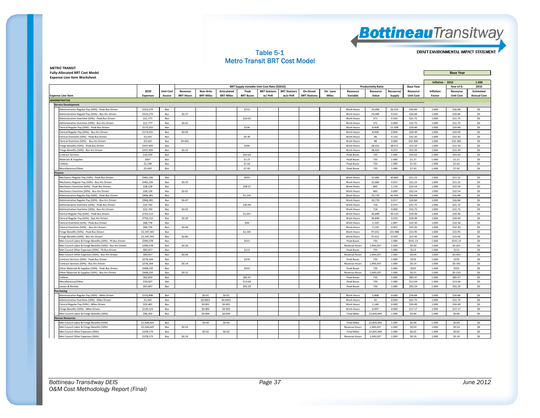#### Table 5-1 Metro Transit BRT Cost Model

DRAFT ENVIRONMENTAL IMPACT STATEMENT

**METRO TRANSIT Fully‐Allocated BRT Cost Model Base Year Expense Line Item Worksheet**

| Experise Entertain Worksheet                               |                 |                  |                  |                  |                  |                  |                                             |                     |                     |           |                      |                           |           |                  | Inflation - 2010 |                  | 1.000              |
|------------------------------------------------------------|-----------------|------------------|------------------|------------------|------------------|------------------|---------------------------------------------|---------------------|---------------------|-----------|----------------------|---------------------------|-----------|------------------|------------------|------------------|--------------------|
|                                                            |                 |                  |                  |                  |                  |                  | BRT Supply Variable Unit Cost Rate (\$2010) |                     |                     |           |                      | <b>Productivity Ratio</b> |           | <b>Base Year</b> |                  | Year of S:       | 2010               |
|                                                            | 2010            | <b>Unit Cost</b> | Revenue          | <b>Non-Artic</b> | Articulated      | Peak             | <b>BRT Stations</b>                         | <b>BRT Stations</b> | On-Street           | Dir. Lane | Resource             | Resource                  | Resource/ | Resource         | Inflation        | Resource         | <b>Estimated</b>   |
| <b>Expense Line Item</b>                                   | <b>Expenses</b> | Source           | <b>BRT-Hours</b> | <b>BRT-Miles</b> | <b>BRT-Miles</b> | <b>BRT Buses</b> | w/PnR                                       | w/o PnR             | <b>BRT Stations</b> | Miles     | Variable             | Value                     | Supply    | <b>Unit Cost</b> | Factor           | <b>Unit Cost</b> | <b>Annual Cost</b> |
| <b>ADMINISTRATIVE</b>                                      |                 |                  |                  |                  |                  |                  |                                             |                     |                     |           |                      |                           |           |                  |                  |                  |                    |
| <b>Service Development</b>                                 |                 |                  |                  |                  |                  |                  |                                             |                     |                     |           |                      |                           |           |                  |                  |                  |                    |
| Administrative Regular Pay (50%) - Peak Bus Driven         | \$523.275       | Bus              |                  |                  |                  | \$712            |                                             |                     |                     |           | Work Hours           | 19.496                    | 26.525    | \$26.84          | 1.000            | \$26.84          | SO                 |
| Administrative Regular Pay (50%) - Bus-Hrs Driven          | \$523,275       | Bus              | \$0.27           |                  |                  |                  |                                             |                     |                     |           | Work Hours           | 19.496                    | 0.010     | \$26.84          | 1.000            | \$26.84          | \$0                |
| Administrative Overtime (50%) - Peak Bus Driven            | \$11,777        | Bus              |                  |                  |                  | \$16.02          |                                             |                     |                     |           | Work Hours           | 371                       | 0.505     | \$31.75          | 1.000            | \$31.75          | \$0                |
| Administrative Overtime (50%) - Bus-Hrs Driven             | \$11,777        | Bus              | \$0.01           |                  |                  |                  |                                             |                     |                     |           | Work Hours           | 371                       | 0.000     | \$31.75          | 1.000            | \$31.75          | \$0                |
| Clerical Regular Pay (50%) - Peak Bus Driven               | \$173,331       | Bus              |                  |                  |                  | \$236            |                                             |                     |                     |           | Work Hours           | 8.458                     | 11.508    | \$20.49          | 1.000            | \$20.49          | \$0                |
| Clerical Regular Pay (50%) - Bus Hrs Driven                | \$173,331       | Bus              | \$0.09           |                  |                  |                  |                                             |                     |                     |           | Work Hours           | 8.458                     | 0.004     | \$20.49          | 1.000            | \$20.49          | \$0                |
| Clerical Overtime (50%) - Peak Bus Driven                  | \$3,163         | Bus              |                  |                  |                  | \$4.30           |                                             |                     |                     |           | Work Hours           | 98                        | 0.133     | \$32.30          | 1.000            | \$32.30          | \$0                |
| Clerical Overtime (50%) - Bus Hrs Driven                   | \$3,163         | <b>Bus</b>       | \$0.002          |                  |                  |                  |                                             |                     |                     |           | Work Hours           | 98                        | 0.000     | \$32,300         | 1.000            | \$32,300         | \$0                |
| Fringe Benefits (50%) - Peak Bus Driven                    | \$437,405       | Bus              |                  |                  |                  | \$595            |                                             |                     |                     |           | Work Hours           | 28,423                    | 38.671    | \$15.39          | 1.000            | \$15.39          | \$0                |
| Fringe Benefits (50%) - Bus Hrs Driven                     | \$437,405       | Bus              | \$0.23           |                  |                  |                  |                                             |                     |                     |           | <b>Work Hours</b>    | 28.423                    | 0.015     | \$15.39          | 1.000            | \$15.39          | SO                 |
| <b>Contract Services</b>                                   | \$32,070        | Bus              |                  |                  |                  | \$43.63          |                                             |                     |                     |           | Peak Buses           | 735                       | 1.000     | \$43.63          | 1.000            | \$43.63          | \$0                |
| Materials & Supplies                                       | \$937           | Bus              |                  |                  |                  | \$1.27           |                                             |                     |                     |           | Peak Buses           | 735                       | 1.000     | \$1.27           | 1.000            | \$1.27           | SO                 |
| <b>Utilities</b>                                           | \$1,198         | Bus              |                  |                  |                  | \$1.63           |                                             |                     |                     |           | Peak Buses           | 735                       | 1.000     | \$1.63           | 1.000            | \$1.63           | \$0                |
| Miscellaneous/Other                                        | \$5,450         | Bus              |                  |                  |                  | \$7.42           |                                             |                     |                     |           | Peak Buses           | 735                       | 1.000     | \$7.42           | 1.000            | \$7.42           | SO                 |
| <b>Finance</b>                                             |                 |                  |                  |                  |                  |                  |                                             |                     |                     |           |                      |                           |           |                  |                  |                  |                    |
| Mechanics Regular Pay (50%) - Peak Bus Driven              | \$481,236       | Bus              |                  |                  |                  | \$655            |                                             |                     |                     |           | Work Hours           | 22,682                    | 30.860    | \$21.22          | 1.000            | \$21.22          | \$0                |
| Mechanics Regular Pay (50%) - Bus Hrs Driven               | \$481,236       | Bus              | \$0.25           |                  |                  |                  |                                             |                     |                     |           | Work Hours           | 22,682                    | 0.012     | \$21.22          | 1.000            | \$21.22          | \$0                |
| Mechanics Overtime (50%) - Peak Bus Driven                 | \$28,128        | Bus              |                  |                  |                  | \$38.27          |                                             |                     |                     |           | <b>Work Hours</b>    | 865                       | 1.176     | \$32.54          | 1.000            | \$32.54          | \$0                |
| Mechanics Overtime (50%) - Bus Hrs Driven                  | \$28,128        | Bus              | \$0.01           |                  |                  |                  |                                             |                     |                     |           | Work Hours           | 865                       | 0.000     | \$32.54          | 1.000            | \$32.54          | \$0                |
| Administrative Regular Pay (50%) - Peak Bus Driven         | \$906,381       | Bus              |                  |                  |                  | \$1,233          |                                             |                     |                     |           | Work Hours           | 33,770                    | 45.945    | \$26.84          | 1.000            | \$26.84          | \$0                |
| Administrative Regular Pay (50%) - Bus-Hrs Driven          | \$906,381       | Bus              | \$0.47           |                  |                  |                  |                                             |                     |                     |           | Work Hours           | 33,770                    | 0.017     | \$26.84          | 1.000            | \$26.84          | \$0                |
| Administrative Overtime (50%) - Peak Bus Driven            | \$22,743        | Bus              |                  |                  |                  | \$30.94          |                                             |                     |                     |           | Work Hours           | 716                       | 0.975     | \$31.75          | 1.000            | \$31.75          | \$0                |
| Administrative Overtime (50%) - Bus-Hrs Driven             | \$22,743        | Bus              | \$0.01           |                  |                  |                  |                                             |                     |                     |           | <b>Work Hours</b>    | 716                       | 0.000     | \$31.75          | 1.000            | \$31.75          | \$0                |
| Clerical Regular Pay (50%) - Peak Bus Driven               | \$755,115       | <b>Bus</b>       |                  |                  |                  | \$1,027          |                                             |                     |                     |           | Work Hours           | 36.849                    | 50.135    | \$20.49          | 1.000            | \$20.49          | \$0                |
| lerical Regular Pay (50%) - Bus Hrs Driven                 | \$755,115       | Bus              | \$0.39           |                  |                  |                  |                                             |                     |                     |           | Work Hours           | 36,849                    | 0.019     | \$20.49          | 1.000            | \$20.49          | \$0                |
| Clerical Overtime (50%) - Peak Bus Driven                  | \$68,776        | Bus              |                  |                  |                  | \$94             |                                             |                     |                     |           | Work Hours           | 2,129                     | 2.897     | \$32.30          | 1.000            | \$32.30          | \$0                |
| Clerical Overtime (50%) - Bus Hrs Driven                   | \$68,776        | Bus              | \$0.04           |                  |                  |                  |                                             |                     |                     |           | Work Hours           | 2,129                     | 0.001     | \$32.30          | 1.000            | \$32.30          | \$0                |
| inge Benefits (50%) - Peak Bus Driven                      | \$1,547,341     | Bus              |                  |                  |                  | \$2,105          |                                             |                     |                     |           | Work Hours           | 97,011                    | 131.988   | \$15.95          | 1.000            | \$15.95          | \$0                |
| inge Benefits (50%) - Bus Hrs Driven                       | \$1,547,341     | Bus              | \$0.80           |                  |                  |                  |                                             |                     |                     |           | Work Hours           | 97,011                    | 0.050     | \$15.95          | 1.000            | \$15.95          | \$0                |
| let Council Labor & Fringe Benefits (50%) - Pk Bus Driven  | \$390,378       | Bus              |                  |                  |                  | \$531            |                                             |                     |                     |           | Peak Buses           | 735                       | 1.000     | \$531.13         | 1.000            | \$531.13         | \$0                |
| Met Council Labor & Fringe Benefits (50%) - Bus Hrs Driven | \$390,378       | Bus              | \$0.20           |                  |                  |                  |                                             |                     |                     |           | <b>Revenue Hours</b> | 1,943,037                 | 1.000     | \$0.20           | 1.000            | \$0.201          | \$0                |
| Met Council Other Expenses (50%) - Pk Bus Driven           | \$83,017        | Bus              |                  |                  |                  | \$113            |                                             |                     |                     |           | Peak Buses           | 735                       | 1.000     | \$113            | 1.000            | \$113            | \$0                |
| Met Council Other Expenses (50%) - Bus Hrs Driven          | \$83,017        | Bus              | \$0.04           |                  |                  |                  |                                             |                     |                     |           | <b>Revenue Hours</b> | 1,943,037                 | 1.000     | \$0.04           | 1.000            | \$0.043          | \$0                |
| ontract Services (50%) - Peak Bus Driver                   | \$276,164       | Bus              |                  |                  |                  | \$376            |                                             |                     |                     |           | <b>Peak Buses</b>    | 735                       | 1.000     | \$376            | 1.000            | \$376            | \$0                |
| ontract Services (50%) - Bus Hrs Driven                    | \$276,164       | Bus              | \$0.14           |                  |                  |                  |                                             |                     |                     |           | <b>Revenue Hours</b> | 1,943,037                 | 1.000     | \$0.14           | 1.000            | \$0.142          | \$0                |
| Other Materials & Supplies (50%) - Peak Bus Driven         | \$408,235       | Bus              |                  |                  |                  | \$555            |                                             |                     |                     |           | Peak Buses           | 735                       | 1,000     | \$555            | 1.000            | <b>S555</b>      | \$0                |
| Other Materials & Supplies (50%) - Bus Hrs Driven          | \$408,235       | Bus              | \$0.21           |                  |                  |                  |                                             |                     |                     |           | <b>Revenue Hours</b> | 1,943,037                 | 1.000     | \$0.21           | 1.000            | \$0.210          | \$0                |
| tilities                                                   | \$62,819        | Bus              |                  |                  |                  | \$85.47          |                                             |                     |                     |           | Peak Buses           | 735                       | 1.000     | \$85.47          | 1.000            | \$85.47          | SO                 |
| Miscellaneous/Other                                        | \$10,027        | Bus              |                  |                  |                  | \$13.64          |                                             |                     |                     |           | Peak Buses           | 735                       | 1.000     | \$13.64          | 1.000            | \$13.64          | \$0                |
| Leases & Rentals                                           | \$67,837        | Bus              |                  |                  |                  | \$92.29          |                                             |                     |                     |           | Peak Buses           | 735                       | 1.000     | \$92.29          | 1.000            | \$92.29          | \$0                |
| Purchasing                                                 |                 |                  |                  |                  |                  |                  |                                             |                     |                     |           |                      |                           |           |                  |                  |                  |                    |
| Administrative Regular Pay (50%) - Miles Driven            | \$155,896       | Bus              |                  | \$0.01           | \$0.01           |                  |                                             |                     |                     |           | Work Hours           | 5,808                     | 0.000     | \$26.84          | 1.000            | \$26.84          | \$0                |
| Administrative Overtime (50%) - Miles Driven               | \$1,345         | Bus              |                  | \$0.0001         | \$0.0001         |                  |                                             |                     |                     |           | Work Hours           | 42                        | 0.000     | \$31.75          | 1.000            | \$31.75          | \$0                |
| Clerical Regular Pay (50%) - Miles Driven                  | \$23,481        | Bus              |                  | \$0,001          | \$0,001          |                  |                                             |                     |                     |           | <b>Work Hours</b>    | 1.146                     | 0.000     | \$20.49          | 1.000            | \$20.49          | SO                 |
| Fringe Benefits (50%) - Miles Driven                       | \$120,123       | <b>Bus</b>       |                  | \$0,005          | \$0,005          |                  |                                             |                     |                     |           | <b>Work Hours</b>    | 6,997                     | 0.000     | \$17.17          | 1.000            | \$17.17          | \$0                |
| Met Council Labor & Fringe Benefits (50%)                  | \$96,503        | Bus              |                  | \$0.004          | \$0.004          |                  |                                             |                     |                     |           | <b>Total Miles</b>   | 22,824,004                | 1.000     | \$0.00           | 1.000            | \$0.00           | \$0                |
| <b>Juman Resources</b>                                     |                 |                  |                  |                  |                  |                  |                                             |                     |                     |           |                      |                           |           |                  |                  |                  |                    |
| Met Council Labor & Fringe Benefits (50%)                  | \$1,026,641     | Bus              |                  | \$0.04           | \$0.04           |                  |                                             |                     |                     |           | <b>Total Miles</b>   | 22,824,004                | 1.000     | \$0.04           | 1.000            | \$0.04           | \$0                |
| Met Council Labor & Fringe Benefits (50%)                  | \$1.026.641     | Bus              | \$0.53           |                  |                  |                  |                                             |                     |                     |           | <b>Revenue Hours</b> | 1.943.037                 | 1.000     | \$0.53           | 1.000            | \$0.53           | 50                 |
| Met Council Other Expenses (50%)                           | \$378,173       | Bus              |                  | \$0.02           | \$0.02\$         |                  |                                             |                     |                     |           | <b>Total Miles</b>   | 22,824,004                | 1.000     | \$0.02           | 1.000            | \$0.02           | \$0                |
| Met Council Other Expenses (50%)                           | \$378,173       | Bus              | \$0.19           |                  |                  |                  |                                             |                     |                     |           | <b>Revenue Hours</b> | 1,943,037                 | 1.000     | \$0.19           | 1.000            | \$0.19           | SO                 |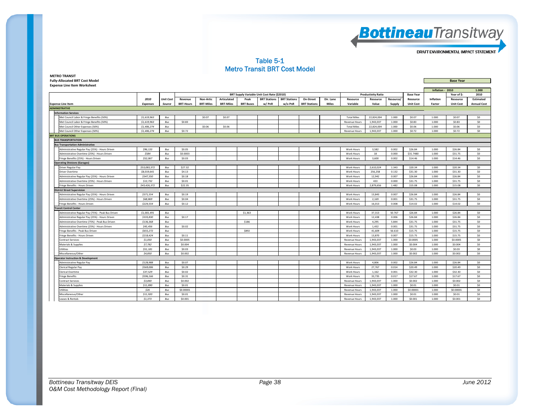

#### Table 5-1 Metro Transit BRT Cost Model

| <b>Fully-Allocated BRT Cost Model</b>              |                 |                  |                  |                  |                  |                  |                                             |                     |                     |              |                      |                           |           |                  |                  | <b>Base Year</b> |                    |
|----------------------------------------------------|-----------------|------------------|------------------|------------------|------------------|------------------|---------------------------------------------|---------------------|---------------------|--------------|----------------------|---------------------------|-----------|------------------|------------------|------------------|--------------------|
| <b>Expense Line Item Worksheet</b>                 |                 |                  |                  |                  |                  |                  |                                             |                     |                     |              |                      |                           |           |                  |                  |                  |                    |
|                                                    |                 |                  |                  |                  |                  |                  |                                             |                     |                     |              |                      |                           |           |                  | Inflation - 2010 |                  | 1.000              |
|                                                    |                 |                  |                  |                  |                  |                  | BRT Supply Variable Unit Cost Rate (\$2010) |                     |                     |              |                      | <b>Productivity Ratio</b> |           | <b>Base Year</b> |                  | Year of \$:      | 2010               |
|                                                    | 2010            | <b>Unit Cost</b> | Revenue          | <b>Non-Artic</b> | Articulated      | Peak             | <b>BRT Stations</b>                         | <b>BRT Stations</b> | On-Street           | Dir. Lane    | Resource             | Resource                  | Resource/ | Resource         | Inflation        | Resource         | <b>Estimated</b>   |
| <b>Expense Line Item</b>                           | <b>Expenses</b> | Source           | <b>BRT-Hours</b> | <b>BRT-Miles</b> | <b>BRT-Miles</b> | <b>BRT Buses</b> | w/PnR                                       | w/o PnR             | <b>BRT Stations</b> | <b>Miles</b> | Variable             | Value                     | Supply    | <b>Unit Cost</b> | Factor           | <b>Unit Cost</b> | <b>Annual Cost</b> |
| <b>ADMINISTRATIVE</b>                              |                 |                  |                  |                  |                  |                  |                                             |                     |                     |              |                      |                           |           |                  |                  |                  |                    |
| <b>Information Services</b>                        |                 |                  |                  |                  |                  |                  |                                             |                     |                     |              |                      |                           |           |                  |                  |                  |                    |
| Met Council Labor & Fringe Benefits (50%)          | \$1,619,963     | Bus              |                  | \$0.07           | \$0.07           |                  |                                             |                     |                     |              | <b>Total Miles</b>   | 22.824.004                | 1.000     | \$0.07           | 1.000            | \$0.07           | \$0                |
| Met Council Labor & Fringe Benefits (50%)          | \$1,619,963     | Bus              | \$0.83           |                  |                  |                  |                                             |                     |                     |              | <b>Revenue Hours</b> | 1,943,037                 | 1.000     | \$0.83           | 1.000            | \$0.83           | S <sub>0</sub>     |
| Met Council Other Expenses (50%)                   | \$1,406,274     | Bus              |                  | \$0.06           | \$0.06           |                  |                                             |                     |                     |              | <b>Total Miles</b>   | 22,824,004                | 1.000     | \$0.06           | 1.000            | \$0.06           | \$0                |
| Met Council Other Expenses (50%)                   | \$1,406,274     | Bus              | \$0.72           |                  |                  |                  |                                             |                     |                     |              | <b>Revenue Hours</b> | 1,943,037                 | 1.000     | \$0.72           | 1.000            | \$0.72           | \$0                |
| <b>BRT BUS OPERATIONS</b>                          |                 |                  |                  |                  |                  |                  |                                             |                     |                     |              |                      |                           |           |                  |                  |                  |                    |
| <b>BUS TRANSPORTATION</b>                          |                 |                  |                  |                  |                  |                  |                                             |                     |                     |              |                      |                           |           |                  |                  |                  |                    |
| <b>Bus Transportation Administrative</b>           |                 |                  |                  |                  |                  |                  |                                             |                     |                     |              |                      |                           |           |                  |                  |                  |                    |
| Administrative Regular Pay (25%) - Hours Driven    | \$96,133        | Bus              | \$0.05           |                  |                  |                  |                                             |                     |                     |              | Work Hours           | 3.582                     | 0.002     | \$26.84          | 1.000            | \$26.84          | S <sub>0</sub>     |
| Administrative Overtime (25%) - Hours Driven       | \$584           | Bus              | \$0,0003         |                  |                  |                  |                                             |                     |                     |              | <b>Work Hours</b>    | 18                        | 0.000     | \$31,7480        | 1.000            | \$31.75          | SO                 |
| Fringe Benefits (25%) - Hours Driven               | \$52,067        | Bus              | \$0.03           |                  |                  |                  |                                             |                     |                     |              | Work Hours           | 3,600                     | 0.002     | \$14.46          | 1.000            | \$14.46          | \$0                |
| <b>Operating Divisions (Garages)</b>               |                 |                  |                  |                  |                  |                  |                                             |                     |                     |              |                      |                           |           |                  |                  |                  |                    |
| Driver Regular Pay                                 | \$53,083,372    | Bus              | \$27.32          |                  |                  |                  |                                             |                     |                     |              | Work Hours           | 2,610,024                 | 1.343     | \$20.34          | 1.000            | \$20.34          | \$0                |
| <b>Driver Overtime</b>                             | \$8,019,641     | Bus              | \$4.13           |                  |                  |                  |                                             |                     |                     |              | Work Hours           | 256,258                   | 0.132     | \$31.30          | 1.000            | \$31.30          | \$0                |
| Administrative Regular Pay (25%) - Hours Driven    | \$347,350       | Bus              | \$0.18           |                  |                  |                  |                                             |                     |                     |              | Work Hours           | 12.942                    | 0.007     | \$26.84          | 1,000            | \$26.84          | SO                 |
| Administrative Overtime (25%) - Hours Driven       | \$13,732        | Bus              | \$0.01           |                  |                  |                  |                                             |                     |                     |              | Work Hours           | 433                       | 0.000     | \$31.75          | 1.000            | \$31.75          | \$0                |
| Fringe Benefits - Hours Driven                     | \$43,426,372    | Bus              | \$22.35          |                  |                  |                  |                                             |                     |                     |              | Work Hours           | 2,879,656                 | 1.482     | \$15.08          | 1,000            | \$15.08          | \$0                |
| <b>District Street Supervision</b>                 |                 |                  |                  |                  |                  |                  |                                             |                     |                     |              |                      |                           |           |                  |                  |                  |                    |
| Administrative Regular Pay (25%) - Hours Driven    | \$371,554       | Bus              | \$0.19           |                  |                  |                  |                                             |                     |                     |              | Work Hours           | 13,843                    | 0.007     | \$26.84          | 1,000            | \$26.84          | \$0                |
| Administrative Overtime (25%) - Hours Driven       | \$68,869        | $\mathit{Bus}$   | \$0.04           |                  |                  |                  |                                             |                     |                     |              | <b>Work Hours</b>    | 2,169                     | 0.001     | \$31.75          | 1.000            | \$31.75          | \$0                |
| Fringe Benefits - Hours Driven                     | \$224,554       | Bus              | \$0.12           |                  |                  |                  |                                             |                     |                     |              | Work Hours           | 16,013                    | 0.008     | \$14.02          | 1.000            | \$14.02          | \$0                |
| <b>Transit Control Center</b>                      |                 |                  |                  |                  |                  |                  |                                             |                     |                     |              |                      |                           |           |                  |                  |                  |                    |
| Administrative Regular Pay (75%) - Peak Bus Driven | \$1,001.491     | Bus              |                  |                  |                  | \$1.363          |                                             |                     |                     |              | <b>Work Hours</b>    | 37.313                    | 50.767    | \$26.84          | 1,000            | \$26.84          | SO                 |
| Administrative Regular Pay (25%) - Hours Driven    | \$333,830       | Bus              | \$0.17           |                  |                  |                  |                                             |                     |                     |              | Work Hours           | 12.438                    | 0.006     | \$26.84          | 1,000            | \$26.84          | SO                 |
| Administrative Overtime (75%) - Peak Bus Driven    | \$136,368       | Bus              |                  |                  |                  | <b>S186</b>      |                                             |                     |                     |              | Work Hours           | 4.295                     | 5.844     | \$31.75          | 1.000            | \$31.75          | SO                 |
| Administrative Overtime (25%) - Hours Driven       | \$45,456        | Bus              | \$0.02           |                  |                  |                  |                                             |                     |                     |              | <b>Work Hours</b>    | 1,432                     | 0.001     | \$31.75          | 1.000            | \$31.75          | SO                 |
| Fringe Benefits - Peak Bus Driven                  | \$655,272       | Bus              |                  |                  |                  | \$892            |                                             |                     |                     |              | Work Hours           | 41,609                    | 56.610    | \$15.75          | 1.000            | \$15.75          | \$0                |
| Fringe Benefits - Hours Driven                     | \$218,424       | Bus              | \$0.11           |                  |                  |                  |                                             |                     |                     |              | Work Hours           | 13,870                    | 0.007     | \$15.75          | 1.000            | \$15.75          | \$0                |
| <b>Contract Services</b>                           | \$1,050         | Bus              | \$0,0005         |                  |                  |                  |                                             |                     |                     |              | <b>Revenue Hours</b> | 1,943,037                 | 1.000     | \$0,0005         | 1,000            | \$0,0005         | \$0                |
| <b>Materials &amp; Supplies</b>                    | \$7,782         | Bus              | \$0,004          |                  |                  |                  |                                             |                     |                     |              | <b>Revenue Hours</b> | 1.943.037                 | 1.000     | \$0,004          | 1,000            | \$0,004          | SO                 |
| Utilities                                          | \$51,181        | Bus              | \$0.03           |                  |                  |                  |                                             |                     |                     |              | <b>Revenue Hours</b> | 1,943,037                 | 1.000     | \$0.03           | 1.000            | \$0.03           | \$0                |
| Miscellaneous/Other                                | \$4,850         | Bus              | \$0.002          |                  |                  |                  |                                             |                     |                     |              | <b>Revenue Hours</b> | 1,943,037                 | 1.000     | \$0.002          | 1.000            | \$0.002          | \$0                |
| <b>Operator Instruction &amp; Development</b>      |                 |                  |                  |                  |                  |                  |                                             |                     |                     |              |                      |                           |           |                  |                  |                  |                    |
| Administrative Regular Pay                         | \$128,988       | Bus              | \$0.07           |                  |                  |                  |                                             |                     |                     |              | <b>Work Hours</b>    | 4.806                     | 0.002     | \$26.84          | 1.000            | \$26.84          | \$0                |
| Clerical Regular Pay                               | \$569,006       | Bus              | \$0.29           |                  |                  |                  |                                             |                     |                     |              | Work Hours           | 27,767                    | 0.014     | \$20.49          | 1.000            | \$20.49          | \$0                |
| Clerical Overtime                                  | \$37.529        | Bus              | \$0.02           |                  |                  |                  |                                             |                     |                     |              | Work Hours           | 1,162                     | 0.001     | \$32.30          | 1.000            | \$32.30          | \$0                |
| <b>Fringe Benefits</b>                             | \$596,166       | Bus              | \$0.31           |                  |                  |                  |                                             |                     |                     |              | Work Hours           | 33.735                    | 0.017     | \$17.67          | 1,000            | \$17.67          | SO                 |
| <b>Contract Services</b>                           | \$3,840         | Bus              | \$0.002          |                  |                  |                  |                                             |                     |                     |              | <b>Revenue Hours</b> | 1,943,037                 | 1.000     | \$0.002          | 1.000            | \$0.002          | \$0                |
| Materials & Supplies                               | \$11,890        | Bus              | \$0.01           |                  |                  |                  |                                             |                     |                     |              | <b>Revenue Hours</b> | 1,943,037                 | 1.000     | \$0.01           | 1,000            | \$0.01           | SO                 |
| Utilities                                          | \$26            | Bus              | \$0,00001        |                  |                  |                  |                                             |                     |                     |              | <b>Revenue Hours</b> | 1,943,037                 | 1.000     | \$0.00001        | 1.000            | \$0,00001        | \$0                |
| Miscellaneous/Other                                | \$11,920        | Bus              | \$0.01           |                  |                  |                  |                                             |                     |                     |              | <b>Revenue Hours</b> | 1,943,037                 | 1.000     | \$0.01           | 1.000            | \$0.01           | \$0                |
| Leases & Rentals                                   | \$1,373         | Bus              | \$0.001          |                  |                  |                  |                                             |                     |                     |              | Revenue Hours        | 1,943,037                 | 1.000     | \$0.001          | 1.000            | \$0.001          | \$0                |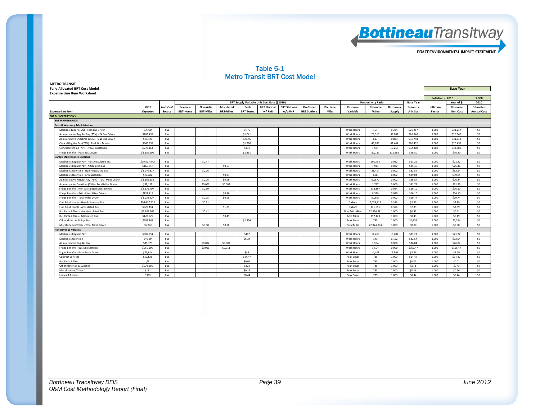

#### Table 5-1 Metro Transit BRT Cost Model

#### **METRO TRANSIT Fully‐Allocated BRT Cost Model Base Year**

**Expense Line Item Worksheet**

| Inflation - 2010<br>1.000<br>2010<br>BRT Supply Variable Unit Cost Rate (\$2010)<br><b>Productivity Ratio</b><br>Year of S:<br><b>Base Year</b><br>2010<br><b>Unit Cost</b><br><b>Non-Artic</b><br><b>Articulated</b><br><b>BRT Stations</b><br><b>BRT Stations</b><br>On-Street<br>Dir. Lane<br>Inflation<br><b>Estimated</b><br>Revenue<br>Peak<br>Resource<br>Resource<br>Resource/<br>Resource<br>Resource<br><b>BRT-Hours</b><br><b>BRT-Miles</b><br><b>BRT-Miles</b><br><b>BRT Buses</b><br>w/PnR<br>w/o PnR<br><b>BRT Stations</b><br>Miles<br>Variable<br>Value<br><b>Unit Cost</b><br><b>Expense Line Item</b><br>Source<br>Supply<br><b>Unit Cost</b><br><b>Annual Cost</b><br><b>Expenses</b><br>Factor<br><b>BRT BUS OPERATIONS</b><br><b>BUS MAINTENANCE</b><br><b>Parts &amp; Warranty Administrative</b><br>\$4.75<br>164<br>0.224<br>\$21.217<br>1.000<br>\$0<br>Mechanic Labor (75%) - Peak Bus Driven<br>\$3,488<br>Bus<br>Work Hours<br>\$21.217<br>\$765,458<br>\$1,041<br>28.519<br>38,802<br>\$26,840<br>\$26,840<br>\$0<br>Administrative Regular Pay (75%) - Pk Bus Driven<br>Bus<br>Work Hours<br>1.000<br>\$0<br>Administrative Overtime (75%) - Peak Bus Driven<br>\$19,449<br>Bus<br>\$26.46<br>Work Hours<br>613<br>0.833<br>\$31.748<br>1.000<br>\$31.748<br>\$0<br>\$940,558<br>\$20.492<br>Clerical Regular Pay (75%) - Peak Bus Driven<br>Bus<br>\$1,280<br>Work Hours<br>45.898<br>62.447<br>1.000<br>\$20.492<br>\$243,461<br>\$331<br>7.537<br>10.255<br>\$32.300<br>1.000<br>\$32.300<br>SO<br>Clerical Overtime (75%) - Peak Bus Driven<br>Bus<br>Work Hours<br>\$0<br>Fringe Benefits - Peak Bus Driven<br>\$1,389,909<br>Bus<br>\$1,891<br>Work Hours<br>82,732<br>112.561<br>\$16.80<br>1.000<br>\$16.80<br><b>Garage Maintenance Divisions</b><br>\$10,617,942<br>Bus<br>\$0.47<br>500.454<br>0.022<br>\$21.22<br>\$21.22<br>\$0<br>Mechanics Regular Pay - Non-Articulated Bus<br><b>Work Hours</b><br>1.000<br>\$0<br>\$0.57<br>\$25.46<br>\$25.46<br>Mechanics Regular Pay - Articulated Bus<br>\$168,057<br>Bus<br>Work Hours<br>7,921<br>0.022<br>1.000<br>\$1,249.817<br>Bus<br>\$0.06<br>0.002<br>\$32.54<br>\$32.54<br>SO<br>Mechanics Overtime - Non-Articulated Bus<br>Work Hours<br>38.414<br>1.000<br>\$19,782<br>Bus<br>\$0.07<br>608<br>0.002<br>\$39.04<br>\$39.04<br>SO<br>Mechanics Overtime - Articulated Bus<br>Work Hours<br>1.000<br>\$0<br>\$0.06<br>\$0.06<br>\$26.84<br>Administrative Regular Pay (75%) - Total Miles Driven<br>\$1,365,358<br>Bus<br>Work Hours<br>50,870<br>0.002<br>1.000<br>\$26.84<br>\$55,137<br>\$0,002<br>\$31.75<br>SO<br>Bus<br>\$0.002<br>1.737<br>0.000<br>\$31.75<br>1.000<br>Administrative Overtime (75%) - Total Miles Driven<br>Work Hours<br>\$8,675,707<br>\$0.39<br>538.867<br>0.024<br>\$16.10<br>\$0<br>Bus<br>1.000<br>\$16.10<br>Fringe Benefits - Non-Articulated Miles Driven<br>Work Hours<br>\$137,316<br>\$0.46<br>SO<br>Fringe Benefits - Articulated Miles Driven<br>Bus<br><b>Work Hours</b><br>8.529<br>0.029<br>\$16.10<br>1.000<br>\$16.10<br>\$0.05<br>SO<br>\$1,038,427<br>\$0.05<br>52.607<br>0.002<br>\$19.74<br>1.000<br>\$19.74<br>Fringe Benefits - Total Miles Driven<br>Bus<br><b>Work Hours</b><br>SO<br>\$2.89<br>\$2.89<br>Fuel & Lubricants - Non-Articulated Bus<br>\$20,417,105<br>Bus<br>\$0.91<br>Gallons<br>7.054.212<br>0.313<br>1.000<br>\$323,154<br>\$2.89<br>SO<br>Fuel & Lubricants - Articulated Bus<br>Bus<br>\$1.09<br>Gallons<br>111.651<br>0.376<br>\$2.89<br>1.000 | Expense Line item worksneet |  |  |  |  |  |  |  |  |  |
|------------------------------------------------------------------------------------------------------------------------------------------------------------------------------------------------------------------------------------------------------------------------------------------------------------------------------------------------------------------------------------------------------------------------------------------------------------------------------------------------------------------------------------------------------------------------------------------------------------------------------------------------------------------------------------------------------------------------------------------------------------------------------------------------------------------------------------------------------------------------------------------------------------------------------------------------------------------------------------------------------------------------------------------------------------------------------------------------------------------------------------------------------------------------------------------------------------------------------------------------------------------------------------------------------------------------------------------------------------------------------------------------------------------------------------------------------------------------------------------------------------------------------------------------------------------------------------------------------------------------------------------------------------------------------------------------------------------------------------------------------------------------------------------------------------------------------------------------------------------------------------------------------------------------------------------------------------------------------------------------------------------------------------------------------------------------------------------------------------------------------------------------------------------------------------------------------------------------------------------------------------------------------------------------------------------------------------------------------------------------------------------------------------------------------------------------------------------------------------------------------------------------------------------------------------------------------------------------------------------------------------------------------------------------------------------------------------------------------------------------------------------------------------------------------------------------------------------------------------------------------------------------------------------------------------------------------------------------------------------------------------------------------------------------------------------------------------------------------------------------------------------------------------------------------------------------------------------------------------------------------------------------------------------------------------------------------------------------------------------------------------------------------------------------------------------------------------------------------------------------------------------------|-----------------------------|--|--|--|--|--|--|--|--|--|
|                                                                                                                                                                                                                                                                                                                                                                                                                                                                                                                                                                                                                                                                                                                                                                                                                                                                                                                                                                                                                                                                                                                                                                                                                                                                                                                                                                                                                                                                                                                                                                                                                                                                                                                                                                                                                                                                                                                                                                                                                                                                                                                                                                                                                                                                                                                                                                                                                                                                                                                                                                                                                                                                                                                                                                                                                                                                                                                                                                                                                                                                                                                                                                                                                                                                                                                                                                                                                                                                                                                        |                             |  |  |  |  |  |  |  |  |  |
|                                                                                                                                                                                                                                                                                                                                                                                                                                                                                                                                                                                                                                                                                                                                                                                                                                                                                                                                                                                                                                                                                                                                                                                                                                                                                                                                                                                                                                                                                                                                                                                                                                                                                                                                                                                                                                                                                                                                                                                                                                                                                                                                                                                                                                                                                                                                                                                                                                                                                                                                                                                                                                                                                                                                                                                                                                                                                                                                                                                                                                                                                                                                                                                                                                                                                                                                                                                                                                                                                                                        |                             |  |  |  |  |  |  |  |  |  |
|                                                                                                                                                                                                                                                                                                                                                                                                                                                                                                                                                                                                                                                                                                                                                                                                                                                                                                                                                                                                                                                                                                                                                                                                                                                                                                                                                                                                                                                                                                                                                                                                                                                                                                                                                                                                                                                                                                                                                                                                                                                                                                                                                                                                                                                                                                                                                                                                                                                                                                                                                                                                                                                                                                                                                                                                                                                                                                                                                                                                                                                                                                                                                                                                                                                                                                                                                                                                                                                                                                                        |                             |  |  |  |  |  |  |  |  |  |
|                                                                                                                                                                                                                                                                                                                                                                                                                                                                                                                                                                                                                                                                                                                                                                                                                                                                                                                                                                                                                                                                                                                                                                                                                                                                                                                                                                                                                                                                                                                                                                                                                                                                                                                                                                                                                                                                                                                                                                                                                                                                                                                                                                                                                                                                                                                                                                                                                                                                                                                                                                                                                                                                                                                                                                                                                                                                                                                                                                                                                                                                                                                                                                                                                                                                                                                                                                                                                                                                                                                        |                             |  |  |  |  |  |  |  |  |  |
|                                                                                                                                                                                                                                                                                                                                                                                                                                                                                                                                                                                                                                                                                                                                                                                                                                                                                                                                                                                                                                                                                                                                                                                                                                                                                                                                                                                                                                                                                                                                                                                                                                                                                                                                                                                                                                                                                                                                                                                                                                                                                                                                                                                                                                                                                                                                                                                                                                                                                                                                                                                                                                                                                                                                                                                                                                                                                                                                                                                                                                                                                                                                                                                                                                                                                                                                                                                                                                                                                                                        |                             |  |  |  |  |  |  |  |  |  |
|                                                                                                                                                                                                                                                                                                                                                                                                                                                                                                                                                                                                                                                                                                                                                                                                                                                                                                                                                                                                                                                                                                                                                                                                                                                                                                                                                                                                                                                                                                                                                                                                                                                                                                                                                                                                                                                                                                                                                                                                                                                                                                                                                                                                                                                                                                                                                                                                                                                                                                                                                                                                                                                                                                                                                                                                                                                                                                                                                                                                                                                                                                                                                                                                                                                                                                                                                                                                                                                                                                                        |                             |  |  |  |  |  |  |  |  |  |
|                                                                                                                                                                                                                                                                                                                                                                                                                                                                                                                                                                                                                                                                                                                                                                                                                                                                                                                                                                                                                                                                                                                                                                                                                                                                                                                                                                                                                                                                                                                                                                                                                                                                                                                                                                                                                                                                                                                                                                                                                                                                                                                                                                                                                                                                                                                                                                                                                                                                                                                                                                                                                                                                                                                                                                                                                                                                                                                                                                                                                                                                                                                                                                                                                                                                                                                                                                                                                                                                                                                        |                             |  |  |  |  |  |  |  |  |  |
|                                                                                                                                                                                                                                                                                                                                                                                                                                                                                                                                                                                                                                                                                                                                                                                                                                                                                                                                                                                                                                                                                                                                                                                                                                                                                                                                                                                                                                                                                                                                                                                                                                                                                                                                                                                                                                                                                                                                                                                                                                                                                                                                                                                                                                                                                                                                                                                                                                                                                                                                                                                                                                                                                                                                                                                                                                                                                                                                                                                                                                                                                                                                                                                                                                                                                                                                                                                                                                                                                                                        |                             |  |  |  |  |  |  |  |  |  |
|                                                                                                                                                                                                                                                                                                                                                                                                                                                                                                                                                                                                                                                                                                                                                                                                                                                                                                                                                                                                                                                                                                                                                                                                                                                                                                                                                                                                                                                                                                                                                                                                                                                                                                                                                                                                                                                                                                                                                                                                                                                                                                                                                                                                                                                                                                                                                                                                                                                                                                                                                                                                                                                                                                                                                                                                                                                                                                                                                                                                                                                                                                                                                                                                                                                                                                                                                                                                                                                                                                                        |                             |  |  |  |  |  |  |  |  |  |
|                                                                                                                                                                                                                                                                                                                                                                                                                                                                                                                                                                                                                                                                                                                                                                                                                                                                                                                                                                                                                                                                                                                                                                                                                                                                                                                                                                                                                                                                                                                                                                                                                                                                                                                                                                                                                                                                                                                                                                                                                                                                                                                                                                                                                                                                                                                                                                                                                                                                                                                                                                                                                                                                                                                                                                                                                                                                                                                                                                                                                                                                                                                                                                                                                                                                                                                                                                                                                                                                                                                        |                             |  |  |  |  |  |  |  |  |  |
|                                                                                                                                                                                                                                                                                                                                                                                                                                                                                                                                                                                                                                                                                                                                                                                                                                                                                                                                                                                                                                                                                                                                                                                                                                                                                                                                                                                                                                                                                                                                                                                                                                                                                                                                                                                                                                                                                                                                                                                                                                                                                                                                                                                                                                                                                                                                                                                                                                                                                                                                                                                                                                                                                                                                                                                                                                                                                                                                                                                                                                                                                                                                                                                                                                                                                                                                                                                                                                                                                                                        |                             |  |  |  |  |  |  |  |  |  |
|                                                                                                                                                                                                                                                                                                                                                                                                                                                                                                                                                                                                                                                                                                                                                                                                                                                                                                                                                                                                                                                                                                                                                                                                                                                                                                                                                                                                                                                                                                                                                                                                                                                                                                                                                                                                                                                                                                                                                                                                                                                                                                                                                                                                                                                                                                                                                                                                                                                                                                                                                                                                                                                                                                                                                                                                                                                                                                                                                                                                                                                                                                                                                                                                                                                                                                                                                                                                                                                                                                                        |                             |  |  |  |  |  |  |  |  |  |
|                                                                                                                                                                                                                                                                                                                                                                                                                                                                                                                                                                                                                                                                                                                                                                                                                                                                                                                                                                                                                                                                                                                                                                                                                                                                                                                                                                                                                                                                                                                                                                                                                                                                                                                                                                                                                                                                                                                                                                                                                                                                                                                                                                                                                                                                                                                                                                                                                                                                                                                                                                                                                                                                                                                                                                                                                                                                                                                                                                                                                                                                                                                                                                                                                                                                                                                                                                                                                                                                                                                        |                             |  |  |  |  |  |  |  |  |  |
|                                                                                                                                                                                                                                                                                                                                                                                                                                                                                                                                                                                                                                                                                                                                                                                                                                                                                                                                                                                                                                                                                                                                                                                                                                                                                                                                                                                                                                                                                                                                                                                                                                                                                                                                                                                                                                                                                                                                                                                                                                                                                                                                                                                                                                                                                                                                                                                                                                                                                                                                                                                                                                                                                                                                                                                                                                                                                                                                                                                                                                                                                                                                                                                                                                                                                                                                                                                                                                                                                                                        |                             |  |  |  |  |  |  |  |  |  |
|                                                                                                                                                                                                                                                                                                                                                                                                                                                                                                                                                                                                                                                                                                                                                                                                                                                                                                                                                                                                                                                                                                                                                                                                                                                                                                                                                                                                                                                                                                                                                                                                                                                                                                                                                                                                                                                                                                                                                                                                                                                                                                                                                                                                                                                                                                                                                                                                                                                                                                                                                                                                                                                                                                                                                                                                                                                                                                                                                                                                                                                                                                                                                                                                                                                                                                                                                                                                                                                                                                                        |                             |  |  |  |  |  |  |  |  |  |
|                                                                                                                                                                                                                                                                                                                                                                                                                                                                                                                                                                                                                                                                                                                                                                                                                                                                                                                                                                                                                                                                                                                                                                                                                                                                                                                                                                                                                                                                                                                                                                                                                                                                                                                                                                                                                                                                                                                                                                                                                                                                                                                                                                                                                                                                                                                                                                                                                                                                                                                                                                                                                                                                                                                                                                                                                                                                                                                                                                                                                                                                                                                                                                                                                                                                                                                                                                                                                                                                                                                        |                             |  |  |  |  |  |  |  |  |  |
|                                                                                                                                                                                                                                                                                                                                                                                                                                                                                                                                                                                                                                                                                                                                                                                                                                                                                                                                                                                                                                                                                                                                                                                                                                                                                                                                                                                                                                                                                                                                                                                                                                                                                                                                                                                                                                                                                                                                                                                                                                                                                                                                                                                                                                                                                                                                                                                                                                                                                                                                                                                                                                                                                                                                                                                                                                                                                                                                                                                                                                                                                                                                                                                                                                                                                                                                                                                                                                                                                                                        |                             |  |  |  |  |  |  |  |  |  |
|                                                                                                                                                                                                                                                                                                                                                                                                                                                                                                                                                                                                                                                                                                                                                                                                                                                                                                                                                                                                                                                                                                                                                                                                                                                                                                                                                                                                                                                                                                                                                                                                                                                                                                                                                                                                                                                                                                                                                                                                                                                                                                                                                                                                                                                                                                                                                                                                                                                                                                                                                                                                                                                                                                                                                                                                                                                                                                                                                                                                                                                                                                                                                                                                                                                                                                                                                                                                                                                                                                                        |                             |  |  |  |  |  |  |  |  |  |
|                                                                                                                                                                                                                                                                                                                                                                                                                                                                                                                                                                                                                                                                                                                                                                                                                                                                                                                                                                                                                                                                                                                                                                                                                                                                                                                                                                                                                                                                                                                                                                                                                                                                                                                                                                                                                                                                                                                                                                                                                                                                                                                                                                                                                                                                                                                                                                                                                                                                                                                                                                                                                                                                                                                                                                                                                                                                                                                                                                                                                                                                                                                                                                                                                                                                                                                                                                                                                                                                                                                        |                             |  |  |  |  |  |  |  |  |  |
|                                                                                                                                                                                                                                                                                                                                                                                                                                                                                                                                                                                                                                                                                                                                                                                                                                                                                                                                                                                                                                                                                                                                                                                                                                                                                                                                                                                                                                                                                                                                                                                                                                                                                                                                                                                                                                                                                                                                                                                                                                                                                                                                                                                                                                                                                                                                                                                                                                                                                                                                                                                                                                                                                                                                                                                                                                                                                                                                                                                                                                                                                                                                                                                                                                                                                                                                                                                                                                                                                                                        |                             |  |  |  |  |  |  |  |  |  |
|                                                                                                                                                                                                                                                                                                                                                                                                                                                                                                                                                                                                                                                                                                                                                                                                                                                                                                                                                                                                                                                                                                                                                                                                                                                                                                                                                                                                                                                                                                                                                                                                                                                                                                                                                                                                                                                                                                                                                                                                                                                                                                                                                                                                                                                                                                                                                                                                                                                                                                                                                                                                                                                                                                                                                                                                                                                                                                                                                                                                                                                                                                                                                                                                                                                                                                                                                                                                                                                                                                                        |                             |  |  |  |  |  |  |  |  |  |
|                                                                                                                                                                                                                                                                                                                                                                                                                                                                                                                                                                                                                                                                                                                                                                                                                                                                                                                                                                                                                                                                                                                                                                                                                                                                                                                                                                                                                                                                                                                                                                                                                                                                                                                                                                                                                                                                                                                                                                                                                                                                                                                                                                                                                                                                                                                                                                                                                                                                                                                                                                                                                                                                                                                                                                                                                                                                                                                                                                                                                                                                                                                                                                                                                                                                                                                                                                                                                                                                                                                        |                             |  |  |  |  |  |  |  |  |  |
|                                                                                                                                                                                                                                                                                                                                                                                                                                                                                                                                                                                                                                                                                                                                                                                                                                                                                                                                                                                                                                                                                                                                                                                                                                                                                                                                                                                                                                                                                                                                                                                                                                                                                                                                                                                                                                                                                                                                                                                                                                                                                                                                                                                                                                                                                                                                                                                                                                                                                                                                                                                                                                                                                                                                                                                                                                                                                                                                                                                                                                                                                                                                                                                                                                                                                                                                                                                                                                                                                                                        |                             |  |  |  |  |  |  |  |  |  |
|                                                                                                                                                                                                                                                                                                                                                                                                                                                                                                                                                                                                                                                                                                                                                                                                                                                                                                                                                                                                                                                                                                                                                                                                                                                                                                                                                                                                                                                                                                                                                                                                                                                                                                                                                                                                                                                                                                                                                                                                                                                                                                                                                                                                                                                                                                                                                                                                                                                                                                                                                                                                                                                                                                                                                                                                                                                                                                                                                                                                                                                                                                                                                                                                                                                                                                                                                                                                                                                                                                                        |                             |  |  |  |  |  |  |  |  |  |
|                                                                                                                                                                                                                                                                                                                                                                                                                                                                                                                                                                                                                                                                                                                                                                                                                                                                                                                                                                                                                                                                                                                                                                                                                                                                                                                                                                                                                                                                                                                                                                                                                                                                                                                                                                                                                                                                                                                                                                                                                                                                                                                                                                                                                                                                                                                                                                                                                                                                                                                                                                                                                                                                                                                                                                                                                                                                                                                                                                                                                                                                                                                                                                                                                                                                                                                                                                                                                                                                                                                        |                             |  |  |  |  |  |  |  |  |  |
| SO<br>\$9,289,166<br>\$0.41<br>22,526,881<br>1.000<br>S0.41<br>1.000<br>\$0.41<br>Bus Parts & Tires - Non-Articulated Bus<br>Bus<br><b>Non-Artic Miles</b>                                                                                                                                                                                                                                                                                                                                                                                                                                                                                                                                                                                                                                                                                                                                                                                                                                                                                                                                                                                                                                                                                                                                                                                                                                                                                                                                                                                                                                                                                                                                                                                                                                                                                                                                                                                                                                                                                                                                                                                                                                                                                                                                                                                                                                                                                                                                                                                                                                                                                                                                                                                                                                                                                                                                                                                                                                                                                                                                                                                                                                                                                                                                                                                                                                                                                                                                                             |                             |  |  |  |  |  |  |  |  |  |
| \$0.49<br>SO<br>\$147,025<br>Bus<br>\$0.49<br>1.000<br>\$0.49<br><b>Bus Parts &amp; Tires - Articulated Bus</b><br><b>Artic Miles</b><br>297.123<br>1.000                                                                                                                                                                                                                                                                                                                                                                                                                                                                                                                                                                                                                                                                                                                                                                                                                                                                                                                                                                                                                                                                                                                                                                                                                                                                                                                                                                                                                                                                                                                                                                                                                                                                                                                                                                                                                                                                                                                                                                                                                                                                                                                                                                                                                                                                                                                                                                                                                                                                                                                                                                                                                                                                                                                                                                                                                                                                                                                                                                                                                                                                                                                                                                                                                                                                                                                                                              |                             |  |  |  |  |  |  |  |  |  |
| \$1,354<br>SO<br><b>Other Materials &amp; Supplies</b><br>\$995,365<br>Bus<br>Peak Buses<br>735<br>1.000<br>\$1,354<br>1.000<br>\$1.354                                                                                                                                                                                                                                                                                                                                                                                                                                                                                                                                                                                                                                                                                                                                                                                                                                                                                                                                                                                                                                                                                                                                                                                                                                                                                                                                                                                                                                                                                                                                                                                                                                                                                                                                                                                                                                                                                                                                                                                                                                                                                                                                                                                                                                                                                                                                                                                                                                                                                                                                                                                                                                                                                                                                                                                                                                                                                                                                                                                                                                                                                                                                                                                                                                                                                                                                                                                |                             |  |  |  |  |  |  |  |  |  |
| \$0<br>\$6,304<br>\$0.00<br>\$0.00<br>22.824.004<br>1.000<br>\$0.00<br>\$0.00<br>Miscellaneous/Other - Total Miles Driven<br>Bus<br><b>Total Miles</b><br>1.000                                                                                                                                                                                                                                                                                                                                                                                                                                                                                                                                                                                                                                                                                                                                                                                                                                                                                                                                                                                                                                                                                                                                                                                                                                                                                                                                                                                                                                                                                                                                                                                                                                                                                                                                                                                                                                                                                                                                                                                                                                                                                                                                                                                                                                                                                                                                                                                                                                                                                                                                                                                                                                                                                                                                                                                                                                                                                                                                                                                                                                                                                                                                                                                                                                                                                                                                                        |                             |  |  |  |  |  |  |  |  |  |
| <b>Von-Revenue Vehicles</b>                                                                                                                                                                                                                                                                                                                                                                                                                                                                                                                                                                                                                                                                                                                                                                                                                                                                                                                                                                                                                                                                                                                                                                                                                                                                                                                                                                                                                                                                                                                                                                                                                                                                                                                                                                                                                                                                                                                                                                                                                                                                                                                                                                                                                                                                                                                                                                                                                                                                                                                                                                                                                                                                                                                                                                                                                                                                                                                                                                                                                                                                                                                                                                                                                                                                                                                                                                                                                                                                                            |                             |  |  |  |  |  |  |  |  |  |
| \$302,554<br>\$412<br>SO<br>Bus<br><b>Work Hours</b><br>14.260<br>19,402<br>\$21.22<br>1.000<br>\$21.22<br><b>Mechanics Regular Pay</b>                                                                                                                                                                                                                                                                                                                                                                                                                                                                                                                                                                                                                                                                                                                                                                                                                                                                                                                                                                                                                                                                                                                                                                                                                                                                                                                                                                                                                                                                                                                                                                                                                                                                                                                                                                                                                                                                                                                                                                                                                                                                                                                                                                                                                                                                                                                                                                                                                                                                                                                                                                                                                                                                                                                                                                                                                                                                                                                                                                                                                                                                                                                                                                                                                                                                                                                                                                                |                             |  |  |  |  |  |  |  |  |  |
| SO<br>\$4,589<br>S6.24<br>0.192<br>\$32.54<br>\$32.54<br><b>Mechanics Overtime</b><br>Bus<br>Work Hours<br>141<br>1.000                                                                                                                                                                                                                                                                                                                                                                                                                                                                                                                                                                                                                                                                                                                                                                                                                                                                                                                                                                                                                                                                                                                                                                                                                                                                                                                                                                                                                                                                                                                                                                                                                                                                                                                                                                                                                                                                                                                                                                                                                                                                                                                                                                                                                                                                                                                                                                                                                                                                                                                                                                                                                                                                                                                                                                                                                                                                                                                                                                                                                                                                                                                                                                                                                                                                                                                                                                                                |                             |  |  |  |  |  |  |  |  |  |
| Bus<br>1.504<br>0.000<br>\$26.84<br>\$26.84<br>SO<br>\$40,373<br>\$0,002<br>\$0,002<br>Work Hours<br>1.000<br>Administrative Regular Pay                                                                                                                                                                                                                                                                                                                                                                                                                                                                                                                                                                                                                                                                                                                                                                                                                                                                                                                                                                                                                                                                                                                                                                                                                                                                                                                                                                                                                                                                                                                                                                                                                                                                                                                                                                                                                                                                                                                                                                                                                                                                                                                                                                                                                                                                                                                                                                                                                                                                                                                                                                                                                                                                                                                                                                                                                                                                                                                                                                                                                                                                                                                                                                                                                                                                                                                                                                               |                             |  |  |  |  |  |  |  |  |  |
| \$250,399<br>\$166.47<br>SO<br>Fringe Benefits - Bus-Miles Driven<br>Bus<br>\$0,011<br>\$0,011<br><b>Work Hours</b><br>1.504<br>0.000<br>\$166.47<br>1.000                                                                                                                                                                                                                                                                                                                                                                                                                                                                                                                                                                                                                                                                                                                                                                                                                                                                                                                                                                                                                                                                                                                                                                                                                                                                                                                                                                                                                                                                                                                                                                                                                                                                                                                                                                                                                                                                                                                                                                                                                                                                                                                                                                                                                                                                                                                                                                                                                                                                                                                                                                                                                                                                                                                                                                                                                                                                                                                                                                                                                                                                                                                                                                                                                                                                                                                                                             |                             |  |  |  |  |  |  |  |  |  |
| \$45<br>\$0<br>\$32,914<br>Bus<br>14,401<br>19.594<br>\$2.29<br>1.000<br>\$2.29<br>Frigne Benefits - Peak Buses Driven<br><b>Work Hours</b>                                                                                                                                                                                                                                                                                                                                                                                                                                                                                                                                                                                                                                                                                                                                                                                                                                                                                                                                                                                                                                                                                                                                                                                                                                                                                                                                                                                                                                                                                                                                                                                                                                                                                                                                                                                                                                                                                                                                                                                                                                                                                                                                                                                                                                                                                                                                                                                                                                                                                                                                                                                                                                                                                                                                                                                                                                                                                                                                                                                                                                                                                                                                                                                                                                                                                                                                                                            |                             |  |  |  |  |  |  |  |  |  |
| \$0<br>\$10,635<br>\$14.47<br>735<br>\$14.47<br>\$14.47<br><b>Contract Services</b><br>Bus<br>Peak Buses<br>1.000<br>1.000                                                                                                                                                                                                                                                                                                                                                                                                                                                                                                                                                                                                                                                                                                                                                                                                                                                                                                                                                                                                                                                                                                                                                                                                                                                                                                                                                                                                                                                                                                                                                                                                                                                                                                                                                                                                                                                                                                                                                                                                                                                                                                                                                                                                                                                                                                                                                                                                                                                                                                                                                                                                                                                                                                                                                                                                                                                                                                                                                                                                                                                                                                                                                                                                                                                                                                                                                                                             |                             |  |  |  |  |  |  |  |  |  |
| 59<br>SO<br><b>Bus Parts &amp; Tires</b><br>Bus<br>\$0.01<br>Peak Buses<br>735<br>1.000<br>S0.01<br>1.000<br>\$0.01                                                                                                                                                                                                                                                                                                                                                                                                                                                                                                                                                                                                                                                                                                                                                                                                                                                                                                                                                                                                                                                                                                                                                                                                                                                                                                                                                                                                                                                                                                                                                                                                                                                                                                                                                                                                                                                                                                                                                                                                                                                                                                                                                                                                                                                                                                                                                                                                                                                                                                                                                                                                                                                                                                                                                                                                                                                                                                                                                                                                                                                                                                                                                                                                                                                                                                                                                                                                    |                             |  |  |  |  |  |  |  |  |  |
| \$0<br>\$274,386<br>\$373<br>735<br>\$373<br>Other Materials & Supplies<br>Bus<br>Peak Buses<br>1.000<br>\$373<br>1.000                                                                                                                                                                                                                                                                                                                                                                                                                                                                                                                                                                                                                                                                                                                                                                                                                                                                                                                                                                                                                                                                                                                                                                                                                                                                                                                                                                                                                                                                                                                                                                                                                                                                                                                                                                                                                                                                                                                                                                                                                                                                                                                                                                                                                                                                                                                                                                                                                                                                                                                                                                                                                                                                                                                                                                                                                                                                                                                                                                                                                                                                                                                                                                                                                                                                                                                                                                                                |                             |  |  |  |  |  |  |  |  |  |
| \$0<br>\$121<br>\$0.16<br>735<br>1.000<br>\$0.16<br>\$0.16<br>Miscellaneous/Other<br>Bus<br>Peak Buses<br>1.000                                                                                                                                                                                                                                                                                                                                                                                                                                                                                                                                                                                                                                                                                                                                                                                                                                                                                                                                                                                                                                                                                                                                                                                                                                                                                                                                                                                                                                                                                                                                                                                                                                                                                                                                                                                                                                                                                                                                                                                                                                                                                                                                                                                                                                                                                                                                                                                                                                                                                                                                                                                                                                                                                                                                                                                                                                                                                                                                                                                                                                                                                                                                                                                                                                                                                                                                                                                                        |                             |  |  |  |  |  |  |  |  |  |
| SO<br>\$326<br>\$0.44<br>735<br>1.000<br>S0.44<br>\$0.44<br>Leases & Rentals<br>Bus<br>1.000<br>Peak Buses                                                                                                                                                                                                                                                                                                                                                                                                                                                                                                                                                                                                                                                                                                                                                                                                                                                                                                                                                                                                                                                                                                                                                                                                                                                                                                                                                                                                                                                                                                                                                                                                                                                                                                                                                                                                                                                                                                                                                                                                                                                                                                                                                                                                                                                                                                                                                                                                                                                                                                                                                                                                                                                                                                                                                                                                                                                                                                                                                                                                                                                                                                                                                                                                                                                                                                                                                                                                             |                             |  |  |  |  |  |  |  |  |  |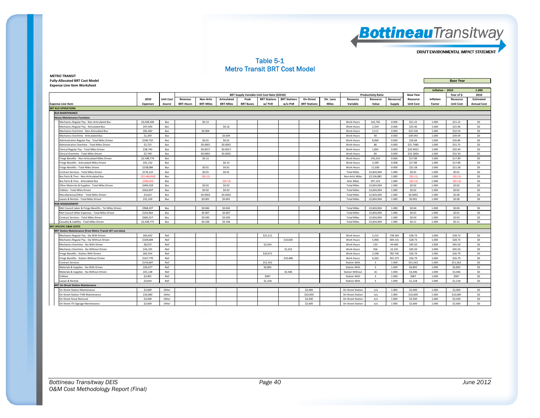

#### Table 5-1 Metro Transit BRT Cost Model

| <b>METRO TRANSIT</b>                  |  |                  |
|---------------------------------------|--|------------------|
| <b>Fully-Allocated BRT Cost Model</b> |  | <b>Base Year</b> |
| <b>Expense Line Item Worksheet</b>    |  |                  |

| Inflation - 2010<br>1.000<br>BRT Supply Variable Unit Cost Rate (\$2010)<br><b>Productivity Ratio</b><br>Year of S:<br>2010<br><b>Base Year</b><br><b>Articulated</b><br><b>BRT Stations</b><br>2010<br><b>Unit Cost</b><br>Non-Artic<br>Peak<br><b>BRT Stations</b><br>On-Street<br>Dir. Lane<br>Resource<br>Resource<br>Resource/<br>Inflation<br><b>Estimated</b><br>Revenue<br>Resource<br>Resource<br><b>BRT-Miles</b><br><b>BRT-Miles</b><br><b>BRT Stations</b><br><b>Miles</b><br>Variable<br><b>Expenses</b><br>Source<br><b>BRT-Hours</b><br><b>BRT Buses</b><br>w/PnR<br>w/o PnR<br>Value<br>Supply<br><b>Unit Cost</b><br>Factor<br><b>Unit Cost</b><br><b>Annual Cost</b><br><b>BUS MAINTENANCE</b><br><b>Heavy Maintenance Functions</b><br>\$3,028,506<br>142.742<br>\$21.22<br>\$21.22<br>\$0<br>Bus<br>\$0.13<br>Work Hours<br>0.006<br>1.000<br>Mechanics Regular Pay - Non-Articulated Bus<br>\$0<br>\$25.46<br>\$25.46<br>Mechanics Regular Pay - Articulated Bus<br>\$47.934<br>Bus<br>\$0.16<br>Work Hours<br>2.259<br>0.006<br>1.000<br>\$81,692<br>\$0.004<br>\$32.536<br>\$32.54<br>\$0<br>Mechanics Overtime - Non-Articulated Bus<br>Bus<br>Work Hours<br>2,511<br>0.000<br>1.000<br>\$0<br>Mechanics Overtime - Articulated Bus<br>\$1,293<br>Bus<br>\$0,004<br><b>Work Hours</b><br>40<br>0.000<br>\$39,043<br>1.000<br>\$39.04<br>\$240.732<br>\$0.01<br>8.969<br>0.000<br>\$26.84<br>\$26.84<br>\$0<br>Administrative Regular Pav - Total Miles Driven<br>Bus<br>\$0.01<br>Work Hours<br>1.000<br>\$2,725<br>\$0,0001<br>\$0,0001<br>86<br>0.000<br>\$31,7480<br>1.000<br>\$31.75<br>\$0<br>Administrative Overtime - Total Miles Driven<br>Bus<br>Work Hours<br>\$38,743<br>\$0.0017<br>\$0.0017<br>1,891<br>0.000<br>\$20.4922<br>\$20.49<br>\$0<br>Clerical Regular Pay - Total Miles Driven<br>Bus<br>Work Hours<br>1.000<br>\$2,740<br>\$0,0001<br>\$0.0001<br>85<br>0.000<br>\$32.3004<br>1.000<br>\$32.30<br>\$0<br>Clerical Overtime - Total Miles Driven<br>Bus<br>Work Hours<br>\$2,598,774<br>\$0.12<br>145.253<br>\$17.89<br>\$17.89<br>\$0<br>0.006<br>1.000<br>ringe Benefits - Non-Articulated Miles Driven<br>Bus<br>Work Hours<br>\$41,132<br>\$0.14<br>2,299<br>0.008<br>\$17.89<br>\$17.89<br>\$0<br>Bus<br>1.000<br>ringe Benefits - Articulated Miles Driven<br>Work Hours<br>\$0<br>\$238,086<br>\$0.01<br>\$0.01<br>11,030<br>\$21.58<br>\$21.58<br>ringe Benefits - Total Miles Driven<br>Bus<br>Work Hours<br>0.000<br>1.000<br>\$176,122<br>Bus<br>\$0.01<br>22.824.004<br>S0.01<br>\$0.01<br>\$0<br>Contract Services - Total Miles Driven<br>\$0.01<br><b>Total Miles</b><br>1.000<br>1.000<br>(S2.440.818)<br>(S0.11)<br>22.526.881<br>(S0.11)<br>\$0<br>Bus Parts & Tires - Non-Articulated Bus<br>Bus<br><b>Non-Artic Miles</b><br>1.000<br>1.000<br>(S0.11)<br>(538.632)<br>(50.13)<br>(S0.13)<br>(S0.13)<br>\$0<br>Bus Parts & Tires - Articulated Bus<br>Bus<br><b>Artic Miles</b><br>297,123<br>1.000<br>1.000<br>\$0<br>Other Materials & Supplies - Total Miles Driven<br>\$494,358<br>\$0.02<br>\$0.02<br><b>Total Miles</b><br>22.824.004<br>1.000<br>\$0.02<br>1.000<br>\$0.02<br>Bus<br>22.824.004<br>Utilities - Total Miles Driven<br>\$562,697<br>Bus<br>\$0.02<br>\$0.02<br><b>Total Miles</b><br>1.000<br>\$0.02<br>1.000<br>\$0.02<br>\$0<br>\$0<br>\$3,623<br>\$0.0002<br>\$0.0002<br><b>Total Miles</b><br>22,824,004<br>\$0.0002<br>\$0.00<br>Miscellaneous/Other - Total Miles Driven<br>Bus<br>1.000<br>1.000<br>Leases & Rentals - Total Miles Driven<br>\$31,559<br>Bus<br>\$0.001<br>\$0.001<br><b>Total Miles</b><br>22,824,004<br>1.000<br>\$0.001<br>1.000<br>\$0.00<br>\$0<br><b>ISK MANAGEMENT</b><br>\$968,207<br>\$0.042<br>22,824,004<br>Met Council Labor & Fringe Benefits - Tot Miles Driven<br>Bus<br>\$0.042<br><b>Total Miles</b><br>1.000<br>\$0.04<br>1.000<br>\$0.04<br>\$0<br>\$0,007<br>\$0<br>Met Council Other Expenses - Total Miles Driven<br>\$163,962<br>Bus<br>\$0,007<br><b>Total Miles</b><br>22.824.004<br>1.000<br>S0.01<br>1.000<br>\$0.01<br>\$0<br>\$685.257<br>\$0,030<br>\$0,030<br>22.824.004<br>1.000<br>\$0.03<br>\$0.03<br>Contract Services - Total Miles Driven<br>Bus<br><b>Total Miles</b><br>1.000<br>\$0<br>Casualty & Liability - Total Miles Driven<br>\$2,428,771<br>Bus<br>\$0,106<br>\$0,106<br><b>Total Miles</b><br>22,824,004<br>1.000<br>\$0.11<br>1.000<br>\$0.11<br><b>BRT-SPECIFIC O&amp;M COSTS</b><br>BRT Station Maintenance (from Metro Transit LRT cost data)<br>\$63,632<br>Rail<br>\$21,211<br>2,215<br>738.263<br>\$28.73<br>\$28.73<br>\$0<br>Mechanics Regular Pay - Sta With Driven<br>Work Hours<br>1.000<br>\$169,684<br>\$10,605<br>\$28.73<br>\$28.73<br>\$0<br>Rail<br>5,906<br>369.131<br>1.000<br>Mechanics Regular Pay - Sta Without Driven<br>Work Hours<br>\$2,024<br>\$0<br>\$6,072<br>Rail<br>44.483<br>\$45.50<br>\$45.50<br>Mechanics Overtime - Sta With Driven<br>Work Hours<br>133<br>1.000<br>356<br>22.241<br>\$45.50<br>\$45.50<br>\$0<br>\$16,191<br>Rail<br>\$1,012<br>1.000<br>Mechanics Overtime - Sta Without Driven<br>Work Hours<br>\$62,914<br>\$20,971<br>\$0<br>Fringe Benefits - Station With Driven<br>Rail<br>Work Hours<br>2,348<br>782.745<br>\$26.79<br>1.000<br>\$26.79<br>\$167,770<br>\$26.79<br>\$26.79<br>\$0<br>Fringe Benefits - Station Without Driven<br>Rail<br>\$10,486<br><b>Work Hours</b><br>6.262<br>391.373<br>1.000<br>\$154,687<br>Rail<br>\$51.562<br>\$51,562<br>\$51.562<br>\$0<br><b>Contract Services</b><br><b>Station With</b><br>$\overline{\mathbf{3}}$<br>1.000<br>1.000<br>Rail<br>\$0<br>Materials & Supplies - Sta With Driven<br>\$20,677<br>\$6,892<br><b>Station With</b><br>$\overline{\mathbf{3}}$<br>1.000<br>\$6,892<br>1.000<br>\$6,892<br>Materials & Supplies - Sta Without Driven<br>\$55,138<br>Rail<br>\$3,446<br><b>Station Without</b><br>16<br>1.000<br>\$3,446<br>1.000<br>\$3,446<br>\$0<br>\$2,901<br>Rail<br>\$967<br>$\overline{\mathbf{3}}$<br>1.000<br>S967<br>1.000<br>S967<br>\$0<br><b>Station With</b><br><b>Utilities</b><br>\$3,654<br>Rail<br>\$1,218<br><b>Station With</b><br>$\overline{\mathbf{3}}$<br>1.000<br>\$1,218<br>1.000<br>\$1,218<br>\$0<br>Leases & Rentals<br><b>BRT On-Street Station Maintenance</b><br>\$2,000<br>\$2,000<br>\$0<br>Other<br><b>On-Street Station</b><br>1.000<br>\$2,000<br>\$2,000<br><b>On-Street Station Maintenance</b><br>n/a<br>1.000<br>\$0<br>\$10,000<br>Other<br>\$10,000<br>1.000<br>\$10,000<br>1.000<br>\$10,000<br>On-Street Station TVM Maintenance<br><b>On-Street Station</b><br>n/a | <b>Expense Line Item Worksheet</b> |         |       |  |  |  |         |                          |     |       |         |       |         |     |
|------------------------------------------------------------------------------------------------------------------------------------------------------------------------------------------------------------------------------------------------------------------------------------------------------------------------------------------------------------------------------------------------------------------------------------------------------------------------------------------------------------------------------------------------------------------------------------------------------------------------------------------------------------------------------------------------------------------------------------------------------------------------------------------------------------------------------------------------------------------------------------------------------------------------------------------------------------------------------------------------------------------------------------------------------------------------------------------------------------------------------------------------------------------------------------------------------------------------------------------------------------------------------------------------------------------------------------------------------------------------------------------------------------------------------------------------------------------------------------------------------------------------------------------------------------------------------------------------------------------------------------------------------------------------------------------------------------------------------------------------------------------------------------------------------------------------------------------------------------------------------------------------------------------------------------------------------------------------------------------------------------------------------------------------------------------------------------------------------------------------------------------------------------------------------------------------------------------------------------------------------------------------------------------------------------------------------------------------------------------------------------------------------------------------------------------------------------------------------------------------------------------------------------------------------------------------------------------------------------------------------------------------------------------------------------------------------------------------------------------------------------------------------------------------------------------------------------------------------------------------------------------------------------------------------------------------------------------------------------------------------------------------------------------------------------------------------------------------------------------------------------------------------------------------------------------------------------------------------------------------------------------------------------------------------------------------------------------------------------------------------------------------------------------------------------------------------------------------------------------------------------------------------------------------------------------------------------------------------------------------------------------------------------------------------------------------------------------------------------------------------------------------------------------------------------------------------------------------------------------------------------------------------------------------------------------------------------------------------------------------------------------------------------------------------------------------------------------------------------------------------------------------------------------------------------------------------------------------------------------------------------------------------------------------------------------------------------------------------------------------------------------------------------------------------------------------------------------------------------------------------------------------------------------------------------------------------------------------------------------------------------------------------------------------------------------------------------------------------------------------------------------------------------------------------------------------------------------------------------------------------------------------------------------------------------------------------------------------------------------------------------------------------------------------------------------------------------------------------------------------------------------------------------------------------------------------------------------------------------------------------------------------------------------------------------------------------------------------------------------------------------------------------------------------------------------------------------------------------------------------------------------------------------------------------------------------------------------------------------------------------------------------------------------------------------------------------------------------------------------------------------------------------------------------------------------------------------------------------------------------------------------------------------------------------------------------------------------------------------------------------------------------------------------------------------------------------------------------------------------------------------------------------------------------------------------------------------------------------------------------------------------------------------------------------------------------------------------------------------------------------------------------------------------------------------------------------------------------------------------------------------------------------------------------------------------------------------------------------|------------------------------------|---------|-------|--|--|--|---------|--------------------------|-----|-------|---------|-------|---------|-----|
|                                                                                                                                                                                                                                                                                                                                                                                                                                                                                                                                                                                                                                                                                                                                                                                                                                                                                                                                                                                                                                                                                                                                                                                                                                                                                                                                                                                                                                                                                                                                                                                                                                                                                                                                                                                                                                                                                                                                                                                                                                                                                                                                                                                                                                                                                                                                                                                                                                                                                                                                                                                                                                                                                                                                                                                                                                                                                                                                                                                                                                                                                                                                                                                                                                                                                                                                                                                                                                                                                                                                                                                                                                                                                                                                                                                                                                                                                                                                                                                                                                                                                                                                                                                                                                                                                                                                                                                                                                                                                                                                                                                                                                                                                                                                                                                                                                                                                                                                                                                                                                                                                                                                                                                                                                                                                                                                                                                                                                                                                                                                                                                                                                                                                                                                                                                                                                                                                                                                                                                                                                                                                                                                                                                                                                                                                                                                                                                                                                                                                                                                                                                                      |                                    |         |       |  |  |  |         |                          |     |       |         |       |         |     |
|                                                                                                                                                                                                                                                                                                                                                                                                                                                                                                                                                                                                                                                                                                                                                                                                                                                                                                                                                                                                                                                                                                                                                                                                                                                                                                                                                                                                                                                                                                                                                                                                                                                                                                                                                                                                                                                                                                                                                                                                                                                                                                                                                                                                                                                                                                                                                                                                                                                                                                                                                                                                                                                                                                                                                                                                                                                                                                                                                                                                                                                                                                                                                                                                                                                                                                                                                                                                                                                                                                                                                                                                                                                                                                                                                                                                                                                                                                                                                                                                                                                                                                                                                                                                                                                                                                                                                                                                                                                                                                                                                                                                                                                                                                                                                                                                                                                                                                                                                                                                                                                                                                                                                                                                                                                                                                                                                                                                                                                                                                                                                                                                                                                                                                                                                                                                                                                                                                                                                                                                                                                                                                                                                                                                                                                                                                                                                                                                                                                                                                                                                                                                      |                                    |         |       |  |  |  |         |                          |     |       |         |       |         |     |
|                                                                                                                                                                                                                                                                                                                                                                                                                                                                                                                                                                                                                                                                                                                                                                                                                                                                                                                                                                                                                                                                                                                                                                                                                                                                                                                                                                                                                                                                                                                                                                                                                                                                                                                                                                                                                                                                                                                                                                                                                                                                                                                                                                                                                                                                                                                                                                                                                                                                                                                                                                                                                                                                                                                                                                                                                                                                                                                                                                                                                                                                                                                                                                                                                                                                                                                                                                                                                                                                                                                                                                                                                                                                                                                                                                                                                                                                                                                                                                                                                                                                                                                                                                                                                                                                                                                                                                                                                                                                                                                                                                                                                                                                                                                                                                                                                                                                                                                                                                                                                                                                                                                                                                                                                                                                                                                                                                                                                                                                                                                                                                                                                                                                                                                                                                                                                                                                                                                                                                                                                                                                                                                                                                                                                                                                                                                                                                                                                                                                                                                                                                                                      |                                    |         |       |  |  |  |         |                          |     |       |         |       |         |     |
|                                                                                                                                                                                                                                                                                                                                                                                                                                                                                                                                                                                                                                                                                                                                                                                                                                                                                                                                                                                                                                                                                                                                                                                                                                                                                                                                                                                                                                                                                                                                                                                                                                                                                                                                                                                                                                                                                                                                                                                                                                                                                                                                                                                                                                                                                                                                                                                                                                                                                                                                                                                                                                                                                                                                                                                                                                                                                                                                                                                                                                                                                                                                                                                                                                                                                                                                                                                                                                                                                                                                                                                                                                                                                                                                                                                                                                                                                                                                                                                                                                                                                                                                                                                                                                                                                                                                                                                                                                                                                                                                                                                                                                                                                                                                                                                                                                                                                                                                                                                                                                                                                                                                                                                                                                                                                                                                                                                                                                                                                                                                                                                                                                                                                                                                                                                                                                                                                                                                                                                                                                                                                                                                                                                                                                                                                                                                                                                                                                                                                                                                                                                                      | <b>Expense Line Item</b>           |         |       |  |  |  |         |                          |     |       |         |       |         |     |
|                                                                                                                                                                                                                                                                                                                                                                                                                                                                                                                                                                                                                                                                                                                                                                                                                                                                                                                                                                                                                                                                                                                                                                                                                                                                                                                                                                                                                                                                                                                                                                                                                                                                                                                                                                                                                                                                                                                                                                                                                                                                                                                                                                                                                                                                                                                                                                                                                                                                                                                                                                                                                                                                                                                                                                                                                                                                                                                                                                                                                                                                                                                                                                                                                                                                                                                                                                                                                                                                                                                                                                                                                                                                                                                                                                                                                                                                                                                                                                                                                                                                                                                                                                                                                                                                                                                                                                                                                                                                                                                                                                                                                                                                                                                                                                                                                                                                                                                                                                                                                                                                                                                                                                                                                                                                                                                                                                                                                                                                                                                                                                                                                                                                                                                                                                                                                                                                                                                                                                                                                                                                                                                                                                                                                                                                                                                                                                                                                                                                                                                                                                                                      | <b>BRT BUS OPERATIONS</b>          |         |       |  |  |  |         |                          |     |       |         |       |         |     |
|                                                                                                                                                                                                                                                                                                                                                                                                                                                                                                                                                                                                                                                                                                                                                                                                                                                                                                                                                                                                                                                                                                                                                                                                                                                                                                                                                                                                                                                                                                                                                                                                                                                                                                                                                                                                                                                                                                                                                                                                                                                                                                                                                                                                                                                                                                                                                                                                                                                                                                                                                                                                                                                                                                                                                                                                                                                                                                                                                                                                                                                                                                                                                                                                                                                                                                                                                                                                                                                                                                                                                                                                                                                                                                                                                                                                                                                                                                                                                                                                                                                                                                                                                                                                                                                                                                                                                                                                                                                                                                                                                                                                                                                                                                                                                                                                                                                                                                                                                                                                                                                                                                                                                                                                                                                                                                                                                                                                                                                                                                                                                                                                                                                                                                                                                                                                                                                                                                                                                                                                                                                                                                                                                                                                                                                                                                                                                                                                                                                                                                                                                                                                      |                                    |         |       |  |  |  |         |                          |     |       |         |       |         |     |
|                                                                                                                                                                                                                                                                                                                                                                                                                                                                                                                                                                                                                                                                                                                                                                                                                                                                                                                                                                                                                                                                                                                                                                                                                                                                                                                                                                                                                                                                                                                                                                                                                                                                                                                                                                                                                                                                                                                                                                                                                                                                                                                                                                                                                                                                                                                                                                                                                                                                                                                                                                                                                                                                                                                                                                                                                                                                                                                                                                                                                                                                                                                                                                                                                                                                                                                                                                                                                                                                                                                                                                                                                                                                                                                                                                                                                                                                                                                                                                                                                                                                                                                                                                                                                                                                                                                                                                                                                                                                                                                                                                                                                                                                                                                                                                                                                                                                                                                                                                                                                                                                                                                                                                                                                                                                                                                                                                                                                                                                                                                                                                                                                                                                                                                                                                                                                                                                                                                                                                                                                                                                                                                                                                                                                                                                                                                                                                                                                                                                                                                                                                                                      |                                    |         |       |  |  |  |         |                          |     |       |         |       |         |     |
|                                                                                                                                                                                                                                                                                                                                                                                                                                                                                                                                                                                                                                                                                                                                                                                                                                                                                                                                                                                                                                                                                                                                                                                                                                                                                                                                                                                                                                                                                                                                                                                                                                                                                                                                                                                                                                                                                                                                                                                                                                                                                                                                                                                                                                                                                                                                                                                                                                                                                                                                                                                                                                                                                                                                                                                                                                                                                                                                                                                                                                                                                                                                                                                                                                                                                                                                                                                                                                                                                                                                                                                                                                                                                                                                                                                                                                                                                                                                                                                                                                                                                                                                                                                                                                                                                                                                                                                                                                                                                                                                                                                                                                                                                                                                                                                                                                                                                                                                                                                                                                                                                                                                                                                                                                                                                                                                                                                                                                                                                                                                                                                                                                                                                                                                                                                                                                                                                                                                                                                                                                                                                                                                                                                                                                                                                                                                                                                                                                                                                                                                                                                                      |                                    |         |       |  |  |  |         |                          |     |       |         |       |         |     |
|                                                                                                                                                                                                                                                                                                                                                                                                                                                                                                                                                                                                                                                                                                                                                                                                                                                                                                                                                                                                                                                                                                                                                                                                                                                                                                                                                                                                                                                                                                                                                                                                                                                                                                                                                                                                                                                                                                                                                                                                                                                                                                                                                                                                                                                                                                                                                                                                                                                                                                                                                                                                                                                                                                                                                                                                                                                                                                                                                                                                                                                                                                                                                                                                                                                                                                                                                                                                                                                                                                                                                                                                                                                                                                                                                                                                                                                                                                                                                                                                                                                                                                                                                                                                                                                                                                                                                                                                                                                                                                                                                                                                                                                                                                                                                                                                                                                                                                                                                                                                                                                                                                                                                                                                                                                                                                                                                                                                                                                                                                                                                                                                                                                                                                                                                                                                                                                                                                                                                                                                                                                                                                                                                                                                                                                                                                                                                                                                                                                                                                                                                                                                      |                                    |         |       |  |  |  |         |                          |     |       |         |       |         |     |
|                                                                                                                                                                                                                                                                                                                                                                                                                                                                                                                                                                                                                                                                                                                                                                                                                                                                                                                                                                                                                                                                                                                                                                                                                                                                                                                                                                                                                                                                                                                                                                                                                                                                                                                                                                                                                                                                                                                                                                                                                                                                                                                                                                                                                                                                                                                                                                                                                                                                                                                                                                                                                                                                                                                                                                                                                                                                                                                                                                                                                                                                                                                                                                                                                                                                                                                                                                                                                                                                                                                                                                                                                                                                                                                                                                                                                                                                                                                                                                                                                                                                                                                                                                                                                                                                                                                                                                                                                                                                                                                                                                                                                                                                                                                                                                                                                                                                                                                                                                                                                                                                                                                                                                                                                                                                                                                                                                                                                                                                                                                                                                                                                                                                                                                                                                                                                                                                                                                                                                                                                                                                                                                                                                                                                                                                                                                                                                                                                                                                                                                                                                                                      |                                    |         |       |  |  |  |         |                          |     |       |         |       |         |     |
|                                                                                                                                                                                                                                                                                                                                                                                                                                                                                                                                                                                                                                                                                                                                                                                                                                                                                                                                                                                                                                                                                                                                                                                                                                                                                                                                                                                                                                                                                                                                                                                                                                                                                                                                                                                                                                                                                                                                                                                                                                                                                                                                                                                                                                                                                                                                                                                                                                                                                                                                                                                                                                                                                                                                                                                                                                                                                                                                                                                                                                                                                                                                                                                                                                                                                                                                                                                                                                                                                                                                                                                                                                                                                                                                                                                                                                                                                                                                                                                                                                                                                                                                                                                                                                                                                                                                                                                                                                                                                                                                                                                                                                                                                                                                                                                                                                                                                                                                                                                                                                                                                                                                                                                                                                                                                                                                                                                                                                                                                                                                                                                                                                                                                                                                                                                                                                                                                                                                                                                                                                                                                                                                                                                                                                                                                                                                                                                                                                                                                                                                                                                                      |                                    |         |       |  |  |  |         |                          |     |       |         |       |         |     |
|                                                                                                                                                                                                                                                                                                                                                                                                                                                                                                                                                                                                                                                                                                                                                                                                                                                                                                                                                                                                                                                                                                                                                                                                                                                                                                                                                                                                                                                                                                                                                                                                                                                                                                                                                                                                                                                                                                                                                                                                                                                                                                                                                                                                                                                                                                                                                                                                                                                                                                                                                                                                                                                                                                                                                                                                                                                                                                                                                                                                                                                                                                                                                                                                                                                                                                                                                                                                                                                                                                                                                                                                                                                                                                                                                                                                                                                                                                                                                                                                                                                                                                                                                                                                                                                                                                                                                                                                                                                                                                                                                                                                                                                                                                                                                                                                                                                                                                                                                                                                                                                                                                                                                                                                                                                                                                                                                                                                                                                                                                                                                                                                                                                                                                                                                                                                                                                                                                                                                                                                                                                                                                                                                                                                                                                                                                                                                                                                                                                                                                                                                                                                      |                                    |         |       |  |  |  |         |                          |     |       |         |       |         |     |
|                                                                                                                                                                                                                                                                                                                                                                                                                                                                                                                                                                                                                                                                                                                                                                                                                                                                                                                                                                                                                                                                                                                                                                                                                                                                                                                                                                                                                                                                                                                                                                                                                                                                                                                                                                                                                                                                                                                                                                                                                                                                                                                                                                                                                                                                                                                                                                                                                                                                                                                                                                                                                                                                                                                                                                                                                                                                                                                                                                                                                                                                                                                                                                                                                                                                                                                                                                                                                                                                                                                                                                                                                                                                                                                                                                                                                                                                                                                                                                                                                                                                                                                                                                                                                                                                                                                                                                                                                                                                                                                                                                                                                                                                                                                                                                                                                                                                                                                                                                                                                                                                                                                                                                                                                                                                                                                                                                                                                                                                                                                                                                                                                                                                                                                                                                                                                                                                                                                                                                                                                                                                                                                                                                                                                                                                                                                                                                                                                                                                                                                                                                                                      |                                    |         |       |  |  |  |         |                          |     |       |         |       |         |     |
|                                                                                                                                                                                                                                                                                                                                                                                                                                                                                                                                                                                                                                                                                                                                                                                                                                                                                                                                                                                                                                                                                                                                                                                                                                                                                                                                                                                                                                                                                                                                                                                                                                                                                                                                                                                                                                                                                                                                                                                                                                                                                                                                                                                                                                                                                                                                                                                                                                                                                                                                                                                                                                                                                                                                                                                                                                                                                                                                                                                                                                                                                                                                                                                                                                                                                                                                                                                                                                                                                                                                                                                                                                                                                                                                                                                                                                                                                                                                                                                                                                                                                                                                                                                                                                                                                                                                                                                                                                                                                                                                                                                                                                                                                                                                                                                                                                                                                                                                                                                                                                                                                                                                                                                                                                                                                                                                                                                                                                                                                                                                                                                                                                                                                                                                                                                                                                                                                                                                                                                                                                                                                                                                                                                                                                                                                                                                                                                                                                                                                                                                                                                                      |                                    |         |       |  |  |  |         |                          |     |       |         |       |         |     |
|                                                                                                                                                                                                                                                                                                                                                                                                                                                                                                                                                                                                                                                                                                                                                                                                                                                                                                                                                                                                                                                                                                                                                                                                                                                                                                                                                                                                                                                                                                                                                                                                                                                                                                                                                                                                                                                                                                                                                                                                                                                                                                                                                                                                                                                                                                                                                                                                                                                                                                                                                                                                                                                                                                                                                                                                                                                                                                                                                                                                                                                                                                                                                                                                                                                                                                                                                                                                                                                                                                                                                                                                                                                                                                                                                                                                                                                                                                                                                                                                                                                                                                                                                                                                                                                                                                                                                                                                                                                                                                                                                                                                                                                                                                                                                                                                                                                                                                                                                                                                                                                                                                                                                                                                                                                                                                                                                                                                                                                                                                                                                                                                                                                                                                                                                                                                                                                                                                                                                                                                                                                                                                                                                                                                                                                                                                                                                                                                                                                                                                                                                                                                      |                                    |         |       |  |  |  |         |                          |     |       |         |       |         |     |
|                                                                                                                                                                                                                                                                                                                                                                                                                                                                                                                                                                                                                                                                                                                                                                                                                                                                                                                                                                                                                                                                                                                                                                                                                                                                                                                                                                                                                                                                                                                                                                                                                                                                                                                                                                                                                                                                                                                                                                                                                                                                                                                                                                                                                                                                                                                                                                                                                                                                                                                                                                                                                                                                                                                                                                                                                                                                                                                                                                                                                                                                                                                                                                                                                                                                                                                                                                                                                                                                                                                                                                                                                                                                                                                                                                                                                                                                                                                                                                                                                                                                                                                                                                                                                                                                                                                                                                                                                                                                                                                                                                                                                                                                                                                                                                                                                                                                                                                                                                                                                                                                                                                                                                                                                                                                                                                                                                                                                                                                                                                                                                                                                                                                                                                                                                                                                                                                                                                                                                                                                                                                                                                                                                                                                                                                                                                                                                                                                                                                                                                                                                                                      |                                    |         |       |  |  |  |         |                          |     |       |         |       |         |     |
|                                                                                                                                                                                                                                                                                                                                                                                                                                                                                                                                                                                                                                                                                                                                                                                                                                                                                                                                                                                                                                                                                                                                                                                                                                                                                                                                                                                                                                                                                                                                                                                                                                                                                                                                                                                                                                                                                                                                                                                                                                                                                                                                                                                                                                                                                                                                                                                                                                                                                                                                                                                                                                                                                                                                                                                                                                                                                                                                                                                                                                                                                                                                                                                                                                                                                                                                                                                                                                                                                                                                                                                                                                                                                                                                                                                                                                                                                                                                                                                                                                                                                                                                                                                                                                                                                                                                                                                                                                                                                                                                                                                                                                                                                                                                                                                                                                                                                                                                                                                                                                                                                                                                                                                                                                                                                                                                                                                                                                                                                                                                                                                                                                                                                                                                                                                                                                                                                                                                                                                                                                                                                                                                                                                                                                                                                                                                                                                                                                                                                                                                                                                                      |                                    |         |       |  |  |  |         |                          |     |       |         |       |         |     |
|                                                                                                                                                                                                                                                                                                                                                                                                                                                                                                                                                                                                                                                                                                                                                                                                                                                                                                                                                                                                                                                                                                                                                                                                                                                                                                                                                                                                                                                                                                                                                                                                                                                                                                                                                                                                                                                                                                                                                                                                                                                                                                                                                                                                                                                                                                                                                                                                                                                                                                                                                                                                                                                                                                                                                                                                                                                                                                                                                                                                                                                                                                                                                                                                                                                                                                                                                                                                                                                                                                                                                                                                                                                                                                                                                                                                                                                                                                                                                                                                                                                                                                                                                                                                                                                                                                                                                                                                                                                                                                                                                                                                                                                                                                                                                                                                                                                                                                                                                                                                                                                                                                                                                                                                                                                                                                                                                                                                                                                                                                                                                                                                                                                                                                                                                                                                                                                                                                                                                                                                                                                                                                                                                                                                                                                                                                                                                                                                                                                                                                                                                                                                      |                                    |         |       |  |  |  |         |                          |     |       |         |       |         |     |
|                                                                                                                                                                                                                                                                                                                                                                                                                                                                                                                                                                                                                                                                                                                                                                                                                                                                                                                                                                                                                                                                                                                                                                                                                                                                                                                                                                                                                                                                                                                                                                                                                                                                                                                                                                                                                                                                                                                                                                                                                                                                                                                                                                                                                                                                                                                                                                                                                                                                                                                                                                                                                                                                                                                                                                                                                                                                                                                                                                                                                                                                                                                                                                                                                                                                                                                                                                                                                                                                                                                                                                                                                                                                                                                                                                                                                                                                                                                                                                                                                                                                                                                                                                                                                                                                                                                                                                                                                                                                                                                                                                                                                                                                                                                                                                                                                                                                                                                                                                                                                                                                                                                                                                                                                                                                                                                                                                                                                                                                                                                                                                                                                                                                                                                                                                                                                                                                                                                                                                                                                                                                                                                                                                                                                                                                                                                                                                                                                                                                                                                                                                                                      |                                    |         |       |  |  |  |         |                          |     |       |         |       |         |     |
|                                                                                                                                                                                                                                                                                                                                                                                                                                                                                                                                                                                                                                                                                                                                                                                                                                                                                                                                                                                                                                                                                                                                                                                                                                                                                                                                                                                                                                                                                                                                                                                                                                                                                                                                                                                                                                                                                                                                                                                                                                                                                                                                                                                                                                                                                                                                                                                                                                                                                                                                                                                                                                                                                                                                                                                                                                                                                                                                                                                                                                                                                                                                                                                                                                                                                                                                                                                                                                                                                                                                                                                                                                                                                                                                                                                                                                                                                                                                                                                                                                                                                                                                                                                                                                                                                                                                                                                                                                                                                                                                                                                                                                                                                                                                                                                                                                                                                                                                                                                                                                                                                                                                                                                                                                                                                                                                                                                                                                                                                                                                                                                                                                                                                                                                                                                                                                                                                                                                                                                                                                                                                                                                                                                                                                                                                                                                                                                                                                                                                                                                                                                                      |                                    |         |       |  |  |  |         |                          |     |       |         |       |         |     |
|                                                                                                                                                                                                                                                                                                                                                                                                                                                                                                                                                                                                                                                                                                                                                                                                                                                                                                                                                                                                                                                                                                                                                                                                                                                                                                                                                                                                                                                                                                                                                                                                                                                                                                                                                                                                                                                                                                                                                                                                                                                                                                                                                                                                                                                                                                                                                                                                                                                                                                                                                                                                                                                                                                                                                                                                                                                                                                                                                                                                                                                                                                                                                                                                                                                                                                                                                                                                                                                                                                                                                                                                                                                                                                                                                                                                                                                                                                                                                                                                                                                                                                                                                                                                                                                                                                                                                                                                                                                                                                                                                                                                                                                                                                                                                                                                                                                                                                                                                                                                                                                                                                                                                                                                                                                                                                                                                                                                                                                                                                                                                                                                                                                                                                                                                                                                                                                                                                                                                                                                                                                                                                                                                                                                                                                                                                                                                                                                                                                                                                                                                                                                      |                                    |         |       |  |  |  |         |                          |     |       |         |       |         |     |
|                                                                                                                                                                                                                                                                                                                                                                                                                                                                                                                                                                                                                                                                                                                                                                                                                                                                                                                                                                                                                                                                                                                                                                                                                                                                                                                                                                                                                                                                                                                                                                                                                                                                                                                                                                                                                                                                                                                                                                                                                                                                                                                                                                                                                                                                                                                                                                                                                                                                                                                                                                                                                                                                                                                                                                                                                                                                                                                                                                                                                                                                                                                                                                                                                                                                                                                                                                                                                                                                                                                                                                                                                                                                                                                                                                                                                                                                                                                                                                                                                                                                                                                                                                                                                                                                                                                                                                                                                                                                                                                                                                                                                                                                                                                                                                                                                                                                                                                                                                                                                                                                                                                                                                                                                                                                                                                                                                                                                                                                                                                                                                                                                                                                                                                                                                                                                                                                                                                                                                                                                                                                                                                                                                                                                                                                                                                                                                                                                                                                                                                                                                                                      |                                    |         |       |  |  |  |         |                          |     |       |         |       |         |     |
|                                                                                                                                                                                                                                                                                                                                                                                                                                                                                                                                                                                                                                                                                                                                                                                                                                                                                                                                                                                                                                                                                                                                                                                                                                                                                                                                                                                                                                                                                                                                                                                                                                                                                                                                                                                                                                                                                                                                                                                                                                                                                                                                                                                                                                                                                                                                                                                                                                                                                                                                                                                                                                                                                                                                                                                                                                                                                                                                                                                                                                                                                                                                                                                                                                                                                                                                                                                                                                                                                                                                                                                                                                                                                                                                                                                                                                                                                                                                                                                                                                                                                                                                                                                                                                                                                                                                                                                                                                                                                                                                                                                                                                                                                                                                                                                                                                                                                                                                                                                                                                                                                                                                                                                                                                                                                                                                                                                                                                                                                                                                                                                                                                                                                                                                                                                                                                                                                                                                                                                                                                                                                                                                                                                                                                                                                                                                                                                                                                                                                                                                                                                                      |                                    |         |       |  |  |  |         |                          |     |       |         |       |         |     |
|                                                                                                                                                                                                                                                                                                                                                                                                                                                                                                                                                                                                                                                                                                                                                                                                                                                                                                                                                                                                                                                                                                                                                                                                                                                                                                                                                                                                                                                                                                                                                                                                                                                                                                                                                                                                                                                                                                                                                                                                                                                                                                                                                                                                                                                                                                                                                                                                                                                                                                                                                                                                                                                                                                                                                                                                                                                                                                                                                                                                                                                                                                                                                                                                                                                                                                                                                                                                                                                                                                                                                                                                                                                                                                                                                                                                                                                                                                                                                                                                                                                                                                                                                                                                                                                                                                                                                                                                                                                                                                                                                                                                                                                                                                                                                                                                                                                                                                                                                                                                                                                                                                                                                                                                                                                                                                                                                                                                                                                                                                                                                                                                                                                                                                                                                                                                                                                                                                                                                                                                                                                                                                                                                                                                                                                                                                                                                                                                                                                                                                                                                                                                      |                                    |         |       |  |  |  |         |                          |     |       |         |       |         |     |
|                                                                                                                                                                                                                                                                                                                                                                                                                                                                                                                                                                                                                                                                                                                                                                                                                                                                                                                                                                                                                                                                                                                                                                                                                                                                                                                                                                                                                                                                                                                                                                                                                                                                                                                                                                                                                                                                                                                                                                                                                                                                                                                                                                                                                                                                                                                                                                                                                                                                                                                                                                                                                                                                                                                                                                                                                                                                                                                                                                                                                                                                                                                                                                                                                                                                                                                                                                                                                                                                                                                                                                                                                                                                                                                                                                                                                                                                                                                                                                                                                                                                                                                                                                                                                                                                                                                                                                                                                                                                                                                                                                                                                                                                                                                                                                                                                                                                                                                                                                                                                                                                                                                                                                                                                                                                                                                                                                                                                                                                                                                                                                                                                                                                                                                                                                                                                                                                                                                                                                                                                                                                                                                                                                                                                                                                                                                                                                                                                                                                                                                                                                                                      |                                    |         |       |  |  |  |         |                          |     |       |         |       |         |     |
|                                                                                                                                                                                                                                                                                                                                                                                                                                                                                                                                                                                                                                                                                                                                                                                                                                                                                                                                                                                                                                                                                                                                                                                                                                                                                                                                                                                                                                                                                                                                                                                                                                                                                                                                                                                                                                                                                                                                                                                                                                                                                                                                                                                                                                                                                                                                                                                                                                                                                                                                                                                                                                                                                                                                                                                                                                                                                                                                                                                                                                                                                                                                                                                                                                                                                                                                                                                                                                                                                                                                                                                                                                                                                                                                                                                                                                                                                                                                                                                                                                                                                                                                                                                                                                                                                                                                                                                                                                                                                                                                                                                                                                                                                                                                                                                                                                                                                                                                                                                                                                                                                                                                                                                                                                                                                                                                                                                                                                                                                                                                                                                                                                                                                                                                                                                                                                                                                                                                                                                                                                                                                                                                                                                                                                                                                                                                                                                                                                                                                                                                                                                                      |                                    |         |       |  |  |  |         |                          |     |       |         |       |         |     |
|                                                                                                                                                                                                                                                                                                                                                                                                                                                                                                                                                                                                                                                                                                                                                                                                                                                                                                                                                                                                                                                                                                                                                                                                                                                                                                                                                                                                                                                                                                                                                                                                                                                                                                                                                                                                                                                                                                                                                                                                                                                                                                                                                                                                                                                                                                                                                                                                                                                                                                                                                                                                                                                                                                                                                                                                                                                                                                                                                                                                                                                                                                                                                                                                                                                                                                                                                                                                                                                                                                                                                                                                                                                                                                                                                                                                                                                                                                                                                                                                                                                                                                                                                                                                                                                                                                                                                                                                                                                                                                                                                                                                                                                                                                                                                                                                                                                                                                                                                                                                                                                                                                                                                                                                                                                                                                                                                                                                                                                                                                                                                                                                                                                                                                                                                                                                                                                                                                                                                                                                                                                                                                                                                                                                                                                                                                                                                                                                                                                                                                                                                                                                      |                                    |         |       |  |  |  |         |                          |     |       |         |       |         |     |
|                                                                                                                                                                                                                                                                                                                                                                                                                                                                                                                                                                                                                                                                                                                                                                                                                                                                                                                                                                                                                                                                                                                                                                                                                                                                                                                                                                                                                                                                                                                                                                                                                                                                                                                                                                                                                                                                                                                                                                                                                                                                                                                                                                                                                                                                                                                                                                                                                                                                                                                                                                                                                                                                                                                                                                                                                                                                                                                                                                                                                                                                                                                                                                                                                                                                                                                                                                                                                                                                                                                                                                                                                                                                                                                                                                                                                                                                                                                                                                                                                                                                                                                                                                                                                                                                                                                                                                                                                                                                                                                                                                                                                                                                                                                                                                                                                                                                                                                                                                                                                                                                                                                                                                                                                                                                                                                                                                                                                                                                                                                                                                                                                                                                                                                                                                                                                                                                                                                                                                                                                                                                                                                                                                                                                                                                                                                                                                                                                                                                                                                                                                                                      |                                    |         |       |  |  |  |         |                          |     |       |         |       |         |     |
|                                                                                                                                                                                                                                                                                                                                                                                                                                                                                                                                                                                                                                                                                                                                                                                                                                                                                                                                                                                                                                                                                                                                                                                                                                                                                                                                                                                                                                                                                                                                                                                                                                                                                                                                                                                                                                                                                                                                                                                                                                                                                                                                                                                                                                                                                                                                                                                                                                                                                                                                                                                                                                                                                                                                                                                                                                                                                                                                                                                                                                                                                                                                                                                                                                                                                                                                                                                                                                                                                                                                                                                                                                                                                                                                                                                                                                                                                                                                                                                                                                                                                                                                                                                                                                                                                                                                                                                                                                                                                                                                                                                                                                                                                                                                                                                                                                                                                                                                                                                                                                                                                                                                                                                                                                                                                                                                                                                                                                                                                                                                                                                                                                                                                                                                                                                                                                                                                                                                                                                                                                                                                                                                                                                                                                                                                                                                                                                                                                                                                                                                                                                                      |                                    |         |       |  |  |  |         |                          |     |       |         |       |         |     |
|                                                                                                                                                                                                                                                                                                                                                                                                                                                                                                                                                                                                                                                                                                                                                                                                                                                                                                                                                                                                                                                                                                                                                                                                                                                                                                                                                                                                                                                                                                                                                                                                                                                                                                                                                                                                                                                                                                                                                                                                                                                                                                                                                                                                                                                                                                                                                                                                                                                                                                                                                                                                                                                                                                                                                                                                                                                                                                                                                                                                                                                                                                                                                                                                                                                                                                                                                                                                                                                                                                                                                                                                                                                                                                                                                                                                                                                                                                                                                                                                                                                                                                                                                                                                                                                                                                                                                                                                                                                                                                                                                                                                                                                                                                                                                                                                                                                                                                                                                                                                                                                                                                                                                                                                                                                                                                                                                                                                                                                                                                                                                                                                                                                                                                                                                                                                                                                                                                                                                                                                                                                                                                                                                                                                                                                                                                                                                                                                                                                                                                                                                                                                      |                                    |         |       |  |  |  |         |                          |     |       |         |       |         |     |
|                                                                                                                                                                                                                                                                                                                                                                                                                                                                                                                                                                                                                                                                                                                                                                                                                                                                                                                                                                                                                                                                                                                                                                                                                                                                                                                                                                                                                                                                                                                                                                                                                                                                                                                                                                                                                                                                                                                                                                                                                                                                                                                                                                                                                                                                                                                                                                                                                                                                                                                                                                                                                                                                                                                                                                                                                                                                                                                                                                                                                                                                                                                                                                                                                                                                                                                                                                                                                                                                                                                                                                                                                                                                                                                                                                                                                                                                                                                                                                                                                                                                                                                                                                                                                                                                                                                                                                                                                                                                                                                                                                                                                                                                                                                                                                                                                                                                                                                                                                                                                                                                                                                                                                                                                                                                                                                                                                                                                                                                                                                                                                                                                                                                                                                                                                                                                                                                                                                                                                                                                                                                                                                                                                                                                                                                                                                                                                                                                                                                                                                                                                                                      |                                    |         |       |  |  |  |         |                          |     |       |         |       |         |     |
|                                                                                                                                                                                                                                                                                                                                                                                                                                                                                                                                                                                                                                                                                                                                                                                                                                                                                                                                                                                                                                                                                                                                                                                                                                                                                                                                                                                                                                                                                                                                                                                                                                                                                                                                                                                                                                                                                                                                                                                                                                                                                                                                                                                                                                                                                                                                                                                                                                                                                                                                                                                                                                                                                                                                                                                                                                                                                                                                                                                                                                                                                                                                                                                                                                                                                                                                                                                                                                                                                                                                                                                                                                                                                                                                                                                                                                                                                                                                                                                                                                                                                                                                                                                                                                                                                                                                                                                                                                                                                                                                                                                                                                                                                                                                                                                                                                                                                                                                                                                                                                                                                                                                                                                                                                                                                                                                                                                                                                                                                                                                                                                                                                                                                                                                                                                                                                                                                                                                                                                                                                                                                                                                                                                                                                                                                                                                                                                                                                                                                                                                                                                                      |                                    |         |       |  |  |  |         |                          |     |       |         |       |         |     |
|                                                                                                                                                                                                                                                                                                                                                                                                                                                                                                                                                                                                                                                                                                                                                                                                                                                                                                                                                                                                                                                                                                                                                                                                                                                                                                                                                                                                                                                                                                                                                                                                                                                                                                                                                                                                                                                                                                                                                                                                                                                                                                                                                                                                                                                                                                                                                                                                                                                                                                                                                                                                                                                                                                                                                                                                                                                                                                                                                                                                                                                                                                                                                                                                                                                                                                                                                                                                                                                                                                                                                                                                                                                                                                                                                                                                                                                                                                                                                                                                                                                                                                                                                                                                                                                                                                                                                                                                                                                                                                                                                                                                                                                                                                                                                                                                                                                                                                                                                                                                                                                                                                                                                                                                                                                                                                                                                                                                                                                                                                                                                                                                                                                                                                                                                                                                                                                                                                                                                                                                                                                                                                                                                                                                                                                                                                                                                                                                                                                                                                                                                                                                      |                                    |         |       |  |  |  |         |                          |     |       |         |       |         |     |
|                                                                                                                                                                                                                                                                                                                                                                                                                                                                                                                                                                                                                                                                                                                                                                                                                                                                                                                                                                                                                                                                                                                                                                                                                                                                                                                                                                                                                                                                                                                                                                                                                                                                                                                                                                                                                                                                                                                                                                                                                                                                                                                                                                                                                                                                                                                                                                                                                                                                                                                                                                                                                                                                                                                                                                                                                                                                                                                                                                                                                                                                                                                                                                                                                                                                                                                                                                                                                                                                                                                                                                                                                                                                                                                                                                                                                                                                                                                                                                                                                                                                                                                                                                                                                                                                                                                                                                                                                                                                                                                                                                                                                                                                                                                                                                                                                                                                                                                                                                                                                                                                                                                                                                                                                                                                                                                                                                                                                                                                                                                                                                                                                                                                                                                                                                                                                                                                                                                                                                                                                                                                                                                                                                                                                                                                                                                                                                                                                                                                                                                                                                                                      |                                    |         |       |  |  |  |         |                          |     |       |         |       |         |     |
|                                                                                                                                                                                                                                                                                                                                                                                                                                                                                                                                                                                                                                                                                                                                                                                                                                                                                                                                                                                                                                                                                                                                                                                                                                                                                                                                                                                                                                                                                                                                                                                                                                                                                                                                                                                                                                                                                                                                                                                                                                                                                                                                                                                                                                                                                                                                                                                                                                                                                                                                                                                                                                                                                                                                                                                                                                                                                                                                                                                                                                                                                                                                                                                                                                                                                                                                                                                                                                                                                                                                                                                                                                                                                                                                                                                                                                                                                                                                                                                                                                                                                                                                                                                                                                                                                                                                                                                                                                                                                                                                                                                                                                                                                                                                                                                                                                                                                                                                                                                                                                                                                                                                                                                                                                                                                                                                                                                                                                                                                                                                                                                                                                                                                                                                                                                                                                                                                                                                                                                                                                                                                                                                                                                                                                                                                                                                                                                                                                                                                                                                                                                                      |                                    |         |       |  |  |  |         |                          |     |       |         |       |         |     |
|                                                                                                                                                                                                                                                                                                                                                                                                                                                                                                                                                                                                                                                                                                                                                                                                                                                                                                                                                                                                                                                                                                                                                                                                                                                                                                                                                                                                                                                                                                                                                                                                                                                                                                                                                                                                                                                                                                                                                                                                                                                                                                                                                                                                                                                                                                                                                                                                                                                                                                                                                                                                                                                                                                                                                                                                                                                                                                                                                                                                                                                                                                                                                                                                                                                                                                                                                                                                                                                                                                                                                                                                                                                                                                                                                                                                                                                                                                                                                                                                                                                                                                                                                                                                                                                                                                                                                                                                                                                                                                                                                                                                                                                                                                                                                                                                                                                                                                                                                                                                                                                                                                                                                                                                                                                                                                                                                                                                                                                                                                                                                                                                                                                                                                                                                                                                                                                                                                                                                                                                                                                                                                                                                                                                                                                                                                                                                                                                                                                                                                                                                                                                      |                                    |         |       |  |  |  |         |                          |     |       |         |       |         |     |
|                                                                                                                                                                                                                                                                                                                                                                                                                                                                                                                                                                                                                                                                                                                                                                                                                                                                                                                                                                                                                                                                                                                                                                                                                                                                                                                                                                                                                                                                                                                                                                                                                                                                                                                                                                                                                                                                                                                                                                                                                                                                                                                                                                                                                                                                                                                                                                                                                                                                                                                                                                                                                                                                                                                                                                                                                                                                                                                                                                                                                                                                                                                                                                                                                                                                                                                                                                                                                                                                                                                                                                                                                                                                                                                                                                                                                                                                                                                                                                                                                                                                                                                                                                                                                                                                                                                                                                                                                                                                                                                                                                                                                                                                                                                                                                                                                                                                                                                                                                                                                                                                                                                                                                                                                                                                                                                                                                                                                                                                                                                                                                                                                                                                                                                                                                                                                                                                                                                                                                                                                                                                                                                                                                                                                                                                                                                                                                                                                                                                                                                                                                                                      |                                    |         |       |  |  |  |         |                          |     |       |         |       |         |     |
|                                                                                                                                                                                                                                                                                                                                                                                                                                                                                                                                                                                                                                                                                                                                                                                                                                                                                                                                                                                                                                                                                                                                                                                                                                                                                                                                                                                                                                                                                                                                                                                                                                                                                                                                                                                                                                                                                                                                                                                                                                                                                                                                                                                                                                                                                                                                                                                                                                                                                                                                                                                                                                                                                                                                                                                                                                                                                                                                                                                                                                                                                                                                                                                                                                                                                                                                                                                                                                                                                                                                                                                                                                                                                                                                                                                                                                                                                                                                                                                                                                                                                                                                                                                                                                                                                                                                                                                                                                                                                                                                                                                                                                                                                                                                                                                                                                                                                                                                                                                                                                                                                                                                                                                                                                                                                                                                                                                                                                                                                                                                                                                                                                                                                                                                                                                                                                                                                                                                                                                                                                                                                                                                                                                                                                                                                                                                                                                                                                                                                                                                                                                                      |                                    |         |       |  |  |  |         |                          |     |       |         |       |         |     |
|                                                                                                                                                                                                                                                                                                                                                                                                                                                                                                                                                                                                                                                                                                                                                                                                                                                                                                                                                                                                                                                                                                                                                                                                                                                                                                                                                                                                                                                                                                                                                                                                                                                                                                                                                                                                                                                                                                                                                                                                                                                                                                                                                                                                                                                                                                                                                                                                                                                                                                                                                                                                                                                                                                                                                                                                                                                                                                                                                                                                                                                                                                                                                                                                                                                                                                                                                                                                                                                                                                                                                                                                                                                                                                                                                                                                                                                                                                                                                                                                                                                                                                                                                                                                                                                                                                                                                                                                                                                                                                                                                                                                                                                                                                                                                                                                                                                                                                                                                                                                                                                                                                                                                                                                                                                                                                                                                                                                                                                                                                                                                                                                                                                                                                                                                                                                                                                                                                                                                                                                                                                                                                                                                                                                                                                                                                                                                                                                                                                                                                                                                                                                      |                                    |         |       |  |  |  |         |                          |     |       |         |       |         |     |
|                                                                                                                                                                                                                                                                                                                                                                                                                                                                                                                                                                                                                                                                                                                                                                                                                                                                                                                                                                                                                                                                                                                                                                                                                                                                                                                                                                                                                                                                                                                                                                                                                                                                                                                                                                                                                                                                                                                                                                                                                                                                                                                                                                                                                                                                                                                                                                                                                                                                                                                                                                                                                                                                                                                                                                                                                                                                                                                                                                                                                                                                                                                                                                                                                                                                                                                                                                                                                                                                                                                                                                                                                                                                                                                                                                                                                                                                                                                                                                                                                                                                                                                                                                                                                                                                                                                                                                                                                                                                                                                                                                                                                                                                                                                                                                                                                                                                                                                                                                                                                                                                                                                                                                                                                                                                                                                                                                                                                                                                                                                                                                                                                                                                                                                                                                                                                                                                                                                                                                                                                                                                                                                                                                                                                                                                                                                                                                                                                                                                                                                                                                                                      |                                    |         |       |  |  |  |         |                          |     |       |         |       |         |     |
|                                                                                                                                                                                                                                                                                                                                                                                                                                                                                                                                                                                                                                                                                                                                                                                                                                                                                                                                                                                                                                                                                                                                                                                                                                                                                                                                                                                                                                                                                                                                                                                                                                                                                                                                                                                                                                                                                                                                                                                                                                                                                                                                                                                                                                                                                                                                                                                                                                                                                                                                                                                                                                                                                                                                                                                                                                                                                                                                                                                                                                                                                                                                                                                                                                                                                                                                                                                                                                                                                                                                                                                                                                                                                                                                                                                                                                                                                                                                                                                                                                                                                                                                                                                                                                                                                                                                                                                                                                                                                                                                                                                                                                                                                                                                                                                                                                                                                                                                                                                                                                                                                                                                                                                                                                                                                                                                                                                                                                                                                                                                                                                                                                                                                                                                                                                                                                                                                                                                                                                                                                                                                                                                                                                                                                                                                                                                                                                                                                                                                                                                                                                                      |                                    |         |       |  |  |  |         |                          |     |       |         |       |         |     |
|                                                                                                                                                                                                                                                                                                                                                                                                                                                                                                                                                                                                                                                                                                                                                                                                                                                                                                                                                                                                                                                                                                                                                                                                                                                                                                                                                                                                                                                                                                                                                                                                                                                                                                                                                                                                                                                                                                                                                                                                                                                                                                                                                                                                                                                                                                                                                                                                                                                                                                                                                                                                                                                                                                                                                                                                                                                                                                                                                                                                                                                                                                                                                                                                                                                                                                                                                                                                                                                                                                                                                                                                                                                                                                                                                                                                                                                                                                                                                                                                                                                                                                                                                                                                                                                                                                                                                                                                                                                                                                                                                                                                                                                                                                                                                                                                                                                                                                                                                                                                                                                                                                                                                                                                                                                                                                                                                                                                                                                                                                                                                                                                                                                                                                                                                                                                                                                                                                                                                                                                                                                                                                                                                                                                                                                                                                                                                                                                                                                                                                                                                                                                      |                                    |         |       |  |  |  |         |                          |     |       |         |       |         |     |
|                                                                                                                                                                                                                                                                                                                                                                                                                                                                                                                                                                                                                                                                                                                                                                                                                                                                                                                                                                                                                                                                                                                                                                                                                                                                                                                                                                                                                                                                                                                                                                                                                                                                                                                                                                                                                                                                                                                                                                                                                                                                                                                                                                                                                                                                                                                                                                                                                                                                                                                                                                                                                                                                                                                                                                                                                                                                                                                                                                                                                                                                                                                                                                                                                                                                                                                                                                                                                                                                                                                                                                                                                                                                                                                                                                                                                                                                                                                                                                                                                                                                                                                                                                                                                                                                                                                                                                                                                                                                                                                                                                                                                                                                                                                                                                                                                                                                                                                                                                                                                                                                                                                                                                                                                                                                                                                                                                                                                                                                                                                                                                                                                                                                                                                                                                                                                                                                                                                                                                                                                                                                                                                                                                                                                                                                                                                                                                                                                                                                                                                                                                                                      |                                    |         |       |  |  |  |         |                          |     |       |         |       |         |     |
|                                                                                                                                                                                                                                                                                                                                                                                                                                                                                                                                                                                                                                                                                                                                                                                                                                                                                                                                                                                                                                                                                                                                                                                                                                                                                                                                                                                                                                                                                                                                                                                                                                                                                                                                                                                                                                                                                                                                                                                                                                                                                                                                                                                                                                                                                                                                                                                                                                                                                                                                                                                                                                                                                                                                                                                                                                                                                                                                                                                                                                                                                                                                                                                                                                                                                                                                                                                                                                                                                                                                                                                                                                                                                                                                                                                                                                                                                                                                                                                                                                                                                                                                                                                                                                                                                                                                                                                                                                                                                                                                                                                                                                                                                                                                                                                                                                                                                                                                                                                                                                                                                                                                                                                                                                                                                                                                                                                                                                                                                                                                                                                                                                                                                                                                                                                                                                                                                                                                                                                                                                                                                                                                                                                                                                                                                                                                                                                                                                                                                                                                                                                                      |                                    |         |       |  |  |  |         |                          |     |       |         |       |         |     |
|                                                                                                                                                                                                                                                                                                                                                                                                                                                                                                                                                                                                                                                                                                                                                                                                                                                                                                                                                                                                                                                                                                                                                                                                                                                                                                                                                                                                                                                                                                                                                                                                                                                                                                                                                                                                                                                                                                                                                                                                                                                                                                                                                                                                                                                                                                                                                                                                                                                                                                                                                                                                                                                                                                                                                                                                                                                                                                                                                                                                                                                                                                                                                                                                                                                                                                                                                                                                                                                                                                                                                                                                                                                                                                                                                                                                                                                                                                                                                                                                                                                                                                                                                                                                                                                                                                                                                                                                                                                                                                                                                                                                                                                                                                                                                                                                                                                                                                                                                                                                                                                                                                                                                                                                                                                                                                                                                                                                                                                                                                                                                                                                                                                                                                                                                                                                                                                                                                                                                                                                                                                                                                                                                                                                                                                                                                                                                                                                                                                                                                                                                                                                      |                                    |         |       |  |  |  |         |                          |     |       |         |       |         |     |
|                                                                                                                                                                                                                                                                                                                                                                                                                                                                                                                                                                                                                                                                                                                                                                                                                                                                                                                                                                                                                                                                                                                                                                                                                                                                                                                                                                                                                                                                                                                                                                                                                                                                                                                                                                                                                                                                                                                                                                                                                                                                                                                                                                                                                                                                                                                                                                                                                                                                                                                                                                                                                                                                                                                                                                                                                                                                                                                                                                                                                                                                                                                                                                                                                                                                                                                                                                                                                                                                                                                                                                                                                                                                                                                                                                                                                                                                                                                                                                                                                                                                                                                                                                                                                                                                                                                                                                                                                                                                                                                                                                                                                                                                                                                                                                                                                                                                                                                                                                                                                                                                                                                                                                                                                                                                                                                                                                                                                                                                                                                                                                                                                                                                                                                                                                                                                                                                                                                                                                                                                                                                                                                                                                                                                                                                                                                                                                                                                                                                                                                                                                                                      | On-Street Snow Removal             | \$3,500 | Other |  |  |  | \$3,500 | <b>On-Street Station</b> | n/a | 1.000 | \$3,500 | 1.000 | \$3,500 | \$0 |
| \$2,600<br>\$0<br>\$2,600<br>n/a<br>1.000<br>\$2,600<br>1.000<br>\$2,600<br>On-Street ITS Signage Maintenance<br>Other<br><b>On-Street Station</b>                                                                                                                                                                                                                                                                                                                                                                                                                                                                                                                                                                                                                                                                                                                                                                                                                                                                                                                                                                                                                                                                                                                                                                                                                                                                                                                                                                                                                                                                                                                                                                                                                                                                                                                                                                                                                                                                                                                                                                                                                                                                                                                                                                                                                                                                                                                                                                                                                                                                                                                                                                                                                                                                                                                                                                                                                                                                                                                                                                                                                                                                                                                                                                                                                                                                                                                                                                                                                                                                                                                                                                                                                                                                                                                                                                                                                                                                                                                                                                                                                                                                                                                                                                                                                                                                                                                                                                                                                                                                                                                                                                                                                                                                                                                                                                                                                                                                                                                                                                                                                                                                                                                                                                                                                                                                                                                                                                                                                                                                                                                                                                                                                                                                                                                                                                                                                                                                                                                                                                                                                                                                                                                                                                                                                                                                                                                                                                                                                                                   |                                    |         |       |  |  |  |         |                          |     |       |         |       |         |     |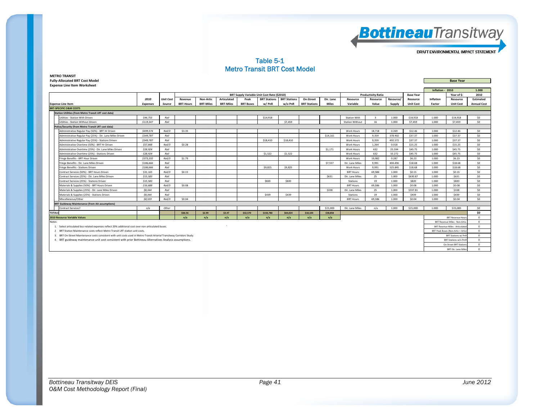

#### Table 5-1 Metro Transit BRT Cost Model

| <b>METRO TRANSIT</b>                  |                  |
|---------------------------------------|------------------|
| <b>Fully-Allocated BRT Cost Model</b> | <b>Base Year</b> |
| <b>Expense Line Item Worksheet</b>    |                  |

| EXPCHSE EINE RENT WORKSHEER                                                                                              |                 |                  |                  |                  |                  |                  |                                             |                     |                     |              |                        |                           |           |                  |                  |                                        |                    |
|--------------------------------------------------------------------------------------------------------------------------|-----------------|------------------|------------------|------------------|------------------|------------------|---------------------------------------------|---------------------|---------------------|--------------|------------------------|---------------------------|-----------|------------------|------------------|----------------------------------------|--------------------|
|                                                                                                                          |                 |                  |                  |                  |                  |                  |                                             |                     |                     |              |                        |                           |           |                  | Inflation - 2010 |                                        | 1.000              |
|                                                                                                                          |                 |                  |                  |                  |                  |                  | BRT Supply Variable Unit Cost Rate (\$2010) |                     |                     |              |                        | <b>Productivity Ratio</b> |           | <b>Base Year</b> |                  | Year of \$:                            | 2010               |
|                                                                                                                          | 2010            | <b>Unit Cost</b> | Revenue          | Non-Artic        | Articulated      | Peak             | <b>BRT Stations</b>                         | <b>BRT Stations</b> | On-Street           | Dir. Lane    | Resource               | Resource                  | Resource/ | Resource         | Inflation        | Resource                               | <b>Estimated</b>   |
| <b>Expense Line Item</b>                                                                                                 | <b>Expenses</b> | Source           | <b>BRT-Hours</b> | <b>BRT-Miles</b> | <b>BRT-Miles</b> | <b>BRT Buses</b> | w/PnR                                       | w/o PnR             | <b>BRT Stations</b> | <b>Miles</b> | Variable               | Value                     | Supply    | <b>Unit Cost</b> | Factor           | <b>Unit Cost</b>                       | <b>Annual Cost</b> |
| <b>BRT-SPECIFIC O&amp;M COSTS</b>                                                                                        |                 |                  |                  |                  |                  |                  |                                             |                     |                     |              |                        |                           |           |                  |                  |                                        |                    |
| <b>Station Utilities (from Metro Transit LRT cost data)</b>                                                              |                 |                  |                  |                  |                  |                  |                                             |                     |                     |              |                        |                           |           |                  |                  |                                        |                    |
| Utilities - Station With Driven                                                                                          | \$44,755        | Rail             |                  |                  |                  |                  | \$14,918                                    |                     |                     |              | <b>Station With</b>    | $\overline{\mathbf{z}}$   | 1.000     | \$14,918         | 1.000            | \$14,918                               | \$0                |
| Utilities - Station Without Driven                                                                                       | \$119,347       | Rail             |                  |                  |                  |                  |                                             | \$7,459             |                     |              | <b>Station Without</b> | 16                        | 1.000     | \$7,459          | 1.000            | \$7,459                                | SO.                |
| Police/Security (from Metro Transit LRT cost data)                                                                       |                 |                  |                  |                  |                  |                  |                                             |                     |                     |              |                        |                           |           |                  |                  |                                        |                    |
| Administrative Regular Pay (50%) - BRT Hr Driven                                                                         | \$699,574       | Rail/3           | \$3.35           |                  |                  |                  |                                             |                     |                     |              | <b>Work Hours</b>      | 18,718                    | 0.269     | \$12.46          | 1.000            | \$12.46                                | SO                 |
| Administrative Regular Pay (25%) - Dir. Lane Miles Driven                                                                | \$349,787       | Rail             |                  |                  |                  |                  |                                             |                     |                     | \$14,161     | <b>Work Hours</b>      | 9.359                     | 378.902   | \$37.37          | 1,000            | \$37.37                                | SO                 |
| Administrative Regular Pay (25%) - Stations Driven                                                                       | \$349,787       | Rail             |                  |                  |                  |                  | \$18,410                                    | \$18,410            |                     |              | Work Hours             | 9,359                     | 492.572   | \$37.37          | 1,000            | \$37.37                                | SO                 |
| Administrative Overtime (50%) - BRT Hr Driven                                                                            | \$57,848        | Rail/3           | \$0.28           |                  |                  |                  |                                             |                     |                     |              | <b>Work Hours</b>      | 1.264                     | 0.018     | \$15.25          | 1,000            | \$15.25                                | SO                 |
| Administrative Overtime (25%) - Dir. Lane Miles Driven                                                                   | \$28.924        | Rail             |                  |                  |                  |                  |                                             |                     |                     | \$1,171      | <b>Work Hours</b>      | 632                       | 25.594    | \$45.75          | 1,000            | \$45.75                                | SO                 |
| Administrative Overtime (25%) - Stations Driven                                                                          | \$28,924        | Rail             |                  |                  |                  |                  | \$1.522                                     | \$1,522             |                     |              | Work Hours             | 632                       | 33.272    | \$45.75          | 1,000            | \$45.75                                | SO                 |
| Fringe Benefits - BRT Hour Driven                                                                                        | \$373,332       | Rail/3           | \$1.79           |                  |                  |                  |                                             |                     |                     |              | Work Hours             | 19.982                    | 0.287     | \$6.23           | 1,000            | \$6.23                                 | \$0                |
| Fringe Benefits - Dir. Lane Miles Driven                                                                                 | \$186,666       | Rail             |                  |                  |                  |                  |                                             |                     |                     | \$7,557      | Dir. Lane Miles        | 9,991                     | 404.496   | \$18.68          | 1.000            | \$18.68                                | \$0                |
| Fringe Benefits - Stations Driven                                                                                        | \$186,666       | Rail             |                  |                  |                  |                  | \$9,825                                     | \$9,825             |                     |              | <b>Work Hours</b>      | 9,991                     | 525.845   | \$18.68          | 1.000            | \$18.68                                | \$0                |
| Contract Services (50%) - BRT Hours Driven                                                                               | \$31,165        | Rail/3           | \$0.15           |                  |                  |                  |                                             |                     |                     |              | <b>BRT Hours</b>       | 69.586                    | 1.000     | \$0.15           | 1,000            | \$0.15                                 | \$0                |
| Contract Services (25%) - Dir. Lane Miles Driven                                                                         | \$15,583        | Rail             |                  |                  |                  |                  |                                             |                     |                     | \$631        | Dir. Lane Miles        | 25                        | 1.000     | \$630.87         | 1.000            | S631                                   | \$0                |
| Contract Services (25%) - Stations Driven                                                                                | \$15,583        | Rail             |                  |                  |                  |                  | \$820                                       | \$820               |                     |              | Stations               | 19                        | 1.000     | \$820            | 1.000            | \$820                                  | \$0                |
| Materials & Supplies (50%) - BRT Hours Driven                                                                            | \$16,688        | Rail/3           | \$0.08           |                  |                  |                  |                                             |                     |                     |              | <b>BRT Hours</b>       | 69,586                    | 1.000     | \$0.08           | 1,000            | \$0.08                                 | \$0                |
| Materials & Supplies (25%) - Dir. Lane Miles Driven                                                                      | \$8,344         | Rail             |                  |                  |                  |                  |                                             |                     |                     | \$338        | Dir. Lane Miles        | 25                        | 1.000     | \$337.81         | 1,000            | \$338                                  | \$0                |
| Materials & Supplies (25%) - Stations Driven                                                                             | \$8,344         | Rail             |                  |                  |                  |                  | \$439                                       | \$439               |                     |              | <b>Stations</b>        | 19                        | 1.000     | S439             | 1,000            | \$439                                  | \$0                |
| Miscellaneous/Other                                                                                                      | \$8,559         | Rail/3           | \$0.04           |                  |                  |                  |                                             |                     |                     |              | <b>BRT Hours</b>       | 69,586                    | 1.000     | \$0.04           | 1.000            | \$0.04                                 | \$0                |
| <b>BRT Guideway Maintenance (from AA assumptions)</b>                                                                    |                 |                  |                  |                  |                  |                  |                                             |                     |                     |              |                        |                           |           |                  |                  |                                        |                    |
| <b>Contract Services?</b>                                                                                                | n/a             | Other            |                  |                  |                  |                  |                                             |                     |                     | \$15,000     | Dir. Lane Miles        | n/a                       | 1.000     | \$15,000         | 1.000            | \$15,000                               | SO                 |
| TOTALS                                                                                                                   |                 |                  | \$66.56          | \$2.99           | \$3.47           | \$32,570         | \$150,780                                   | \$64,024            | \$18,100            | \$38,858     |                        |                           |           |                  |                  |                                        | \$0                |
| 2010 Resource Variable Values                                                                                            |                 |                  | n/a              | n/a              | n/a              | n/a              | n/a                                         | n/a                 | n/a                 | n/a          |                        |                           |           |                  |                  | <b>BRT Revenue Hour</b>                | $\overline{0}$     |
| Notes:                                                                                                                   |                 |                  |                  |                  |                  |                  |                                             |                     |                     |              |                        |                           |           |                  |                  | <b>BRT Revenue Miles - Non-Artio</b>   | $\overline{0}$     |
| 1. Select articulated bus-related expenses reflect 20% additional cost over non-articulated buses.                       |                 |                  |                  |                  |                  |                  |                                             |                     |                     |              |                        |                           |           |                  |                  | <b>BRT Revenue Miles - Articulated</b> | $\overline{0}$     |
| 2 BRT Station Maintenance costs reflect Metro Transit LRT station unit costs.                                            |                 |                  |                  |                  |                  |                  |                                             |                     |                     |              |                        |                           |           |                  |                  | BRT Peak Buses (Non-Artic + Artic      | $\Omega$           |
| 3. BRT On-Street Maintenance costs consistent with unit costs used in Metro Transit Arterial Transitway Corridors Study. |                 |                  |                  |                  |                  |                  |                                             |                     |                     |              |                        |                           |           |                  |                  | <b>BRT Stations w/ Pnl</b>             | $\overline{0}$     |
| 4. BRT guideway maintenance unit cost consistent with prior Bottineau Alternatives Analysis assumptions.                 |                 |                  |                  |                  |                  |                  |                                             |                     |                     |              |                        |                           |           |                  |                  | BRT Stations w/o Pm                    | $\Omega$           |
|                                                                                                                          |                 |                  |                  |                  |                  |                  |                                             |                     |                     |              |                        |                           |           |                  |                  | On-Street BRT Station                  | $\Omega$           |
|                                                                                                                          |                 |                  |                  |                  |                  |                  |                                             |                     |                     |              |                        |                           |           |                  |                  | <b>BRT Dir. Lane Miles</b>             | $\circ$            |
|                                                                                                                          |                 |                  |                  |                  |                  |                  |                                             |                     |                     |              |                        |                           |           |                  |                  |                                        |                    |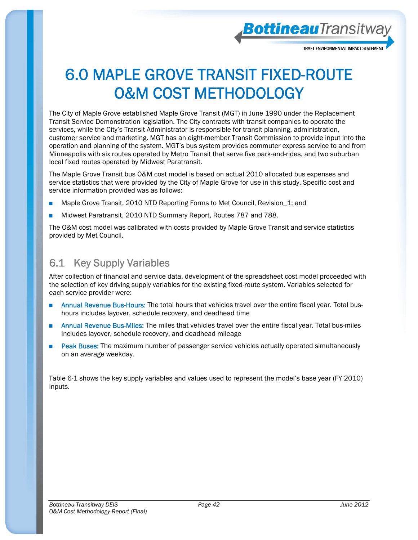

**Bottineau**Transitway

## 6.0 MAPLE GROVE TRANSIT FIXED-ROUTE O&M COST METHODOLOGY

The City of Maple Grove established Maple Grove Transit (MGT) in June 1990 under the Replacement Transit Service Demonstration legislation. The City contracts with transit companies to operate the services, while the City's Transit Administrator is responsible for transit planning, administration, customer service and marketing. MGT has an eight-member Transit Commission to provide input into the operation and planning of the system. MGT's bus system provides commuter express service to and from Minneapolis with six routes operated by Metro Transit that serve five park-and-rides, and two suburban local fixed routes operated by Midwest Paratransit.

The Maple Grove Transit bus O&M cost model is based on actual 2010 allocated bus expenses and service statistics that were provided by the City of Maple Grove for use in this study. Specific cost and service information provided was as follows:

- Maple Grove Transit, 2010 NTD Reporting Forms to Met Council, Revision\_1; and
- Midwest Paratransit, 2010 NTD Summary Report, Routes 787 and 788.

The O&M cost model was calibrated with costs provided by Maple Grove Transit and service statistics provided by Met Council.

### 6.1 Key Supply Variables

After collection of financial and service data, development of the spreadsheet cost model proceeded with the selection of key driving supply variables for the existing fixed-route system. Variables selected for each service provider were:

- Annual Revenue Bus-Hours: The total hours that vehicles travel over the entire fiscal year. Total bushours includes layover, schedule recovery, and deadhead time
- Annual Revenue Bus-Miles: The miles that vehicles travel over the entire fiscal year. Total bus-miles includes layover, schedule recovery, and deadhead mileage
- Peak Buses: The maximum number of passenger service vehicles actually operated simultaneously on an average weekday.

Table 6-1 shows the key supply variables and values used to represent the model's base year (FY 2010) inputs.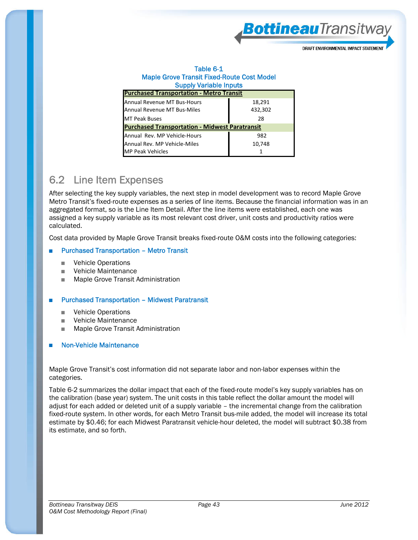

#### Table 6-1 Maple Grove Transit Fixed-Route Cost Model Supply Variable Inputs

| <b>Purchased Transportation - Metro Transit</b>            |                   |  |  |  |  |  |  |  |  |  |  |  |
|------------------------------------------------------------|-------------------|--|--|--|--|--|--|--|--|--|--|--|
| Annual Revenue MT Bus-Hours<br>Annual Revenue MT Bus-Miles | 18,291<br>432,302 |  |  |  |  |  |  |  |  |  |  |  |
| <b>MT Peak Buses</b>                                       | 28                |  |  |  |  |  |  |  |  |  |  |  |
| <b>Purchased Transportation - Midwest Paratransit</b>      |                   |  |  |  |  |  |  |  |  |  |  |  |
| Annual Rev. MP Vehicle-Hours                               | 982               |  |  |  |  |  |  |  |  |  |  |  |
| Annual Rev. MP Vehicle-Miles                               | 10,748            |  |  |  |  |  |  |  |  |  |  |  |
| <b>MP Peak Vehicles</b>                                    |                   |  |  |  |  |  |  |  |  |  |  |  |

#### 6.2 Line Item Expenses

After selecting the key supply variables, the next step in model development was to record Maple Grove Metro Transit's fixed-route expenses as a series of line items. Because the financial information was in an aggregated format, so is the Line Item Detail. After the line items were established, each one was assigned a key supply variable as its most relevant cost driver, unit costs and productivity ratios were calculated.

Cost data provided by Maple Grove Transit breaks fixed-route O&M costs into the following categories:

#### **Purchased Transportation - Metro Transit**

- Vehicle Operations
- Vehicle Maintenance
- Maple Grove Transit Administration

#### **Purchased Transportation - Midwest Paratransit**

- Vehicle Operations
- Vehicle Maintenance
- Maple Grove Transit Administration

#### **Non-Vehicle Maintenance**

Maple Grove Transit's cost information did not separate labor and non-labor expenses within the categories.

Table 6-2 summarizes the dollar impact that each of the fixed-route model's key supply variables has on the calibration (base year) system. The unit costs in this table reflect the dollar amount the model will adjust for each added or deleted unit of a supply variable – the incremental change from the calibration fixed-route system. In other words, for each Metro Transit bus-mile added, the model will increase its total estimate by \$0.46; for each Midwest Paratransit vehicle-hour deleted, the model will subtract \$0.38 from its estimate, and so forth.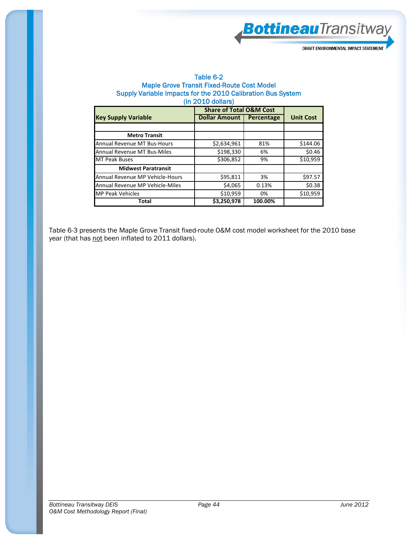

#### Table 6-2 Maple Grove Transit Fixed-Route Cost Model Supply Variable Impacts for the 2010 Calibration Bus System (in 2010 dollars)

|                                 | <b>Share of Total O&amp;M Cost</b> |            |                  |
|---------------------------------|------------------------------------|------------|------------------|
| <b>Key Supply Variable</b>      | Dollar Amount                      | Percentage | <b>Unit Cost</b> |
|                                 |                                    |            |                  |
| <b>Metro Transit</b>            |                                    |            |                  |
| Annual Revenue MT Bus-Hours     | \$2,634,961                        | 81%        | \$144.06         |
| Annual Revenue MT Bus-Miles     | \$198,330                          | 6%         | \$0.46           |
| <b>MT Peak Buses</b>            | $\overline{$}306,852$              | 9%         | \$10,959         |
| <b>Midwest Paratransit</b>      |                                    |            |                  |
| Annual Revenue MP Vehicle-Hours | \$95,811                           | 3%         | \$97.57          |
| Annual Revenue MP Vehicle-Miles | \$4,065                            | 0.13%      | \$0.38           |
| <b>MP Peak Vehicles</b>         | \$10,959                           | 0%         | \$10,959         |
| Total                           | \$3,250,978                        | 100.00%    |                  |

Table 6-3 presents the Maple Grove Transit fixed-route O&M cost model worksheet for the 2010 base year (that has not been inflated to 2011 dollars).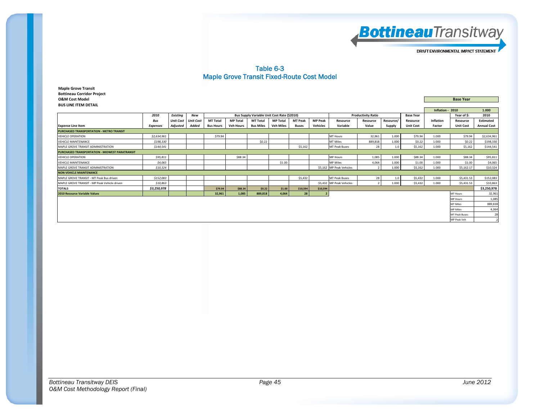

#### Table 6-3 Maple Grove Transit Fixed-Route Cost Model

**Maple Grove Transit Bottineau Corridor Project O&M Cost Model Base Year BUS LINE ITEMM DETAIL** 

| <b>BUS LINE ITEM DETAIL</b>                     |                 |                  |                  |                  |                  |                                             |                  |                |                |                                               |          |           |                  |                  |                      |                    |
|-------------------------------------------------|-----------------|------------------|------------------|------------------|------------------|---------------------------------------------|------------------|----------------|----------------|-----------------------------------------------|----------|-----------|------------------|------------------|----------------------|--------------------|
|                                                 |                 |                  |                  |                  |                  |                                             |                  |                |                |                                               |          |           |                  | Inflation - 2010 |                      | 1.000              |
|                                                 | 2010            | Existing         | New              |                  |                  | Bus Supply Variable Unit Cost Rate (\$2010) |                  |                |                | <b>Productivity Ratio</b><br><b>Base Year</b> |          |           |                  |                  | Year of \$:          | 2010               |
|                                                 | <b>Bus</b>      | <b>Unit Cost</b> | <b>Unit Cost</b> | <b>MT Total</b>  | <b>MP Total</b>  | <b>MT Total</b>                             | <b>MP Total</b>  | <b>MT Peak</b> | <b>MP Peak</b> | Resource                                      | Resource | Resource/ | Resource         | Inflation        | Resource             | Estimated          |
| <b>Expense Line Item</b>                        | <b>Expenses</b> | <b>Adjusted</b>  | Added            | <b>Bus Hours</b> | <b>Veh Hours</b> | <b>Bus Miles</b>                            | <b>Veh Miles</b> | Buses          | Vehicles       | Variable                                      | Value    | Supply    | <b>Unit Cost</b> | Factor           | <b>Unit Cost</b>     | <b>Annual Cost</b> |
| <b>PURCHASED TRANSPORTATION - METRO TRANSIT</b> |                 |                  |                  |                  |                  |                                             |                  |                |                |                                               |          |           |                  |                  |                      |                    |
| <b>VEHICLE OPERATION</b>                        | \$2,634,961     |                  |                  | \$79.94          |                  |                                             |                  |                |                | <b>MT Hours</b>                               | 32,961   | 1.000     | \$79.94          | 1.000            | \$79.94              | \$2,634,961        |
| <b>VEHICLE MAINTENANCE</b>                      | \$198,330       |                  |                  |                  |                  | \$0.22                                      |                  |                |                | <b>MT Miles</b>                               | 889,818  | 1.000     | \$0.22           | 1.000            | \$0.22               | \$198,330          |
| MAPLE GROVE TRANSIT ADMINISTRATION              | \$144.541       |                  |                  |                  |                  |                                             |                  | \$5.162        |                | <b>MT Peak Buses</b>                          | 28       | 1.0       | \$5.162          | 1.000            | \$5,162              | \$144,541          |
| PURCHASED TRANSPORTATION - MIDWEST PARATRANSIT  |                 |                  |                  |                  |                  |                                             |                  |                |                |                                               |          |           |                  |                  |                      |                    |
| <b>VEHICLE OPERATION</b>                        | \$95,811        |                  |                  |                  | \$88.34          |                                             |                  |                |                | <b>MP Hours</b>                               | 1,085    | 1.000     | \$88.34          | 1.000            | \$88.34              | \$95,811           |
| <b>VEHICLE MAINTENANCE</b>                      | \$4,065         |                  |                  |                  |                  |                                             | \$1.00           |                |                | <b>MP Miles</b>                               | 4,064    | 1.000     | \$1.00           | 1.000            | \$1.00               | \$4,065            |
| MAPLE GROVE TRANSIT ADMINISTRATION              | \$10,324        |                  |                  |                  |                  |                                             |                  |                |                | \$5,162 MP Peak Vehicles                      |          | 1.000     | \$5.162          | 1.000            | \$5,162.17           | \$10,324           |
| <b>NON-VEHICLE MAINTENANCE</b>                  |                 |                  |                  |                  |                  |                                             |                  |                |                |                                               |          |           |                  |                  |                      |                    |
| MAPLE GROVE TRANSIT - MT Peak Bus driven        | \$152,083       |                  |                  |                  |                  |                                             |                  | \$5,432        |                | <b>MT Peak Buses</b>                          | 28       | 1.0       | \$5,432          | 1.000            | \$5,431.53           | \$152,083          |
| MAPLE GROVE TRANSIT - MP Peak Vehicle driven    | \$10,863        |                  |                  |                  |                  |                                             |                  |                |                | \$5,432 MP Peak Vehicles                      |          | 1.000     | \$5,432          | 1.000            | \$5,431.53           | \$10,863           |
| <b>TOTALS</b>                                   | \$3,250,978     |                  |                  | \$79.94          | \$88.34          | \$0.22                                      | \$1.00           | \$10,594       | \$10,594       |                                               |          |           |                  |                  |                      | \$3,250,978        |
| <b>2010 Resource Variable Values</b>            |                 |                  |                  | 32,961           | 1.085            | 889,818                                     | 4,064            | 28             | -2             |                                               |          |           |                  |                  | MT Hours             | 32,961             |
|                                                 |                 |                  |                  |                  |                  |                                             |                  |                |                |                                               |          |           |                  |                  | <b>MP Hours</b>      | 1,085              |
|                                                 |                 |                  |                  |                  |                  |                                             |                  |                |                |                                               |          |           |                  |                  | MT Miles             | 889,818            |
|                                                 |                 |                  |                  |                  |                  |                                             |                  |                |                |                                               |          |           |                  |                  | <b>MP Miles</b>      | 4,064              |
|                                                 |                 |                  |                  |                  |                  |                                             |                  |                |                |                                               |          |           |                  |                  | <b>MT Peak Buses</b> | 28                 |
|                                                 |                 |                  |                  |                  |                  |                                             |                  |                |                |                                               |          |           |                  |                  | MP Peak Veh          |                    |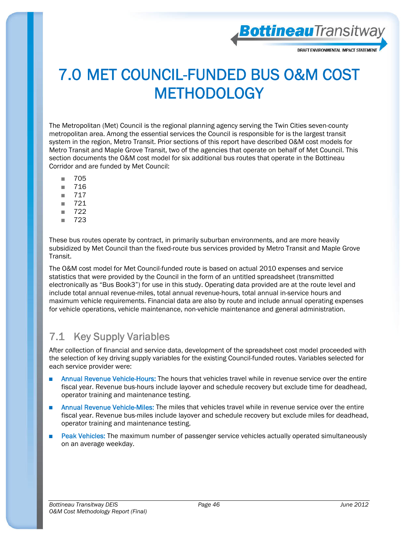

**Bottineau**Transitway

### 7.0 MET COUNCIL-FUNDED BUS O&M COST **METHODOLOGY**

The Metropolitan (Met) Council is the regional planning agency serving the Twin Cities seven-county metropolitan area. Among the essential services the Council is responsible for is the largest transit system in the region, Metro Transit. Prior sections of this report have described O&M cost models for Metro Transit and Maple Grove Transit, two of the agencies that operate on behalf of Met Council. This section documents the O&M cost model for six additional bus routes that operate in the Bottineau Corridor and are funded by Met Council:

- 705
- 716
- 717
- 721
- 722
- 723

These bus routes operate by contract, in primarily suburban environments, and are more heavily subsidized by Met Council than the fixed-route bus services provided by Metro Transit and Maple Grove Transit.

The O&M cost model for Met Council-funded route is based on actual 2010 expenses and service statistics that were provided by the Council in the form of an untitled spreadsheet (transmitted electronically as "Bus Book3") for use in this study. Operating data provided are at the route level and include total annual revenue-miles, total annual revenue-hours, total annual in-service hours and maximum vehicle requirements. Financial data are also by route and include annual operating expenses for vehicle operations, vehicle maintenance, non-vehicle maintenance and general administration.

#### 7.1 Key Supply Variables

After collection of financial and service data, development of the spreadsheet cost model proceeded with the selection of key driving supply variables for the existing Council-funded routes. Variables selected for each service provider were:

- Annual Revenue Vehicle-Hours: The hours that vehicles travel while in revenue service over the entire fiscal year. Revenue bus-hours include layover and schedule recovery but exclude time for deadhead, operator training and maintenance testing.
- Annual Revenue Vehicle-Miles: The miles that vehicles travel while in revenue service over the entire fiscal year. Revenue bus-miles include layover and schedule recovery but exclude miles for deadhead, operator training and maintenance testing.
- Peak Vehicles: The maximum number of passenger service vehicles actually operated simultaneously on an average weekday.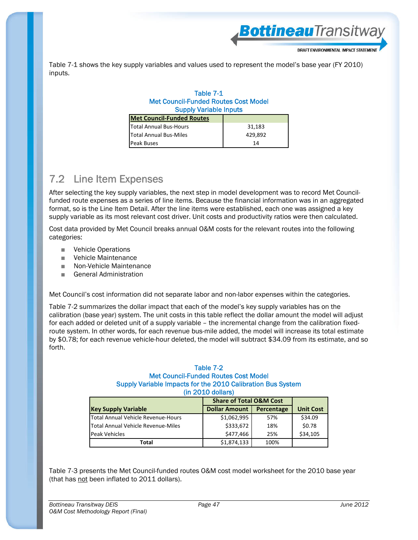BottineauTransitway

Table 7-1 shows the key supply variables and values used to represent the model's base year (FY 2010) inputs.

#### Table 7-1 Met Council-Funded Routes Cost Model Supply Variable Inputs

| <b>Met Council-Funded Routes</b> |         |
|----------------------------------|---------|
| <b>Total Annual Bus-Hours</b>    | 31,183  |
| Total Annual Bus-Miles           | 429.892 |
| <b>Peak Buses</b>                | 14      |

#### 7.2 Line Item Expenses

After selecting the key supply variables, the next step in model development was to record Met Councilfunded route expenses as a series of line items. Because the financial information was in an aggregated format, so is the Line Item Detail. After the line items were established, each one was assigned a key supply variable as its most relevant cost driver. Unit costs and productivity ratios were then calculated.

Cost data provided by Met Council breaks annual O&M costs for the relevant routes into the following categories:

- Vehicle Operations
- Vehicle Maintenance
- Non-Vehicle Maintenance
- General Administration

Met Council's cost information did not separate labor and non-labor expenses within the categories.

Table 7-2 summarizes the dollar impact that each of the model's key supply variables has on the calibration (base year) system. The unit costs in this table reflect the dollar amount the model will adjust for each added or deleted unit of a supply variable – the incremental change from the calibration fixedroute system. In other words, for each revenue bus-mile added, the model will increase its total estimate by \$0.78; for each revenue vehicle-hour deleted, the model will subtract \$34.09 from its estimate, and so forth.

#### Table 7-2 Met Council-Funded Routes Cost Model Supply Variable Impacts for the 2010 Calibration Bus System (in 2010 dollars)

|                                    | <b>Share of Total O&amp;M Cost</b> |            |                  |
|------------------------------------|------------------------------------|------------|------------------|
| <b>Key Supply Variable</b>         | <b>Dollar Amount</b>               | Percentage | <b>Unit Cost</b> |
| Total Annual Vehicle Revenue-Hours | \$1,062,995                        | 57%        | \$34.09          |
| Total Annual Vehicle Revenue-Miles | \$333,672                          | 18%        | \$0.78           |
| Peak Vehicles                      | \$477,466                          | 25%        | \$34,105         |
| Total                              | \$1,874,133                        | 100%       |                  |

Table 7-3 presents the Met Council-funded routes O&M cost model worksheet for the 2010 base year (that has not been inflated to 2011 dollars).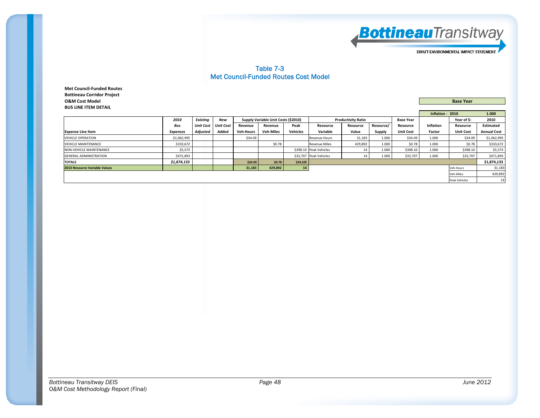

#### Table 7-3 Met Council-Funded Routes Cost Model

**Met Council‐Funded Routes Bottineau Corridor Project O&M Cost Model Base Year BUS LINE ITEM DETAIL**

|                                      |             |          |                       |                  |                                     |          | Inflation - 2010       |                           | 1.000     |                  |           |                  |                    |  |  |
|--------------------------------------|-------------|----------|-----------------------|------------------|-------------------------------------|----------|------------------------|---------------------------|-----------|------------------|-----------|------------------|--------------------|--|--|
|                                      | 2010        | Existina | New                   |                  | Supply Variable Unit Costs (\$2010) |          |                        | <b>Productivity Ratio</b> |           | <b>Base Year</b> |           | Year of \$:      | 2010               |  |  |
|                                      | Bus         |          | Unit Cost   Unit Cost | Revenue          | Revenue                             | Peak     | Resource               | Resource                  | Resource/ | Resource         | Inflation | Resource         | Estimated          |  |  |
| <b>Expense Line Item</b>             | Expenses    | Adjusted | Added                 | <b>Veh-Hours</b> | <b>Veh-Miles</b>                    | Vehicles | Variable               | Value                     | Supply    | <b>Unit Cost</b> | Factor    | <b>Unit Cost</b> | <b>Annual Cost</b> |  |  |
| <b>VEHICLE OPERATION</b>             | \$1,062,995 |          |                       | \$34.09          |                                     |          | Revenue Hours          | 31,183                    | 1.000     | \$34.09          | 1.000     | \$34.09          | \$1,062,995        |  |  |
| <b>VEHICLE MAINTENANCE</b>           | \$333,672   |          |                       |                  | \$0.78                              |          | <b>Revenue Miles</b>   | 429,892                   | 1.000     | \$0.78           | 1.000     | \$0.78           | \$333,672          |  |  |
| NON-VEHICLE MAINTENANCE              | \$5,573     |          |                       |                  |                                     |          | \$398.10 Peak Vehicles |                           | 1.000     | \$398.10         | 1.000     | \$398.10         | \$5,573            |  |  |
| <b>GENERAL ADMINISTRATION</b>        | \$471,893   |          |                       |                  |                                     |          | \$33,707 Peak Vehicles |                           | 1.000     | \$33,707         | 1.000     | \$33,707         | \$471,893          |  |  |
| <b>TOTALS</b>                        | \$1,874,133 |          |                       | \$34.09          | \$0.78                              | \$34,105 |                        |                           |           |                  |           |                  | \$1,874,133        |  |  |
| <b>2010 Resource Variable Values</b> |             |          |                       | 31,183           | 429,892                             | 14       |                        |                           |           |                  |           | Veh-Hours        | 31,183             |  |  |
|                                      |             |          |                       |                  |                                     |          | Veh-Miles              |                           |           |                  |           |                  |                    |  |  |
|                                      |             |          |                       |                  |                                     |          |                        |                           |           | Peak Vehicles    | 14        |                  |                    |  |  |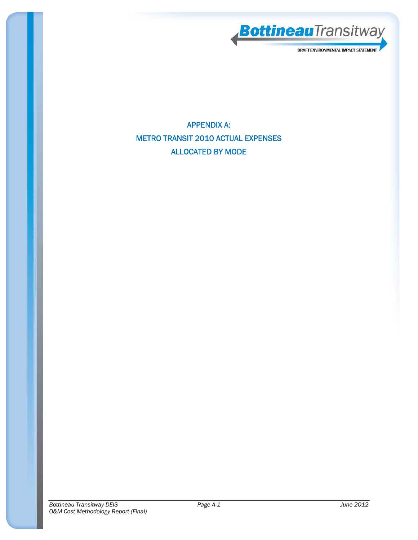

APPENDIX A: METRO TRANSIT 2010 ACTUAL EXPENSES ALLOCATED BY MODE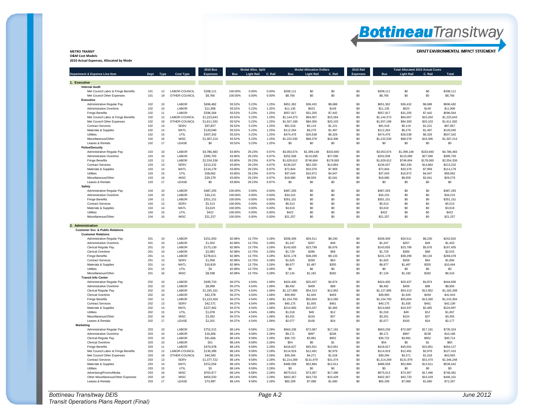## **Bottineau**Transitway

DRAFT ENVIRONMENTAL IMPACT STATEMENT

#### **METRO TRANSIT**

**O&M Cost Models 2010 Actual Expenses, Allocated by Mode**

|                                                        |            |           |                       | <b>2010 Bus</b>         | <b>Modal Alloc. Split</b><br><b>Modal Allocation Dollars</b> |                   | <b>2010 Rail</b> |                         | <b>Total Allocated 2010 Actual Costs</b> |                     |                 |                         |                      |                     |                         |
|--------------------------------------------------------|------------|-----------|-----------------------|-------------------------|--------------------------------------------------------------|-------------------|------------------|-------------------------|------------------------------------------|---------------------|-----------------|-------------------------|----------------------|---------------------|-------------------------|
| Department & Expense Line Item                         |            | Dept Type | <b>Cost Type</b>      | <b>Expenses</b>         | <b>Bus</b>                                                   | <b>Light Rail</b> | C. Rail          | <b>Bus</b>              | <b>Light Rail</b>                        | C. Rail             | <b>Expenses</b> | <b>Bus</b>              | <b>Light Rail</b>    | C. Rail             | Total                   |
| 1. Executive                                           |            |           |                       |                         |                                                              |                   |                  |                         |                                          |                     |                 |                         |                      |                     |                         |
| <b>Internal Audit</b>                                  |            |           |                       |                         |                                                              |                   |                  |                         |                                          |                     |                 |                         |                      |                     |                         |
| Met Council Labor & Fringe Benefits                    | 101        | 12        | LABOR-COUNCIL         | \$208,111               | 100.00%                                                      | 0.00%             | 0.00%            | \$208.111               | \$0                                      | \$0                 | \$0             | \$208,111               | \$0                  | \$0                 | \$208,111               |
| Met Council Other Expenses                             | 101        | 19        | OTHER-COUNCIL         | \$8,766                 | 100.00%                                                      | 0.00%             | 0.00%            | \$8,766                 | \$0                                      | \$0                 | \$0             | \$8,766                 | \$0                  | \$0                 | \$8,766                 |
| Executive                                              |            |           |                       |                         |                                                              |                   |                  |                         |                                          |                     |                 |                         |                      |                     |                         |
| Administrative Regular Pay<br>Administrative Overtime  | 102<br>102 | 10<br>10  | LABOR<br>LABOR        | \$696,482<br>\$11,906   | 93.52%<br>93.52%                                             | 5.23%<br>5.23%    | 1.25%<br>1.25%   | \$651,362<br>\$11,135   | \$36,432<br>\$623                        | \$8,688<br>\$149    | \$0<br>\$0      | \$651,362<br>\$11,135   | \$36,432<br>\$623    | \$8,688<br>\$149    | \$696,482<br>\$11,906   |
| <b>Fringe Benefits</b>                                 | 102        | 11        | LABOR                 | \$596,564               | 93.52%                                                       | 5.23%             | 1.25%            | \$557,917               | \$31,205                                 | \$7,442             | \$0             | \$557,917               | \$31,205             | \$7,442             | \$596,564               |
| Met Council Labor & Fringe Benefits                    | 102        | 12        | LABOR-COUNCIL         | \$1,223,643             | 93.52%                                                       | 5.23%             | 1.25%            | \$1,144,373             | \$64,007                                 | \$15,264            | \$0             | \$1,144,373             | \$64,007             | \$15,264            | \$1,223,643             |
| Met Council Other Expenses                             | 102        | 19        | OTHER-COUNCIL         | \$1,611,592             | 93.52%                                                       | 5.23%             | 1.25%            | \$1,507,189             | \$84,300                                 | \$20,103            | \$0             | \$1,507,189             | \$84,300             | \$20,103            | \$1,611,592             |
| <b>Contract Services</b>                               | 102        | 13        | <b>SERV</b>           | \$97,857                | 93.52%                                                       | 5.23%             | 1.25%            | \$91.518                | \$5,119                                  | \$1.221             | \$0             | \$91,518                | \$5.119              | \$1,221             | \$97,857                |
| Materials & Supplies                                   | 102        | 14        | MATL                  | \$120,040               | 93.52%                                                       | 5.23%             | 1.25%            | \$112,264               | \$6,279                                  | \$1,497             | \$0             | \$112,264               | \$6,279              | \$1,497             | \$120,040               |
| Utilities                                              | 102        | 15        | UTIL                  | \$507.342               | 93.52%                                                       | 5.23%             | 1.25%            | \$474,476               | \$26,538                                 | \$6,329             | \$0             | \$474,476               | \$26,538             | \$6,329             | \$507,342               |
| Miscellaneous/Other<br>Leases & Rentals                | 102        | 16<br>17  | <b>MISC</b>           | \$1,307,214             | 93.52%                                                       | 5.23%             | 1.25%            | \$1,222,530             | \$68,378                                 | \$16,306            | \$0             | \$1,222,530             | \$68,378             | \$16,306            | \$1,307,214             |
| <b>Police/Security</b>                                 | 102        |           | LEASE                 | \$0                     | 93.52%                                                       | 5.23%             | 1.25%            | \$0                     | \$0                                      | \$0                 | \$0             | \$0                     | \$0                  | \$0                 | \$0                     |
| Administrative Regular Pay                             | 103        | 10        | LABOR                 | \$4,786,483             | 63.80%                                                       | 29.23%            | 6.97%            | \$3,053,674             | \$1,399,148                              | \$333,660           | \$0             | \$3,053,674             | \$1,399,148          | \$333,660           | \$4,786,483             |
| Administrative Overtime                                | 103        | 10        | LABOR                 | \$395,793               | 63.80%                                                       | 29.23%            | 6.97%            | \$252,508               | \$115,695                                | \$27,590            | \$0             | \$252,508               | \$115,695            | \$27,590            | \$395,793               |
| <b>Fringe Benefits</b>                                 | 103        | 11        | LABOR                 | \$2,554,336             | 63.80%                                                       | 29.23%            | 6.97%            | \$1,629,612             | \$746,664                                | \$178,060           | \$0             | \$1,629,612             | \$746,664            | \$178,060           | \$2,554,336             |
| <b>Contract Services</b>                               | 103        | 13        | SERV                  | \$213,232               | 63.80%                                                       | 29.23%            | 6.97%            | \$136,037               | \$62,330                                 | \$14,864            | \$0             | \$136,037               | \$62,330             | \$14,864            | \$213,232               |
| Materials & Supplies                                   | 103        | 14        | <b>MATL</b>           | \$114,179               | 63.80%                                                       | 29.23%            | 6.97%            | \$72,844                | \$33,376                                 | \$7,959             | \$0             | \$72,844                | \$33,376             | \$7,959             | \$114,179               |
| Utilities                                              | 103        | 15        | UTIL                  | \$58,062                | 63.80%                                                       | 29.23%            | 6.97%            | \$37.043                | \$16,972                                 | \$4.047             | \$0             | \$37,043                | \$16,972             | \$4,047             | \$58,062                |
| Miscellaneous/Other                                    | 103        | 16        | <b>MISC</b>           | \$29,279                | 63.80%                                                       | 29.23%            | 6.97%            | \$18,680                | \$8,559                                  | \$2.041             | \$0             | \$18,680                | \$8,559              | \$2,041             | \$29,279                |
| Leases & Rentals                                       | 103        | 17        | LEASE                 | \$0                     | 63.80%                                                       | 29.23%            | 6.97%            | \$0                     | \$0                                      | \$0                 | \$0             | \$0                     | \$0                  | \$0                 | \$0                     |
| Safety                                                 | 104        | 10        | LABOR                 |                         |                                                              | 0.00%             | 0.00%            | \$487.293               |                                          | \$0                 | \$0             | \$487.293               |                      | \$0                 |                         |
| Administrative Regular Pay<br>Administrative Overtime  | 104        | 10        | LABOR                 | \$487,293<br>\$34,215   | 100.00%<br>100.00%                                           | 0.00%             | 0.00%            | \$34,215                | \$0<br>\$0                               | \$0                 | \$0             | \$34,215                | \$0<br>\$0           | \$0                 | \$487,293<br>\$34,215   |
| <b>Fringe Benefits</b>                                 | 104        | 11        | LABOR                 | \$351,151               | 100.00%                                                      | 0.00%             | 0.00%            | \$351,151               | \$0                                      | \$0                 | \$0             | \$351,151               | \$0                  | \$0                 | \$351,151               |
| <b>Contract Services</b>                               | 104        | 13        | SERV                  | \$5,513                 | 100.00%                                                      | 0.00%             | 0.00%            | \$5,513                 | \$0                                      | \$0                 | \$0             | \$5,513                 | \$0                  | \$0                 | \$5,513                 |
| Materials & Supplies                                   | 104        | 14        | <b>MATL</b>           | \$3,619                 | 100.00%                                                      | 0.00%             | 0.00%            | \$3,619                 | \$0                                      | \$0                 | \$0             | \$3,619                 | \$0                  | \$0                 | \$3,619                 |
| Utilities                                              | 104        | 15        | UTIL                  | \$422                   | 100.00%                                                      | 0.00%             | 0.00%            | \$422                   | \$0                                      | \$0                 | \$0             | \$422                   | \$0                  | \$0                 | \$422                   |
| Miscellaneous/Other                                    | 104        | 16        | <b>MISC</b>           | \$21,257                | 100.00%                                                      | 0.00%             | 0.00%            | \$21,257                | \$0                                      | \$0                 | \$0             | \$21,257                | \$0                  | \$0                 | \$21,257                |
| 2. Administration                                      |            |           |                       |                         |                                                              |                   |                  |                         |                                          |                     |                 |                         |                      |                     |                         |
| <b>Customer Svc. &amp; Public Relations</b>            |            |           |                       |                         |                                                              |                   |                  |                         |                                          |                     |                 |                         |                      |                     |                         |
| <b>Customer Relations</b>                              |            |           |                       |                         |                                                              |                   |                  |                         |                                          |                     |                 |                         |                      |                     |                         |
| Administrative Regular Pay                             | 201        | 10        | LABOR                 | \$251,050               | 82.98%                                                       | 13.75%            | 3.28%            | \$208,309               | \$34,511                                 | \$8,230             | \$0             | \$208,309               | \$34,511             | \$8,230             | \$242,820               |
| Administrative Overtime                                | 201        | 10        | LABOR                 | \$1,503                 | 82.98%                                                       | 13.75%            | 3.28%            | \$1,247                 | \$207                                    | \$49                | \$0             | \$1,247                 | \$207                | \$49                | \$1,453                 |
| Clerical Regular Pay                                   | 201        | 10        | LABOR                 | \$173,130               | 82.98%                                                       | 13.75%            | 3.28%            | \$143,655               | \$23,799                                 | \$5,676             | \$0             | \$143,655               | \$23,799             | \$5,676             | \$167,455               |
| <b>Clerical Overtime</b>                               | 201        | 10        | LABOR                 | \$2,083                 | 82.98%                                                       | 13.75%            | 3.28%            | \$1,729                 | \$286                                    | \$68                | \$0             | \$1,729                 | \$286                | \$68                | \$2,015                 |
| <b>Fringe Benefits</b>                                 | 201        | 11        | LABOR                 | \$278,611               | 82.98%                                                       | 13.75%            | 3.28%            | \$231,178               | \$38,299                                 | \$9,133             | \$0             | \$231,178               | \$38,299             | \$9,133             | \$269,478               |
| <b>Contract Services</b><br>Materials & Supplies       | 201<br>201 | 13<br>14  | SFRV<br><b>MATL</b>   | \$1,958<br>\$10,819     | 82.98%<br>82.98%                                             | 13.75%<br>13.75%  | 3.28%<br>3.28%   | \$1,625<br>\$8,977      | \$269<br>\$1,487                         | \$64<br>\$355       | \$0<br>\$0      | \$1,625<br>\$8,977      | \$269<br>\$1,487     | <b>S64</b><br>\$355 | \$1,894<br>\$10,464     |
| Utilities                                              | 201        | 15        | UTIL                  | 50                      | 82.98%                                                       | 13.75%            | 3.28%            | \$0                     | \$0                                      | \$0                 | \$0             | \$0                     | \$0                  | \$0                 | \$0                     |
| Miscellaneous/Other                                    | 201        | 16        | <b>MISC</b>           | \$8,598                 | 82.98%                                                       | 13.75%            | 3.28%            | \$7,134                 | \$1,182                                  | \$282               | \$0             | \$7,134                 | \$1,182              | \$282               | \$8,316                 |
| <b>Transit Info Center</b>                             |            |           |                       |                         |                                                              |                   |                  |                         |                                          |                     |                 |                         |                      |                     |                         |
| Administrative Regular Pay                             | 202        | 10        | LABOR                 | \$449,710               | 94.37%                                                       | 4.54%             | 1.08%            | \$424,400               | \$20,437                                 | \$4,874             | \$0             | \$424,400               | \$20,437             | \$4,874             | \$444,836               |
| Administrative Overtime                                | 202        | 10        | LABOR                 | \$8,998                 | 94.37%                                                       | 4.54%             | 1.08%            | \$8,492                 | \$409                                    | \$98                | \$0             | \$8,492                 | \$409                | \$98                | \$8,900                 |
| Clerical Regular Pay                                   | 202        | 10        | LABOR                 | \$1,195,161             | 94.37%                                                       | 4.54%             | 1.08%            | \$1,127,895             | \$54,313                                 | \$12,952            | \$0             | \$1,127,895             | \$54,313             | \$12,952            | \$1,182,208             |
| Clerical Overtime                                      | 202        | 10        | LABOR                 | \$42,378                | 94.37%                                                       | 4.54%             | 1.08%            | \$39,993                | \$1,926                                  | \$459               | \$0             | \$39,993                | \$1,926              | \$459               | \$41,919                |
| <b>Fringe Benefits</b>                                 | 202        | 11        | LABOR                 | \$1,223,564             | 94.37%                                                       | 4.54%             | 1.08%            | \$1,154,700             | \$55,604                                 | \$13,260            | \$0             | \$1,154,700             | \$55,604             | \$13,260            | \$1,210,304             |
| <b>Contract Services</b>                               | 202        | 13        | SERV                  | \$42,571                | 94.37%                                                       | 4.54%             | 1.08%            | \$40,175                | \$1,935                                  | \$461               | \$0             | \$40,175                | \$1,935              | \$461               | \$42,109                |
| Materials & Supplies<br>Utilities                      | 202<br>202 | 14<br>15  | MATL<br>UTIL          | \$227,462<br>\$1,078    | 94.37%<br>94.37%                                             | 4.54%<br>4.54%    | 1.08%<br>1.08%   | \$214,660<br>\$1,018    | \$10,337<br>\$49                         | \$2,465<br>\$12     | \$0<br>\$0      | \$214,660<br>\$1,018    | \$10,337<br>\$49     | \$2,465<br>\$12     | \$224,997<br>\$1,067    |
| Miscellaneous/Other                                    | 202        | 16        | <b>MISC</b>           | \$3,392                 | 94.37%                                                       | 4.54%             | 1.08%            | \$3,201                 | \$154                                    | \$37                | \$0             | \$3,201                 | \$154                | \$37                | \$3,355                 |
| Leases & Rentals                                       | 202        | 17        | LEASE                 | \$2,201                 | 94.37%                                                       | 4.54%             | 1.08%            | \$2,077                 | \$100                                    | \$24                | \$0             | \$2,077                 | \$100                | \$24                | \$2,177                 |
| Marketing                                              |            |           |                       |                         |                                                              |                   |                  |                         |                                          |                     |                 |                         |                      |                     |                         |
| Administrative Regular Pay                             | 203        | 10        | LABOR                 | \$752,515               | 88.14%                                                       | 9.58%             | 2.28%            | \$663,236               | \$72,087                                 | \$17,191            | \$0             | \$663,236               | \$72,087             | \$17,191            | \$735,324               |
| Administrative Overtime                                | 203        | 10        | LABOR                 | \$10,406                | 88.14%                                                       | 9.58%             | 2.28%            | \$9,171                 | \$997                                    | \$238               | \$0             | \$9,171                 | \$997                | \$238               | \$10,168                |
| Clerical Regular Pay                                   | 203        | 10        | LABOR                 | \$41,666                | 88.14%                                                       | 9.58%             | 2.28%            | \$36,722                | \$3,991                                  | \$952               | \$0             | \$36,722                | \$3,991              | \$952               | \$40,714                |
| Clerical Overtime                                      | 203        | 10        | LABOR                 | \$61                    | 88.14%                                                       | 9.58%             | 2.28%            | \$54                    | S <sub>6</sub>                           | \$1                 | \$0             | \$54                    | \$6                  | \$1                 | \$60                    |
| <b>Fringe Benefits</b>                                 | 203        | 11        | LABOR                 | \$474,978               | 88.14%                                                       | 9.58%             | 2.28%            | \$418,627               | \$45,501                                 | \$10,851            | \$0             | \$418,627               | \$45,501             | \$10,851            | \$464,127               |
| Met Council Labor & Fringe Benefits                    | 203        | 12<br>19  | LABOR-COUNCIL         | \$130,389               | 88.14%                                                       | 9.58%             | 2.28%            | \$114,919               | \$12,491                                 | \$2,979             | \$0             | \$114,919               | \$12,491             | \$2,979             | \$127,410               |
| Met Council Other Expenses<br><b>Contract Services</b> | 203<br>203 | 13        | OTHER-COUNCIL<br>SERV | \$44,583<br>\$1,377,722 | 88.14%<br>88.14%                                             | 9.58%<br>9.58%    | 2.28%<br>2.28%   | \$39,294<br>\$1,214,269 | \$4,271<br>\$131,979                     | \$1,018<br>\$31,474 | \$0<br>\$0      | \$39,294<br>\$1,214,269 | \$4,271<br>\$131,979 | \$1,018<br>\$31,474 | \$43,565<br>\$1,346,248 |
| Materials & Supplies                                   | 203        | 14        | <b>MATL</b>           | \$552,054               | 88.14%                                                       | 9.58%             | 2.28%            | \$486,558               | \$52,884                                 | \$12,611            | \$0             | \$486,558               | \$52,884             | \$12.611            | \$539,442               |
| Utilities                                              | 203        | 15        | UTIL                  | \$0                     | 88.14%                                                       | 9.58%             | 2.28%            | \$0                     | \$0                                      | \$0                 | \$0             | \$0                     | \$0                  | \$0                 | \$0                     |
| Advertising/Promo/Media                                | 203        | 16        | <b>MISC</b>           | \$765,877               | 88.14%                                                       | 9.58%             | 2.28%            | \$675,013               | \$73,367                                 | \$17,496            | \$0             | \$675,013               | \$73,367             | \$17,496            | \$748,381               |
| Other Miscellaneous/Other Expenses                     | 203        | 16        | <b>MISC</b>           | \$456,530               | 88.14%                                                       | 9.58%             | 2.28%            | \$402,367               | \$43,733                                 | \$10,429            | \$0             | \$402,367               | \$43,733             | \$10,429            | \$446,101               |
| Leases & Rentals                                       | 203        | 17        | <b>I FASE</b>         | \$73.987                | 88.14%                                                       | 9.58%             | 2.28%            | \$65.209                | \$7.088                                  | \$1.690             | \$0             | \$65,209                | \$7.088              | \$1.690             | \$72.297                |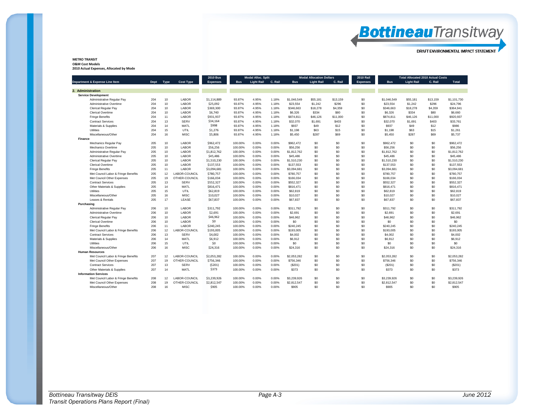| June 2012 |  |
|-----------|--|
|           |  |

**METRO TRANSIT O&M Cost Models 2010 Actual Expenses, Allocated by Mode**

|                                           |      |      |                  |                 |            |                   | <b>2010 Bus</b> |             | <b>Modal Alloc. Split</b> |          |                 | <b>Modal Allocation Dollars</b> |                   | <b>2010 Rail</b> |             | Total Allocated 2010 Actual Costs |  |  |
|-------------------------------------------|------|------|------------------|-----------------|------------|-------------------|-----------------|-------------|---------------------------|----------|-----------------|---------------------------------|-------------------|------------------|-------------|-----------------------------------|--|--|
| <b>Department &amp; Expense Line Item</b> | Dept | Type | <b>Cost Type</b> | <b>Expenses</b> | <b>Bus</b> | <b>Light Rail</b> | C. Rail         | <b>Bus</b>  | <b>Light Rail</b>         | C. Rail  | <b>Expenses</b> | <b>Bus</b>                      | <b>Light Rail</b> | C. Rail          | Total       |                                   |  |  |
| 2. Administration                         |      |      |                  |                 |            |                   |                 |             |                           |          |                 |                                 |                   |                  |             |                                   |  |  |
| <b>Service Development</b>                |      |      |                  |                 |            |                   |                 |             |                           |          |                 |                                 |                   |                  |             |                                   |  |  |
| Administrative Regular Pay                | 204  | 10   | LABOR            | \$1,114,889     | 93.87%     | 4.95%             | 1.18%           | \$1,046,549 | \$55,181                  | \$13.159 | \$0             | \$1,046.549                     | \$55,181          | \$13,159         | \$1,101,730 |                                   |  |  |
| Administrative Overtime                   | 204  | 10   | <b>LABOR</b>     | \$25.092        | 93.87%     | 4.95%             | 1.18%           | \$23.554    | \$1,242                   | \$296    | \$0             | \$23.554                        | \$1,242           | \$296            | \$24.796    |                                   |  |  |
| <b>Clerical Regular Pay</b>               | 204  | 10   | LABOR            | \$369,300       | 93.87%     | 4.95%             | 1.18%           | \$346,663   | \$18,278                  | \$4,359  | \$0             | \$346,663                       | \$18,278          | \$4,359          | \$364,941   |                                   |  |  |
| <b>Clerical Overtime</b>                  | 204  | 10   | LABOR            | \$6,740         | 93.87%     | 4.95%             | 1.18%           | \$6,326     | \$334                     | \$80     | \$0             | \$6,326                         | \$334             | \$80             | \$6,660     |                                   |  |  |
| <b>Fringe Benefits</b>                    | 204  | 11   | LABOR            | \$931,937       | 93.87%     | 4.95%             | 1.18%           | \$874,811   | \$46,126                  | \$11,000 | \$0             | \$874,811                       | \$46,126          | \$11,000         | \$920,937   |                                   |  |  |
| <b>Contract Services</b>                  | 204  | 13   | <b>SERV</b>      | \$34,164        | 93.87%     | 4.95%             | 1.18%           | \$32,070    | \$1,691                   | \$403    | \$0             | \$32.070                        | \$1,691           | \$403            | \$33.761    |                                   |  |  |
| <b>Materials &amp; Supplies</b>           | 204  | 14   | MATL             | \$998           | 93.87%     | 4.95%             | 1.18%           | \$937       | \$49                      | \$12     | \$0             | \$937                           | \$49              | \$12             | \$986       |                                   |  |  |
| Utilities                                 | 204  | 15   | UTIL             | \$1,276         | 93.87%     | 4.95%             | 1.18%           | \$1,198     | \$63                      | \$15     | \$0             | \$1,198                         | \$63              | \$15             | \$1,261     |                                   |  |  |
| Miscellaneous/Other                       | 204  | 16   | <b>MISC</b>      | \$5,806         | 93.87%     | 4.95%             | 1.18%           | \$5,450     | \$287                     | \$69     | \$0             | \$5,450                         | \$287             | \$69             | \$5,737     |                                   |  |  |
| Finance                                   |      |      |                  |                 |            |                   |                 |             |                           |          |                 |                                 |                   |                  |             |                                   |  |  |
| Mechanics Regular Pay                     | 205  | 10   | LABOR            | \$962.472       | 100.00%    | 0.00%             | 0.00%           | \$962.472   | \$0                       | \$0      | \$0             | \$962.472                       | \$0               | \$0              | \$962,472   |                                   |  |  |
| Mechanics Overtime                        | 205  | 10   | LABOR            | \$56,256        | 100.00%    | 0.00%             | 0.00%           | \$56,256    | \$0                       | \$0      | \$0             | \$56,256                        | \$0               | \$0              | \$56,256    |                                   |  |  |
| Administrative Regular Pav                | 205  | 10   | LABOR            | \$1,812,762     | 100.00%    | 0.00%             | 0.00%           | \$1,812,762 | \$0                       | \$0      | \$0             | \$1,812,762                     | \$0               | \$0              | \$1,812,762 |                                   |  |  |
| Administrative Overtime                   | 205  | 10   | LABOR            | \$45,486        | 100.00%    | 0.00%             | 0.00%           | \$45,486    | \$0                       | \$0      | \$0             | \$45,486                        | \$0               | \$0              | \$45,486    |                                   |  |  |
| <b>Clerical Regular Pay</b>               | 205  | 10   | <b>LABOR</b>     | \$1,510,230     | 100.00%    | 0.00%             | 0.00%           | \$1,510,230 | \$0                       | \$0      | \$0             | \$1,510,230                     | \$0               | \$0              | \$1,510,230 |                                   |  |  |
| <b>Clerical Overtime</b>                  | 205  | 10   | LABOR            | \$137,553       | 100.00%    | 0.00%             | 0.00%           | \$137,553   | \$0                       | \$0      | \$0             | \$137,553                       | \$0               | \$0              | \$137,553   |                                   |  |  |
| <b>Fringe Benefits</b>                    | 205  | 11   | LABOR            | \$3,094,681     | 100.00%    | 0.00%             | 0.00%           | \$3,094,681 | \$0                       | \$0      | \$0             | \$3,094,681                     | \$0               | \$0              | \$3,094,681 |                                   |  |  |
| Met Council Labor & Fringe Benefits       | 205  | 12   | LABOR-COUNCIL    | \$780,757       | 100.00%    | 0.00%             | 0.00%           | \$780,757   | \$0                       | \$0      | \$0             | \$780.757                       | \$0               | \$0              | \$780,757   |                                   |  |  |
| Met Council Other Expenses                | 205  | 19   | OTHER-COUNCIL    | \$166,034       | 100.00%    | 0.00%             | 0.00%           | \$166,034   | \$0                       | \$0      | \$0             | \$166,034                       | \$0               | \$0              | \$166,034   |                                   |  |  |
| <b>Contract Services</b>                  | 205  | 13   | <b>SERV</b>      | \$552.327       | 100.00%    | 0.00%             | 0.00%           | \$552.327   | \$0                       | \$0      | \$0             | \$552.327                       | \$0               | \$0              | \$552,327   |                                   |  |  |
| <b>Other Materials &amp; Supplies</b>     | 205  | 14   | MATL             | \$816,471       | 100.00%    | 0.00%             | 0.00%           | \$816.471   | \$0                       | \$0      | \$0             | \$816.471                       | \$0               | \$0              | \$816,471   |                                   |  |  |
| <b>Utilities</b>                          | 205  | 15   | UTIL             | \$62,819        | 100.00%    | 0.00%             | 0.00%           | \$62,819    | \$0                       | \$0      | \$0             | \$62,819                        | \$0               | \$0              | \$62,819    |                                   |  |  |
| Miscellaneous/Other                       | 205  | 16   | <b>MISC</b>      | \$10,027        | 100.00%    | 0.00%             | 0.00%           | \$10,027    | \$0                       | \$0      | \$0             | \$10,027                        | \$0               | \$0              | \$10,027    |                                   |  |  |
| Leases & Rentals                          | 205  | 17   | LEASE            | \$67,837        | 100.00%    | 0.00%             | 0.00%           | \$67,837    | \$0                       | \$0      | \$0             | \$67,837                        | \$0               | \$0              | \$67,837    |                                   |  |  |
| Purchasing                                |      |      |                  |                 |            |                   |                 |             |                           |          |                 |                                 |                   |                  |             |                                   |  |  |
| Administrative Regular Pav                | 206  | 10   | LABOR            | \$311.792       | 100.00%    | 0.00%             | 0.00%           | \$311.792   | \$0                       | \$0      | \$0             | \$311.792                       | \$0               | \$0              | \$311,792   |                                   |  |  |
| Administrative Overtime                   | 206  | 10   | LABOR            | \$2,691         | 100.00%    | 0.00%             | 0.00%           | \$2,691     | \$0                       | \$0      | \$0             | \$2.691                         | \$0               | \$0              | \$2,691     |                                   |  |  |
| <b>Clerical Regular Pay</b>               | 206  | 10   | LABOR            | \$46,962        | 100.00%    | 0.00%             | 0.00%           | \$46,962    | \$0                       | \$0      | \$0             | \$46,962                        | \$0               | \$0              | \$46,962    |                                   |  |  |
| <b>Clerical Overtime</b>                  | 206  | 10   | LABOR            | \$0             | 100.00%    | 0.00%             | 0.00%           | \$0         | \$0                       | \$0      | \$0             | \$0                             | \$0               | \$0              | \$0         |                                   |  |  |
| <b>Fringe Benefits</b>                    | 206  | 11   | LABOR            | \$240,245       | 100.00%    | 0.00%             | 0.00%           | \$240.245   | \$0                       | \$0      | \$0             | \$240.245                       | \$0               | \$0              | \$240,245   |                                   |  |  |
| Met Council Labor & Fringe Benefits       | 206  | 12   | LABOR-COUNCIL    | \$193,005       | 100.00%    | 0.00%             | 0.00%           | \$193,005   | \$0                       | \$0      | \$0             | \$193,005                       | \$0               | \$0              | \$193,005   |                                   |  |  |
| <b>Contract Services</b>                  | 206  | 13   | <b>SERV</b>      | \$4,002         | 100.00%    | 0.00%             | 0.00%           | \$4,002     | \$0                       | \$0      | \$0             | \$4,002                         | \$0               | \$0              | \$4,002     |                                   |  |  |
| Materials & Supplies                      | 206  | 14   | MATL             | \$6,912         | 100.00%    | 0.00%             | 0.00%           | \$6.912     | \$0                       | \$0      | \$0             | \$6,912                         | \$0               | \$0              | \$6,912     |                                   |  |  |
| Utilities                                 | 206  | 15   | UTIL             | \$0             | 100.00%    | 0.00%             | 0.00%           | \$0         | \$0                       | \$0      | \$0             | \$0                             | \$0               | \$0              | \$0         |                                   |  |  |
| Miscellaneous/Other                       | 206  | 16   | <b>MISC</b>      | \$24,316        | 100.00%    | 0.00%             | 0.00%           | \$24,316    | \$0                       | \$0      | \$0             | \$24,316                        | S0                | \$0              | \$24,316    |                                   |  |  |
| <b>Human Resources</b>                    |      |      |                  |                 |            |                   |                 |             |                           |          |                 |                                 |                   |                  |             |                                   |  |  |
| Met Council Labor & Fringe Benefits       | 207  | 12   | LABOR-COUNCIL    | \$2,053,282     | 100.00%    | 0.00%             | 0.00%           | \$2,053,282 | \$0                       | \$0      | \$0             | \$2,053,282                     | \$0               | \$0              | \$2,053,282 |                                   |  |  |
| Met Council Other Expenses                | 207  | 19   | OTHER-COUNCIL    | \$756,346       | 100.00%    | 0.00%             | 0.00%           | \$756.346   | \$0                       | \$0      | \$0             | \$756,346                       | \$0               | \$0              | \$756,346   |                                   |  |  |
| <b>Contract Services</b>                  | 207  | 13   | SERV             | (5201)          | 100.00%    | 0.00%             | 0.00%           | (S201)      | \$0                       | \$0      | \$0             | (S201)                          | \$0               | \$0              | (S201)      |                                   |  |  |
| Other Materials & Supplies                | 207  | 14   | MATL             | \$373           | 100.00%    | 0.00%             | 0.00%           | \$373       | \$0                       | \$0      | \$0             | \$373                           | \$0               | \$0              | \$373       |                                   |  |  |
| <b>Information Services</b>               |      |      |                  |                 |            |                   |                 |             |                           |          |                 |                                 |                   |                  |             |                                   |  |  |
| Met Council Labor & Fringe Benefits       | 208  | 12   | LABOR-COUNCIL    | \$3,239,926     | 100.00%    | 0.00%             | 0.00%           | \$3.239.926 | \$0                       | \$0      | \$0             | \$3,239,926                     | \$0               | \$0              | \$3,239,926 |                                   |  |  |
| Met Council Other Expenses                | 208  | 19   | OTHER-COUNCIL    | \$2,812,547     | 100.00%    | 0.00%             | 0.00%           | \$2,812,547 | \$0                       | \$0      | \$0             | \$2,812,547                     | \$0               | \$0              | \$2,812,547 |                                   |  |  |
| Miscellaneous/Other                       | 208  | 16   | MISC             | \$905           | 100.00%    | 0.00%             | 0.00%           | \$905       | \$0                       | \$0      | \$0             | \$905                           | S0                | \$0              | \$905       |                                   |  |  |

# **Bottineau**Transitway

DRAFT ENVIRONMENTAL IMPACT STATEMENT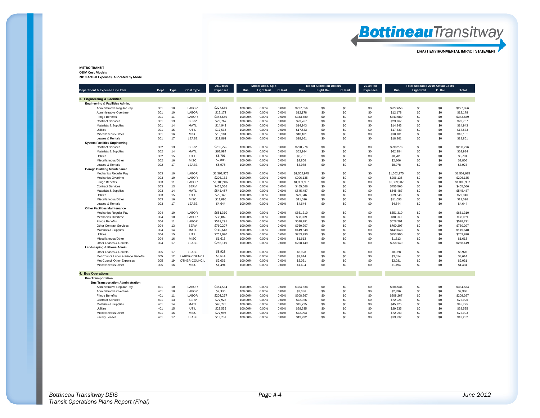

#### **METRO TRANSIT O&M Cost Models**

**2010 Actual Expenses, Allocated by Mode**

|                                          |      |      |                  | <b>2010 Bus</b> | <b>Modal Alloc. Split</b> |                   |         | <b>Modal Allocation Dollars</b> |                   |         | <b>Total Allocated 2010 Actual Costs</b> |             |                   |         |             |
|------------------------------------------|------|------|------------------|-----------------|---------------------------|-------------------|---------|---------------------------------|-------------------|---------|------------------------------------------|-------------|-------------------|---------|-------------|
| Department & Expense Line Item           | Dept | Type | <b>Cost Type</b> | <b>Expenses</b> | <b>Bus</b>                | <b>Light Rail</b> | C. Rail | <b>Bus</b>                      | <b>Light Rail</b> | C. Rail | <b>Expenses</b>                          | <b>Bus</b>  | <b>Light Rail</b> | C. Rail | Total       |
| 3. Engineering & Facilities              |      |      |                  |                 |                           |                   |         |                                 |                   |         |                                          |             |                   |         |             |
| Engineering & Facilities Admin.          |      |      |                  |                 |                           |                   |         |                                 |                   |         |                                          |             |                   |         |             |
| Administrative Regular Pay               | 301  | 10   | LABOR            | \$227,656       | 100.00%                   | 0.00%             | 0.00%   | \$227.656                       | \$0               | \$0     | \$0                                      | \$227.656   | \$0               | \$0     | \$227.656   |
| Administrative Overtime                  | 301  | 10   | LABOR            | \$12,178        | 100.00%                   | 0.00%             | 0.00%   | \$12,178                        | \$0               | \$0     | \$0                                      | \$12,178    | \$0               | \$0     | \$12,178    |
| <b>Fringe Benefits</b>                   | 301  | 11   | LABOR            | \$343.689       | 100.00%                   | 0.00%             | 0.00%   | \$343,689                       | \$0               | \$0     | \$0                                      | \$343,689   | \$0               | \$0     | \$343.689   |
| <b>Contract Services</b>                 | 301  | 13   | <b>SERV</b>      | \$23,767        | 100.00%                   | 0.00%             | 0.00%   | \$23,767                        | \$0               | \$0     | \$0                                      | \$23,767    | \$0               | \$0     | \$23,767    |
| Materials & Supplies                     | 301  | 14   | MATL             | \$14,943        | 100.00%                   | 0.00%             | 0.00%   | \$14,943                        | \$0               | \$0     | \$0                                      | \$14,943    | \$0               | \$0     | \$14,943    |
| Utilities                                | 301  | 15   | UTIL             | \$17,533        | 100.00%                   | 0.00%             | 0.00%   | \$17,533                        | \$0               | \$0     | \$0                                      | \$17,533    | \$0               | \$0     | \$17,533    |
| Miscellaneous/Other                      | 301  | 16   | <b>MISC</b>      | \$10,181        | 100.00%                   | 0.00%             | 0.00%   | \$10,181                        | \$0               | \$0     | \$0                                      | \$10,181    | \$0               | \$0     | \$10,181    |
| Leases & Rentals                         | 301  | 17   | LEASE            | \$18,861        | 100.00%                   | 0.00%             | 0.00%   | \$18,861                        | \$0               | \$0     | \$0                                      | \$18,861    | \$0               | \$0     | \$18,861    |
| <b>System Facilities Engineering</b>     |      |      |                  |                 |                           |                   |         |                                 |                   |         |                                          |             |                   |         |             |
| <b>Contract Services</b>                 | 302  | 13   | <b>SERV</b>      | \$298.276       | 100.00%                   | 0.00%             | 0.00%   | \$298.276                       | \$0               | \$0     | \$0                                      | \$298.276   | \$0               | \$0     | \$298.276   |
| Materials & Supplies                     | 302  | 14   | MATL             | \$62,984        | 100.00%                   | 0.00%             | 0.00%   | \$62,984                        | \$0               | \$0     | \$0                                      | \$62,984    | \$0               | \$0     | \$62,984    |
| Utilities                                | 302  | 15   | UTIL             | \$8,701         | 100.00%                   | 0.00%             | 0.00%   | \$8,701                         | \$0               | \$0     | \$0                                      | \$8,701     | \$0               | \$0     | \$8.701     |
| Miscellaneous/Other                      | 302  | 16   | <b>MISC</b>      | \$2,806         | 100.00%                   | 0.00%             | 0.00%   | \$2,806                         | \$0               | \$0     | \$0                                      | \$2,806     | \$0               | \$0     | \$2,806     |
| Leases & Rentals                         | 302  | 17   | LEASE            | \$8,978         | 100.00%                   | 0.00%             | 0.00%   | \$8,978                         | \$0               | \$0     | \$0                                      | \$8,978     | \$0               | \$0     | \$8,978     |
| <b>Garage Building Maintenance</b>       |      |      |                  |                 |                           |                   |         |                                 |                   |         |                                          |             |                   |         |             |
| Mechanics Regular Pay                    | 303  | 10   | LABOR            | \$1,502,975     | 100.00%                   | 0.00%             | 0.00%   | \$1,502,975                     | \$0               | \$0     | \$0                                      | \$1,502,975 | \$0               | \$0     | \$1,502.975 |
| Mechanics Overtime                       | 303  | 10   | LABOR            | \$206,135       | 100.00%                   | 0.00%             | 0.00%   | \$206,135                       | \$0               | \$0     | \$0                                      | \$206,135   | \$0               | \$0     | \$206,135   |
| <b>Fringe Benefits</b>                   | 303  | 11   | LABOR            | \$1,309,907     | 100.00%                   | 0.00%             | 0.00%   | \$1,309,907                     | \$0               | \$0     | \$0                                      | \$1,309,907 | \$0               | \$0     | \$1,309,907 |
| <b>Contract Services</b>                 | 303  | 13   | <b>SERV</b>      | \$455,566       | 100.00%                   | 0.00%             | 0.00%   | \$455,566                       | \$0               | \$0     | \$0                                      | \$455.566   | \$0               | \$0     | \$455,566   |
| Materials & Supplies                     | 303  | 14   | MATL             | \$545,487       | 100.00%                   | 0.00%             | 0.00%   | \$545.487                       | \$0               | \$0     | \$0                                      | \$545.487   | \$0               | \$0     | \$545.487   |
| Utilities                                | 303  | 15   | UTIL             | \$79.346        | 100.00%                   | 0.00%             | 0.00%   | \$79,346                        | \$0               | \$0     | \$0                                      | \$79,346    | \$0               | \$0     | \$79,346    |
| Miscellaneous/Other                      | 303  | 16   | <b>MISC</b>      | \$11,096        | 100.00%                   | 0.00%             | 0.00%   | \$11,096                        | \$0               | \$0     | \$0                                      | \$11,096    | \$0               | \$0     | \$11.096    |
| Leases & Rentals                         | 303  | 17   | LEASE            | \$4,644         | 100.00%                   | 0.00%             | 0.00%   | \$4,644                         | \$0               | \$0     | \$0                                      | \$4,644     | \$0               | \$0     | \$4,644     |
| <b>Other Facilities Maintenance</b>      |      |      |                  |                 |                           |                   |         |                                 |                   |         |                                          |             |                   |         |             |
| Mechanics Regular Pay                    | 304  | 10   | LABOR            | \$651,310       | 100.00%                   | 0.00%             | 0.00%   | \$651,310                       | \$0               | \$0     | \$0                                      | \$651,310   | \$0               | \$0     | \$651,310   |
| Mechanics Overtime                       | 304  | 10   | LABOR            | \$38,069        | 100.00%                   | 0.00%             | 0.00%   | \$38,069                        | \$0               | \$0     | \$0                                      | \$38,069    | \$0               | \$0     | \$38,069    |
| <b>Fringe Benefits</b>                   | 304  | 11   | LABOR            | \$528,291       | 100.00%                   | 0.00%             | 0.00%   | \$528,291                       | \$0               | \$0     | \$0                                      | \$528,291   | \$0               | \$0     | \$528,291   |
| <b>Other Contract Services</b>           | 304  | 13   | <b>SERV</b>      | \$760,207       | 100.00%                   | 0.00%             | 0.00%   | \$760,207                       | \$0               | \$0     | \$0                                      | \$760,207   | \$0               | \$0     | \$760,207   |
| Materials & Supplies                     | 304  | 14   | MATL             | \$149.648       | 100.00%                   | 0.00%             | 0.00%   | \$149,648                       | \$0               | \$0     | \$0                                      | \$149.648   | \$0               | \$0     | \$149,648   |
| Utilities                                | 304  | 15   | UTIL             | \$753,990       | 100.00%                   | 0.00%             | 0.00%   | \$753,990                       | \$0               | \$0     | \$0                                      | \$753.990   | \$0               | \$0     | \$753,990   |
| Miscellaneous/Other                      | 304  | 16   | <b>MISC</b>      | \$1,613         | 100.00%                   | 0.00%             | 0.00%   | \$1,613                         | \$0               | \$0     | \$0                                      | \$1,613     | \$0               | \$0     | \$1,613     |
| Other Leases & Rentals                   | 304  | 17   | LEASE            | \$258,149       | 100.00%                   | 0.00%             | 0.00%   | \$258,149                       | \$0               | \$0     | \$0                                      | \$258,149   | \$0               | \$0     | \$258,149   |
| <b>Landscaping &amp; Phone Admin</b>     |      |      |                  |                 |                           |                   |         |                                 |                   |         |                                          |             |                   |         |             |
| Other Leases & Rentals                   | 305  | 17   | LEASE            | \$8,928         | 100.00%                   | 0.00%             | 0.00%   | \$8,928                         | \$0               | \$0     | \$0                                      | \$8,928     | \$0               | \$0     | \$8,928     |
| Met Council Labor & Fringe Benefits      | 305  | 12   | LABOR-COUNCIL    | \$3.614         | 100.00%                   | 0.00%             | 0.00%   | \$3,614                         | \$0               | \$0     | \$0                                      | \$3,614     | \$0               | \$0     | \$3.614     |
| Met Council Other Expenses               | 305  | 19   | OTHER-COUNCIL    | \$2,031         | 100.00%                   | 0.00%             | 0.00%   | \$2,031                         | \$0               | \$0     | \$0                                      | \$2.031     | \$0               | \$0     | \$2.031     |
| Miscellaneous/Other                      | 305  | 16   | <b>MISC</b>      | \$1,494         | 100.00%                   | 0.00%             | 0.00%   | \$1,494                         | \$0               | \$0     | \$0                                      | \$1,494     | \$0               | \$0     | \$1,494     |
|                                          |      |      |                  |                 |                           |                   |         |                                 |                   |         |                                          |             |                   |         |             |
| 4. Bus Operations                        |      |      |                  |                 |                           |                   |         |                                 |                   |         |                                          |             |                   |         |             |
| <b>Bus Transportation</b>                |      |      |                  |                 |                           |                   |         |                                 |                   |         |                                          |             |                   |         |             |
| <b>Bus Transportation Administration</b> |      |      |                  |                 |                           |                   |         |                                 |                   |         |                                          |             |                   |         |             |
| Administrative Regular Pay               | 401  | 10   | LABOR            | \$384,534       | 100.00%                   | 0.00%             | 0.00%   | \$384.534                       | \$0               | \$0     | \$0                                      | \$384.534   | \$0               | \$0     | \$384,534   |
| Administrative Overtime                  | 401  | 10   | LABOR            | \$2,336         | 100.00%                   | 0.00%             | 0.00%   | \$2,336                         | \$0               | \$0     | \$0                                      | \$2,336     | \$0               | \$0     | \$2,336     |
| <b>Fringe Benefits</b>                   | 401  | 11   | LABOR            | \$208,267       | 100.00%                   | 0.00%             | 0.00%   | \$208,267                       | \$0               | \$0     | \$0                                      | \$208,267   | \$0               | \$0     | \$208,267   |
| <b>Contract Services</b>                 | 401  | 13   | <b>SERV</b>      | \$72,926        | 100.00%                   | 0.00%             | 0.00%   | \$72.926                        | \$0               | \$0     | \$0                                      | \$72,926    | \$0               | \$0     | \$72.926    |
| Materials & Supplies                     | 401  | 14   | MATL             | \$45,725        | 100.00%                   | 0.00%             | 0.00%   | \$45,725                        | \$0               | \$0     | \$0                                      | \$45,725    | \$0               | \$0     | \$45,725    |
| Utilities                                | 401  | 15   | UTIL             | \$29,535        | 100.00%                   | 0.00%             | 0.00%   | \$29.535                        | \$0               | \$0     | \$0                                      | \$29,535    | \$0               | \$0     | \$29,535    |
| Miscellaneous/Other                      | 401  | 16   | <b>MISC</b>      | \$72,993        | 100.00%                   | 0.00%             | 0.00%   | \$72,993                        | \$0               | \$0     | \$0                                      | \$72,993    | \$0               | \$0     | \$72,993    |
| <b>Facility Leases</b>                   | 401  | 17   | LEASE            | \$13,232        | 100.00%                   | 0.00%             | 0.00%   | \$13,232                        | \$O.              | \$0     | \$0                                      | \$13,232    | \$0               | \$0     | \$13.232    |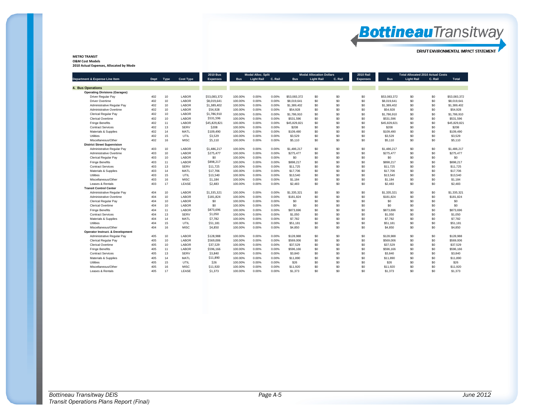**METRO TRANSIT O&M Cost Models 2010 Actual Expenses, Allocated by Mode**

| Department & Expense Line Item       |      |             |                  |                 |            |                   | <b>2010 Bus</b> | <b>Modal Alloc. Split</b> |                   |         |                 | <b>Modal Allocation Dollars</b> |                   | <b>2010 Rail</b> | <b>Total Allocated 2010 Actual Costs</b> |  |  |  |
|--------------------------------------|------|-------------|------------------|-----------------|------------|-------------------|-----------------|---------------------------|-------------------|---------|-----------------|---------------------------------|-------------------|------------------|------------------------------------------|--|--|--|
|                                      | Dept | <b>Type</b> | <b>Cost Type</b> | <b>Expenses</b> | <b>Bus</b> | <b>Light Rail</b> | C. Rail         | <b>Bus</b>                | <b>Light Rail</b> | C. Rail | <b>Expenses</b> | <b>Bus</b>                      | <b>Light Rail</b> | C. Rail          | Total                                    |  |  |  |
|                                      |      |             |                  |                 |            |                   |                 |                           |                   |         |                 |                                 |                   |                  |                                          |  |  |  |
| 4. Bus Operations                    |      |             |                  |                 |            |                   |                 |                           |                   |         |                 |                                 |                   |                  |                                          |  |  |  |
| <b>Operating Divisions (Garages)</b> |      |             |                  |                 |            |                   |                 |                           |                   |         |                 |                                 |                   |                  |                                          |  |  |  |
| <b>Driver Regular Pav</b>            | 402  | 10          | LABOR            | \$53,083,372    | 100.00%    | 0.00%             | 0.00%           | \$53,083,372              | \$0               | \$0     | \$0             | \$53.083.372                    | \$0               | \$0              | \$53,083,372                             |  |  |  |
| <b>Driver Overtime</b>               | 402  | 10          | LABOR            | \$8,019,641     | 100.00%    | 0.00%             | 0.00%           | \$8,019,641               | \$0               | \$0     | \$0             | \$8,019,641                     | \$0               | \$0              | \$8,019,641                              |  |  |  |
| Administrative Regular Pay           | 402  | 10          | LABOR            | \$1,389,402     | 100.00%    | 0.00%             | 0.00%           | \$1,389,402               | \$0               | \$0     | \$0             | \$1,389,402                     | \$0               | \$0              | \$1,389,402                              |  |  |  |
| Administrative Overtime              | 402  | 10          | LABOR            | \$54,928        | 100.00%    | 0.00%             | 0.00%           | \$54,928                  | \$0               | \$0     | \$0             | \$54.928                        | \$0               | \$0              | \$54,928                                 |  |  |  |
| Clerical Regular Pay                 | 402  | 10          | LABOR            | \$1,786,910     | 100.00%    | 0.00%             | 0.00%           | \$1,786,910               | \$0               | \$0     | \$0             | \$1,786,910                     | \$0               | \$0              | \$1,786,910                              |  |  |  |
| Clerical Overtime                    | 402  | 10          | LABOR            | \$531.596       | 100.00%    | 0.00%             | 0.00%           | \$531,596                 | \$0               | \$0     | \$0             | \$531.596                       | \$0               | \$0              | \$531.596                                |  |  |  |
| <b>Fringe Benefits</b>               | 402  | 11          | LABOR            | \$45,829,821    | 100.00%    | 0.00%             | 0.00%           | \$45,829,821              | \$0               | \$0     | \$0             | \$45,829,821                    | \$0               | \$0              | \$45,829,821                             |  |  |  |
| <b>Contract Services</b>             | 402  | 13          | SERV             | \$208           | 100.00%    | 0.00%             | 0.00%           | \$208                     | \$0               | \$0     | \$0             | \$208                           | \$0               | \$0              | \$208                                    |  |  |  |
| Materials & Supplies                 | 402  | 14          | MATL             | \$109,490       | 100.00%    | 0.00%             | 0.00%           | \$109,490                 | \$0               | \$0     | \$0             | \$109,490                       | \$0               | \$0              | \$109,490                                |  |  |  |
| Utilities                            | 402  | 15          | UTIL             | \$3,529         | 100.00%    | 0.00%             | 0.00%           | \$3,529                   | \$0               | \$0     | \$0             | \$3,529                         | \$0               | \$0              | \$3,529                                  |  |  |  |
| Miscellaneous/Other                  | 402  | 16          | <b>MISC</b>      | \$5,110         | 100.00%    | 0.00%             | 0.00%           | \$5.110                   | \$0               | \$0     | \$0             | \$5,110                         | \$0               | \$0              | \$5,110                                  |  |  |  |
| <b>District Street Supervision</b>   |      |             |                  |                 |            |                   |                 |                           |                   |         |                 |                                 |                   |                  |                                          |  |  |  |
| Administrative Regular Pay           | 403  | 10          | <b>LABOR</b>     | \$1,486,217     | 100.00%    | 0.00%             | 0.00%           | \$1,486,217               | \$0               | \$0     | \$0             | \$1,486,217                     | \$0               | \$0              | \$1,486,217                              |  |  |  |
| Administrative Overtime              | 403  | 10          | LABOR            | \$275,477       | 100.00%    | 0.00%             | 0.00%           | \$275,477                 | \$0               | \$0     | \$0             | \$275,477                       | \$0               | \$0              | \$275,477                                |  |  |  |
| Clerical Regular Pay                 | 403  | 10          | LABOR            | \$0             | 100.00%    | 0.00%             | 0.00%           | \$0                       | \$0               | \$0     | \$0             | \$0                             | \$0               | \$0              | \$0                                      |  |  |  |
| <b>Fringe Benefits</b>               | 403  | 11          | LABOR            | \$898,217       | 100.00%    | 0.00%             | 0.00%           | \$898,217                 | \$0               | \$0     | \$0             | \$898.217                       | \$0               | \$0              | \$898,217                                |  |  |  |
| <b>Contract Services</b>             | 403  | 13          | <b>SERV</b>      | \$11,725        | 100.00%    | 0.00%             | 0.00%           | \$11,725                  | \$0               | \$0     | \$0             | \$11,725                        | \$0               | \$0              | \$11,725                                 |  |  |  |
| Materials & Supplies                 | 403  | 14          | MATL             | \$17,706        | 100.00%    | 0.00%             | 0.00%           | \$17,706                  | \$0               | \$0     | \$0             | \$17,706                        | \$0               | \$0              | \$17,706                                 |  |  |  |
| Utilities                            | 403  | 15          | UTIL             | \$13,540        | 100.00%    | 0.00%             | 0.00%           | \$13,540                  | \$0               | \$0     | \$0             | \$13,540                        | \$0               | \$0              | \$13,540                                 |  |  |  |
| Miscellaneous/Other                  | 403  | 16          | <b>MISC</b>      | \$1,184         | 100.00%    | 0.00%             | 0.00%           | \$1,184                   | \$0               | \$0     | \$0             | \$1,184                         | \$0               | \$0              | \$1,184                                  |  |  |  |
| Leases & Rentals                     | 403  | 17          | LEASE            | \$2,483         | 100.00%    | 0.00%             | 0.00%           | \$2,483                   | \$0               | \$0     | \$0             | \$2,483                         | \$0               | \$0              | \$2,483                                  |  |  |  |
| <b>Transit Control Center</b>        |      |             |                  |                 |            |                   |                 |                           |                   |         |                 |                                 |                   |                  |                                          |  |  |  |
| Administrative Regular Pay           | 404  | 10          | LABOR            | \$1,335,321     | 100.00%    | 0.00%             | 0.00%           | \$1,335,321               | \$0               | \$0     | \$0             | \$1,335,321                     | \$0               | \$0              | \$1,335,321                              |  |  |  |
| Administrative Overtime              | 404  | 10          | LABOR            | \$181,824       | 100.00%    | 0.00%             | 0.00%           | \$181.824                 | \$0               | \$0     | \$0             | \$181.824                       | \$0               | \$0              | \$181.824                                |  |  |  |
| Clerical Regular Pay                 | 404  | 10          | LABOR            | \$0             | 100.00%    | 0.00%             | 0.00%           | \$0                       | \$0               | \$0     | \$0             | \$0                             | \$0               | \$0              | \$0                                      |  |  |  |
| <b>Clerical Overtime</b>             | 404  | 10          | LABOR            | \$0             | 100.00%    | 0.00%             | 0.00%           | \$0                       | \$0               | \$0     | \$0             | \$0                             | \$0               | \$0              | \$0                                      |  |  |  |
| <b>Fringe Benefits</b>               | 404  | 11          | LABOR            | \$873,696       | 100.00%    | 0.00%             | 0.00%           | \$873,696                 | \$0               | \$0     | \$0             | \$873,696                       | \$0               | \$0              | \$873,696                                |  |  |  |
| <b>Contract Services</b>             | 404  | 13          | SERV             | \$1,050         | 100.00%    | 0.00%             | 0.00%           | \$1,050                   | \$0               | \$0     | \$0             | \$1,050                         | \$0               | \$0              | \$1,050                                  |  |  |  |
| Materials & Supplies                 | 404  | 14          | MATL             | \$7,782         | 100.00%    | 0.00%             | 0.00%           | \$7.782                   | \$0               | \$0     | \$0             | \$7,782                         | \$0               | \$0              | \$7,782                                  |  |  |  |
| Utilities                            | 404  | 15          | UTIL             | \$51,181        | 100.00%    | 0.00%             | 0.00%           | \$51,181                  | \$0               | \$0     | \$0             | \$51,181                        | \$0               | \$0              | \$51,181                                 |  |  |  |
| Miscellaneous/Other                  | 404  | 16          | <b>MISC</b>      | \$4,850         | 100.00%    | 0.00%             | 0.00%           | \$4,850                   | \$0               | \$0     | \$0             | \$4,850                         | \$0               | \$0              | \$4,850                                  |  |  |  |
| Operator Instruct. & Development     |      |             |                  |                 |            |                   |                 |                           |                   |         |                 |                                 |                   |                  |                                          |  |  |  |
| Administrative Regular Pay           | 405  | 10          | LABOR            | \$128,988       | 100.00%    | 0.00%             | 0.00%           | \$128,988                 | \$0               | \$0     | \$0             | \$128,988                       | \$0               | \$0              | \$128,988                                |  |  |  |
| <b>Clerical Regular Pav</b>          | 405  | 10          | LABOR            | \$569,006       | 100.00%    | 0.00%             | 0.00%           | \$569,006                 | \$0               | \$0     | \$0             | \$569,006                       | \$0               | \$0              | \$569,006                                |  |  |  |
| Clerical Overtime                    | 405  | 10          | LABOR            | \$37,529        | 100.00%    | 0.00%             | 0.00%           | \$37,529                  | \$0               | \$0     | \$0             | \$37,529                        | \$0               | \$0              | \$37,529                                 |  |  |  |
| <b>Fringe Benefits</b>               | 405  | 11          | LABOR            | \$596.166       | 100.00%    | 0.00%             | 0.00%           | \$596.166                 | \$0               | \$0     | \$0             | \$596,166                       | \$0               | \$0              | \$596.166                                |  |  |  |
| <b>Contract Services</b>             | 405  | 13          | SERV             | \$3,840         | 100.00%    | 0.00%             | 0.00%           | \$3,840                   | \$0               | \$0     | \$0             | \$3,840                         | \$0               | \$0              | \$3,840                                  |  |  |  |
| Materials & Supplies                 | 405  | 14          | MATL             | \$11,890        | 100.00%    | 0.00%             | 0.00%           | \$11,890                  | \$0               | \$0     | \$0             | \$11,890                        | \$0               | \$0              | \$11,890                                 |  |  |  |
| Utilities                            | 405  | 15          | UTIL             | \$26            | 100.00%    | 0.00%             | 0.00%           | \$26                      | \$0               | \$0     | \$0             | \$26                            | \$0               | \$0              | \$26                                     |  |  |  |
| Miscellaneous/Other                  | 405  | 16          | <b>MISC</b>      | \$11,920        | 100.00%    | 0.00%             | 0.00%           |                           | \$0               | \$0     | \$0             | \$11.920                        | \$0               | \$0              | \$11.920                                 |  |  |  |
|                                      |      |             |                  | \$1,373         |            |                   |                 | \$11,920                  |                   |         |                 |                                 |                   | \$0              |                                          |  |  |  |
| Leases & Rentals                     | 405  | 17          | LEASE            |                 | 100.00%    | 0.00%             | 0.00%           | \$1,373                   | \$0               | \$0     | \$0             | \$1,373                         | \$0               |                  | \$1,373                                  |  |  |  |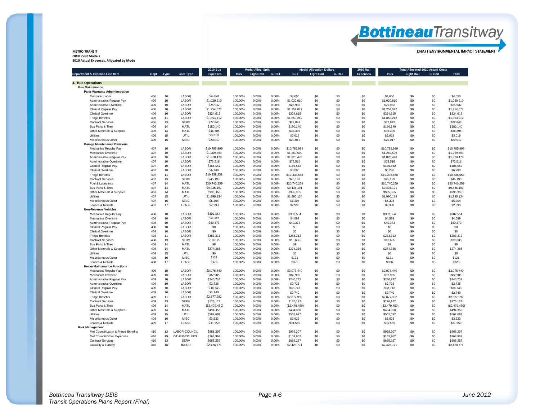# **Bottineau**Transitway

DRAFT ENVIRONMENTAL IMPACT STATEMENT

#### **METRO TRANSIT O&M Cost Models**

**2010 Actual Expenses, Allocated by Mode**

|                                                          |            |          |                             | <b>2010 Bus</b> |                    | <b>Modal Alloc. Split</b> |                |                          | <b>Modal Allocation Dollars</b> |            | <b>2010 Rail</b> |                       |                   | <b>Total Allocated 2010 Actual Costs</b> |                       |  |
|----------------------------------------------------------|------------|----------|-----------------------------|-----------------|--------------------|---------------------------|----------------|--------------------------|---------------------------------|------------|------------------|-----------------------|-------------------|------------------------------------------|-----------------------|--|
| Department & Expense Line Item                           | Dept       | Type     | <b>Cost Type</b>            | <b>Expenses</b> | <b>Bus</b>         | <b>Light Rail</b>         | C. Rail        | <b>Bus</b>               | <b>Light Rail</b>               | C. Rail    | <b>Expenses</b>  | <b>Bus</b>            | <b>Light Rail</b> | C. Rail                                  | <b>Total</b>          |  |
| 4. Bus Operations                                        |            |          |                             |                 |                    |                           |                |                          |                                 |            |                  |                       |                   |                                          |                       |  |
| <b>Bus Maintenance</b>                                   |            |          |                             |                 |                    |                           |                |                          |                                 |            |                  |                       |                   |                                          |                       |  |
| <b>Parts Warranty Admininstration</b>                    |            |          |                             |                 |                    |                           |                |                          |                                 |            |                  |                       |                   |                                          |                       |  |
| Mechanic Labor                                           | 406        | 10       | LABOR                       | \$4,650         | 100.00%            | 0.00%                     | 0.00%          | \$4,650                  | \$0                             | \$0        | \$0              | \$4,650               | \$0               | \$0                                      | \$4,650               |  |
| Administrative Regular Pay                               | 406        | 10       | LABOR                       | \$1,020,610     | 100.00%            | 0.00%                     | 0.00%          | \$1,020,610              | \$0                             | \$0        | \$0              | \$1,020,610           | \$0               | \$0                                      | \$1,020,610           |  |
| Administrative Overtime                                  | 406        | 10       | LABOR                       | \$25,932        | 100.00%            | 0.00%                     | 0.00%          | \$25,932                 | \$0                             | \$0        | \$0              | \$25,932              | \$0               | \$0                                      | \$25,932              |  |
| Clerical Regular Pay                                     | 406        | 10       | LABOR                       | \$1,254,077     | 100.00%            | 0.00%                     | 0.00%          | \$1,254,077              | \$0                             | \$0        | \$0              | \$1,254,077           | \$0               | \$0                                      | \$1,254,077           |  |
| <b>Clerical Overtime</b>                                 | 406        | 10       | LABOR                       | \$324,615       | 100.00%            | 0.00%                     | 0.00%          | \$324,615                | \$0                             | \$0        | \$0              | \$324,615             | \$0               | \$0                                      | \$324,615             |  |
| <b>Fringe Benefits</b>                                   | 406        | 11       | LABOR                       | \$1,853,212     | 100.00%            | 0.00%                     | 0.00%          | \$1,853,212              | \$0                             | \$0        | \$0              | \$1,853,212           | \$0               | \$0                                      | \$1,853,212           |  |
|                                                          | 406        | 13       | SERV                        | \$22,843        |                    | 0.00%                     | 0.00%          |                          | \$0                             | \$0        | \$0              |                       | \$0               | \$0                                      |                       |  |
| <b>Contract Services</b><br><b>Bus Parts &amp; Tires</b> | 406        | 14       | MATL                        | \$180,140       | 100.00%<br>100.00% | 0.00%                     | 0.00%          | \$22,843                 | \$0                             | \$0        | \$0              | \$22,843              |                   | \$0                                      | \$22,843<br>\$180,140 |  |
|                                                          | 406        | 14       | MATL                        | \$36,305        | 100.00%            | 0.00%                     | 0.00%          | \$180,140<br>\$36,305    | \$0                             | \$0        | \$0              | \$180,140<br>\$36,305 | \$0               | \$0                                      | \$36,305              |  |
| Other Materials & Supplies                               |            |          |                             |                 |                    |                           |                |                          |                                 |            |                  |                       | \$0               |                                          |                       |  |
| <b>Utilities</b>                                         | 406        | 15       | <b>UTIL</b>                 | \$3,019         | 100.00%            | 0.00%                     | 0.00%          | \$3,019                  | \$0                             | \$0        | \$0              | \$3,019               | \$0               | \$0                                      | \$3,019               |  |
| Miscellaneous/Other                                      | 406        | 16       | <b>MISC</b>                 | \$20,017        | 100.00%            | 0.00%                     | 0.00%          | \$20,017                 | \$0                             | \$0        | \$0              | \$20,017              | \$0               | \$0                                      | \$20,017              |  |
| <b>Garage Maintenance Divisions</b>                      |            |          |                             |                 |                    |                           |                |                          |                                 |            |                  |                       |                   |                                          |                       |  |
| Mechanics Regular Pay                                    | 407        | 10       | LABOR                       | \$10,785,999    | 100.00%            | 0.00%                     | 0.00%          | \$10,785,999             | \$0                             | \$0        | \$0              | \$10,785,999          | \$0               | \$0                                      | \$10,785,999          |  |
| Mechanics Overtime                                       | 407        | 10       | LABOR                       | \$1,269,599     | 100.00%            | 0.00%                     | 0.00%          | \$1,269,599              | \$0                             | \$0        | \$0              | \$1,269,599           | \$0               | \$0                                      | \$1,269,599           |  |
| Administrative Regular Pay                               | 407        | 10       | LABOR                       | \$1,820,478     | 100.00%            | 0.00%                     | 0.00%          | \$1,820,478              | \$0                             | \$0        | \$0              | \$1,820,478           | \$0               | \$0                                      | \$1,820,478           |  |
| Administrative Overtime                                  | 407        | 10       | LABOR                       | \$73,516        | 100.00%            | 0.00%                     | 0.00%          | \$73,516                 | \$0                             | \$0        | \$0              | \$73,516              | \$0               | \$0                                      | \$73,516              |  |
| Clerical Regular Pay                                     | 407        | 10       | LABOR                       | \$186,552       | 100.00%            | 0.00%                     | 0.00%          | \$186,552                | \$0                             | \$0        | \$0              | \$186,552             | \$0               | \$0                                      | \$186,552             |  |
| Clerical Overtime                                        | 407        | 10       | LABOR                       | \$6,280         | 100.00%            | 0.00%                     | 0.00%          | \$6,280                  | \$0                             | \$0        | \$0              | \$6,280               | \$0               | \$0                                      | \$6,280               |  |
| <b>Fringe Benefits</b>                                   | 407        | 11       | LABOR                       | \$10,338,558    | 100.00%            | 0.00%                     | 0.00%          | \$10,338,558             | \$0                             | \$0        | \$0              | \$10,338,558          | \$0               | \$0                                      | \$10,338,558          |  |
| <b>Contract Services</b>                                 | 407        | 13       | <b>SERV</b>                 | \$45,193        | 100.00%            | 0.00%                     | 0.00%          | \$45,193                 | \$0                             | \$0        | \$0              | \$45,193              | \$0               | \$0                                      | \$45,193              |  |
| Fuel & Lubricants                                        | 407        | 14       | MATL                        | \$20,740,259    | 100.00%            | 0.00%                     | 0.00%          | \$20,740,259             | \$0                             | \$0        | \$0              | \$20,740,259          | \$0               | \$0                                      | \$20,740,259          |  |
| Bus Parts & Tires                                        | 407        | 14       | MATL                        | \$9,436,191     | 100.00%            | 0.00%                     | 0.00%          | \$9,436,191              | \$0                             | \$0        | \$0              | \$9,436,191           | \$0               | \$0                                      | \$9,436,191           |  |
| Other Materials & Supplies                               | 407        | 14       | MATL                        | \$995,365       | 100.00%            | 0.00%                     | 0.00%          | \$995,365                | \$0                             | \$0        | \$0              | \$995,365             | \$0               | \$0                                      | \$995,365             |  |
| <b>Utilities</b>                                         | 407        | 15       | <b>UTIL</b>                 | \$1,990,134     | 100.00%            | 0.00%                     | 0.00%          | \$1,990,134              | \$0                             | \$0        | \$0              | \$1,990,134           | \$0               | \$0                                      | \$1,990,134           |  |
| Miscellaneous/Other                                      | 407        | 16       | <b>MISC</b>                 | \$6,304         | 100.00%            | 0.00%                     | 0.00%          | \$6,304                  | \$0                             | \$0        | \$0              | \$6,304               | \$0               | \$0                                      | \$6,304               |  |
| Leases & Rentals                                         | 407        | 17       | LEASE                       | \$2,993         | 100.00%            | 0.00%                     | 0.00%          | \$2,993                  | \$0                             | \$0        | \$0              | \$2,993               | \$0               | \$0                                      | \$2,993               |  |
| <b>Non-Revenue Vehicles</b>                              |            |          |                             |                 |                    |                           |                |                          |                                 |            |                  |                       |                   |                                          |                       |  |
| Mechanics Regular Pay                                    | 408        | 10       | LABOR                       | \$302,554       | 100.00%            | 0.00%                     | 0.00%          | \$302,554                | \$0                             | \$0        | \$0              | \$302,554             | \$0               | \$0                                      | \$302,554             |  |
| Mechanics Overtime                                       | 408        | 10       | LABOR                       | \$4,589         | 100.00%            | 0.00%                     | 0.00%          | \$4,589                  | \$0                             | \$0        | \$0              | \$4,589               | \$0               | \$0                                      | \$4,589               |  |
| Administrative Regular Pay                               | 408        | 10       | LABOR                       | \$40,373        | 100.00%            | 0.00%                     | 0.00%          | \$40,373                 | \$0                             | \$0        | \$0              | \$40,373              | \$0               | \$0                                      | \$40,373              |  |
| Clerical Regular Pay                                     | 408        | 10       | LABOR                       | \$0             | 100.00%            | 0.00%                     | 0.00%          | \$0                      | \$0                             | \$0        | \$0              | \$0                   | \$0               | \$0                                      | \$0                   |  |
| <b>Clerical Overtime</b>                                 | 408        | 10       | LABOR                       | \$0             | 100.00%            | 0.00%                     | 0.00%          | \$0                      | \$0                             | \$0        | \$0              | \$0                   | \$0               | \$0                                      | \$0                   |  |
|                                                          | 408        | 11       | LABOR                       | \$283,313       |                    | 0.00%                     |                | \$283,313                |                                 | \$0        | \$0              | \$283,313             | \$0               | \$0                                      | \$283,313             |  |
| <b>Fringe Benefits</b>                                   | 408        | 13       | SERV                        | \$10,635        | 100.00%            | 0.00%                     | 0.00%<br>0.00% |                          | \$0<br>\$0                      | \$0        | \$0              | \$10,635              | \$0               | \$0                                      | \$10,635              |  |
| <b>Contract Services</b>                                 |            |          |                             |                 | 100.00%            |                           |                | \$10,635                 |                                 |            |                  |                       |                   |                                          |                       |  |
| <b>Bus Parts &amp; Tires</b>                             | 408        | 14       | MATL                        | \$9             | 100.00%            | 0.00%                     | 0.00%          | \$9                      | \$0                             | \$0        | \$0              | \$9                   | \$0               | \$0                                      | \$9                   |  |
| Other Materials & Supplies                               | 408        | 14       | MATL                        | \$274,386       | 100.00%            | 0.00%                     | 0.00%          | \$274,386                | \$0                             | \$0        | \$0              | \$274,386             | \$0               | \$0                                      | \$274,386             |  |
| Utilities                                                | 408        | 15       | UTIL                        | \$0             | 100.00%            | 0.00%                     | 0.00%          | \$0                      | \$0                             | \$0        | \$0              | \$0                   | \$0               | \$0                                      | \$0                   |  |
| Miscellaneous/Other                                      | 408        | 16       | <b>MISC</b>                 | \$121           | 100.00%            | 0.00%                     | 0.00%          | \$121                    | \$0                             | \$0        | \$0              | \$121                 | \$0               | \$0                                      | \$121                 |  |
| Leases & Rentals                                         | 408        | 17       | LEASE                       | \$326           | 100.00%            | 0.00%                     | 0.00%          | \$326                    | \$0                             | \$0        | \$0              | \$326                 | \$0               | \$0                                      | \$326                 |  |
| <b>Heavy Maintenance Functions</b>                       |            |          |                             |                 |                    |                           |                |                          |                                 |            |                  |                       |                   |                                          |                       |  |
| Mechanics Regular Pay                                    | 409        | 10       | LABOR                       | \$3,076,440     | 100.00%            | 0.00%                     | 0.00%          | \$3,076,440              | \$0                             | \$0        | \$0              | \$3,076,440           | \$0               | \$0                                      | \$3,076,440           |  |
| Mechanics Overtime                                       | 409        | 10       | LABOR                       | \$82,985        | 100.00%            | 0.00%                     | 0.00%          | \$82,985                 | \$0                             | \$0        | \$0              | \$82,985              | \$0               | \$0                                      | \$82,985              |  |
| Administrative Regular Pay                               | 409        | 10       | LABOR                       | \$240,732       | 100.00%            | 0.00%                     | 0.00%          | \$240,732                | \$0                             | \$0        | \$0              | \$240,732             | \$0               | \$0                                      | \$240,732             |  |
| Administrative Overtime                                  | 409        | 10       | LABOR                       | \$2,725         | 100.00%            | 0.00%                     | 0.00%          | \$2,725                  | \$0                             | \$0        | \$0              | \$2,725               | \$0               | \$0                                      | \$2,725               |  |
| Clerical Regular Pay                                     | 409        | 10       | LABOR                       | \$38,743        | 100.00%            | 0.00%                     | 0.00%          | \$38.743                 | \$0                             | \$0        | \$0              | \$38,743              | \$0               | \$0                                      | \$38.743              |  |
| Clerical Overtime                                        | 409        | 10       | LABOR                       | \$2,740         | 100.00%            | 0.00%                     | 0.00%          | \$2,740                  | \$0                             | \$0        | \$0              | \$2,740               | \$0               | \$0                                      | \$2,740               |  |
| <b>Fringe Benefits</b>                                   | 409        | 11       | LABOR                       | \$2,877,992     | 100.00%            | 0.00%                     | 0.00%          | \$2,877.992              | \$0                             | \$0        | \$0              | \$2,877.992           | \$0               | \$0                                      | \$2,877,992           |  |
| <b>Contract Services</b>                                 | 409        | 13       | SERV                        | \$176,122       | 100.00%            | 0.00%                     | 0.00%          | \$176,122                | \$0                             | \$0        | \$0              | \$176,122             | \$0               | \$0                                      | \$176,122             |  |
| Bus Parts & Tires                                        | 409        | 14       | MATL                        | ( \$2,479,450)  | 100.00%            | 0.00%                     | 0.00%          | (\$2,479,450)            | \$0                             | \$0        | \$0              | (\$2,479,450)         | \$0               | \$0                                      | (\$2,479,450)         |  |
| Other Materials & Supplies                               | 409        | 14       | MATL                        | \$494,358       | 100.00%            | 0.00%                     | 0.00%          | \$494,358                | \$0                             | \$0        | \$0              | \$494.358             | \$0               | \$0                                      | \$494,358             |  |
| Utilities                                                | 409        | 15       | UTIL                        | \$562,697       | 100.00%            | 0.00%                     | 0.00%          | \$562,697                | \$0                             | \$0        | \$0              | \$562,697             | \$0               | \$0                                      | \$562,697             |  |
| Miscellaneous/Other                                      | 409        | 16       | <b>MISC</b>                 | \$3,623         | 100.00%            | 0.00%                     | 0.00%          | \$3,623                  | \$0                             | \$0        | \$0              | \$3,623               | \$0               | \$0                                      | \$3,623               |  |
| Leases & Rentals                                         | 409        | 17       | LEASE                       | \$31,559        | 100.00%            | 0.00%                     | 0.00%          | \$31,559                 | \$0                             | \$0        | \$0              | \$31,559              | \$0               | \$0                                      | \$31,559              |  |
| <b>Risk Management</b>                                   |            |          |                             |                 |                    |                           |                |                          |                                 |            |                  |                       |                   |                                          |                       |  |
| Met Council Labor & Fringe Benefits                      | 410        | 12       | LABOR-COUNCIL               | \$968,207       | 100.00%            | 0.00%                     | 0.00%          | \$968,207                | \$0                             | \$0        | \$0              | \$968,207             | \$0               | \$0                                      | \$968,207             |  |
| Met Council Other Expenses                               | 410        | 19       | OTHER-COUNCIL               | \$163,962       | 100.00%            | 0.00%                     | 0.00%          | \$163.962                | \$0                             | \$0        | \$0              | \$163,962             | \$0               | \$0                                      | \$163.962             |  |
|                                                          |            |          |                             |                 |                    |                           |                |                          |                                 |            |                  |                       |                   | \$0                                      |                       |  |
| <b>Contract Services</b>                                 | 410<br>410 | 13<br>18 | <b>SERV</b><br><b>INSUR</b> | \$685,257       | 100.00%<br>100.00% | 0.00%<br>0.00%            | 0.00%<br>0.00% | \$685,257<br>\$2,428,771 | \$O<br>\$0                      | \$0<br>\$0 | \$0<br>\$0       | \$685,257             | \$0<br>\$0        | \$0                                      | \$685,257             |  |
| Casualty & Liability                                     |            |          |                             | \$2,428,771     |                    |                           |                |                          |                                 |            |                  | \$2,428,771           |                   |                                          | \$2,428,771           |  |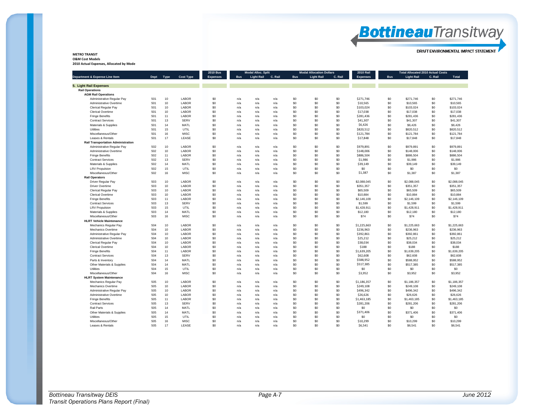| June 201. |  |
|-----------|--|
|           |  |

| <b>METRO TRANSIT</b>                    |  |
|-----------------------------------------|--|
| <b>O&amp;M Cost Models</b>              |  |
| 2010 Actual Expenses, Allocated by Mode |  |

|                                           |            |           |                      | <b>2010 Bus</b> |            | <b>Modal Alloc. Split</b> |         |            | <b>Modal Allocation Dollars</b> | <b>2010 Rail</b> |                       | <b>Total Allocated 2010 Actual Costs</b> |                   |            |                       |
|-------------------------------------------|------------|-----------|----------------------|-----------------|------------|---------------------------|---------|------------|---------------------------------|------------------|-----------------------|------------------------------------------|-------------------|------------|-----------------------|
| Department & Expense Line Item            |            | Dept Type | <b>Cost Type</b>     | <b>Expenses</b> | <b>Bus</b> | <b>Light Rail</b>         | C. Rail | <b>Bus</b> | <b>Light Rail</b>               | C. Rail          | <b>Expenses</b>       | <b>Bus</b>                               | <b>Light Rail</b> | C. Rail    | Total                 |
| 5. Light Rail Expenses                    |            |           |                      |                 |            |                           |         |            |                                 |                  |                       |                                          |                   |            |                       |
| <b>Rail Operations</b>                    |            |           |                      |                 |            |                           |         |            |                                 |                  |                       |                                          |                   |            |                       |
| <b>AGM Rail Operations</b>                |            |           |                      |                 |            |                           |         |            |                                 |                  |                       |                                          |                   |            |                       |
| Administrative Regular Pay                | 501        | 10        | LABOR                | \$0             | n/a        | n/a                       | n/a     | \$0        | \$0                             | \$0              | \$271,746             | \$0                                      | \$271,746         | \$0        | \$271,746             |
| Administrative Overtime                   | 501        | 10        | LABOR                | \$0             | n/a        | n/a                       | n/a     | \$0        | \$0                             | \$0              | \$10,565              | \$0                                      | \$10,565          | \$0        | \$10,565              |
| <b>Clerical Regular Pay</b>               | 501        | 10        | LABOR                | \$0             | n/a        | n/a                       | n/a     | \$0        | \$0                             | \$0              | \$103,024             | \$0                                      | \$103,024         | \$0        | \$103,024             |
| <b>Clerical Overtime</b>                  | 501        | 10        | LABOR                | \$0             | n/a        | n/a                       | n/a     | \$0        | \$0                             | \$0              | \$17,038              | \$0                                      | \$17,038          | \$0        | \$17,038              |
| <b>Fringe Benefits</b>                    | 501        | 11        | LABOR                | \$0             | n/a        | n/a                       | n/a     | \$0        | \$0                             | \$0              | \$281.436             | \$0                                      | \$281.436         | \$0        | \$281.436             |
| <b>Contract Services</b>                  | 501        | 13        | <b>SERV</b>          | \$0             | n/a        | n/a                       | n/a     | \$0        | \$0                             | \$0              | \$41,307              | \$0                                      | \$41,307          | \$0        | \$41,307              |
| <b>Materials &amp; Supplies</b>           | 501        | 14        | MATL                 | \$0             | n/a        | n/a                       | n/a     | \$0        | \$0                             | \$0              | \$6,426               | \$0                                      | \$6,426           | \$0        | \$6,426               |
| Utilities                                 | 501        | 15        | UTIL                 | \$0             | n/a        | n/a                       | n/a     | \$0        | \$0                             | \$0              | \$820,512             | \$0                                      | \$820,512         | \$0        | \$820,512             |
|                                           |            |           |                      |                 |            |                           |         |            |                                 |                  |                       |                                          |                   |            |                       |
| Miscellaneous/Other                       | 501<br>501 | 16<br>17  | <b>MISC</b><br>LEASE | \$0<br>\$0      | n/a        | n/a                       | n/a     | \$0<br>\$0 | \$0<br>\$0                      | \$0<br>\$0       | \$121,784<br>\$17,848 | \$0<br>\$0                               | \$121,784         | \$0<br>\$0 | \$121,784<br>\$17,848 |
| Leases & Rentals                          |            |           |                      |                 | n/a        | n/a                       | n/a     |            |                                 |                  |                       |                                          | \$17,848          |            |                       |
| <b>Rail Transportation Administration</b> |            |           |                      |                 |            |                           |         |            |                                 |                  |                       |                                          |                   |            |                       |
| Administrative Regular Pay                | 502        | 10        | LABOR                | \$0             | n/a        | n/a                       | n/a     | \$0        | \$0                             | \$0              | \$979,891             | \$0                                      | \$979,891         | \$0        | \$979,891             |
| Administrative Overtime                   | 502        | 10        | LABOR                | \$0             | n/a        | n/a                       | n/a     | \$0        | \$0                             | \$0              | \$148,006             | \$0                                      | \$148,006         | \$0        | \$148,006             |
| <b>Fringe Benefits</b>                    | 502        | 11        | LABOR                | \$0             | n/a        | n/a                       | n/a     | \$0        | \$0                             | \$0              | \$886,504             | \$0                                      | \$886,504         | \$0        | \$886,504             |
| <b>Contract Services</b>                  | 502        | 13        | <b>SERV</b>          | \$0             | n/a        | n/a                       | n/a     | \$0        | \$0                             | \$0              | \$1,986               | \$0                                      | \$1,986           | \$0        | \$1,986               |
| Materials & Supplies                      | 502        | 14        | MATL                 | \$0             | n/a        | n/a                       | n/a     | \$0        | \$0                             | \$0              | \$39,149              | \$0                                      | \$39,149          | \$0        | \$39,149              |
| <b>LRV Propulsion</b>                     | 502        | 15        | UTIL                 | \$0             | n/a        | n/a                       | n/a     | \$0        | \$0                             | \$0              | \$0                   | \$0                                      | \$0               | \$0        | \$0                   |
| Miscellaneous/Other                       | 502        | 16        | <b>MISC</b>          | \$0             | n/a        | n/a                       | n/a     | \$0        | \$0                             | \$0              | \$1,387               | \$0                                      | \$1,387           | \$0        | \$1,387               |
| <b>Rail Operators</b>                     |            |           |                      |                 |            |                           |         |            |                                 |                  |                       |                                          |                   |            |                       |
| Driver Regular Pay                        | 503        | 10        | LABOR                | \$0             | n/a        | n/a                       | n/a     | \$0        | \$0                             | \$0              | \$2,088,045           | \$0                                      | \$2,088,045       | \$0        | \$2,088,045           |
| <b>Driver Overtime</b>                    | 503        | 10        | LABOR                | \$0             | n/a        | n/a                       | n/a     | \$0        | \$0                             | \$0              | \$351,357             | \$0                                      | \$351,357         | \$0        | \$351,357             |
| <b>Clerical Regular Pay</b>               | 503        | 10        | LABOR                | \$0             | n/a        | n/a                       | n/a     | \$0        | \$0                             | \$0              | \$65,509              | \$0                                      | \$65,509          | \$0        | \$65,509              |
| <b>Clerical Overtime</b>                  | 503        | 10        | LABOR                | \$0             | n/a        | n/a                       | n/a     | \$0        | \$0                             | \$0              | \$10,884              | \$0                                      | \$10,884          | \$0        | \$10,884              |
| <b>Fringe Benefits</b>                    | 503        | 11        | LABOR                | \$0             | n/a        | n/a                       | n/a     | \$0        | \$0                             | \$0              | \$2,146,109           | \$0                                      | \$2,146,109       | \$0        | \$2,146,109           |
| <b>Contract Services</b>                  | 503        | 13        | <b>SERV</b>          | \$0             | n/a        | n/a                       | n/a     | \$0        | \$0                             | \$0              | \$1,599               | \$0                                      | \$1,599           | \$0        | \$1,599               |
| <b>LRV Propulsion</b>                     | 503        | 15        | UTIL                 | \$0             | n/a        | n/a                       | n/a     | \$0        | \$0                             | \$0              | \$1,428,911           | \$0                                      | \$1,428,911       | \$0        | \$1,428,911           |
| Materials & Supplies                      | 503        | 14        | MATL                 | \$0             | n/a        | n/a                       | n/a     | \$0        | \$0                             | \$0              | \$12,180              | \$0                                      | \$12,180          | \$0        | \$12,180              |
| Miscellaneous/Other                       | 503        | 16        | <b>MISC</b>          | \$0             | n/a        | n/a                       | n/a     | \$0        | \$0                             | \$0              | \$74                  | \$0                                      | \$74              | \$0        | \$74                  |
| <b>HLRT Vehicle Maintenance</b>           |            |           |                      |                 |            |                           |         |            |                                 |                  |                       |                                          |                   |            |                       |
| Mechanics Regular Pay                     | 504        | 10        | LABOR                | \$0             | n/a        | n/a                       | n/a     | \$0        | \$0                             | \$0              | \$1,225,663           | \$0                                      | \$1,225,663       | \$0        | \$1,225,663           |
| Mechanics Overtime                        | 504        | 10        | LABOR                | \$0             | n/a        | n/a                       | n/a     | \$0        | \$0                             | \$0              | \$236,963             | \$0                                      | \$236,963         | \$0        | \$236,963             |
| Administrative Regular Pay                | 504        | 10        | LABOR                | \$0             | n/a        | n/a                       | n/a     | \$0        | \$0                             | \$0              | \$392,861             | \$0                                      | \$392,861         | \$0        | \$392.861             |
| Administrative Overtime                   | 504        | 10        | LABOR                | \$0             | n/a        | n/a                       | n/a     | \$0        | \$0                             | \$0              | \$25,212              | \$0                                      | \$25,212          | \$0        | \$25,212              |
| Clerical Regular Pay                      | 504        | 10        | LABOR                | \$0             | n/a        | n/a                       | n/a     | \$0        | \$0                             | \$0              | \$38,034              | \$0                                      | \$38,034          | \$0        | \$38,034              |
| <b>Clerical Overtime</b>                  | 504        | 10        | LABOR                | \$0             | n/a        | n/a                       | n/a     | \$0        | \$0                             | \$0              | \$188                 | \$0                                      | \$188             | \$0        | \$188                 |
| <b>Fringe Benefits</b>                    | 504        | 11        | LABOR                | \$0             | n/a        | n/a                       | n/a     | \$0        | \$0                             | \$0              | \$1,639,205           | \$0                                      | \$1,639,205       | \$0        | \$1,639,205           |
| <b>Contract Services</b>                  | 504        | 13        | SERV                 | \$0             | n/a        | n/a                       | n/a     | \$0        | \$0                             | \$0              | \$62,608              | \$0                                      | \$62,608          | \$0        | \$62,608              |
| Parts & Inventory                         | 504        | 14        | MATL                 | \$0             | n/a        | n/a                       | n/a     | \$0        | \$0                             | \$0              | \$588,952             | \$0                                      | \$588,952         | \$0        | \$588,952             |
| Other Materials & Supplies                | 504        | 14        | MATL                 | \$0             | n/a        | n/a                       | n/a     | \$0        | \$0                             | \$0              | \$517,385             | \$0                                      | \$517,385         | \$0        | \$517,385             |
| Utilities                                 | 504        | 15        | UTIL                 | \$0             | n/a        | n/a                       | n/a     | \$0        | \$0                             | \$0              | \$0                   | \$0                                      | \$0               | \$0        | \$0                   |
| Miscellaneous/Other                       | 504        | 16        | <b>MISC</b>          | \$0             | n/a        | n/a                       | n/a     | \$0        | \$0                             | \$0              | \$3,952               | \$0                                      | \$3,952           | \$0        | \$3,952               |
| <b>HLRT System Maintenance</b>            |            |           |                      |                 |            |                           |         |            |                                 |                  |                       |                                          |                   |            |                       |
| Mechanics Regular Pay                     | 505        | 10        | LABOR                | \$0             | n/a        | n/a                       | n/a     | \$0        | \$0                             | \$0              | \$1,186,357           | \$0                                      | \$1,186,357       | \$0        | \$1,186,357           |
| Mechanics Overtime                        | 505        | 10        | LABOR                | \$0             | n/a        | n/a                       | n/a     | \$0        | \$0                             | \$0              | \$249,108             | \$0                                      | \$249,108         | \$0        | \$249.108             |
| Administrative Regular Pay                | 505        | 10        | LABOR                | \$0             | n/a        | n/a                       | n/a     | \$0        | \$0                             | \$0              | \$496,342             | \$0                                      | \$496,342         | \$0        | \$496,342             |
| Administrative Overtime                   | 505        | 10        | LABOR                | \$0             | n/a        | n/a                       | n/a     | \$0        | \$0                             | \$0              | \$26,626              | \$0                                      | \$26,626          | \$0        | \$26,626              |
| <b>Fringe Benefits</b>                    | 505        | 11        | LABOR                | \$0             | n/a        | n/a                       | n/a     | \$0        | \$0                             | \$0              | \$1,463,185           | \$0                                      | \$1,463,185       | \$0        | \$1,463,185           |
| <b>Contract Services</b>                  | 505        | 13        | SERV                 | \$0             | n/a        | n/a                       | n/a     | \$0        | \$0                             | \$0              | \$281,206             | \$0                                      | \$281,206         | \$0        | \$281,206             |
| Rail Parts                                | 505        | 14        | MATL                 | \$0             | n/a        | n/a                       | n/a     | \$0        | \$0                             | \$0              | \$0                   | \$0                                      | \$0               | \$0        | \$0                   |
| Other Materials & Supplies                | 505        | 14        | MATL                 | \$0             | n/a        | n/a                       | n/a     | \$0        | \$0                             | \$0              | \$371,406             | \$0                                      | \$371,406         | \$0        | \$371,406             |
| Utilities                                 | 505        | 15        | UTIL                 | \$0             | n/a        | n/a                       | n/a     | \$0        | \$0                             | \$0              | \$0                   | \$0                                      | \$0               | \$0        | \$0                   |
| Miscellaneous/Other                       | 505        | 16        | <b>MISC</b>          | \$0             | n/a        | n/a                       | n/a     | \$0        | \$0                             | \$0              | \$10,299              | \$0                                      | \$10,299          | \$0        | \$10,299              |
| Leases & Rentals                          | 505        | 17        | LEASE                | \$0             | n/a        | n/a                       | n/a     | \$0        | \$0                             | \$0              | \$6.541               | \$0                                      | \$6.541           | \$0        | \$6,541               |
|                                           |            |           |                      |                 |            |                           |         |            |                                 |                  |                       |                                          |                   |            |                       |

### **Bottineau**Transitway

DRAFT ENVIRONMENTAL IMPACT STATEMENT